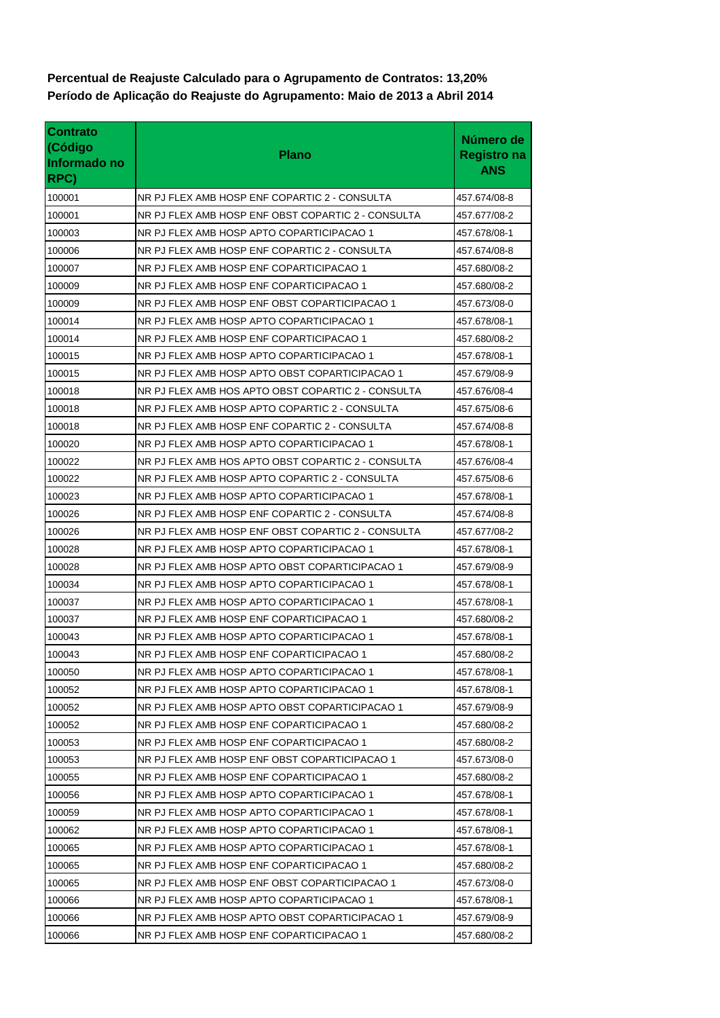**Período de Aplicação do Reajuste do Agrupamento: Maio de 2013 a Abril 2014 Percentual de Reajuste Calculado para o Agrupamento de Contratos: 13,20%**

| <b>Contrato</b><br>(Código<br>Informado no<br>RPC) | <b>Plano</b>                                       | Número de<br><b>Registro na</b><br><b>ANS</b> |
|----------------------------------------------------|----------------------------------------------------|-----------------------------------------------|
| 100001                                             | NR PJ FLEX AMB HOSP ENF COPARTIC 2 - CONSULTA      | 457.674/08-8                                  |
| 100001                                             | NR PJ FLEX AMB HOSP ENF OBST COPARTIC 2 - CONSULTA | 457.677/08-2                                  |
| 100003                                             | NR PJ FLEX AMB HOSP APTO COPARTICIPACAO 1          | 457.678/08-1                                  |
| 100006                                             | NR PJ FLEX AMB HOSP ENF COPARTIC 2 - CONSULTA      | 457.674/08-8                                  |
| 100007                                             | NR PJ FLEX AMB HOSP ENF COPARTICIPACAO 1           | 457.680/08-2                                  |
| 100009                                             | NR PJ FLEX AMB HOSP ENF COPARTICIPACAO 1           | 457.680/08-2                                  |
| 100009                                             | NR PJ FLEX AMB HOSP ENF OBST COPARTICIPACAO 1      | 457.673/08-0                                  |
| 100014                                             | NR PJ FLEX AMB HOSP APTO COPARTICIPACAO 1          | 457.678/08-1                                  |
| 100014                                             | NR PJ FLEX AMB HOSP ENF COPARTICIPACAO 1           | 457.680/08-2                                  |
| 100015                                             | NR PJ FLEX AMB HOSP APTO COPARTICIPACAO 1          | 457.678/08-1                                  |
| 100015                                             | NR PJ FLEX AMB HOSP APTO OBST COPARTICIPACAO 1     | 457.679/08-9                                  |
| 100018                                             | NR PJ FLEX AMB HOS APTO OBST COPARTIC 2 - CONSULTA | 457.676/08-4                                  |
| 100018                                             | NR PJ FLEX AMB HOSP APTO COPARTIC 2 - CONSULTA     | 457.675/08-6                                  |
| 100018                                             | NR PJ FLEX AMB HOSP ENF COPARTIC 2 - CONSULTA      | 457.674/08-8                                  |
| 100020                                             | NR PJ FLEX AMB HOSP APTO COPARTICIPACAO 1          | 457.678/08-1                                  |
| 100022                                             | NR PJ FLEX AMB HOS APTO OBST COPARTIC 2 - CONSULTA | 457.676/08-4                                  |
| 100022                                             | NR PJ FLEX AMB HOSP APTO COPARTIC 2 - CONSULTA     | 457.675/08-6                                  |
| 100023                                             | NR PJ FLEX AMB HOSP APTO COPARTICIPACAO 1          | 457.678/08-1                                  |
| 100026                                             | NR PJ FLEX AMB HOSP ENF COPARTIC 2 - CONSULTA      | 457.674/08-8                                  |
| 100026                                             | NR PJ FLEX AMB HOSP ENF OBST COPARTIC 2 - CONSULTA | 457.677/08-2                                  |
| 100028                                             | NR PJ FLEX AMB HOSP APTO COPARTICIPACAO 1          | 457.678/08-1                                  |
| 100028                                             | NR PJ FLEX AMB HOSP APTO OBST COPARTICIPACAO 1     | 457.679/08-9                                  |
| 100034                                             | NR PJ FLEX AMB HOSP APTO COPARTICIPACAO 1          | 457.678/08-1                                  |
| 100037                                             | NR PJ FLEX AMB HOSP APTO COPARTICIPACAO 1          | 457.678/08-1                                  |
| 100037                                             | NR PJ FLEX AMB HOSP ENF COPARTICIPACAO 1           | 457.680/08-2                                  |
| 100043                                             | NR PJ FLEX AMB HOSP APTO COPARTICIPACAO 1          | 457.678/08-1                                  |
| 100043                                             | NR PJ FLEX AMB HOSP ENF COPARTICIPACAO 1           | 457.680/08-2                                  |
| 100050                                             | NR PJ FLEX AMB HOSP APTO COPARTICIPACAO 1          | 457.678/08-1                                  |
| 100052                                             | NR PJ FLEX AMB HOSP APTO COPARTICIPACAO 1          | 457.678/08-1                                  |
| 100052                                             | NR PJ FLEX AMB HOSP APTO OBST COPARTICIPACAO 1     | 457.679/08-9                                  |
| 100052                                             | NR PJ FLEX AMB HOSP ENF COPARTICIPACAO 1           | 457.680/08-2                                  |
| 100053                                             | NR PJ FLEX AMB HOSP ENF COPARTICIPACAO 1           | 457.680/08-2                                  |
| 100053                                             | NR PJ FLEX AMB HOSP ENF OBST COPARTICIPACAO 1      | 457.673/08-0                                  |
| 100055                                             | NR PJ FLEX AMB HOSP ENF COPARTICIPACAO 1           | 457.680/08-2                                  |
| 100056                                             | NR PJ FLEX AMB HOSP APTO COPARTICIPACAO 1          | 457.678/08-1                                  |
| 100059                                             | NR PJ FLEX AMB HOSP APTO COPARTICIPACAO 1          | 457.678/08-1                                  |
| 100062                                             | NR PJ FLEX AMB HOSP APTO COPARTICIPACAO 1          | 457.678/08-1                                  |
| 100065                                             | NR PJ FLEX AMB HOSP APTO COPARTICIPACAO 1          | 457.678/08-1                                  |
| 100065                                             | NR PJ FLEX AMB HOSP ENF COPARTICIPACAO 1           | 457.680/08-2                                  |
| 100065                                             | NR PJ FLEX AMB HOSP ENF OBST COPARTICIPACAO 1      | 457.673/08-0                                  |
| 100066                                             | NR PJ FLEX AMB HOSP APTO COPARTICIPACAO 1          | 457.678/08-1                                  |
| 100066                                             | NR PJ FLEX AMB HOSP APTO OBST COPARTICIPACAO 1     | 457.679/08-9                                  |
| 100066                                             | NR PJ FLEX AMB HOSP ENF COPARTICIPACAO 1           | 457.680/08-2                                  |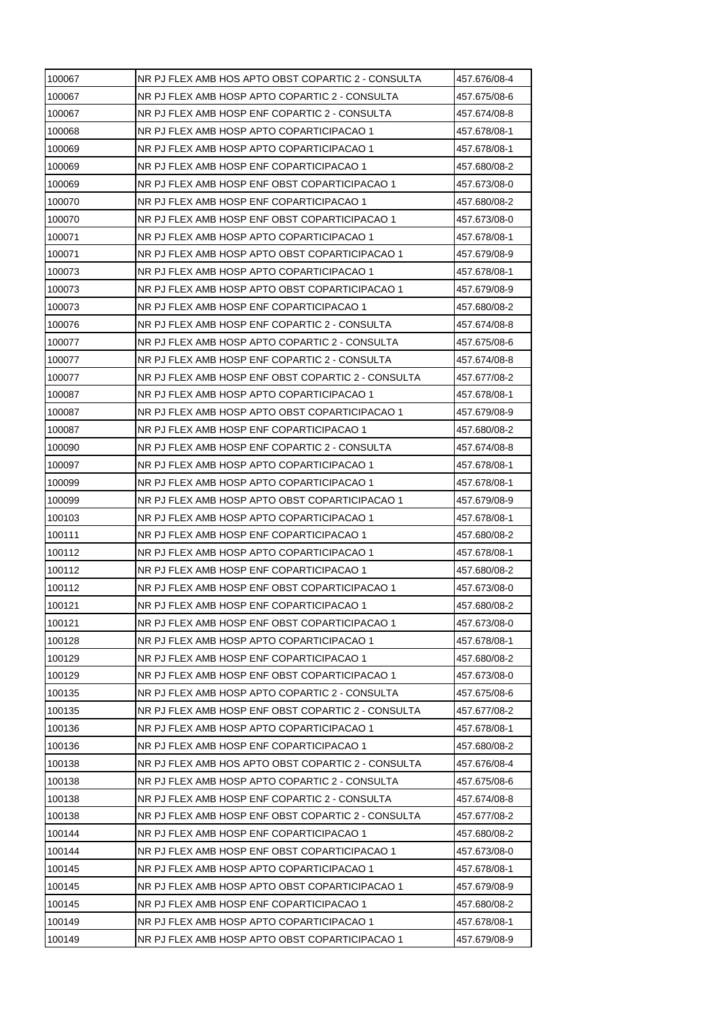| 100067 | NR PJ FLEX AMB HOS APTO OBST COPARTIC 2 - CONSULTA | 457.676/08-4 |
|--------|----------------------------------------------------|--------------|
| 100067 | NR PJ FLEX AMB HOSP APTO COPARTIC 2 - CONSULTA     | 457.675/08-6 |
| 100067 | NR PJ FLEX AMB HOSP ENF COPARTIC 2 - CONSULTA      | 457.674/08-8 |
| 100068 | NR PJ FLEX AMB HOSP APTO COPARTICIPACAO 1          | 457.678/08-1 |
| 100069 | NR PJ FLEX AMB HOSP APTO COPARTICIPACAO 1          | 457.678/08-1 |
| 100069 | NR PJ FLEX AMB HOSP ENF COPARTICIPACAO 1           | 457.680/08-2 |
| 100069 | NR PJ FLEX AMB HOSP ENF OBST COPARTICIPACAO 1      | 457.673/08-0 |
| 100070 | NR PJ FLEX AMB HOSP ENF COPARTICIPACAO 1           | 457.680/08-2 |
| 100070 | NR PJ FLEX AMB HOSP ENF OBST COPARTICIPACAO 1      | 457.673/08-0 |
| 100071 | NR PJ FLEX AMB HOSP APTO COPARTICIPACAO 1          | 457.678/08-1 |
| 100071 | NR PJ FLEX AMB HOSP APTO OBST COPARTICIPACAO 1     | 457.679/08-9 |
| 100073 | NR PJ FLEX AMB HOSP APTO COPARTICIPACAO 1          | 457.678/08-1 |
| 100073 | NR PJ FLEX AMB HOSP APTO OBST COPARTICIPACAO 1     | 457.679/08-9 |
| 100073 | NR PJ FLEX AMB HOSP ENF COPARTICIPACAO 1           | 457.680/08-2 |
| 100076 | NR PJ FLEX AMB HOSP ENF COPARTIC 2 - CONSULTA      | 457.674/08-8 |
| 100077 | NR PJ FLEX AMB HOSP APTO COPARTIC 2 - CONSULTA     | 457.675/08-6 |
| 100077 | NR PJ FLEX AMB HOSP ENF COPARTIC 2 - CONSULTA      | 457.674/08-8 |
| 100077 | NR PJ FLEX AMB HOSP ENF OBST COPARTIC 2 - CONSULTA | 457.677/08-2 |
| 100087 | NR PJ FLEX AMB HOSP APTO COPARTICIPACAO 1          | 457.678/08-1 |
| 100087 | NR PJ FLEX AMB HOSP APTO OBST COPARTICIPACAO 1     | 457.679/08-9 |
| 100087 | NR PJ FLEX AMB HOSP ENF COPARTICIPACAO 1           | 457.680/08-2 |
| 100090 | NR PJ FLEX AMB HOSP ENF COPARTIC 2 - CONSULTA      | 457.674/08-8 |
| 100097 | NR PJ FLEX AMB HOSP APTO COPARTICIPACAO 1          | 457.678/08-1 |
| 100099 | NR PJ FLEX AMB HOSP APTO COPARTICIPACAO 1          | 457.678/08-1 |
| 100099 | NR PJ FLEX AMB HOSP APTO OBST COPARTICIPACAO 1     | 457.679/08-9 |
| 100103 | NR PJ FLEX AMB HOSP APTO COPARTICIPACAO 1          | 457.678/08-1 |
| 100111 | NR PJ FLEX AMB HOSP ENF COPARTICIPACAO 1           | 457.680/08-2 |
| 100112 | NR PJ FLEX AMB HOSP APTO COPARTICIPACAO 1          | 457.678/08-1 |
| 100112 | NR PJ FLEX AMB HOSP ENF COPARTICIPACAO 1           | 457.680/08-2 |
| 100112 | NR PJ FLEX AMB HOSP ENF OBST COPARTICIPACAO 1      | 457.673/08-0 |
| 100121 | NR PJ FLEX AMB HOSP ENF COPARTICIPACAO 1           | 457.680/08-2 |
| 100121 | NR PJ FLEX AMB HOSP ENF OBST COPARTICIPACAO 1      | 457.673/08-0 |
| 100128 | NR PJ FLEX AMB HOSP APTO COPARTICIPACAO 1          | 457.678/08-1 |
| 100129 | NR PJ FLEX AMB HOSP ENF COPARTICIPACAO 1           | 457.680/08-2 |
| 100129 | NR PJ FLEX AMB HOSP ENF OBST COPARTICIPACAO 1      | 457.673/08-0 |
| 100135 | NR PJ FLEX AMB HOSP APTO COPARTIC 2 - CONSULTA     | 457.675/08-6 |
| 100135 | NR PJ FLEX AMB HOSP ENF OBST COPARTIC 2 - CONSULTA | 457.677/08-2 |
| 100136 | NR PJ FLEX AMB HOSP APTO COPARTICIPACAO 1          | 457.678/08-1 |
| 100136 | NR PJ FLEX AMB HOSP ENF COPARTICIPACAO 1           | 457.680/08-2 |
| 100138 | NR PJ FLEX AMB HOS APTO OBST COPARTIC 2 - CONSULTA | 457.676/08-4 |
| 100138 | NR PJ FLEX AMB HOSP APTO COPARTIC 2 - CONSULTA     | 457.675/08-6 |
| 100138 | NR PJ FLEX AMB HOSP ENF COPARTIC 2 - CONSULTA      | 457.674/08-8 |
| 100138 | NR PJ FLEX AMB HOSP ENF OBST COPARTIC 2 - CONSULTA | 457.677/08-2 |
| 100144 | NR PJ FLEX AMB HOSP ENF COPARTICIPACAO 1           | 457.680/08-2 |
| 100144 | NR PJ FLEX AMB HOSP ENF OBST COPARTICIPACAO 1      | 457.673/08-0 |
| 100145 | NR PJ FLEX AMB HOSP APTO COPARTICIPACAO 1          | 457.678/08-1 |
| 100145 | NR PJ FLEX AMB HOSP APTO OBST COPARTICIPACAO 1     | 457.679/08-9 |
| 100145 | NR PJ FLEX AMB HOSP ENF COPARTICIPACAO 1           | 457.680/08-2 |
| 100149 | NR PJ FLEX AMB HOSP APTO COPARTICIPACAO 1          | 457.678/08-1 |
| 100149 | NR PJ FLEX AMB HOSP APTO OBST COPARTICIPACAO 1     | 457.679/08-9 |
|        |                                                    |              |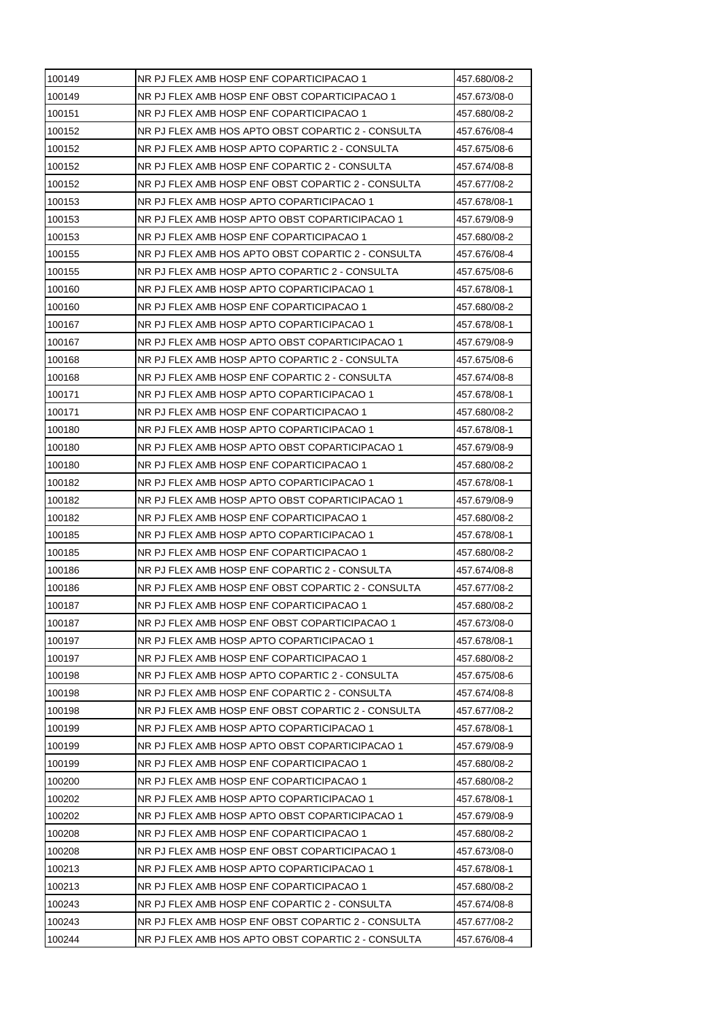| NR PJ FLEX AMB HOSP ENF COPARTICIPACAO 1                                                            | 457.680/08-2                                                                                |
|-----------------------------------------------------------------------------------------------------|---------------------------------------------------------------------------------------------|
| NR PJ FLEX AMB HOSP ENF OBST COPARTICIPACAO 1                                                       | 457.673/08-0                                                                                |
| NR PJ FLEX AMB HOSP ENF COPARTICIPACAO 1                                                            | 457.680/08-2                                                                                |
| NR PJ FLEX AMB HOS APTO OBST COPARTIC 2 - CONSULTA                                                  | 457.676/08-4                                                                                |
| NR PJ FLEX AMB HOSP APTO COPARTIC 2 - CONSULTA                                                      | 457.675/08-6                                                                                |
| NR PJ FLEX AMB HOSP ENF COPARTIC 2 - CONSULTA                                                       | 457.674/08-8                                                                                |
| NR PJ FLEX AMB HOSP ENF OBST COPARTIC 2 - CONSULTA                                                  | 457.677/08-2                                                                                |
| NR PJ FLEX AMB HOSP APTO COPARTICIPACAO 1                                                           | 457.678/08-1                                                                                |
| NR PJ FLEX AMB HOSP APTO OBST COPARTICIPACAO 1                                                      | 457.679/08-9                                                                                |
| NR PJ FLEX AMB HOSP ENF COPARTICIPACAO 1                                                            | 457.680/08-2                                                                                |
| NR PJ FLEX AMB HOS APTO OBST COPARTIC 2 - CONSULTA                                                  | 457.676/08-4                                                                                |
| NR PJ FLEX AMB HOSP APTO COPARTIC 2 - CONSULTA                                                      | 457.675/08-6                                                                                |
| NR PJ FLEX AMB HOSP APTO COPARTICIPACAO 1                                                           | 457.678/08-1                                                                                |
| NR PJ FLEX AMB HOSP ENF COPARTICIPACAO 1                                                            | 457.680/08-2                                                                                |
| NR PJ FLEX AMB HOSP APTO COPARTICIPACAO 1                                                           | 457.678/08-1                                                                                |
| NR PJ FLEX AMB HOSP APTO OBST COPARTICIPACAO 1                                                      | 457.679/08-9                                                                                |
| NR PJ FLEX AMB HOSP APTO COPARTIC 2 - CONSULTA                                                      | 457.675/08-6                                                                                |
| NR PJ FLEX AMB HOSP ENF COPARTIC 2 - CONSULTA                                                       | 457.674/08-8                                                                                |
| NR PJ FLEX AMB HOSP APTO COPARTICIPACAO 1                                                           | 457.678/08-1                                                                                |
| NR PJ FLEX AMB HOSP ENF COPARTICIPACAO 1                                                            | 457.680/08-2                                                                                |
| NR PJ FLEX AMB HOSP APTO COPARTICIPACAO 1                                                           | 457.678/08-1                                                                                |
| NR PJ FLEX AMB HOSP APTO OBST COPARTICIPACAO 1                                                      | 457.679/08-9                                                                                |
| NR PJ FLEX AMB HOSP ENF COPARTICIPACAO 1                                                            | 457.680/08-2                                                                                |
| NR PJ FLEX AMB HOSP APTO COPARTICIPACAO 1                                                           | 457.678/08-1                                                                                |
| NR PJ FLEX AMB HOSP APTO OBST COPARTICIPACAO 1                                                      | 457.679/08-9                                                                                |
| NR PJ FLEX AMB HOSP ENF COPARTICIPACAO 1                                                            | 457.680/08-2                                                                                |
| NR PJ FLEX AMB HOSP APTO COPARTICIPACAO 1                                                           | 457.678/08-1                                                                                |
| NR PJ FLEX AMB HOSP ENF COPARTICIPACAO 1                                                            | 457.680/08-2                                                                                |
| NR PJ FLEX AMB HOSP ENF COPARTIC 2 - CONSULTA                                                       | 457.674/08-8                                                                                |
| NR PJ FLEX AMB HOSP ENF OBST COPARTIC 2 - CONSULTA                                                  | 457.677/08-2                                                                                |
| NR PJ FLEX AMB HOSP ENF COPARTICIPACAO 1                                                            | 457.680/08-2                                                                                |
| NR PJ FLEX AMB HOSP ENF OBST COPARTICIPACAO 1                                                       | 457.673/08-0                                                                                |
| NR PJ FLEX AMB HOSP APTO COPARTICIPACAO 1                                                           | 457.678/08-1                                                                                |
| NR PJ FLEX AMB HOSP ENF COPARTICIPACAO 1                                                            | 457.680/08-2                                                                                |
| NR PJ FLEX AMB HOSP APTO COPARTIC 2 - CONSULTA                                                      | 457.675/08-6                                                                                |
| NR PJ FLEX AMB HOSP ENF COPARTIC 2 - CONSULTA                                                       | 457.674/08-8                                                                                |
| NR PJ FLEX AMB HOSP ENF OBST COPARTIC 2 - CONSULTA                                                  | 457.677/08-2                                                                                |
|                                                                                                     | 457.678/08-1                                                                                |
| NR PJ FLEX AMB HOSP APTO OBST COPARTICIPACAO 1                                                      | 457.679/08-9                                                                                |
| NR PJ FLEX AMB HOSP ENF COPARTICIPACAO 1                                                            | 457.680/08-2                                                                                |
| NR PJ FLEX AMB HOSP ENF COPARTICIPACAO 1                                                            | 457.680/08-2                                                                                |
| NR PJ FLEX AMB HOSP APTO COPARTICIPACAO 1                                                           | 457.678/08-1                                                                                |
|                                                                                                     | 457.679/08-9                                                                                |
| NR PJ FLEX AMB HOSP ENF COPARTICIPACAO 1                                                            | 457.680/08-2                                                                                |
|                                                                                                     |                                                                                             |
| NR PJ FLEX AMB HOSP ENF OBST COPARTICIPACAO 1                                                       | 457.673/08-0                                                                                |
| NR PJ FLEX AMB HOSP APTO COPARTICIPACAO 1                                                           |                                                                                             |
|                                                                                                     | 457.678/08-1                                                                                |
| NR PJ FLEX AMB HOSP ENF COPARTICIPACAO 1                                                            | 457.680/08-2                                                                                |
| NR PJ FLEX AMB HOSP ENF COPARTIC 2 - CONSULTA<br>NR PJ FLEX AMB HOSP ENF OBST COPARTIC 2 - CONSULTA | 457.674/08-8<br>457.677/08-2                                                                |
|                                                                                                     | NR PJ FLEX AMB HOSP APTO COPARTICIPACAO 1<br>NR PJ FLEX AMB HOSP APTO OBST COPARTICIPACAO 1 |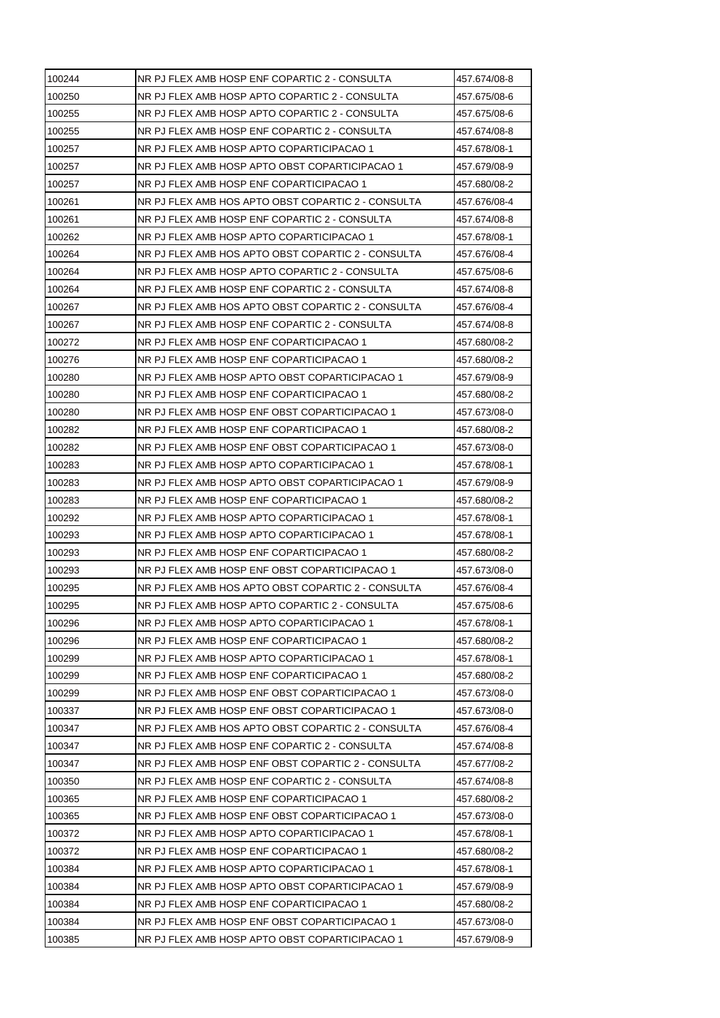| 100244 | NR PJ FLEX AMB HOSP ENF COPARTIC 2 - CONSULTA      | 457.674/08-8 |
|--------|----------------------------------------------------|--------------|
| 100250 | NR PJ FLEX AMB HOSP APTO COPARTIC 2 - CONSULTA     | 457.675/08-6 |
| 100255 | NR PJ FLEX AMB HOSP APTO COPARTIC 2 - CONSULTA     | 457.675/08-6 |
| 100255 | NR PJ FLEX AMB HOSP ENF COPARTIC 2 - CONSULTA      | 457.674/08-8 |
| 100257 | NR PJ FLEX AMB HOSP APTO COPARTICIPACAO 1          | 457.678/08-1 |
| 100257 | NR PJ FLEX AMB HOSP APTO OBST COPARTICIPACAO 1     | 457.679/08-9 |
| 100257 | NR PJ FLEX AMB HOSP ENF COPARTICIPACAO 1           | 457.680/08-2 |
| 100261 | NR PJ FLEX AMB HOS APTO OBST COPARTIC 2 - CONSULTA | 457.676/08-4 |
| 100261 | NR PJ FLEX AMB HOSP ENF COPARTIC 2 - CONSULTA      | 457.674/08-8 |
| 100262 | NR PJ FLEX AMB HOSP APTO COPARTICIPACAO 1          | 457.678/08-1 |
| 100264 | NR PJ FLEX AMB HOS APTO OBST COPARTIC 2 - CONSULTA | 457.676/08-4 |
| 100264 | NR PJ FLEX AMB HOSP APTO COPARTIC 2 - CONSULTA     | 457.675/08-6 |
| 100264 | NR PJ FLEX AMB HOSP ENF COPARTIC 2 - CONSULTA      | 457.674/08-8 |
| 100267 | NR PJ FLEX AMB HOS APTO OBST COPARTIC 2 - CONSULTA | 457.676/08-4 |
| 100267 | NR PJ FLEX AMB HOSP ENF COPARTIC 2 - CONSULTA      | 457.674/08-8 |
| 100272 | NR PJ FLEX AMB HOSP ENF COPARTICIPACAO 1           | 457.680/08-2 |
| 100276 | NR PJ FLEX AMB HOSP ENF COPARTICIPACAO 1           | 457.680/08-2 |
| 100280 | NR PJ FLEX AMB HOSP APTO OBST COPARTICIPACAO 1     | 457.679/08-9 |
| 100280 | NR PJ FLEX AMB HOSP ENF COPARTICIPACAO 1           | 457.680/08-2 |
| 100280 | NR PJ FLEX AMB HOSP ENF OBST COPARTICIPACAO 1      | 457.673/08-0 |
| 100282 | NR PJ FLEX AMB HOSP ENF COPARTICIPACAO 1           | 457.680/08-2 |
| 100282 | NR PJ FLEX AMB HOSP ENF OBST COPARTICIPACAO 1      | 457.673/08-0 |
| 100283 | NR PJ FLEX AMB HOSP APTO COPARTICIPACAO 1          | 457.678/08-1 |
| 100283 | NR PJ FLEX AMB HOSP APTO OBST COPARTICIPACAO 1     | 457.679/08-9 |
| 100283 | NR PJ FLEX AMB HOSP ENF COPARTICIPACAO 1           | 457.680/08-2 |
| 100292 | NR PJ FLEX AMB HOSP APTO COPARTICIPACAO 1          | 457.678/08-1 |
| 100293 | NR PJ FLEX AMB HOSP APTO COPARTICIPACAO 1          | 457.678/08-1 |
| 100293 | NR PJ FLEX AMB HOSP ENF COPARTICIPACAO 1           | 457.680/08-2 |
| 100293 | NR PJ FLEX AMB HOSP ENF OBST COPARTICIPACAO 1      | 457.673/08-0 |
| 100295 | NR PJ FLEX AMB HOS APTO OBST COPARTIC 2 - CONSULTA | 457.676/08-4 |
| 100295 | NR PJ FLEX AMB HOSP APTO COPARTIC 2 - CONSULTA     | 457.675/08-6 |
| 100296 | NR PJ FLEX AMB HOSP APTO COPARTICIPACAO 1          | 457.678/08-1 |
| 100296 | NR PJ FLEX AMB HOSP ENF COPARTICIPACAO 1           | 457.680/08-2 |
| 100299 | NR PJ FLEX AMB HOSP APTO COPARTICIPACAO 1          | 457.678/08-1 |
| 100299 | NR PJ FLEX AMB HOSP ENF COPARTICIPACAO 1           | 457.680/08-2 |
| 100299 | NR PJ FLEX AMB HOSP ENF OBST COPARTICIPACAO 1      | 457.673/08-0 |
| 100337 | NR PJ FLEX AMB HOSP ENF OBST COPARTICIPACAO 1      | 457.673/08-0 |
| 100347 | NR PJ FLEX AMB HOS APTO OBST COPARTIC 2 - CONSULTA | 457.676/08-4 |
| 100347 | NR PJ FLEX AMB HOSP ENF COPARTIC 2 - CONSULTA      | 457.674/08-8 |
| 100347 | NR PJ FLEX AMB HOSP ENF OBST COPARTIC 2 - CONSULTA | 457.677/08-2 |
| 100350 | NR PJ FLEX AMB HOSP ENF COPARTIC 2 - CONSULTA      | 457.674/08-8 |
| 100365 | NR PJ FLEX AMB HOSP ENF COPARTICIPACAO 1           | 457.680/08-2 |
| 100365 | NR PJ FLEX AMB HOSP ENF OBST COPARTICIPACAO 1      | 457.673/08-0 |
| 100372 | NR PJ FLEX AMB HOSP APTO COPARTICIPACAO 1          | 457.678/08-1 |
| 100372 | NR PJ FLEX AMB HOSP ENF COPARTICIPACAO 1           | 457.680/08-2 |
| 100384 | NR PJ FLEX AMB HOSP APTO COPARTICIPACAO 1          | 457.678/08-1 |
| 100384 | NR PJ FLEX AMB HOSP APTO OBST COPARTICIPACAO 1     | 457.679/08-9 |
| 100384 | NR PJ FLEX AMB HOSP ENF COPARTICIPACAO 1           | 457.680/08-2 |
| 100384 | NR PJ FLEX AMB HOSP ENF OBST COPARTICIPACAO 1      | 457.673/08-0 |
| 100385 | NR PJ FLEX AMB HOSP APTO OBST COPARTICIPACAO 1     | 457.679/08-9 |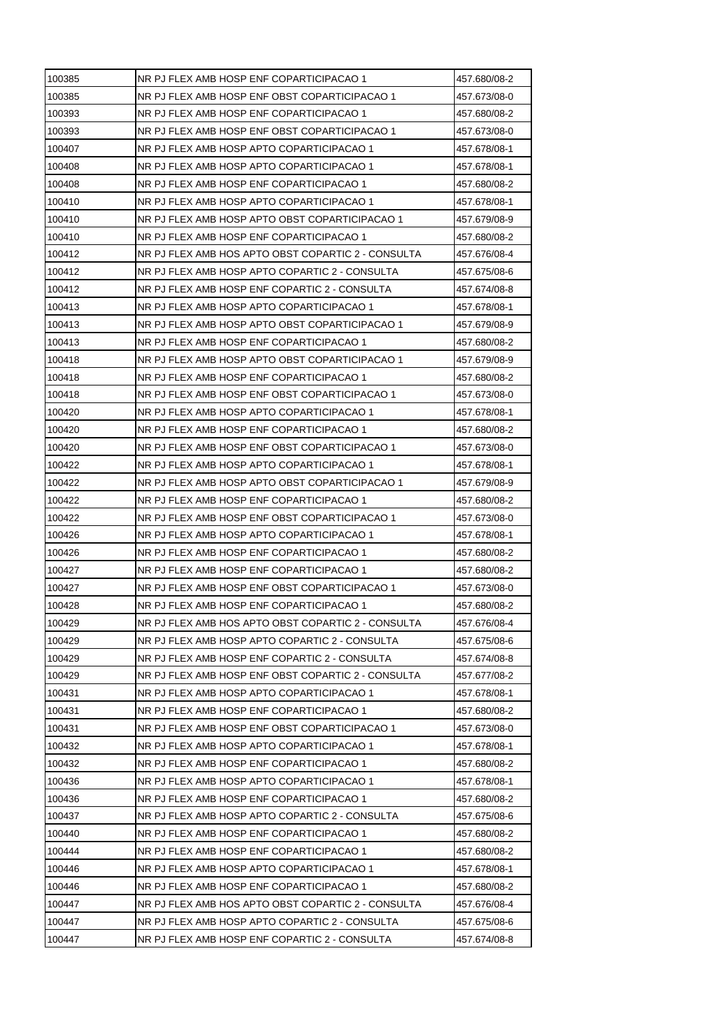| 100385 | NR PJ FLEX AMB HOSP ENF COPARTICIPACAO 1           | 457.680/08-2 |
|--------|----------------------------------------------------|--------------|
| 100385 | NR PJ FLEX AMB HOSP ENF OBST COPARTICIPACAO 1      | 457.673/08-0 |
| 100393 | NR PJ FLEX AMB HOSP ENF COPARTICIPACAO 1           | 457.680/08-2 |
| 100393 | NR PJ FLEX AMB HOSP ENF OBST COPARTICIPACAO 1      | 457.673/08-0 |
| 100407 | NR PJ FLEX AMB HOSP APTO COPARTICIPACAO 1          | 457.678/08-1 |
| 100408 | NR PJ FLEX AMB HOSP APTO COPARTICIPACAO 1          | 457.678/08-1 |
| 100408 | NR PJ FLEX AMB HOSP ENF COPARTICIPACAO 1           | 457.680/08-2 |
| 100410 | NR PJ FLEX AMB HOSP APTO COPARTICIPACAO 1          | 457.678/08-1 |
| 100410 | NR PJ FLEX AMB HOSP APTO OBST COPARTICIPACAO 1     | 457.679/08-9 |
| 100410 | NR PJ FLEX AMB HOSP ENF COPARTICIPACAO 1           | 457.680/08-2 |
| 100412 | NR PJ FLEX AMB HOS APTO OBST COPARTIC 2 - CONSULTA | 457.676/08-4 |
| 100412 | NR PJ FLEX AMB HOSP APTO COPARTIC 2 - CONSULTA     | 457.675/08-6 |
| 100412 | NR PJ FLEX AMB HOSP ENF COPARTIC 2 - CONSULTA      | 457.674/08-8 |
| 100413 | NR PJ FLEX AMB HOSP APTO COPARTICIPACAO 1          | 457.678/08-1 |
| 100413 | NR PJ FLEX AMB HOSP APTO OBST COPARTICIPACAO 1     | 457.679/08-9 |
| 100413 | NR PJ FLEX AMB HOSP ENF COPARTICIPACAO 1           | 457.680/08-2 |
| 100418 | NR PJ FLEX AMB HOSP APTO OBST COPARTICIPACAO 1     | 457.679/08-9 |
| 100418 | NR PJ FLEX AMB HOSP ENF COPARTICIPACAO 1           | 457.680/08-2 |
| 100418 | NR PJ FLEX AMB HOSP ENF OBST COPARTICIPACAO 1      | 457.673/08-0 |
| 100420 | NR PJ FLEX AMB HOSP APTO COPARTICIPACAO 1          | 457.678/08-1 |
| 100420 | NR PJ FLEX AMB HOSP ENF COPARTICIPACAO 1           | 457.680/08-2 |
| 100420 | NR PJ FLEX AMB HOSP ENF OBST COPARTICIPACAO 1      | 457.673/08-0 |
| 100422 | NR PJ FLEX AMB HOSP APTO COPARTICIPACAO 1          | 457.678/08-1 |
| 100422 | NR PJ FLEX AMB HOSP APTO OBST COPARTICIPACAO 1     | 457.679/08-9 |
| 100422 | NR PJ FLEX AMB HOSP ENF COPARTICIPACAO 1           | 457.680/08-2 |
| 100422 | NR PJ FLEX AMB HOSP ENF OBST COPARTICIPACAO 1      | 457.673/08-0 |
| 100426 | NR PJ FLEX AMB HOSP APTO COPARTICIPACAO 1          | 457.678/08-1 |
| 100426 | NR PJ FLEX AMB HOSP ENF COPARTICIPACAO 1           | 457.680/08-2 |
| 100427 | NR PJ FLEX AMB HOSP ENF COPARTICIPACAO 1           | 457.680/08-2 |
| 100427 | NR PJ FLEX AMB HOSP ENF OBST COPARTICIPACAO 1      | 457.673/08-0 |
| 100428 | NR PJ FLEX AMB HOSP ENF COPARTICIPACAO 1           | 457.680/08-2 |
| 100429 | NR PJ FLEX AMB HOS APTO OBST COPARTIC 2 - CONSULTA | 457.676/08-4 |
| 100429 | NR PJ FLEX AMB HOSP APTO COPARTIC 2 - CONSULTA     | 457.675/08-6 |
| 100429 | NR PJ FLEX AMB HOSP ENF COPARTIC 2 - CONSULTA      | 457.674/08-8 |
| 100429 | NR PJ FLEX AMB HOSP ENF OBST COPARTIC 2 - CONSULTA | 457.677/08-2 |
| 100431 | NR PJ FLEX AMB HOSP APTO COPARTICIPACAO 1          | 457.678/08-1 |
| 100431 | NR PJ FLEX AMB HOSP ENF COPARTICIPACAO 1           | 457.680/08-2 |
| 100431 | NR PJ FLEX AMB HOSP ENF OBST COPARTICIPACAO 1      | 457.673/08-0 |
| 100432 | NR PJ FLEX AMB HOSP APTO COPARTICIPACAO 1          | 457.678/08-1 |
| 100432 | NR PJ FLEX AMB HOSP ENF COPARTICIPACAO 1           | 457.680/08-2 |
| 100436 | NR PJ FLEX AMB HOSP APTO COPARTICIPACAO 1          | 457.678/08-1 |
| 100436 | NR PJ FLEX AMB HOSP ENF COPARTICIPACAO 1           | 457.680/08-2 |
| 100437 | NR PJ FLEX AMB HOSP APTO COPARTIC 2 - CONSULTA     | 457.675/08-6 |
| 100440 | NR PJ FLEX AMB HOSP ENF COPARTICIPACAO 1           | 457.680/08-2 |
| 100444 | NR PJ FLEX AMB HOSP ENF COPARTICIPACAO 1           | 457.680/08-2 |
| 100446 | NR PJ FLEX AMB HOSP APTO COPARTICIPACAO 1          | 457.678/08-1 |
| 100446 | NR PJ FLEX AMB HOSP ENF COPARTICIPACAO 1           | 457.680/08-2 |
| 100447 | NR PJ FLEX AMB HOS APTO OBST COPARTIC 2 - CONSULTA | 457.676/08-4 |
| 100447 | NR PJ FLEX AMB HOSP APTO COPARTIC 2 - CONSULTA     | 457.675/08-6 |
| 100447 | NR PJ FLEX AMB HOSP ENF COPARTIC 2 - CONSULTA      | 457.674/08-8 |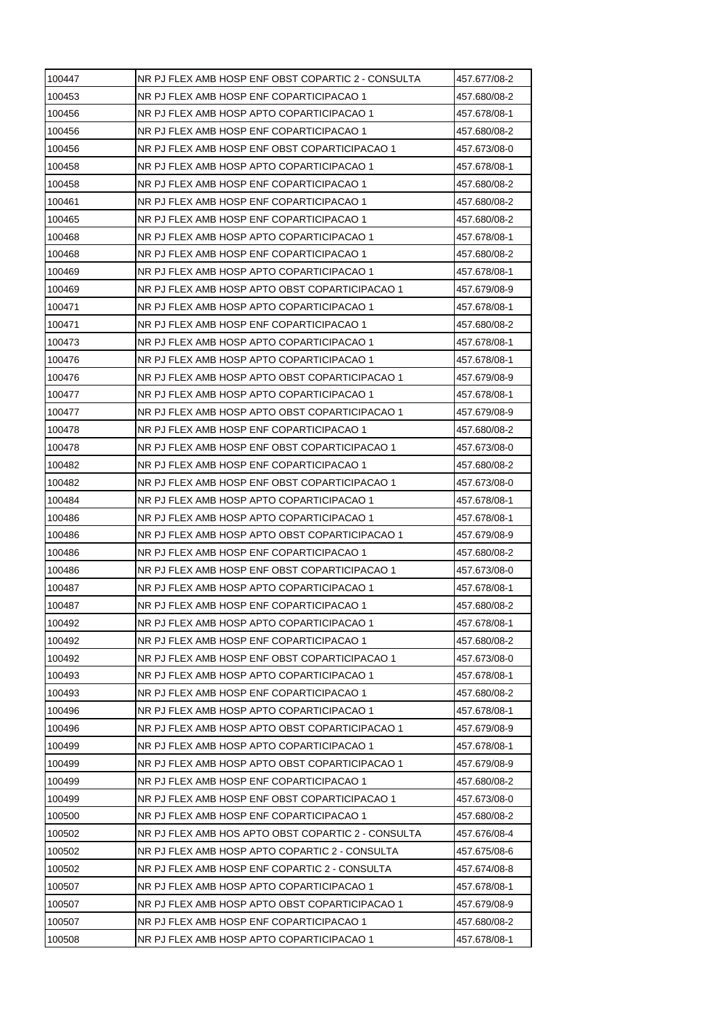| 100447 | NR PJ FLEX AMB HOSP ENF OBST COPARTIC 2 - CONSULTA | 457.677/08-2 |
|--------|----------------------------------------------------|--------------|
| 100453 | NR PJ FLEX AMB HOSP ENF COPARTICIPACAO 1           | 457.680/08-2 |
| 100456 | NR PJ FLEX AMB HOSP APTO COPARTICIPACAO 1          | 457.678/08-1 |
| 100456 | NR PJ FLEX AMB HOSP ENF COPARTICIPACAO 1           | 457.680/08-2 |
| 100456 | NR PJ FLEX AMB HOSP ENF OBST COPARTICIPACAO 1      | 457.673/08-0 |
| 100458 | NR PJ FLEX AMB HOSP APTO COPARTICIPACAO 1          | 457.678/08-1 |
| 100458 | NR PJ FLEX AMB HOSP ENF COPARTICIPACAO 1           | 457.680/08-2 |
| 100461 | NR PJ FLEX AMB HOSP ENF COPARTICIPACAO 1           | 457.680/08-2 |
| 100465 | NR PJ FLEX AMB HOSP ENF COPARTICIPACAO 1           | 457.680/08-2 |
| 100468 | NR PJ FLEX AMB HOSP APTO COPARTICIPACAO 1          | 457.678/08-1 |
| 100468 | NR PJ FLEX AMB HOSP ENF COPARTICIPACAO 1           | 457.680/08-2 |
| 100469 | NR PJ FLEX AMB HOSP APTO COPARTICIPACAO 1          | 457.678/08-1 |
| 100469 | NR PJ FLEX AMB HOSP APTO OBST COPARTICIPACAO 1     | 457.679/08-9 |
| 100471 | NR PJ FLEX AMB HOSP APTO COPARTICIPACAO 1          | 457.678/08-1 |
| 100471 | NR PJ FLEX AMB HOSP ENF COPARTICIPACAO 1           | 457.680/08-2 |
| 100473 | NR PJ FLEX AMB HOSP APTO COPARTICIPACAO 1          | 457.678/08-1 |
| 100476 | NR PJ FLEX AMB HOSP APTO COPARTICIPACAO 1          | 457.678/08-1 |
| 100476 | NR PJ FLEX AMB HOSP APTO OBST COPARTICIPACAO 1     | 457.679/08-9 |
| 100477 | NR PJ FLEX AMB HOSP APTO COPARTICIPACAO 1          | 457.678/08-1 |
| 100477 | NR PJ FLEX AMB HOSP APTO OBST COPARTICIPACAO 1     | 457.679/08-9 |
| 100478 | NR PJ FLEX AMB HOSP ENF COPARTICIPACAO 1           | 457.680/08-2 |
| 100478 | NR PJ FLEX AMB HOSP ENF OBST COPARTICIPACAO 1      | 457.673/08-0 |
| 100482 | NR PJ FLEX AMB HOSP ENF COPARTICIPACAO 1           | 457.680/08-2 |
| 100482 | NR PJ FLEX AMB HOSP ENF OBST COPARTICIPACAO 1      | 457.673/08-0 |
| 100484 | NR PJ FLEX AMB HOSP APTO COPARTICIPACAO 1          | 457.678/08-1 |
| 100486 | NR PJ FLEX AMB HOSP APTO COPARTICIPACAO 1          | 457.678/08-1 |
| 100486 | NR PJ FLEX AMB HOSP APTO OBST COPARTICIPACAO 1     | 457.679/08-9 |
| 100486 | NR PJ FLEX AMB HOSP ENF COPARTICIPACAO 1           | 457.680/08-2 |
| 100486 | NR PJ FLEX AMB HOSP ENF OBST COPARTICIPACAO 1      | 457.673/08-0 |
| 100487 | NR PJ FLEX AMB HOSP APTO COPARTICIPACAO 1          | 457.678/08-1 |
| 100487 | NR PJ FLEX AMB HOSP ENF COPARTICIPACAO 1           | 457.680/08-2 |
| 100492 | NR PJ FLEX AMB HOSP APTO COPARTICIPACAO 1          | 457.678/08-1 |
| 100492 | NR PJ FLEX AMB HOSP ENF COPARTICIPACAO 1           | 457.680/08-2 |
| 100492 | NR PJ FLEX AMB HOSP ENF OBST COPARTICIPACAO 1      | 457.673/08-0 |
| 100493 | NR PJ FLEX AMB HOSP APTO COPARTICIPACAO 1          | 457.678/08-1 |
| 100493 | NR PJ FLEX AMB HOSP ENF COPARTICIPACAO 1           | 457.680/08-2 |
| 100496 | NR PJ FLEX AMB HOSP APTO COPARTICIPACAO 1          | 457.678/08-1 |
| 100496 | NR PJ FLEX AMB HOSP APTO OBST COPARTICIPACAO 1     | 457.679/08-9 |
| 100499 | NR PJ FLEX AMB HOSP APTO COPARTICIPACAO 1          | 457.678/08-1 |
| 100499 | NR PJ FLEX AMB HOSP APTO OBST COPARTICIPACAO 1     | 457.679/08-9 |
| 100499 | NR PJ FLEX AMB HOSP ENF COPARTICIPACAO 1           | 457.680/08-2 |
| 100499 | NR PJ FLEX AMB HOSP ENF OBST COPARTICIPACAO 1      | 457.673/08-0 |
| 100500 | NR PJ FLEX AMB HOSP ENF COPARTICIPACAO 1           | 457.680/08-2 |
| 100502 | NR PJ FLEX AMB HOS APTO OBST COPARTIC 2 - CONSULTA | 457.676/08-4 |
| 100502 | NR PJ FLEX AMB HOSP APTO COPARTIC 2 - CONSULTA     | 457.675/08-6 |
| 100502 | NR PJ FLEX AMB HOSP ENF COPARTIC 2 - CONSULTA      | 457.674/08-8 |
| 100507 | NR PJ FLEX AMB HOSP APTO COPARTICIPACAO 1          | 457.678/08-1 |
| 100507 | NR PJ FLEX AMB HOSP APTO OBST COPARTICIPACAO 1     | 457.679/08-9 |
| 100507 | NR PJ FLEX AMB HOSP ENF COPARTICIPACAO 1           | 457.680/08-2 |
| 100508 | NR PJ FLEX AMB HOSP APTO COPARTICIPACAO 1          | 457.678/08-1 |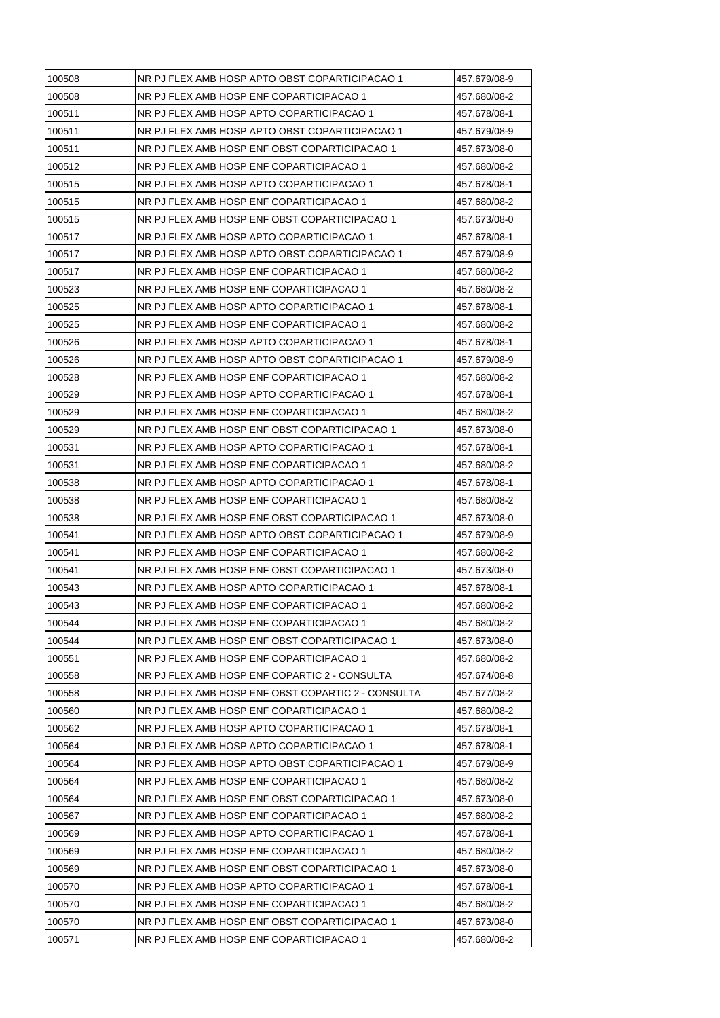| 100508 | NR PJ FLEX AMB HOSP APTO OBST COPARTICIPACAO 1     | 457.679/08-9 |
|--------|----------------------------------------------------|--------------|
| 100508 | NR PJ FLEX AMB HOSP ENF COPARTICIPACAO 1           | 457.680/08-2 |
| 100511 | NR PJ FLEX AMB HOSP APTO COPARTICIPACAO 1          | 457.678/08-1 |
| 100511 | NR PJ FLEX AMB HOSP APTO OBST COPARTICIPACAO 1     | 457.679/08-9 |
| 100511 | NR PJ FLEX AMB HOSP ENF OBST COPARTICIPACAO 1      | 457.673/08-0 |
| 100512 | NR PJ FLEX AMB HOSP ENF COPARTICIPACAO 1           | 457.680/08-2 |
| 100515 | NR PJ FLEX AMB HOSP APTO COPARTICIPACAO 1          | 457.678/08-1 |
| 100515 | NR PJ FLEX AMB HOSP ENF COPARTICIPACAO 1           | 457.680/08-2 |
| 100515 | NR PJ FLEX AMB HOSP ENF OBST COPARTICIPACAO 1      | 457.673/08-0 |
| 100517 | NR PJ FLEX AMB HOSP APTO COPARTICIPACAO 1          | 457.678/08-1 |
| 100517 | NR PJ FLEX AMB HOSP APTO OBST COPARTICIPACAO 1     | 457.679/08-9 |
| 100517 | NR PJ FLEX AMB HOSP ENF COPARTICIPACAO 1           | 457.680/08-2 |
| 100523 | NR PJ FLEX AMB HOSP ENF COPARTICIPACAO 1           | 457.680/08-2 |
| 100525 | NR PJ FLEX AMB HOSP APTO COPARTICIPACAO 1          | 457.678/08-1 |
| 100525 | NR PJ FLEX AMB HOSP ENF COPARTICIPACAO 1           | 457.680/08-2 |
| 100526 | NR PJ FLEX AMB HOSP APTO COPARTICIPACAO 1          | 457.678/08-1 |
| 100526 | NR PJ FLEX AMB HOSP APTO OBST COPARTICIPACAO 1     | 457.679/08-9 |
| 100528 | NR PJ FLEX AMB HOSP ENF COPARTICIPACAO 1           | 457.680/08-2 |
| 100529 | NR PJ FLEX AMB HOSP APTO COPARTICIPACAO 1          | 457.678/08-1 |
| 100529 | NR PJ FLEX AMB HOSP ENF COPARTICIPACAO 1           | 457.680/08-2 |
| 100529 | NR PJ FLEX AMB HOSP ENF OBST COPARTICIPACAO 1      | 457.673/08-0 |
| 100531 | NR PJ FLEX AMB HOSP APTO COPARTICIPACAO 1          | 457.678/08-1 |
| 100531 | NR PJ FLEX AMB HOSP ENF COPARTICIPACAO 1           | 457.680/08-2 |
| 100538 | NR PJ FLEX AMB HOSP APTO COPARTICIPACAO 1          | 457.678/08-1 |
| 100538 | NR PJ FLEX AMB HOSP ENF COPARTICIPACAO 1           | 457.680/08-2 |
| 100538 | NR PJ FLEX AMB HOSP ENF OBST COPARTICIPACAO 1      | 457.673/08-0 |
| 100541 | NR PJ FLEX AMB HOSP APTO OBST COPARTICIPACAO 1     | 457.679/08-9 |
| 100541 | NR PJ FLEX AMB HOSP ENF COPARTICIPACAO 1           | 457.680/08-2 |
| 100541 | NR PJ FLEX AMB HOSP ENF OBST COPARTICIPACAO 1      | 457.673/08-0 |
| 100543 | NR PJ FLEX AMB HOSP APTO COPARTICIPACAO 1          | 457.678/08-1 |
| 100543 | NR PJ FLEX AMB HOSP ENF COPARTICIPACAO 1           | 457.680/08-2 |
| 100544 | NR PJ FLEX AMB HOSP ENF COPARTICIPACAO 1           | 457.680/08-2 |
| 100544 | NR PJ FLEX AMB HOSP ENF OBST COPARTICIPACAO 1      | 457.673/08-0 |
| 100551 | NR PJ FLEX AMB HOSP ENF COPARTICIPACAO 1           | 457.680/08-2 |
| 100558 | NR PJ FLEX AMB HOSP ENF COPARTIC 2 - CONSULTA      | 457.674/08-8 |
| 100558 | NR PJ FLEX AMB HOSP ENF OBST COPARTIC 2 - CONSULTA | 457.677/08-2 |
| 100560 | NR PJ FLEX AMB HOSP ENF COPARTICIPACAO 1           | 457.680/08-2 |
| 100562 | NR PJ FLEX AMB HOSP APTO COPARTICIPACAO 1          | 457.678/08-1 |
| 100564 | NR PJ FLEX AMB HOSP APTO COPARTICIPACAO 1          | 457.678/08-1 |
| 100564 | NR PJ FLEX AMB HOSP APTO OBST COPARTICIPACAO 1     | 457.679/08-9 |
| 100564 | NR PJ FLEX AMB HOSP ENF COPARTICIPACAO 1           | 457.680/08-2 |
| 100564 | NR PJ FLEX AMB HOSP ENF OBST COPARTICIPACAO 1      | 457.673/08-0 |
| 100567 | NR PJ FLEX AMB HOSP ENF COPARTICIPACAO 1           | 457.680/08-2 |
| 100569 | NR PJ FLEX AMB HOSP APTO COPARTICIPACAO 1          | 457.678/08-1 |
| 100569 | NR PJ FLEX AMB HOSP ENF COPARTICIPACAO 1           | 457.680/08-2 |
| 100569 | NR PJ FLEX AMB HOSP ENF OBST COPARTICIPACAO 1      | 457.673/08-0 |
| 100570 | NR PJ FLEX AMB HOSP APTO COPARTICIPACAO 1          | 457.678/08-1 |
| 100570 | NR PJ FLEX AMB HOSP ENF COPARTICIPACAO 1           | 457.680/08-2 |
| 100570 | NR PJ FLEX AMB HOSP ENF OBST COPARTICIPACAO 1      | 457.673/08-0 |
| 100571 | NR PJ FLEX AMB HOSP ENF COPARTICIPACAO 1           | 457.680/08-2 |
|        |                                                    |              |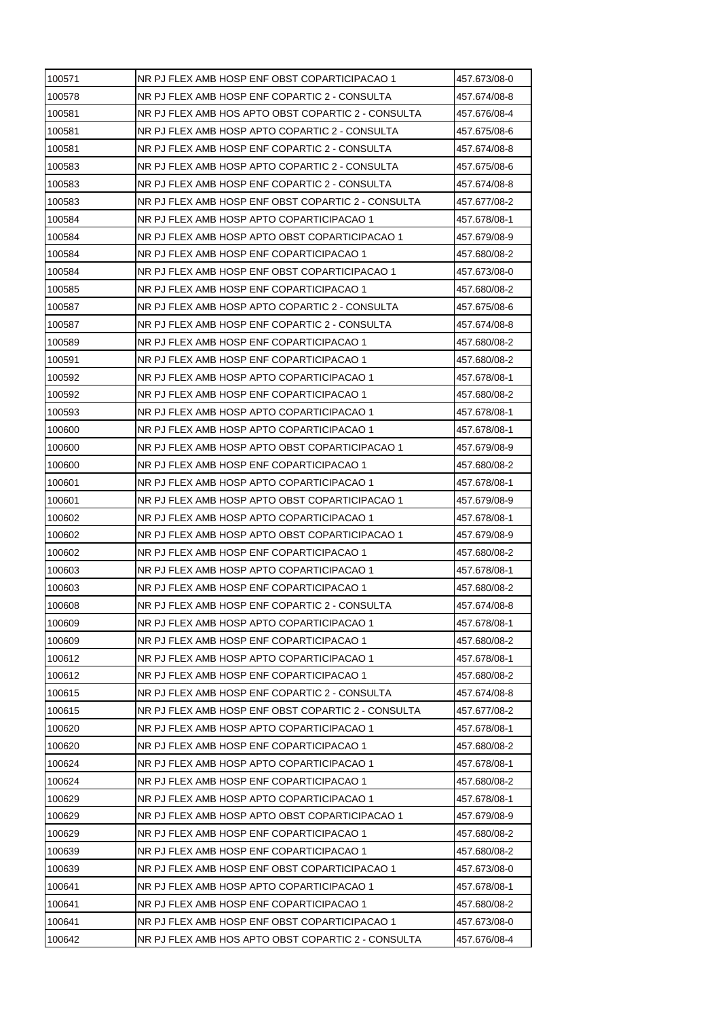| 100571 | NR PJ FLEX AMB HOSP ENF OBST COPARTICIPACAO 1      | 457.673/08-0 |
|--------|----------------------------------------------------|--------------|
| 100578 | NR PJ FLEX AMB HOSP ENF COPARTIC 2 - CONSULTA      | 457.674/08-8 |
| 100581 | NR PJ FLEX AMB HOS APTO OBST COPARTIC 2 - CONSULTA | 457.676/08-4 |
| 100581 | NR PJ FLEX AMB HOSP APTO COPARTIC 2 - CONSULTA     | 457.675/08-6 |
| 100581 | NR PJ FLEX AMB HOSP ENF COPARTIC 2 - CONSULTA      | 457.674/08-8 |
| 100583 | NR PJ FLEX AMB HOSP APTO COPARTIC 2 - CONSULTA     | 457.675/08-6 |
| 100583 | NR PJ FLEX AMB HOSP ENF COPARTIC 2 - CONSULTA      | 457.674/08-8 |
| 100583 | NR PJ FLEX AMB HOSP ENF OBST COPARTIC 2 - CONSULTA | 457.677/08-2 |
| 100584 | NR PJ FLEX AMB HOSP APTO COPARTICIPACAO 1          | 457.678/08-1 |
| 100584 | NR PJ FLEX AMB HOSP APTO OBST COPARTICIPACAO 1     | 457.679/08-9 |
| 100584 | NR PJ FLEX AMB HOSP ENF COPARTICIPACAO 1           | 457.680/08-2 |
| 100584 | NR PJ FLEX AMB HOSP ENF OBST COPARTICIPACAO 1      | 457.673/08-0 |
| 100585 | NR PJ FLEX AMB HOSP ENF COPARTICIPACAO 1           | 457.680/08-2 |
| 100587 | NR PJ FLEX AMB HOSP APTO COPARTIC 2 - CONSULTA     | 457.675/08-6 |
| 100587 | NR PJ FLEX AMB HOSP ENF COPARTIC 2 - CONSULTA      | 457.674/08-8 |
| 100589 | NR PJ FLEX AMB HOSP ENF COPARTICIPACAO 1           | 457.680/08-2 |
| 100591 | NR PJ FLEX AMB HOSP ENF COPARTICIPACAO 1           | 457.680/08-2 |
| 100592 | NR PJ FLEX AMB HOSP APTO COPARTICIPACAO 1          | 457.678/08-1 |
| 100592 | NR PJ FLEX AMB HOSP ENF COPARTICIPACAO 1           | 457.680/08-2 |
| 100593 | NR PJ FLEX AMB HOSP APTO COPARTICIPACAO 1          | 457.678/08-1 |
| 100600 | NR PJ FLEX AMB HOSP APTO COPARTICIPACAO 1          | 457.678/08-1 |
| 100600 | NR PJ FLEX AMB HOSP APTO OBST COPARTICIPACAO 1     | 457.679/08-9 |
| 100600 | NR PJ FLEX AMB HOSP ENF COPARTICIPACAO 1           | 457.680/08-2 |
| 100601 | NR PJ FLEX AMB HOSP APTO COPARTICIPACAO 1          | 457.678/08-1 |
| 100601 | NR PJ FLEX AMB HOSP APTO OBST COPARTICIPACAO 1     | 457.679/08-9 |
| 100602 | NR PJ FLEX AMB HOSP APTO COPARTICIPACAO 1          | 457.678/08-1 |
| 100602 | NR PJ FLEX AMB HOSP APTO OBST COPARTICIPACAO 1     | 457.679/08-9 |
| 100602 | NR PJ FLEX AMB HOSP ENF COPARTICIPACAO 1           | 457.680/08-2 |
| 100603 | NR PJ FLEX AMB HOSP APTO COPARTICIPACAO 1          | 457.678/08-1 |
| 100603 | NR PJ FLEX AMB HOSP ENF COPARTICIPACAO 1           | 457.680/08-2 |
| 100608 | NR PJ FLEX AMB HOSP ENF COPARTIC 2 - CONSULTA      | 457.674/08-8 |
| 100609 | NR PJ FLEX AMB HOSP APTO COPARTICIPACAO 1          | 457.678/08-1 |
| 100609 | NR PJ FLEX AMB HOSP ENF COPARTICIPACAO 1           | 457.680/08-2 |
| 100612 | NR PJ FLEX AMB HOSP APTO COPARTICIPACAO 1          | 457.678/08-1 |
| 100612 | NR PJ FLEX AMB HOSP ENF COPARTICIPACAO 1           | 457.680/08-2 |
| 100615 | NR PJ FLEX AMB HOSP ENF COPARTIC 2 - CONSULTA      | 457.674/08-8 |
| 100615 | NR PJ FLEX AMB HOSP ENF OBST COPARTIC 2 - CONSULTA | 457.677/08-2 |
| 100620 | NR PJ FLEX AMB HOSP APTO COPARTICIPACAO 1          | 457.678/08-1 |
| 100620 | NR PJ FLEX AMB HOSP ENF COPARTICIPACAO 1           | 457.680/08-2 |
| 100624 | NR PJ FLEX AMB HOSP APTO COPARTICIPACAO 1          | 457.678/08-1 |
| 100624 | NR PJ FLEX AMB HOSP ENF COPARTICIPACAO 1           | 457.680/08-2 |
| 100629 | NR PJ FLEX AMB HOSP APTO COPARTICIPACAO 1          | 457.678/08-1 |
| 100629 | NR PJ FLEX AMB HOSP APTO OBST COPARTICIPACAO 1     | 457.679/08-9 |
| 100629 | NR PJ FLEX AMB HOSP ENF COPARTICIPACAO 1           | 457.680/08-2 |
| 100639 | NR PJ FLEX AMB HOSP ENF COPARTICIPACAO 1           | 457.680/08-2 |
| 100639 | NR PJ FLEX AMB HOSP ENF OBST COPARTICIPACAO 1      | 457.673/08-0 |
| 100641 | NR PJ FLEX AMB HOSP APTO COPARTICIPACAO 1          | 457.678/08-1 |
| 100641 | NR PJ FLEX AMB HOSP ENF COPARTICIPACAO 1           | 457.680/08-2 |
| 100641 | NR PJ FLEX AMB HOSP ENF OBST COPARTICIPACAO 1      | 457.673/08-0 |
| 100642 | NR PJ FLEX AMB HOS APTO OBST COPARTIC 2 - CONSULTA | 457.676/08-4 |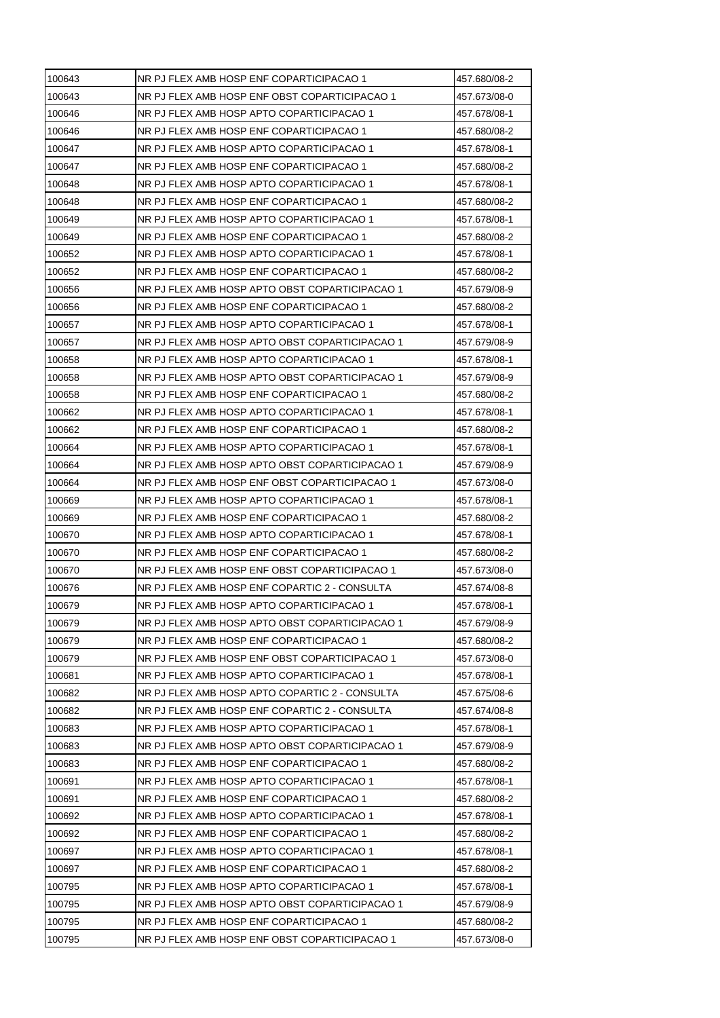| 100643 | NR PJ FLEX AMB HOSP ENF COPARTICIPACAO 1       | 457.680/08-2 |
|--------|------------------------------------------------|--------------|
| 100643 | NR PJ FLEX AMB HOSP ENF OBST COPARTICIPACAO 1  | 457.673/08-0 |
| 100646 | NR PJ FLEX AMB HOSP APTO COPARTICIPACAO 1      | 457.678/08-1 |
| 100646 | NR PJ FLEX AMB HOSP ENF COPARTICIPACAO 1       | 457.680/08-2 |
| 100647 | NR PJ FLEX AMB HOSP APTO COPARTICIPACAO 1      | 457.678/08-1 |
| 100647 | NR PJ FLEX AMB HOSP ENF COPARTICIPACAO 1       | 457.680/08-2 |
| 100648 | NR PJ FLEX AMB HOSP APTO COPARTICIPACAO 1      | 457.678/08-1 |
| 100648 | NR PJ FLEX AMB HOSP ENF COPARTICIPACAO 1       | 457.680/08-2 |
| 100649 | NR PJ FLEX AMB HOSP APTO COPARTICIPACAO 1      | 457.678/08-1 |
| 100649 | NR PJ FLEX AMB HOSP ENF COPARTICIPACAO 1       | 457.680/08-2 |
| 100652 | NR PJ FLEX AMB HOSP APTO COPARTICIPACAO 1      | 457.678/08-1 |
| 100652 | NR PJ FLEX AMB HOSP ENF COPARTICIPACAO 1       | 457.680/08-2 |
| 100656 | NR PJ FLEX AMB HOSP APTO OBST COPARTICIPACAO 1 | 457.679/08-9 |
| 100656 | NR PJ FLEX AMB HOSP ENF COPARTICIPACAO 1       | 457.680/08-2 |
| 100657 | NR PJ FLEX AMB HOSP APTO COPARTICIPACAO 1      | 457.678/08-1 |
| 100657 | NR PJ FLEX AMB HOSP APTO OBST COPARTICIPACAO 1 | 457.679/08-9 |
| 100658 | NR PJ FLEX AMB HOSP APTO COPARTICIPACAO 1      | 457.678/08-1 |
| 100658 | NR PJ FLEX AMB HOSP APTO OBST COPARTICIPACAO 1 | 457.679/08-9 |
| 100658 | NR PJ FLEX AMB HOSP ENF COPARTICIPACAO 1       | 457.680/08-2 |
| 100662 | NR PJ FLEX AMB HOSP APTO COPARTICIPACAO 1      | 457.678/08-1 |
| 100662 | NR PJ FLEX AMB HOSP ENF COPARTICIPACAO 1       | 457.680/08-2 |
| 100664 | NR PJ FLEX AMB HOSP APTO COPARTICIPACAO 1      | 457.678/08-1 |
| 100664 | NR PJ FLEX AMB HOSP APTO OBST COPARTICIPACAO 1 | 457.679/08-9 |
| 100664 | NR PJ FLEX AMB HOSP ENF OBST COPARTICIPACAO 1  | 457.673/08-0 |
| 100669 | NR PJ FLEX AMB HOSP APTO COPARTICIPACAO 1      | 457.678/08-1 |
| 100669 | NR PJ FLEX AMB HOSP ENF COPARTICIPACAO 1       | 457.680/08-2 |
| 100670 | NR PJ FLEX AMB HOSP APTO COPARTICIPACAO 1      | 457.678/08-1 |
| 100670 | NR PJ FLEX AMB HOSP ENF COPARTICIPACAO 1       | 457.680/08-2 |
| 100670 | NR PJ FLEX AMB HOSP ENF OBST COPARTICIPACAO 1  | 457.673/08-0 |
| 100676 | NR PJ FLEX AMB HOSP ENF COPARTIC 2 - CONSULTA  | 457.674/08-8 |
| 100679 | NR PJ FLEX AMB HOSP APTO COPARTICIPACAO 1      | 457.678/08-1 |
| 100679 | NR PJ FLEX AMB HOSP APTO OBST COPARTICIPACAO 1 | 457.679/08-9 |
| 100679 | NR PJ FLEX AMB HOSP ENF COPARTICIPACAO 1       | 457.680/08-2 |
| 100679 | NR PJ FLEX AMB HOSP ENF OBST COPARTICIPACAO 1  | 457.673/08-0 |
| 100681 | NR PJ FLEX AMB HOSP APTO COPARTICIPACAO 1      | 457.678/08-1 |
| 100682 | NR PJ FLEX AMB HOSP APTO COPARTIC 2 - CONSULTA | 457.675/08-6 |
| 100682 | NR PJ FLEX AMB HOSP ENF COPARTIC 2 - CONSULTA  | 457.674/08-8 |
| 100683 | NR PJ FLEX AMB HOSP APTO COPARTICIPACAO 1      | 457.678/08-1 |
| 100683 | NR PJ FLEX AMB HOSP APTO OBST COPARTICIPACAO 1 | 457.679/08-9 |
| 100683 | NR PJ FLEX AMB HOSP ENF COPARTICIPACAO 1       | 457.680/08-2 |
| 100691 | NR PJ FLEX AMB HOSP APTO COPARTICIPACAO 1      | 457.678/08-1 |
| 100691 | NR PJ FLEX AMB HOSP ENF COPARTICIPACAO 1       | 457.680/08-2 |
| 100692 | NR PJ FLEX AMB HOSP APTO COPARTICIPACAO 1      | 457.678/08-1 |
| 100692 | NR PJ FLEX AMB HOSP ENF COPARTICIPACAO 1       | 457.680/08-2 |
| 100697 | NR PJ FLEX AMB HOSP APTO COPARTICIPACAO 1      | 457.678/08-1 |
| 100697 | NR PJ FLEX AMB HOSP ENF COPARTICIPACAO 1       | 457.680/08-2 |
| 100795 | NR PJ FLEX AMB HOSP APTO COPARTICIPACAO 1      | 457.678/08-1 |
| 100795 | NR PJ FLEX AMB HOSP APTO OBST COPARTICIPACAO 1 | 457.679/08-9 |
| 100795 | NR PJ FLEX AMB HOSP ENF COPARTICIPACAO 1       | 457.680/08-2 |
| 100795 | NR PJ FLEX AMB HOSP ENF OBST COPARTICIPACAO 1  | 457.673/08-0 |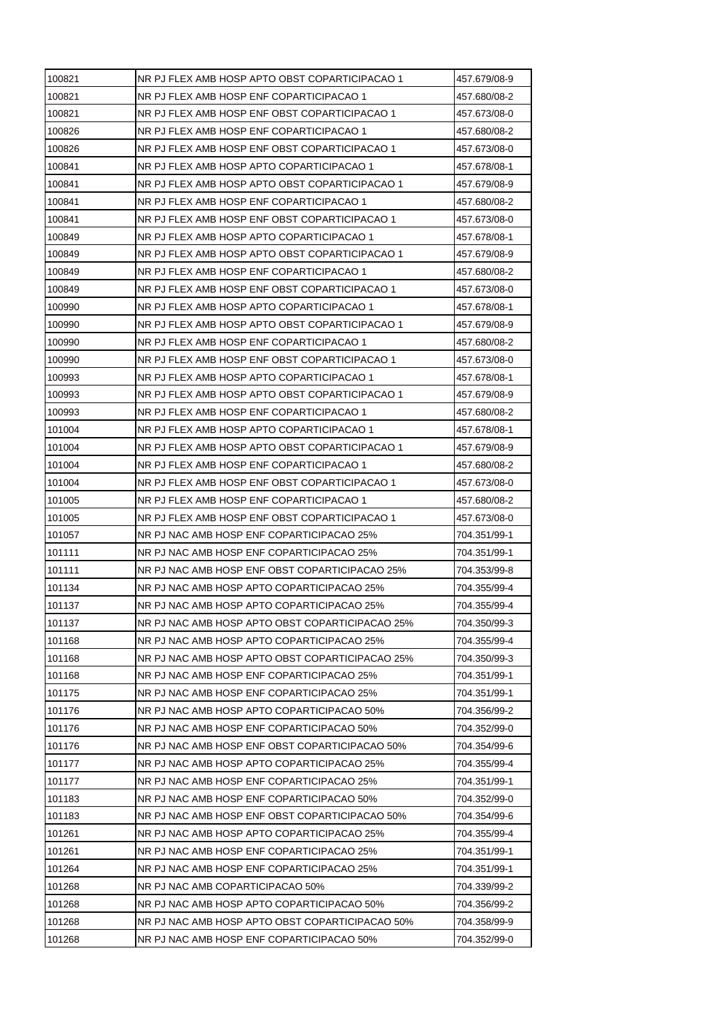| NR PJ FLEX AMB HOSP ENF COPARTICIPACAO 1<br>457.680/08-2<br>NR PJ FLEX AMB HOSP ENF OBST COPARTICIPACAO 1<br>457.673/08-0<br>NR PJ FLEX AMB HOSP ENF COPARTICIPACAO 1<br>457.680/08-2<br>NR PJ FLEX AMB HOSP ENF OBST COPARTICIPACAO 1<br>457.673/08-0<br>NR PJ FLEX AMB HOSP APTO COPARTICIPACAO 1<br>457.678/08-1<br>NR PJ FLEX AMB HOSP APTO OBST COPARTICIPACAO 1<br>457.679/08-9<br>NR PJ FLEX AMB HOSP ENF COPARTICIPACAO 1<br>457.680/08-2<br>NR PJ FLEX AMB HOSP ENF OBST COPARTICIPACAO 1<br>457.673/08-0<br>NR PJ FLEX AMB HOSP APTO COPARTICIPACAO 1<br>457.678/08-1<br>NR PJ FLEX AMB HOSP APTO OBST COPARTICIPACAO 1<br>457.679/08-9<br>NR PJ FLEX AMB HOSP ENF COPARTICIPACAO 1<br>457.680/08-2<br>NR PJ FLEX AMB HOSP ENF OBST COPARTICIPACAO 1<br>457.673/08-0<br>NR PJ FLEX AMB HOSP APTO COPARTICIPACAO 1<br>457.678/08-1<br>NR PJ FLEX AMB HOSP APTO OBST COPARTICIPACAO 1<br>457.679/08-9<br>NR PJ FLEX AMB HOSP ENF COPARTICIPACAO 1<br>457.680/08-2<br>NR PJ FLEX AMB HOSP ENF OBST COPARTICIPACAO 1<br>457.673/08-0<br>NR PJ FLEX AMB HOSP APTO COPARTICIPACAO 1<br>457.678/08-1<br>NR PJ FLEX AMB HOSP APTO OBST COPARTICIPACAO 1<br>457.679/08-9<br>NR PJ FLEX AMB HOSP ENF COPARTICIPACAO 1<br>457.680/08-2<br>NR PJ FLEX AMB HOSP APTO COPARTICIPACAO 1<br>457.678/08-1<br>NR PJ FLEX AMB HOSP APTO OBST COPARTICIPACAO 1<br>457.679/08-9<br>NR PJ FLEX AMB HOSP ENF COPARTICIPACAO 1<br>457.680/08-2<br>NR PJ FLEX AMB HOSP ENF OBST COPARTICIPACAO 1<br>457.673/08-0<br>NR PJ FLEX AMB HOSP ENF COPARTICIPACAO 1<br>457.680/08-2<br>NR PJ FLEX AMB HOSP ENF OBST COPARTICIPACAO 1<br>457.673/08-0<br>NR PJ NAC AMB HOSP ENF COPARTICIPACAO 25%<br>704.351/99-1<br>NR PJ NAC AMB HOSP ENF COPARTICIPACAO 25%<br>704.351/99-1<br>NR PJ NAC AMB HOSP ENF OBST COPARTICIPACAO 25%<br>704.353/99-8<br>NR PJ NAC AMB HOSP APTO COPARTICIPACAO 25%<br>704.355/99-4<br>NR PJ NAC AMB HOSP APTO COPARTICIPACAO 25%<br>704.355/99-4<br>NR PJ NAC AMB HOSP APTO OBST COPARTICIPACAO 25%<br>101137<br>704.350/99-3<br>NR PJ NAC AMB HOSP APTO COPARTICIPACAO 25%<br>704.355/99-4<br>NR PJ NAC AMB HOSP APTO OBST COPARTICIPACAO 25%<br>704.350/99-3<br>NR PJ NAC AMB HOSP ENF COPARTICIPACAO 25%<br>704.351/99-1<br>NR PJ NAC AMB HOSP ENF COPARTICIPACAO 25%<br>704.351/99-1<br>NR PJ NAC AMB HOSP APTO COPARTICIPACAO 50%<br>704.356/99-2<br>NR PJ NAC AMB HOSP ENF COPARTICIPACAO 50%<br>704.352/99-0<br>NR PJ NAC AMB HOSP ENF OBST COPARTICIPACAO 50%<br>704.354/99-6<br>NR PJ NAC AMB HOSP APTO COPARTICIPACAO 25%<br>704.355/99-4<br>NR PJ NAC AMB HOSP ENF COPARTICIPACAO 25%<br>704.351/99-1<br>NR PJ NAC AMB HOSP ENF COPARTICIPACAO 50%<br>704.352/99-0<br>NR PJ NAC AMB HOSP ENF OBST COPARTICIPACAO 50%<br>704.354/99-6<br>NR PJ NAC AMB HOSP APTO COPARTICIPACAO 25%<br>704.355/99-4<br>NR PJ NAC AMB HOSP ENF COPARTICIPACAO 25%<br>704.351/99-1<br>NR PJ NAC AMB HOSP ENF COPARTICIPACAO 25%<br>704.351/99-1<br>NR PJ NAC AMB COPARTICIPACAO 50%<br>704.339/99-2<br>NR PJ NAC AMB HOSP APTO COPARTICIPACAO 50%<br>704.356/99-2<br>101268<br>NR PJ NAC AMB HOSP APTO OBST COPARTICIPACAO 50%<br>704.358/99-9<br>NR PJ NAC AMB HOSP ENF COPARTICIPACAO 50%<br>704.352/99-0 | 100821 | NR PJ FLEX AMB HOSP APTO OBST COPARTICIPACAO 1 | 457.679/08-9 |
|-----------------------------------------------------------------------------------------------------------------------------------------------------------------------------------------------------------------------------------------------------------------------------------------------------------------------------------------------------------------------------------------------------------------------------------------------------------------------------------------------------------------------------------------------------------------------------------------------------------------------------------------------------------------------------------------------------------------------------------------------------------------------------------------------------------------------------------------------------------------------------------------------------------------------------------------------------------------------------------------------------------------------------------------------------------------------------------------------------------------------------------------------------------------------------------------------------------------------------------------------------------------------------------------------------------------------------------------------------------------------------------------------------------------------------------------------------------------------------------------------------------------------------------------------------------------------------------------------------------------------------------------------------------------------------------------------------------------------------------------------------------------------------------------------------------------------------------------------------------------------------------------------------------------------------------------------------------------------------------------------------------------------------------------------------------------------------------------------------------------------------------------------------------------------------------------------------------------------------------------------------------------------------------------------------------------------------------------------------------------------------------------------------------------------------------------------------------------------------------------------------------------------------------------------------------------------------------------------------------------------------------------------------------------------------------------------------------------------------------------------------------------------------------------------------------------------------------------------------------------------------------------------------------------------------------------------------------------------------------------------------------------------------------------------------------------------------------------------------------------------------------------------------------------------------------------------------------|--------|------------------------------------------------|--------------|
|                                                                                                                                                                                                                                                                                                                                                                                                                                                                                                                                                                                                                                                                                                                                                                                                                                                                                                                                                                                                                                                                                                                                                                                                                                                                                                                                                                                                                                                                                                                                                                                                                                                                                                                                                                                                                                                                                                                                                                                                                                                                                                                                                                                                                                                                                                                                                                                                                                                                                                                                                                                                                                                                                                                                                                                                                                                                                                                                                                                                                                                                                                                                                                                                           | 100821 |                                                |              |
|                                                                                                                                                                                                                                                                                                                                                                                                                                                                                                                                                                                                                                                                                                                                                                                                                                                                                                                                                                                                                                                                                                                                                                                                                                                                                                                                                                                                                                                                                                                                                                                                                                                                                                                                                                                                                                                                                                                                                                                                                                                                                                                                                                                                                                                                                                                                                                                                                                                                                                                                                                                                                                                                                                                                                                                                                                                                                                                                                                                                                                                                                                                                                                                                           | 100821 |                                                |              |
|                                                                                                                                                                                                                                                                                                                                                                                                                                                                                                                                                                                                                                                                                                                                                                                                                                                                                                                                                                                                                                                                                                                                                                                                                                                                                                                                                                                                                                                                                                                                                                                                                                                                                                                                                                                                                                                                                                                                                                                                                                                                                                                                                                                                                                                                                                                                                                                                                                                                                                                                                                                                                                                                                                                                                                                                                                                                                                                                                                                                                                                                                                                                                                                                           | 100826 |                                                |              |
|                                                                                                                                                                                                                                                                                                                                                                                                                                                                                                                                                                                                                                                                                                                                                                                                                                                                                                                                                                                                                                                                                                                                                                                                                                                                                                                                                                                                                                                                                                                                                                                                                                                                                                                                                                                                                                                                                                                                                                                                                                                                                                                                                                                                                                                                                                                                                                                                                                                                                                                                                                                                                                                                                                                                                                                                                                                                                                                                                                                                                                                                                                                                                                                                           | 100826 |                                                |              |
|                                                                                                                                                                                                                                                                                                                                                                                                                                                                                                                                                                                                                                                                                                                                                                                                                                                                                                                                                                                                                                                                                                                                                                                                                                                                                                                                                                                                                                                                                                                                                                                                                                                                                                                                                                                                                                                                                                                                                                                                                                                                                                                                                                                                                                                                                                                                                                                                                                                                                                                                                                                                                                                                                                                                                                                                                                                                                                                                                                                                                                                                                                                                                                                                           | 100841 |                                                |              |
|                                                                                                                                                                                                                                                                                                                                                                                                                                                                                                                                                                                                                                                                                                                                                                                                                                                                                                                                                                                                                                                                                                                                                                                                                                                                                                                                                                                                                                                                                                                                                                                                                                                                                                                                                                                                                                                                                                                                                                                                                                                                                                                                                                                                                                                                                                                                                                                                                                                                                                                                                                                                                                                                                                                                                                                                                                                                                                                                                                                                                                                                                                                                                                                                           | 100841 |                                                |              |
|                                                                                                                                                                                                                                                                                                                                                                                                                                                                                                                                                                                                                                                                                                                                                                                                                                                                                                                                                                                                                                                                                                                                                                                                                                                                                                                                                                                                                                                                                                                                                                                                                                                                                                                                                                                                                                                                                                                                                                                                                                                                                                                                                                                                                                                                                                                                                                                                                                                                                                                                                                                                                                                                                                                                                                                                                                                                                                                                                                                                                                                                                                                                                                                                           | 100841 |                                                |              |
|                                                                                                                                                                                                                                                                                                                                                                                                                                                                                                                                                                                                                                                                                                                                                                                                                                                                                                                                                                                                                                                                                                                                                                                                                                                                                                                                                                                                                                                                                                                                                                                                                                                                                                                                                                                                                                                                                                                                                                                                                                                                                                                                                                                                                                                                                                                                                                                                                                                                                                                                                                                                                                                                                                                                                                                                                                                                                                                                                                                                                                                                                                                                                                                                           | 100841 |                                                |              |
|                                                                                                                                                                                                                                                                                                                                                                                                                                                                                                                                                                                                                                                                                                                                                                                                                                                                                                                                                                                                                                                                                                                                                                                                                                                                                                                                                                                                                                                                                                                                                                                                                                                                                                                                                                                                                                                                                                                                                                                                                                                                                                                                                                                                                                                                                                                                                                                                                                                                                                                                                                                                                                                                                                                                                                                                                                                                                                                                                                                                                                                                                                                                                                                                           | 100849 |                                                |              |
|                                                                                                                                                                                                                                                                                                                                                                                                                                                                                                                                                                                                                                                                                                                                                                                                                                                                                                                                                                                                                                                                                                                                                                                                                                                                                                                                                                                                                                                                                                                                                                                                                                                                                                                                                                                                                                                                                                                                                                                                                                                                                                                                                                                                                                                                                                                                                                                                                                                                                                                                                                                                                                                                                                                                                                                                                                                                                                                                                                                                                                                                                                                                                                                                           | 100849 |                                                |              |
|                                                                                                                                                                                                                                                                                                                                                                                                                                                                                                                                                                                                                                                                                                                                                                                                                                                                                                                                                                                                                                                                                                                                                                                                                                                                                                                                                                                                                                                                                                                                                                                                                                                                                                                                                                                                                                                                                                                                                                                                                                                                                                                                                                                                                                                                                                                                                                                                                                                                                                                                                                                                                                                                                                                                                                                                                                                                                                                                                                                                                                                                                                                                                                                                           | 100849 |                                                |              |
|                                                                                                                                                                                                                                                                                                                                                                                                                                                                                                                                                                                                                                                                                                                                                                                                                                                                                                                                                                                                                                                                                                                                                                                                                                                                                                                                                                                                                                                                                                                                                                                                                                                                                                                                                                                                                                                                                                                                                                                                                                                                                                                                                                                                                                                                                                                                                                                                                                                                                                                                                                                                                                                                                                                                                                                                                                                                                                                                                                                                                                                                                                                                                                                                           | 100849 |                                                |              |
|                                                                                                                                                                                                                                                                                                                                                                                                                                                                                                                                                                                                                                                                                                                                                                                                                                                                                                                                                                                                                                                                                                                                                                                                                                                                                                                                                                                                                                                                                                                                                                                                                                                                                                                                                                                                                                                                                                                                                                                                                                                                                                                                                                                                                                                                                                                                                                                                                                                                                                                                                                                                                                                                                                                                                                                                                                                                                                                                                                                                                                                                                                                                                                                                           | 100990 |                                                |              |
|                                                                                                                                                                                                                                                                                                                                                                                                                                                                                                                                                                                                                                                                                                                                                                                                                                                                                                                                                                                                                                                                                                                                                                                                                                                                                                                                                                                                                                                                                                                                                                                                                                                                                                                                                                                                                                                                                                                                                                                                                                                                                                                                                                                                                                                                                                                                                                                                                                                                                                                                                                                                                                                                                                                                                                                                                                                                                                                                                                                                                                                                                                                                                                                                           | 100990 |                                                |              |
|                                                                                                                                                                                                                                                                                                                                                                                                                                                                                                                                                                                                                                                                                                                                                                                                                                                                                                                                                                                                                                                                                                                                                                                                                                                                                                                                                                                                                                                                                                                                                                                                                                                                                                                                                                                                                                                                                                                                                                                                                                                                                                                                                                                                                                                                                                                                                                                                                                                                                                                                                                                                                                                                                                                                                                                                                                                                                                                                                                                                                                                                                                                                                                                                           | 100990 |                                                |              |
|                                                                                                                                                                                                                                                                                                                                                                                                                                                                                                                                                                                                                                                                                                                                                                                                                                                                                                                                                                                                                                                                                                                                                                                                                                                                                                                                                                                                                                                                                                                                                                                                                                                                                                                                                                                                                                                                                                                                                                                                                                                                                                                                                                                                                                                                                                                                                                                                                                                                                                                                                                                                                                                                                                                                                                                                                                                                                                                                                                                                                                                                                                                                                                                                           | 100990 |                                                |              |
|                                                                                                                                                                                                                                                                                                                                                                                                                                                                                                                                                                                                                                                                                                                                                                                                                                                                                                                                                                                                                                                                                                                                                                                                                                                                                                                                                                                                                                                                                                                                                                                                                                                                                                                                                                                                                                                                                                                                                                                                                                                                                                                                                                                                                                                                                                                                                                                                                                                                                                                                                                                                                                                                                                                                                                                                                                                                                                                                                                                                                                                                                                                                                                                                           | 100993 |                                                |              |
|                                                                                                                                                                                                                                                                                                                                                                                                                                                                                                                                                                                                                                                                                                                                                                                                                                                                                                                                                                                                                                                                                                                                                                                                                                                                                                                                                                                                                                                                                                                                                                                                                                                                                                                                                                                                                                                                                                                                                                                                                                                                                                                                                                                                                                                                                                                                                                                                                                                                                                                                                                                                                                                                                                                                                                                                                                                                                                                                                                                                                                                                                                                                                                                                           | 100993 |                                                |              |
|                                                                                                                                                                                                                                                                                                                                                                                                                                                                                                                                                                                                                                                                                                                                                                                                                                                                                                                                                                                                                                                                                                                                                                                                                                                                                                                                                                                                                                                                                                                                                                                                                                                                                                                                                                                                                                                                                                                                                                                                                                                                                                                                                                                                                                                                                                                                                                                                                                                                                                                                                                                                                                                                                                                                                                                                                                                                                                                                                                                                                                                                                                                                                                                                           | 100993 |                                                |              |
|                                                                                                                                                                                                                                                                                                                                                                                                                                                                                                                                                                                                                                                                                                                                                                                                                                                                                                                                                                                                                                                                                                                                                                                                                                                                                                                                                                                                                                                                                                                                                                                                                                                                                                                                                                                                                                                                                                                                                                                                                                                                                                                                                                                                                                                                                                                                                                                                                                                                                                                                                                                                                                                                                                                                                                                                                                                                                                                                                                                                                                                                                                                                                                                                           | 101004 |                                                |              |
|                                                                                                                                                                                                                                                                                                                                                                                                                                                                                                                                                                                                                                                                                                                                                                                                                                                                                                                                                                                                                                                                                                                                                                                                                                                                                                                                                                                                                                                                                                                                                                                                                                                                                                                                                                                                                                                                                                                                                                                                                                                                                                                                                                                                                                                                                                                                                                                                                                                                                                                                                                                                                                                                                                                                                                                                                                                                                                                                                                                                                                                                                                                                                                                                           | 101004 |                                                |              |
|                                                                                                                                                                                                                                                                                                                                                                                                                                                                                                                                                                                                                                                                                                                                                                                                                                                                                                                                                                                                                                                                                                                                                                                                                                                                                                                                                                                                                                                                                                                                                                                                                                                                                                                                                                                                                                                                                                                                                                                                                                                                                                                                                                                                                                                                                                                                                                                                                                                                                                                                                                                                                                                                                                                                                                                                                                                                                                                                                                                                                                                                                                                                                                                                           | 101004 |                                                |              |
|                                                                                                                                                                                                                                                                                                                                                                                                                                                                                                                                                                                                                                                                                                                                                                                                                                                                                                                                                                                                                                                                                                                                                                                                                                                                                                                                                                                                                                                                                                                                                                                                                                                                                                                                                                                                                                                                                                                                                                                                                                                                                                                                                                                                                                                                                                                                                                                                                                                                                                                                                                                                                                                                                                                                                                                                                                                                                                                                                                                                                                                                                                                                                                                                           | 101004 |                                                |              |
|                                                                                                                                                                                                                                                                                                                                                                                                                                                                                                                                                                                                                                                                                                                                                                                                                                                                                                                                                                                                                                                                                                                                                                                                                                                                                                                                                                                                                                                                                                                                                                                                                                                                                                                                                                                                                                                                                                                                                                                                                                                                                                                                                                                                                                                                                                                                                                                                                                                                                                                                                                                                                                                                                                                                                                                                                                                                                                                                                                                                                                                                                                                                                                                                           | 101005 |                                                |              |
|                                                                                                                                                                                                                                                                                                                                                                                                                                                                                                                                                                                                                                                                                                                                                                                                                                                                                                                                                                                                                                                                                                                                                                                                                                                                                                                                                                                                                                                                                                                                                                                                                                                                                                                                                                                                                                                                                                                                                                                                                                                                                                                                                                                                                                                                                                                                                                                                                                                                                                                                                                                                                                                                                                                                                                                                                                                                                                                                                                                                                                                                                                                                                                                                           | 101005 |                                                |              |
|                                                                                                                                                                                                                                                                                                                                                                                                                                                                                                                                                                                                                                                                                                                                                                                                                                                                                                                                                                                                                                                                                                                                                                                                                                                                                                                                                                                                                                                                                                                                                                                                                                                                                                                                                                                                                                                                                                                                                                                                                                                                                                                                                                                                                                                                                                                                                                                                                                                                                                                                                                                                                                                                                                                                                                                                                                                                                                                                                                                                                                                                                                                                                                                                           | 101057 |                                                |              |
|                                                                                                                                                                                                                                                                                                                                                                                                                                                                                                                                                                                                                                                                                                                                                                                                                                                                                                                                                                                                                                                                                                                                                                                                                                                                                                                                                                                                                                                                                                                                                                                                                                                                                                                                                                                                                                                                                                                                                                                                                                                                                                                                                                                                                                                                                                                                                                                                                                                                                                                                                                                                                                                                                                                                                                                                                                                                                                                                                                                                                                                                                                                                                                                                           | 101111 |                                                |              |
|                                                                                                                                                                                                                                                                                                                                                                                                                                                                                                                                                                                                                                                                                                                                                                                                                                                                                                                                                                                                                                                                                                                                                                                                                                                                                                                                                                                                                                                                                                                                                                                                                                                                                                                                                                                                                                                                                                                                                                                                                                                                                                                                                                                                                                                                                                                                                                                                                                                                                                                                                                                                                                                                                                                                                                                                                                                                                                                                                                                                                                                                                                                                                                                                           | 101111 |                                                |              |
|                                                                                                                                                                                                                                                                                                                                                                                                                                                                                                                                                                                                                                                                                                                                                                                                                                                                                                                                                                                                                                                                                                                                                                                                                                                                                                                                                                                                                                                                                                                                                                                                                                                                                                                                                                                                                                                                                                                                                                                                                                                                                                                                                                                                                                                                                                                                                                                                                                                                                                                                                                                                                                                                                                                                                                                                                                                                                                                                                                                                                                                                                                                                                                                                           | 101134 |                                                |              |
|                                                                                                                                                                                                                                                                                                                                                                                                                                                                                                                                                                                                                                                                                                                                                                                                                                                                                                                                                                                                                                                                                                                                                                                                                                                                                                                                                                                                                                                                                                                                                                                                                                                                                                                                                                                                                                                                                                                                                                                                                                                                                                                                                                                                                                                                                                                                                                                                                                                                                                                                                                                                                                                                                                                                                                                                                                                                                                                                                                                                                                                                                                                                                                                                           | 101137 |                                                |              |
|                                                                                                                                                                                                                                                                                                                                                                                                                                                                                                                                                                                                                                                                                                                                                                                                                                                                                                                                                                                                                                                                                                                                                                                                                                                                                                                                                                                                                                                                                                                                                                                                                                                                                                                                                                                                                                                                                                                                                                                                                                                                                                                                                                                                                                                                                                                                                                                                                                                                                                                                                                                                                                                                                                                                                                                                                                                                                                                                                                                                                                                                                                                                                                                                           |        |                                                |              |
|                                                                                                                                                                                                                                                                                                                                                                                                                                                                                                                                                                                                                                                                                                                                                                                                                                                                                                                                                                                                                                                                                                                                                                                                                                                                                                                                                                                                                                                                                                                                                                                                                                                                                                                                                                                                                                                                                                                                                                                                                                                                                                                                                                                                                                                                                                                                                                                                                                                                                                                                                                                                                                                                                                                                                                                                                                                                                                                                                                                                                                                                                                                                                                                                           | 101168 |                                                |              |
|                                                                                                                                                                                                                                                                                                                                                                                                                                                                                                                                                                                                                                                                                                                                                                                                                                                                                                                                                                                                                                                                                                                                                                                                                                                                                                                                                                                                                                                                                                                                                                                                                                                                                                                                                                                                                                                                                                                                                                                                                                                                                                                                                                                                                                                                                                                                                                                                                                                                                                                                                                                                                                                                                                                                                                                                                                                                                                                                                                                                                                                                                                                                                                                                           | 101168 |                                                |              |
|                                                                                                                                                                                                                                                                                                                                                                                                                                                                                                                                                                                                                                                                                                                                                                                                                                                                                                                                                                                                                                                                                                                                                                                                                                                                                                                                                                                                                                                                                                                                                                                                                                                                                                                                                                                                                                                                                                                                                                                                                                                                                                                                                                                                                                                                                                                                                                                                                                                                                                                                                                                                                                                                                                                                                                                                                                                                                                                                                                                                                                                                                                                                                                                                           | 101168 |                                                |              |
|                                                                                                                                                                                                                                                                                                                                                                                                                                                                                                                                                                                                                                                                                                                                                                                                                                                                                                                                                                                                                                                                                                                                                                                                                                                                                                                                                                                                                                                                                                                                                                                                                                                                                                                                                                                                                                                                                                                                                                                                                                                                                                                                                                                                                                                                                                                                                                                                                                                                                                                                                                                                                                                                                                                                                                                                                                                                                                                                                                                                                                                                                                                                                                                                           | 101175 |                                                |              |
|                                                                                                                                                                                                                                                                                                                                                                                                                                                                                                                                                                                                                                                                                                                                                                                                                                                                                                                                                                                                                                                                                                                                                                                                                                                                                                                                                                                                                                                                                                                                                                                                                                                                                                                                                                                                                                                                                                                                                                                                                                                                                                                                                                                                                                                                                                                                                                                                                                                                                                                                                                                                                                                                                                                                                                                                                                                                                                                                                                                                                                                                                                                                                                                                           | 101176 |                                                |              |
|                                                                                                                                                                                                                                                                                                                                                                                                                                                                                                                                                                                                                                                                                                                                                                                                                                                                                                                                                                                                                                                                                                                                                                                                                                                                                                                                                                                                                                                                                                                                                                                                                                                                                                                                                                                                                                                                                                                                                                                                                                                                                                                                                                                                                                                                                                                                                                                                                                                                                                                                                                                                                                                                                                                                                                                                                                                                                                                                                                                                                                                                                                                                                                                                           | 101176 |                                                |              |
|                                                                                                                                                                                                                                                                                                                                                                                                                                                                                                                                                                                                                                                                                                                                                                                                                                                                                                                                                                                                                                                                                                                                                                                                                                                                                                                                                                                                                                                                                                                                                                                                                                                                                                                                                                                                                                                                                                                                                                                                                                                                                                                                                                                                                                                                                                                                                                                                                                                                                                                                                                                                                                                                                                                                                                                                                                                                                                                                                                                                                                                                                                                                                                                                           | 101176 |                                                |              |
|                                                                                                                                                                                                                                                                                                                                                                                                                                                                                                                                                                                                                                                                                                                                                                                                                                                                                                                                                                                                                                                                                                                                                                                                                                                                                                                                                                                                                                                                                                                                                                                                                                                                                                                                                                                                                                                                                                                                                                                                                                                                                                                                                                                                                                                                                                                                                                                                                                                                                                                                                                                                                                                                                                                                                                                                                                                                                                                                                                                                                                                                                                                                                                                                           | 101177 |                                                |              |
|                                                                                                                                                                                                                                                                                                                                                                                                                                                                                                                                                                                                                                                                                                                                                                                                                                                                                                                                                                                                                                                                                                                                                                                                                                                                                                                                                                                                                                                                                                                                                                                                                                                                                                                                                                                                                                                                                                                                                                                                                                                                                                                                                                                                                                                                                                                                                                                                                                                                                                                                                                                                                                                                                                                                                                                                                                                                                                                                                                                                                                                                                                                                                                                                           | 101177 |                                                |              |
|                                                                                                                                                                                                                                                                                                                                                                                                                                                                                                                                                                                                                                                                                                                                                                                                                                                                                                                                                                                                                                                                                                                                                                                                                                                                                                                                                                                                                                                                                                                                                                                                                                                                                                                                                                                                                                                                                                                                                                                                                                                                                                                                                                                                                                                                                                                                                                                                                                                                                                                                                                                                                                                                                                                                                                                                                                                                                                                                                                                                                                                                                                                                                                                                           | 101183 |                                                |              |
|                                                                                                                                                                                                                                                                                                                                                                                                                                                                                                                                                                                                                                                                                                                                                                                                                                                                                                                                                                                                                                                                                                                                                                                                                                                                                                                                                                                                                                                                                                                                                                                                                                                                                                                                                                                                                                                                                                                                                                                                                                                                                                                                                                                                                                                                                                                                                                                                                                                                                                                                                                                                                                                                                                                                                                                                                                                                                                                                                                                                                                                                                                                                                                                                           | 101183 |                                                |              |
|                                                                                                                                                                                                                                                                                                                                                                                                                                                                                                                                                                                                                                                                                                                                                                                                                                                                                                                                                                                                                                                                                                                                                                                                                                                                                                                                                                                                                                                                                                                                                                                                                                                                                                                                                                                                                                                                                                                                                                                                                                                                                                                                                                                                                                                                                                                                                                                                                                                                                                                                                                                                                                                                                                                                                                                                                                                                                                                                                                                                                                                                                                                                                                                                           | 101261 |                                                |              |
|                                                                                                                                                                                                                                                                                                                                                                                                                                                                                                                                                                                                                                                                                                                                                                                                                                                                                                                                                                                                                                                                                                                                                                                                                                                                                                                                                                                                                                                                                                                                                                                                                                                                                                                                                                                                                                                                                                                                                                                                                                                                                                                                                                                                                                                                                                                                                                                                                                                                                                                                                                                                                                                                                                                                                                                                                                                                                                                                                                                                                                                                                                                                                                                                           | 101261 |                                                |              |
|                                                                                                                                                                                                                                                                                                                                                                                                                                                                                                                                                                                                                                                                                                                                                                                                                                                                                                                                                                                                                                                                                                                                                                                                                                                                                                                                                                                                                                                                                                                                                                                                                                                                                                                                                                                                                                                                                                                                                                                                                                                                                                                                                                                                                                                                                                                                                                                                                                                                                                                                                                                                                                                                                                                                                                                                                                                                                                                                                                                                                                                                                                                                                                                                           | 101264 |                                                |              |
|                                                                                                                                                                                                                                                                                                                                                                                                                                                                                                                                                                                                                                                                                                                                                                                                                                                                                                                                                                                                                                                                                                                                                                                                                                                                                                                                                                                                                                                                                                                                                                                                                                                                                                                                                                                                                                                                                                                                                                                                                                                                                                                                                                                                                                                                                                                                                                                                                                                                                                                                                                                                                                                                                                                                                                                                                                                                                                                                                                                                                                                                                                                                                                                                           | 101268 |                                                |              |
|                                                                                                                                                                                                                                                                                                                                                                                                                                                                                                                                                                                                                                                                                                                                                                                                                                                                                                                                                                                                                                                                                                                                                                                                                                                                                                                                                                                                                                                                                                                                                                                                                                                                                                                                                                                                                                                                                                                                                                                                                                                                                                                                                                                                                                                                                                                                                                                                                                                                                                                                                                                                                                                                                                                                                                                                                                                                                                                                                                                                                                                                                                                                                                                                           | 101268 |                                                |              |
|                                                                                                                                                                                                                                                                                                                                                                                                                                                                                                                                                                                                                                                                                                                                                                                                                                                                                                                                                                                                                                                                                                                                                                                                                                                                                                                                                                                                                                                                                                                                                                                                                                                                                                                                                                                                                                                                                                                                                                                                                                                                                                                                                                                                                                                                                                                                                                                                                                                                                                                                                                                                                                                                                                                                                                                                                                                                                                                                                                                                                                                                                                                                                                                                           |        |                                                |              |
|                                                                                                                                                                                                                                                                                                                                                                                                                                                                                                                                                                                                                                                                                                                                                                                                                                                                                                                                                                                                                                                                                                                                                                                                                                                                                                                                                                                                                                                                                                                                                                                                                                                                                                                                                                                                                                                                                                                                                                                                                                                                                                                                                                                                                                                                                                                                                                                                                                                                                                                                                                                                                                                                                                                                                                                                                                                                                                                                                                                                                                                                                                                                                                                                           | 101268 |                                                |              |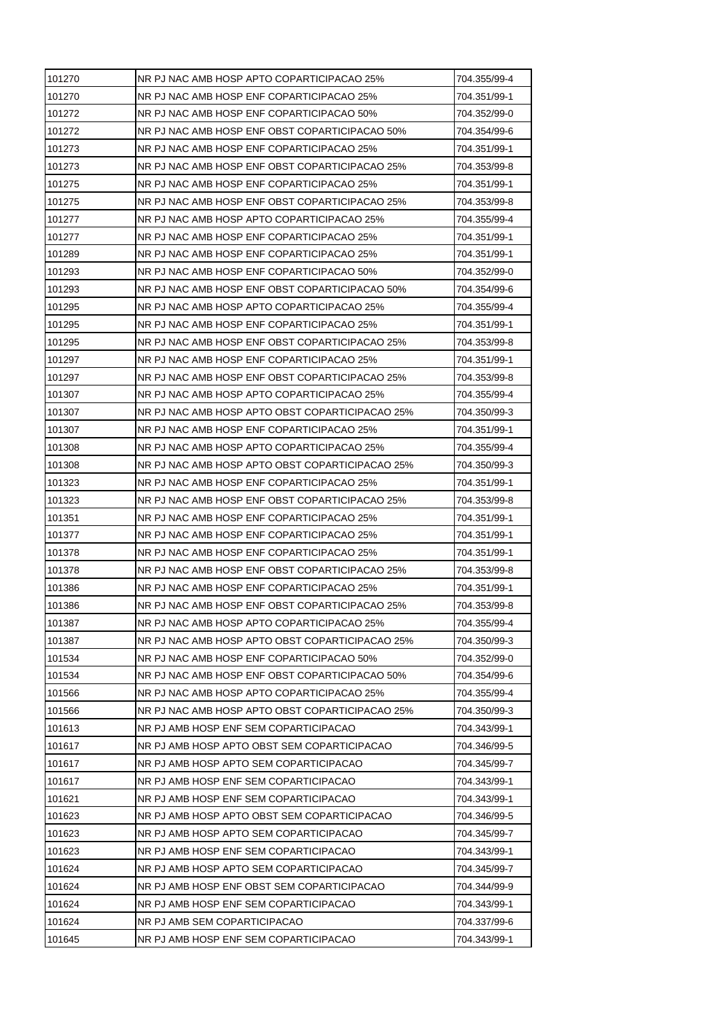| 101270 | NR PJ NAC AMB HOSP APTO COPARTICIPACAO 25%      | 704.355/99-4 |
|--------|-------------------------------------------------|--------------|
| 101270 | NR PJ NAC AMB HOSP ENF COPARTICIPACAO 25%       | 704.351/99-1 |
| 101272 | NR PJ NAC AMB HOSP ENF COPARTICIPACAO 50%       | 704.352/99-0 |
| 101272 | NR PJ NAC AMB HOSP ENF OBST COPARTICIPACAO 50%  | 704.354/99-6 |
| 101273 | NR PJ NAC AMB HOSP ENF COPARTICIPACAO 25%       | 704.351/99-1 |
| 101273 | NR PJ NAC AMB HOSP ENF OBST COPARTICIPACAO 25%  | 704.353/99-8 |
| 101275 | NR PJ NAC AMB HOSP ENF COPARTICIPACAO 25%       | 704.351/99-1 |
| 101275 | NR PJ NAC AMB HOSP ENF OBST COPARTICIPACAO 25%  | 704.353/99-8 |
| 101277 | NR PJ NAC AMB HOSP APTO COPARTICIPACAO 25%      | 704.355/99-4 |
| 101277 | NR PJ NAC AMB HOSP ENF COPARTICIPACAO 25%       | 704.351/99-1 |
| 101289 | NR PJ NAC AMB HOSP ENF COPARTICIPACAO 25%       | 704.351/99-1 |
| 101293 | NR PJ NAC AMB HOSP ENF COPARTICIPACAO 50%       | 704.352/99-0 |
| 101293 | NR PJ NAC AMB HOSP ENF OBST COPARTICIPACAO 50%  | 704.354/99-6 |
| 101295 | NR PJ NAC AMB HOSP APTO COPARTICIPACAO 25%      | 704.355/99-4 |
| 101295 | NR PJ NAC AMB HOSP ENF COPARTICIPACAO 25%       | 704.351/99-1 |
| 101295 | NR PJ NAC AMB HOSP ENF OBST COPARTICIPACAO 25%  | 704.353/99-8 |
| 101297 | NR PJ NAC AMB HOSP ENF COPARTICIPACAO 25%       | 704.351/99-1 |
| 101297 | NR PJ NAC AMB HOSP ENF OBST COPARTICIPACAO 25%  | 704.353/99-8 |
| 101307 | NR PJ NAC AMB HOSP APTO COPARTICIPACAO 25%      | 704.355/99-4 |
| 101307 | NR PJ NAC AMB HOSP APTO OBST COPARTICIPACAO 25% | 704.350/99-3 |
| 101307 | NR PJ NAC AMB HOSP ENF COPARTICIPACAO 25%       | 704.351/99-1 |
| 101308 | NR PJ NAC AMB HOSP APTO COPARTICIPACAO 25%      | 704.355/99-4 |
| 101308 | NR PJ NAC AMB HOSP APTO OBST COPARTICIPACAO 25% | 704.350/99-3 |
| 101323 | NR PJ NAC AMB HOSP ENF COPARTICIPACAO 25%       | 704.351/99-1 |
| 101323 | NR PJ NAC AMB HOSP ENF OBST COPARTICIPACAO 25%  | 704.353/99-8 |
| 101351 | NR PJ NAC AMB HOSP ENF COPARTICIPACAO 25%       | 704.351/99-1 |
| 101377 | NR PJ NAC AMB HOSP ENF COPARTICIPACAO 25%       | 704.351/99-1 |
| 101378 | NR PJ NAC AMB HOSP ENF COPARTICIPACAO 25%       | 704.351/99-1 |
| 101378 | NR PJ NAC AMB HOSP ENF OBST COPARTICIPACAO 25%  | 704.353/99-8 |
| 101386 | NR PJ NAC AMB HOSP ENF COPARTICIPACAO 25%       | 704.351/99-1 |
| 101386 | NR PJ NAC AMB HOSP ENF OBST COPARTICIPACAO 25%  | 704.353/99-8 |
| 101387 | NR PJ NAC AMB HOSP APTO COPARTICIPACAO 25%      | 704.355/99-4 |
| 101387 | NR PJ NAC AMB HOSP APTO OBST COPARTICIPACAO 25% | 704.350/99-3 |
| 101534 | NR PJ NAC AMB HOSP ENF COPARTICIPACAO 50%       | 704.352/99-0 |
| 101534 | NR PJ NAC AMB HOSP ENF OBST COPARTICIPACAO 50%  | 704.354/99-6 |
| 101566 | NR PJ NAC AMB HOSP APTO COPARTICIPACAO 25%      | 704.355/99-4 |
| 101566 | NR PJ NAC AMB HOSP APTO OBST COPARTICIPACAO 25% | 704.350/99-3 |
| 101613 | NR PJ AMB HOSP ENF SEM COPARTICIPACAO           | 704.343/99-1 |
| 101617 | NR PJ AMB HOSP APTO OBST SEM COPARTICIPACAO     | 704.346/99-5 |
| 101617 | NR PJ AMB HOSP APTO SEM COPARTICIPACAO          | 704.345/99-7 |
| 101617 | NR PJ AMB HOSP ENF SEM COPARTICIPACAO           | 704.343/99-1 |
| 101621 | NR PJ AMB HOSP ENF SEM COPARTICIPACAO           | 704.343/99-1 |
| 101623 | NR PJ AMB HOSP APTO OBST SEM COPARTICIPACAO     | 704.346/99-5 |
| 101623 | NR PJ AMB HOSP APTO SEM COPARTICIPACAO          | 704.345/99-7 |
| 101623 | NR PJ AMB HOSP ENF SEM COPARTICIPACAO           | 704.343/99-1 |
| 101624 | NR PJ AMB HOSP APTO SEM COPARTICIPACAO          | 704.345/99-7 |
| 101624 | NR PJ AMB HOSP ENF OBST SEM COPARTICIPACAO      | 704.344/99-9 |
| 101624 | NR PJ AMB HOSP ENF SEM COPARTICIPACAO           | 704.343/99-1 |
| 101624 | NR PJ AMB SEM COPARTICIPACAO                    | 704.337/99-6 |
| 101645 | NR PJ AMB HOSP ENF SEM COPARTICIPACAO           | 704.343/99-1 |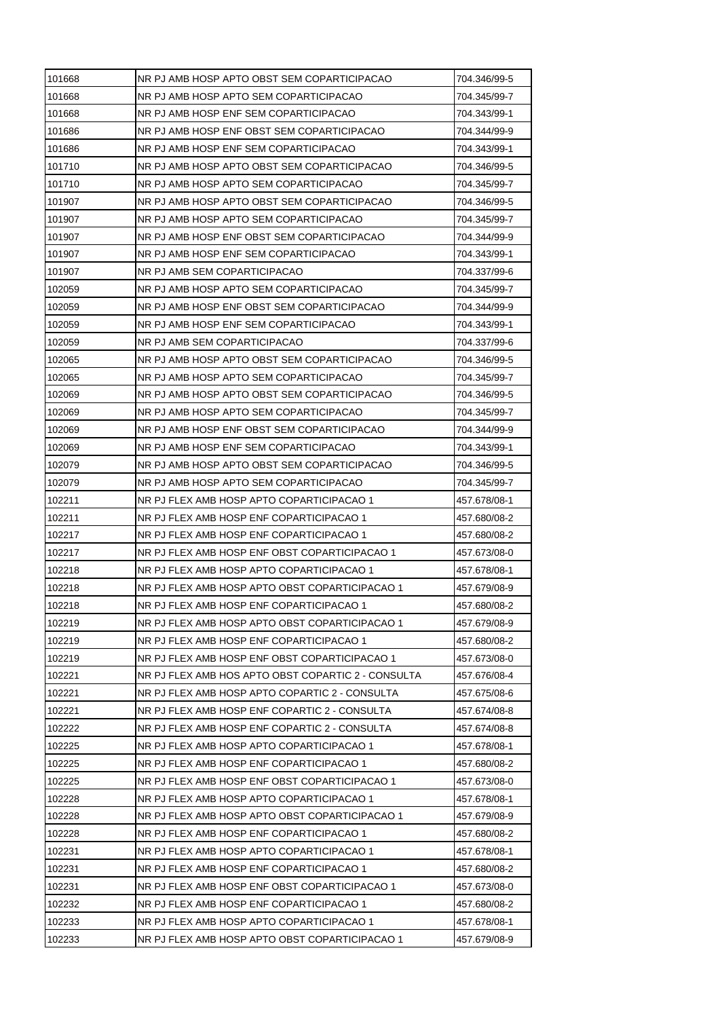| 101668 | NR PJ AMB HOSP APTO OBST SEM COPARTICIPACAO        | 704.346/99-5 |
|--------|----------------------------------------------------|--------------|
| 101668 | NR PJ AMB HOSP APTO SEM COPARTICIPACAO             | 704.345/99-7 |
| 101668 | NR PJ AMB HOSP ENF SEM COPARTICIPACAO              | 704.343/99-1 |
| 101686 | NR PJ AMB HOSP ENF OBST SEM COPARTICIPACAO         | 704.344/99-9 |
| 101686 | NR PJ AMB HOSP ENF SEM COPARTICIPACAO              | 704.343/99-1 |
| 101710 | NR PJ AMB HOSP APTO OBST SEM COPARTICIPACAO        | 704.346/99-5 |
| 101710 | NR PJ AMB HOSP APTO SEM COPARTICIPACAO             | 704.345/99-7 |
| 101907 | NR PJ AMB HOSP APTO OBST SEM COPARTICIPACAO        | 704.346/99-5 |
| 101907 | NR PJ AMB HOSP APTO SEM COPARTICIPACAO             | 704.345/99-7 |
| 101907 | NR PJ AMB HOSP ENF OBST SEM COPARTICIPACAO         | 704.344/99-9 |
| 101907 | NR PJ AMB HOSP ENF SEM COPARTICIPACAO              | 704.343/99-1 |
| 101907 | NR PJ AMB SEM COPARTICIPACAO                       | 704.337/99-6 |
| 102059 | NR PJ AMB HOSP APTO SEM COPARTICIPACAO             | 704.345/99-7 |
| 102059 | NR PJ AMB HOSP ENF OBST SEM COPARTICIPACAO         | 704.344/99-9 |
| 102059 | NR PJ AMB HOSP ENF SEM COPARTICIPACAO              | 704.343/99-1 |
| 102059 | NR PJ AMB SEM COPARTICIPACAO                       | 704.337/99-6 |
| 102065 | NR PJ AMB HOSP APTO OBST SEM COPARTICIPACAO        | 704.346/99-5 |
| 102065 | NR PJ AMB HOSP APTO SEM COPARTICIPACAO             | 704.345/99-7 |
| 102069 | NR PJ AMB HOSP APTO OBST SEM COPARTICIPACAO        | 704.346/99-5 |
| 102069 | NR PJ AMB HOSP APTO SEM COPARTICIPACAO             | 704.345/99-7 |
| 102069 | NR PJ AMB HOSP ENF OBST SEM COPARTICIPACAO         | 704.344/99-9 |
| 102069 | NR PJ AMB HOSP ENF SEM COPARTICIPACAO              | 704.343/99-1 |
| 102079 | NR PJ AMB HOSP APTO OBST SEM COPARTICIPACAO        | 704.346/99-5 |
| 102079 | NR PJ AMB HOSP APTO SEM COPARTICIPACAO             | 704.345/99-7 |
| 102211 | NR PJ FLEX AMB HOSP APTO COPARTICIPACAO 1          | 457.678/08-1 |
| 102211 | NR PJ FLEX AMB HOSP ENF COPARTICIPACAO 1           | 457.680/08-2 |
| 102217 | NR PJ FLEX AMB HOSP ENF COPARTICIPACAO 1           | 457.680/08-2 |
| 102217 | NR PJ FLEX AMB HOSP ENF OBST COPARTICIPACAO 1      | 457.673/08-0 |
| 102218 | NR PJ FLEX AMB HOSP APTO COPARTICIPACAO 1          | 457.678/08-1 |
| 102218 | NR PJ FLEX AMB HOSP APTO OBST COPARTICIPACAO 1     | 457.679/08-9 |
| 102218 | NR PJ FLEX AMB HOSP ENF COPARTICIPACAO 1           | 457.680/08-2 |
| 102219 | NR PJ FLEX AMB HOSP APTO OBST COPARTICIPACAO 1     | 457.679/08-9 |
| 102219 | NR PJ FLEX AMB HOSP ENF COPARTICIPACAO 1           | 457.680/08-2 |
| 102219 | NR PJ FLEX AMB HOSP ENF OBST COPARTICIPACAO 1      | 457.673/08-0 |
| 102221 | NR PJ FLEX AMB HOS APTO OBST COPARTIC 2 - CONSULTA | 457.676/08-4 |
| 102221 | NR PJ FLEX AMB HOSP APTO COPARTIC 2 - CONSULTA     | 457.675/08-6 |
| 102221 | NR PJ FLEX AMB HOSP ENF COPARTIC 2 - CONSULTA      | 457.674/08-8 |
| 102222 | NR PJ FLEX AMB HOSP ENF COPARTIC 2 - CONSULTA      | 457.674/08-8 |
| 102225 | NR PJ FLEX AMB HOSP APTO COPARTICIPACAO 1          | 457.678/08-1 |
| 102225 | NR PJ FLEX AMB HOSP ENF COPARTICIPACAO 1           | 457.680/08-2 |
| 102225 | NR PJ FLEX AMB HOSP ENF OBST COPARTICIPACAO 1      | 457.673/08-0 |
| 102228 | NR PJ FLEX AMB HOSP APTO COPARTICIPACAO 1          | 457.678/08-1 |
| 102228 | NR PJ FLEX AMB HOSP APTO OBST COPARTICIPACAO 1     | 457.679/08-9 |
| 102228 | NR PJ FLEX AMB HOSP ENF COPARTICIPACAO 1           | 457.680/08-2 |
| 102231 | NR PJ FLEX AMB HOSP APTO COPARTICIPACAO 1          | 457.678/08-1 |
| 102231 | NR PJ FLEX AMB HOSP ENF COPARTICIPACAO 1           | 457.680/08-2 |
| 102231 | NR PJ FLEX AMB HOSP ENF OBST COPARTICIPACAO 1      | 457.673/08-0 |
| 102232 | NR PJ FLEX AMB HOSP ENF COPARTICIPACAO 1           | 457.680/08-2 |
| 102233 | NR PJ FLEX AMB HOSP APTO COPARTICIPACAO 1          | 457.678/08-1 |
| 102233 | NR PJ FLEX AMB HOSP APTO OBST COPARTICIPACAO 1     | 457.679/08-9 |
|        |                                                    |              |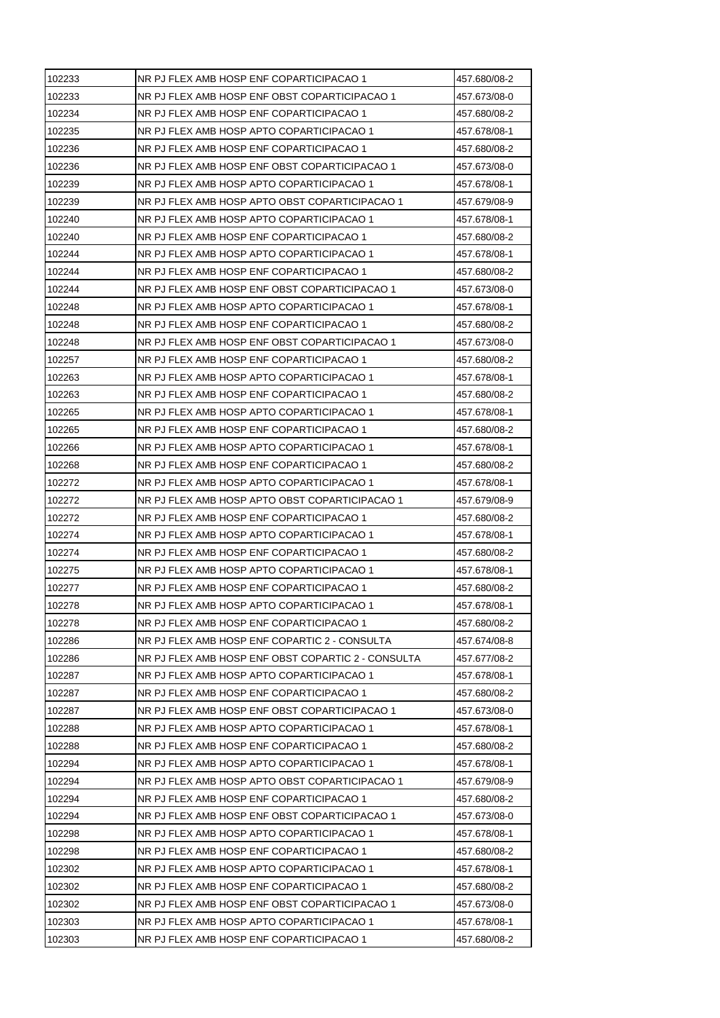| 102233 | NR PJ FLEX AMB HOSP ENF COPARTICIPACAO 1           | 457.680/08-2 |
|--------|----------------------------------------------------|--------------|
| 102233 | NR PJ FLEX AMB HOSP ENF OBST COPARTICIPACAO 1      | 457.673/08-0 |
| 102234 | NR PJ FLEX AMB HOSP ENF COPARTICIPACAO 1           | 457.680/08-2 |
| 102235 | NR PJ FLEX AMB HOSP APTO COPARTICIPACAO 1          | 457.678/08-1 |
| 102236 | NR PJ FLEX AMB HOSP ENF COPARTICIPACAO 1           | 457.680/08-2 |
| 102236 | NR PJ FLEX AMB HOSP ENF OBST COPARTICIPACAO 1      | 457.673/08-0 |
| 102239 | NR PJ FLEX AMB HOSP APTO COPARTICIPACAO 1          | 457.678/08-1 |
| 102239 | NR PJ FLEX AMB HOSP APTO OBST COPARTICIPACAO 1     | 457.679/08-9 |
| 102240 | NR PJ FLEX AMB HOSP APTO COPARTICIPACAO 1          | 457.678/08-1 |
| 102240 | NR PJ FLEX AMB HOSP ENF COPARTICIPACAO 1           | 457.680/08-2 |
| 102244 | NR PJ FLEX AMB HOSP APTO COPARTICIPACAO 1          | 457.678/08-1 |
| 102244 | NR PJ FLEX AMB HOSP ENF COPARTICIPACAO 1           | 457.680/08-2 |
| 102244 | NR PJ FLEX AMB HOSP ENF OBST COPARTICIPACAO 1      | 457.673/08-0 |
| 102248 | NR PJ FLEX AMB HOSP APTO COPARTICIPACAO 1          | 457.678/08-1 |
| 102248 | NR PJ FLEX AMB HOSP ENF COPARTICIPACAO 1           | 457.680/08-2 |
| 102248 | NR PJ FLEX AMB HOSP ENF OBST COPARTICIPACAO 1      | 457.673/08-0 |
| 102257 | NR PJ FLEX AMB HOSP ENF COPARTICIPACAO 1           | 457.680/08-2 |
| 102263 | NR PJ FLEX AMB HOSP APTO COPARTICIPACAO 1          | 457.678/08-1 |
| 102263 | NR PJ FLEX AMB HOSP ENF COPARTICIPACAO 1           | 457.680/08-2 |
| 102265 | NR PJ FLEX AMB HOSP APTO COPARTICIPACAO 1          | 457.678/08-1 |
| 102265 | NR PJ FLEX AMB HOSP ENF COPARTICIPACAO 1           | 457.680/08-2 |
| 102266 | NR PJ FLEX AMB HOSP APTO COPARTICIPACAO 1          | 457.678/08-1 |
| 102268 | NR PJ FLEX AMB HOSP ENF COPARTICIPACAO 1           | 457.680/08-2 |
| 102272 | NR PJ FLEX AMB HOSP APTO COPARTICIPACAO 1          | 457.678/08-1 |
| 102272 | NR PJ FLEX AMB HOSP APTO OBST COPARTICIPACAO 1     | 457.679/08-9 |
| 102272 | NR PJ FLEX AMB HOSP ENF COPARTICIPACAO 1           | 457.680/08-2 |
| 102274 | NR PJ FLEX AMB HOSP APTO COPARTICIPACAO 1          | 457.678/08-1 |
| 102274 | NR PJ FLEX AMB HOSP ENF COPARTICIPACAO 1           | 457.680/08-2 |
| 102275 | NR PJ FLEX AMB HOSP APTO COPARTICIPACAO 1          | 457.678/08-1 |
| 102277 | NR PJ FLEX AMB HOSP ENF COPARTICIPACAO 1           | 457.680/08-2 |
| 102278 | NR PJ FLEX AMB HOSP APTO COPARTICIPACAO 1          | 457.678/08-1 |
| 102278 | NR PJ FLEX AMB HOSP ENF COPARTICIPACAO 1           | 457.680/08-2 |
| 102286 | NR PJ FLEX AMB HOSP ENF COPARTIC 2 - CONSULTA      | 457.674/08-8 |
| 102286 | NR PJ FLEX AMB HOSP ENF OBST COPARTIC 2 - CONSULTA | 457.677/08-2 |
| 102287 | NR PJ FLEX AMB HOSP APTO COPARTICIPACAO 1          | 457.678/08-1 |
| 102287 | NR PJ FLEX AMB HOSP ENF COPARTICIPACAO 1           | 457.680/08-2 |
| 102287 | NR PJ FLEX AMB HOSP ENF OBST COPARTICIPACAO 1      | 457.673/08-0 |
| 102288 | NR PJ FLEX AMB HOSP APTO COPARTICIPACAO 1          | 457.678/08-1 |
| 102288 | NR PJ FLEX AMB HOSP ENF COPARTICIPACAO 1           | 457.680/08-2 |
| 102294 | NR PJ FLEX AMB HOSP APTO COPARTICIPACAO 1          | 457.678/08-1 |
| 102294 | NR PJ FLEX AMB HOSP APTO OBST COPARTICIPACAO 1     | 457.679/08-9 |
| 102294 | NR PJ FLEX AMB HOSP ENF COPARTICIPACAO 1           | 457.680/08-2 |
| 102294 | NR PJ FLEX AMB HOSP ENF OBST COPARTICIPACAO 1      | 457.673/08-0 |
| 102298 | NR PJ FLEX AMB HOSP APTO COPARTICIPACAO 1          | 457.678/08-1 |
| 102298 | NR PJ FLEX AMB HOSP ENF COPARTICIPACAO 1           | 457.680/08-2 |
| 102302 | NR PJ FLEX AMB HOSP APTO COPARTICIPACAO 1          | 457.678/08-1 |
| 102302 | NR PJ FLEX AMB HOSP ENF COPARTICIPACAO 1           | 457.680/08-2 |
| 102302 | NR PJ FLEX AMB HOSP ENF OBST COPARTICIPACAO 1      | 457.673/08-0 |
| 102303 | NR PJ FLEX AMB HOSP APTO COPARTICIPACAO 1          | 457.678/08-1 |
| 102303 | NR PJ FLEX AMB HOSP ENF COPARTICIPACAO 1           | 457.680/08-2 |
|        |                                                    |              |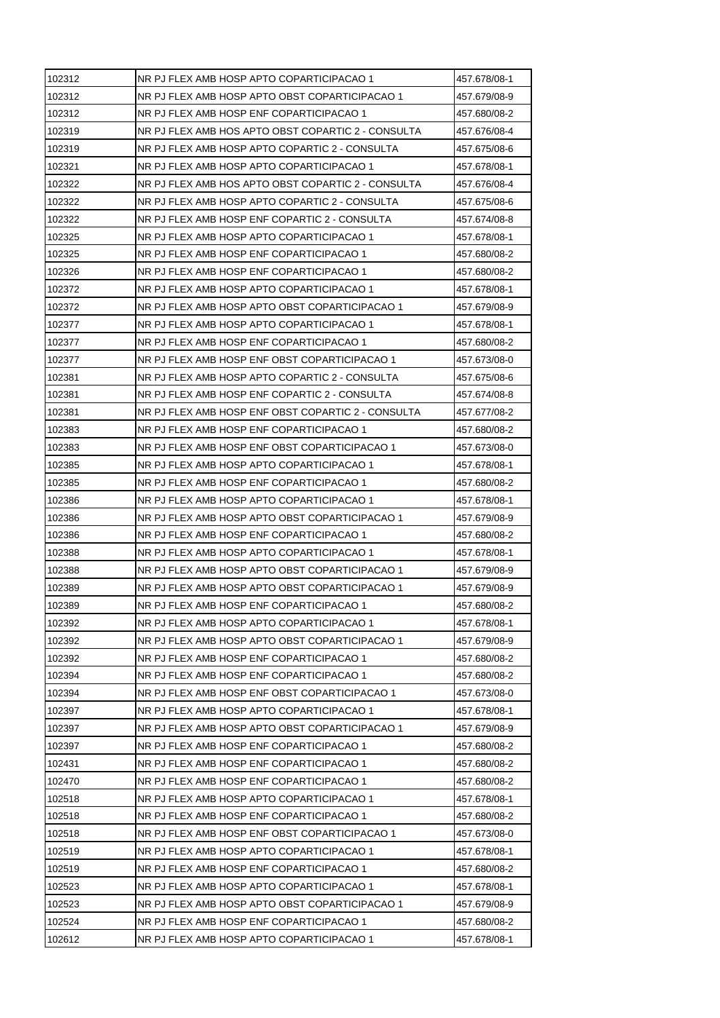| 102312 | NR PJ FLEX AMB HOSP APTO COPARTICIPACAO 1          | 457.678/08-1 |
|--------|----------------------------------------------------|--------------|
| 102312 | NR PJ FLEX AMB HOSP APTO OBST COPARTICIPACAO 1     | 457.679/08-9 |
| 102312 | NR PJ FLEX AMB HOSP ENF COPARTICIPACAO 1           | 457.680/08-2 |
| 102319 | NR PJ FLEX AMB HOS APTO OBST COPARTIC 2 - CONSULTA | 457.676/08-4 |
| 102319 | NR PJ FLEX AMB HOSP APTO COPARTIC 2 - CONSULTA     | 457.675/08-6 |
| 102321 | NR PJ FLEX AMB HOSP APTO COPARTICIPACAO 1          | 457.678/08-1 |
| 102322 | NR PJ FLEX AMB HOS APTO OBST COPARTIC 2 - CONSULTA | 457.676/08-4 |
| 102322 | NR PJ FLEX AMB HOSP APTO COPARTIC 2 - CONSULTA     | 457.675/08-6 |
| 102322 | NR PJ FLEX AMB HOSP ENF COPARTIC 2 - CONSULTA      | 457.674/08-8 |
| 102325 | NR PJ FLEX AMB HOSP APTO COPARTICIPACAO 1          | 457.678/08-1 |
| 102325 | NR PJ FLEX AMB HOSP ENF COPARTICIPACAO 1           | 457.680/08-2 |
| 102326 | NR PJ FLEX AMB HOSP ENF COPARTICIPACAO 1           | 457.680/08-2 |
| 102372 | NR PJ FLEX AMB HOSP APTO COPARTICIPACAO 1          | 457.678/08-1 |
| 102372 | NR PJ FLEX AMB HOSP APTO OBST COPARTICIPACAO 1     | 457.679/08-9 |
| 102377 | NR PJ FLEX AMB HOSP APTO COPARTICIPACAO 1          | 457.678/08-1 |
| 102377 | NR PJ FLEX AMB HOSP ENF COPARTICIPACAO 1           | 457.680/08-2 |
| 102377 | NR PJ FLEX AMB HOSP ENF OBST COPARTICIPACAO 1      | 457.673/08-0 |
| 102381 | NR PJ FLEX AMB HOSP APTO COPARTIC 2 - CONSULTA     | 457.675/08-6 |
| 102381 | NR PJ FLEX AMB HOSP ENF COPARTIC 2 - CONSULTA      | 457.674/08-8 |
| 102381 | NR PJ FLEX AMB HOSP ENF OBST COPARTIC 2 - CONSULTA | 457.677/08-2 |
| 102383 | NR PJ FLEX AMB HOSP ENF COPARTICIPACAO 1           | 457.680/08-2 |
| 102383 | NR PJ FLEX AMB HOSP ENF OBST COPARTICIPACAO 1      | 457.673/08-0 |
| 102385 | NR PJ FLEX AMB HOSP APTO COPARTICIPACAO 1          | 457.678/08-1 |
| 102385 | NR PJ FLEX AMB HOSP ENF COPARTICIPACAO 1           | 457.680/08-2 |
| 102386 | NR PJ FLEX AMB HOSP APTO COPARTICIPACAO 1          | 457.678/08-1 |
| 102386 | NR PJ FLEX AMB HOSP APTO OBST COPARTICIPACAO 1     | 457.679/08-9 |
| 102386 | NR PJ FLEX AMB HOSP ENF COPARTICIPACAO 1           | 457.680/08-2 |
| 102388 | NR PJ FLEX AMB HOSP APTO COPARTICIPACAO 1          | 457.678/08-1 |
| 102388 | NR PJ FLEX AMB HOSP APTO OBST COPARTICIPACAO 1     | 457.679/08-9 |
| 102389 | NR PJ FLEX AMB HOSP APTO OBST COPARTICIPACAO 1     | 457.679/08-9 |
| 102389 | NR PJ FLEX AMB HOSP ENF COPARTICIPACAO 1           | 457.680/08-2 |
| 102392 | NR PJ FLEX AMB HOSP APTO COPARTICIPACAO 1          | 457.678/08-1 |
| 102392 | NR PJ FLEX AMB HOSP APTO OBST COPARTICIPACAO 1     | 457.679/08-9 |
| 102392 | NR PJ FLEX AMB HOSP ENF COPARTICIPACAO 1           | 457.680/08-2 |
| 102394 | NR PJ FLEX AMB HOSP ENF COPARTICIPACAO 1           | 457.680/08-2 |
| 102394 | NR PJ FLEX AMB HOSP ENF OBST COPARTICIPACAO 1      | 457.673/08-0 |
| 102397 | NR PJ FLEX AMB HOSP APTO COPARTICIPACAO 1          | 457.678/08-1 |
| 102397 | NR PJ FLEX AMB HOSP APTO OBST COPARTICIPACAO 1     | 457.679/08-9 |
| 102397 | NR PJ FLEX AMB HOSP ENF COPARTICIPACAO 1           | 457.680/08-2 |
| 102431 | NR PJ FLEX AMB HOSP ENF COPARTICIPACAO 1           | 457.680/08-2 |
| 102470 | NR PJ FLEX AMB HOSP ENF COPARTICIPACAO 1           | 457.680/08-2 |
| 102518 | NR PJ FLEX AMB HOSP APTO COPARTICIPACAO 1          | 457.678/08-1 |
| 102518 | NR PJ FLEX AMB HOSP ENF COPARTICIPACAO 1           | 457.680/08-2 |
| 102518 | NR PJ FLEX AMB HOSP ENF OBST COPARTICIPACAO 1      | 457.673/08-0 |
| 102519 | NR PJ FLEX AMB HOSP APTO COPARTICIPACAO 1          | 457.678/08-1 |
| 102519 | NR PJ FLEX AMB HOSP ENF COPARTICIPACAO 1           | 457.680/08-2 |
| 102523 |                                                    |              |
|        | NR PJ FLEX AMB HOSP APTO COPARTICIPACAO 1          | 457.678/08-1 |
| 102523 | NR PJ FLEX AMB HOSP APTO OBST COPARTICIPACAO 1     | 457.679/08-9 |
| 102524 | NR PJ FLEX AMB HOSP ENF COPARTICIPACAO 1           | 457.680/08-2 |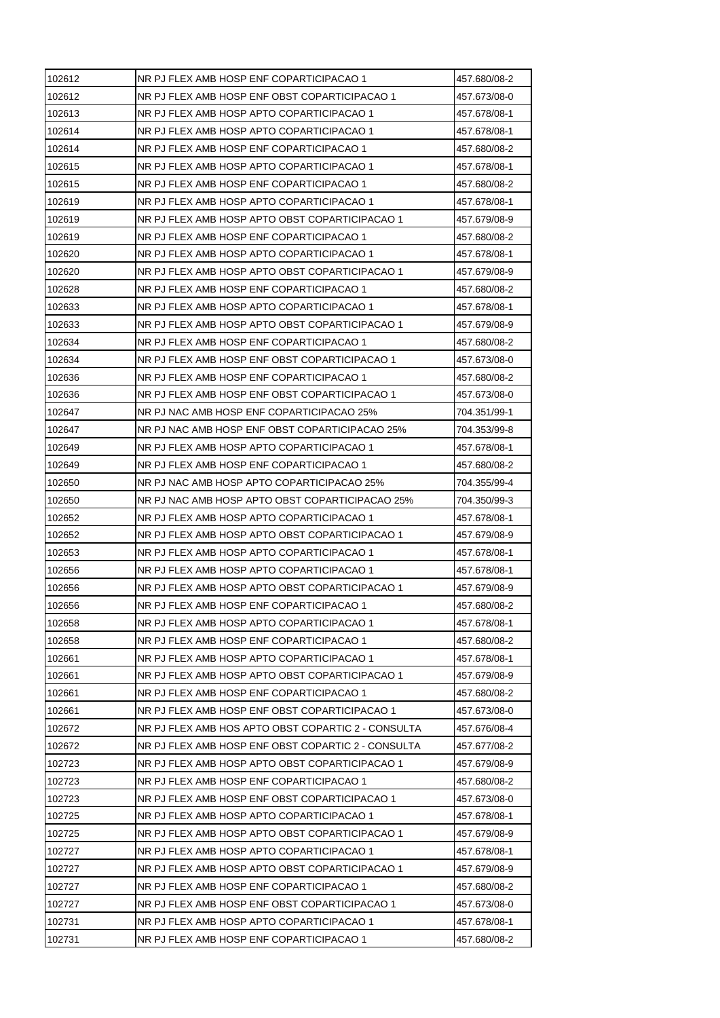| 102612 | NR PJ FLEX AMB HOSP ENF COPARTICIPACAO 1           | 457.680/08-2 |
|--------|----------------------------------------------------|--------------|
| 102612 | NR PJ FLEX AMB HOSP ENF OBST COPARTICIPACAO 1      | 457.673/08-0 |
| 102613 | NR PJ FLEX AMB HOSP APTO COPARTICIPACAO 1          | 457.678/08-1 |
| 102614 | NR PJ FLEX AMB HOSP APTO COPARTICIPACAO 1          | 457.678/08-1 |
| 102614 | NR PJ FLEX AMB HOSP ENF COPARTICIPACAO 1           | 457.680/08-2 |
| 102615 | NR PJ FLEX AMB HOSP APTO COPARTICIPACAO 1          | 457.678/08-1 |
| 102615 | NR PJ FLEX AMB HOSP ENF COPARTICIPACAO 1           | 457.680/08-2 |
| 102619 | NR PJ FLEX AMB HOSP APTO COPARTICIPACAO 1          | 457.678/08-1 |
| 102619 | NR PJ FLEX AMB HOSP APTO OBST COPARTICIPACAO 1     | 457.679/08-9 |
| 102619 | NR PJ FLEX AMB HOSP ENF COPARTICIPACAO 1           | 457.680/08-2 |
| 102620 | NR PJ FLEX AMB HOSP APTO COPARTICIPACAO 1          | 457.678/08-1 |
| 102620 | NR PJ FLEX AMB HOSP APTO OBST COPARTICIPACAO 1     | 457.679/08-9 |
| 102628 | NR PJ FLEX AMB HOSP ENF COPARTICIPACAO 1           | 457.680/08-2 |
| 102633 | NR PJ FLEX AMB HOSP APTO COPARTICIPACAO 1          | 457.678/08-1 |
| 102633 | NR PJ FLEX AMB HOSP APTO OBST COPARTICIPACAO 1     | 457.679/08-9 |
| 102634 | NR PJ FLEX AMB HOSP ENF COPARTICIPACAO 1           | 457.680/08-2 |
| 102634 | NR PJ FLEX AMB HOSP ENF OBST COPARTICIPACAO 1      | 457.673/08-0 |
| 102636 | NR PJ FLEX AMB HOSP ENF COPARTICIPACAO 1           | 457.680/08-2 |
| 102636 | NR PJ FLEX AMB HOSP ENF OBST COPARTICIPACAO 1      | 457.673/08-0 |
| 102647 | NR PJ NAC AMB HOSP ENF COPARTICIPACAO 25%          | 704.351/99-1 |
| 102647 | NR PJ NAC AMB HOSP ENF OBST COPARTICIPACAO 25%     | 704.353/99-8 |
| 102649 | NR PJ FLEX AMB HOSP APTO COPARTICIPACAO 1          | 457.678/08-1 |
| 102649 | NR PJ FLEX AMB HOSP ENF COPARTICIPACAO 1           | 457.680/08-2 |
| 102650 | NR PJ NAC AMB HOSP APTO COPARTICIPACAO 25%         | 704.355/99-4 |
| 102650 | NR PJ NAC AMB HOSP APTO OBST COPARTICIPACAO 25%    | 704.350/99-3 |
| 102652 | NR PJ FLEX AMB HOSP APTO COPARTICIPACAO 1          | 457.678/08-1 |
| 102652 | NR PJ FLEX AMB HOSP APTO OBST COPARTICIPACAO 1     | 457.679/08-9 |
| 102653 | NR PJ FLEX AMB HOSP APTO COPARTICIPACAO 1          | 457.678/08-1 |
| 102656 | NR PJ FLEX AMB HOSP APTO COPARTICIPACAO 1          | 457.678/08-1 |
| 102656 | NR PJ FLEX AMB HOSP APTO OBST COPARTICIPACAO 1     | 457.679/08-9 |
| 102656 | NR PJ FLEX AMB HOSP ENF COPARTICIPACAO 1           | 457.680/08-2 |
| 102658 | NR PJ FLEX AMB HOSP APTO COPARTICIPACAO 1          | 457.678/08-1 |
| 102658 | NR PJ FLEX AMB HOSP ENF COPARTICIPACAO 1           | 457.680/08-2 |
| 102661 | NR PJ FLEX AMB HOSP APTO COPARTICIPACAO 1          | 457.678/08-1 |
| 102661 | NR PJ FLEX AMB HOSP APTO OBST COPARTICIPACAO 1     | 457.679/08-9 |
| 102661 | NR PJ FLEX AMB HOSP ENF COPARTICIPACAO 1           | 457.680/08-2 |
| 102661 | NR PJ FLEX AMB HOSP ENF OBST COPARTICIPACAO 1      | 457.673/08-0 |
| 102672 | NR PJ FLEX AMB HOS APTO OBST COPARTIC 2 - CONSULTA | 457.676/08-4 |
| 102672 | NR PJ FLEX AMB HOSP ENF OBST COPARTIC 2 - CONSULTA | 457.677/08-2 |
| 102723 | NR PJ FLEX AMB HOSP APTO OBST COPARTICIPACAO 1     | 457.679/08-9 |
| 102723 | NR PJ FLEX AMB HOSP ENF COPARTICIPACAO 1           | 457.680/08-2 |
| 102723 | NR PJ FLEX AMB HOSP ENF OBST COPARTICIPACAO 1      | 457.673/08-0 |
| 102725 | NR PJ FLEX AMB HOSP APTO COPARTICIPACAO 1          | 457.678/08-1 |
| 102725 | NR PJ FLEX AMB HOSP APTO OBST COPARTICIPACAO 1     | 457.679/08-9 |
| 102727 | NR PJ FLEX AMB HOSP APTO COPARTICIPACAO 1          | 457.678/08-1 |
| 102727 | NR PJ FLEX AMB HOSP APTO OBST COPARTICIPACAO 1     | 457.679/08-9 |
| 102727 | NR PJ FLEX AMB HOSP ENF COPARTICIPACAO 1           | 457.680/08-2 |
| 102727 | NR PJ FLEX AMB HOSP ENF OBST COPARTICIPACAO 1      | 457.673/08-0 |
| 102731 | NR PJ FLEX AMB HOSP APTO COPARTICIPACAO 1          | 457.678/08-1 |
| 102731 | NR PJ FLEX AMB HOSP ENF COPARTICIPACAO 1           | 457.680/08-2 |
|        |                                                    |              |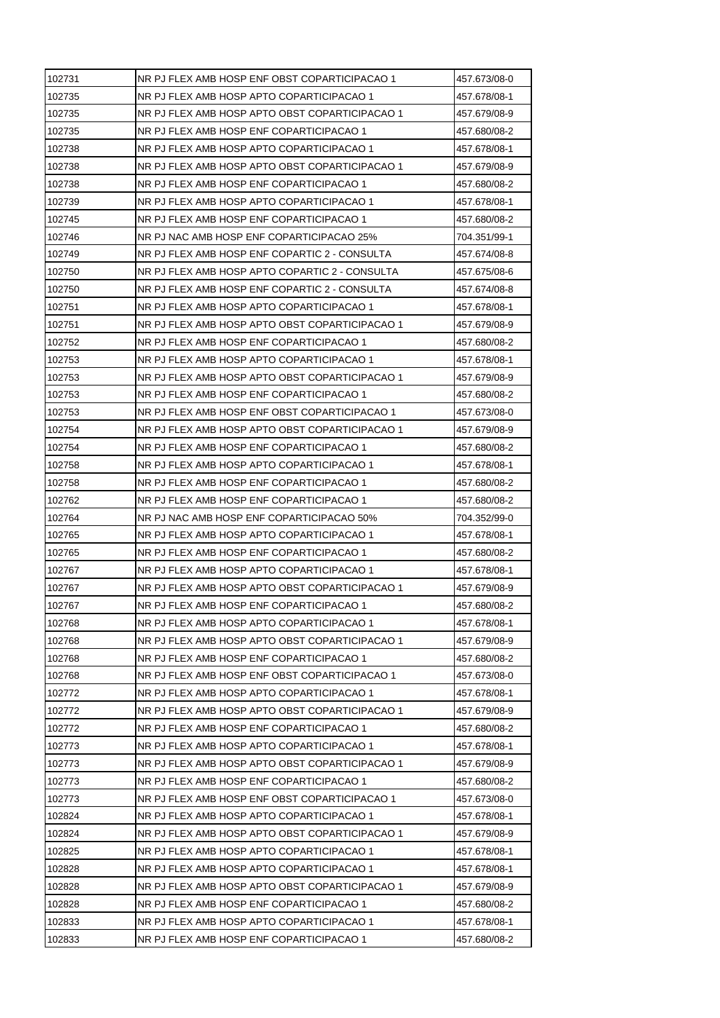| 102735<br>NR PJ FLEX AMB HOSP APTO COPARTICIPACAO 1<br>457.678/08-1<br>NR PJ FLEX AMB HOSP APTO OBST COPARTICIPACAO 1<br>457.679/08-9<br>102735<br>NR PJ FLEX AMB HOSP ENF COPARTICIPACAO 1<br>457.680/08-2<br>102738<br>NR PJ FLEX AMB HOSP APTO COPARTICIPACAO 1<br>457.678/08-1<br>102738<br>NR PJ FLEX AMB HOSP APTO OBST COPARTICIPACAO 1<br>457.679/08-9<br>102738<br>NR PJ FLEX AMB HOSP ENF COPARTICIPACAO 1<br>457.680/08-2<br>NR PJ FLEX AMB HOSP APTO COPARTICIPACAO 1<br>457.678/08-1<br>102745<br>NR PJ FLEX AMB HOSP ENF COPARTICIPACAO 1<br>457.680/08-2<br>102746<br>NR PJ NAC AMB HOSP ENF COPARTICIPACAO 25%<br>704.351/99-1<br>NR PJ FLEX AMB HOSP ENF COPARTIC 2 - CONSULTA<br>102749<br>457.674/08-8<br>NR PJ FLEX AMB HOSP APTO COPARTIC 2 - CONSULTA<br>457.675/08-6<br>102750<br>NR PJ FLEX AMB HOSP ENF COPARTIC 2 - CONSULTA<br>457.674/08-8<br>102751<br>NR PJ FLEX AMB HOSP APTO COPARTICIPACAO 1<br>457.678/08-1<br>102751<br>NR PJ FLEX AMB HOSP APTO OBST COPARTICIPACAO 1<br>457.679/08-9<br>102752<br>NR PJ FLEX AMB HOSP ENF COPARTICIPACAO 1<br>457.680/08-2<br>102753<br>NR PJ FLEX AMB HOSP APTO COPARTICIPACAO 1<br>457.678/08-1<br>102753<br>NR PJ FLEX AMB HOSP APTO OBST COPARTICIPACAO 1<br>457.679/08-9<br>102753<br>NR PJ FLEX AMB HOSP ENF COPARTICIPACAO 1<br>457.680/08-2<br>102753<br>NR PJ FLEX AMB HOSP ENF OBST COPARTICIPACAO 1<br>457.673/08-0<br>102754<br>NR PJ FLEX AMB HOSP APTO OBST COPARTICIPACAO 1<br>457.679/08-9<br>102754<br>NR PJ FLEX AMB HOSP ENF COPARTICIPACAO 1<br>457.680/08-2<br>102758<br>NR PJ FLEX AMB HOSP APTO COPARTICIPACAO 1<br>457.678/08-1<br>102758<br>NR PJ FLEX AMB HOSP ENF COPARTICIPACAO 1<br>457.680/08-2<br>102762<br>NR PJ FLEX AMB HOSP ENF COPARTICIPACAO 1<br>457.680/08-2<br>102764<br>NR PJ NAC AMB HOSP ENF COPARTICIPACAO 50%<br>704.352/99-0<br>NR PJ FLEX AMB HOSP APTO COPARTICIPACAO 1<br>457.678/08-1<br>102765<br>NR PJ FLEX AMB HOSP ENF COPARTICIPACAO 1<br>457.680/08-2<br>102767<br>NR PJ FLEX AMB HOSP APTO COPARTICIPACAO 1<br>457.678/08-1<br>102767<br>NR PJ FLEX AMB HOSP APTO OBST COPARTICIPACAO 1<br>457.679/08-9<br>NR PJ FLEX AMB HOSP ENF COPARTICIPACAO 1<br>457.680/08-2<br>102768<br>NR PJ FLEX AMB HOSP APTO COPARTICIPACAO 1<br>457.678/08-1<br>102768<br>NR PJ FLEX AMB HOSP APTO OBST COPARTICIPACAO 1<br>457.679/08-9<br>NR PJ FLEX AMB HOSP ENF COPARTICIPACAO 1<br>102768<br>457.680/08-2<br>NR PJ FLEX AMB HOSP ENF OBST COPARTICIPACAO 1<br>102768<br>457.673/08-0<br>NR PJ FLEX AMB HOSP APTO COPARTICIPACAO 1<br>102772<br>457.678/08-1<br>102772<br>NR PJ FLEX AMB HOSP APTO OBST COPARTICIPACAO 1<br>457.679/08-9<br>102772<br>NR PJ FLEX AMB HOSP ENF COPARTICIPACAO 1<br>457.680/08-2<br>NR PJ FLEX AMB HOSP APTO COPARTICIPACAO 1<br>102773<br>457.678/08-1<br>102773<br>NR PJ FLEX AMB HOSP APTO OBST COPARTICIPACAO 1<br>457.679/08-9<br>102773<br>NR PJ FLEX AMB HOSP ENF COPARTICIPACAO 1<br>457.680/08-2<br>102773<br>NR PJ FLEX AMB HOSP ENF OBST COPARTICIPACAO 1<br>457.673/08-0<br>NR PJ FLEX AMB HOSP APTO COPARTICIPACAO 1<br>102824<br>457.678/08-1<br>NR PJ FLEX AMB HOSP APTO OBST COPARTICIPACAO 1<br>102824<br>457.679/08-9<br>102825<br>NR PJ FLEX AMB HOSP APTO COPARTICIPACAO 1<br>457.678/08-1<br>102828<br>NR PJ FLEX AMB HOSP APTO COPARTICIPACAO 1<br>457.678/08-1<br>102828<br>NR PJ FLEX AMB HOSP APTO OBST COPARTICIPACAO 1<br>457.679/08-9<br>102828<br>NR PJ FLEX AMB HOSP ENF COPARTICIPACAO 1<br>457.680/08-2<br>102833<br>NR PJ FLEX AMB HOSP APTO COPARTICIPACAO 1<br>457.678/08-1<br>102833<br>NR PJ FLEX AMB HOSP ENF COPARTICIPACAO 1<br>457.680/08-2 | 102731 | NR PJ FLEX AMB HOSP ENF OBST COPARTICIPACAO 1 | 457.673/08-0 |
|------------------------------------------------------------------------------------------------------------------------------------------------------------------------------------------------------------------------------------------------------------------------------------------------------------------------------------------------------------------------------------------------------------------------------------------------------------------------------------------------------------------------------------------------------------------------------------------------------------------------------------------------------------------------------------------------------------------------------------------------------------------------------------------------------------------------------------------------------------------------------------------------------------------------------------------------------------------------------------------------------------------------------------------------------------------------------------------------------------------------------------------------------------------------------------------------------------------------------------------------------------------------------------------------------------------------------------------------------------------------------------------------------------------------------------------------------------------------------------------------------------------------------------------------------------------------------------------------------------------------------------------------------------------------------------------------------------------------------------------------------------------------------------------------------------------------------------------------------------------------------------------------------------------------------------------------------------------------------------------------------------------------------------------------------------------------------------------------------------------------------------------------------------------------------------------------------------------------------------------------------------------------------------------------------------------------------------------------------------------------------------------------------------------------------------------------------------------------------------------------------------------------------------------------------------------------------------------------------------------------------------------------------------------------------------------------------------------------------------------------------------------------------------------------------------------------------------------------------------------------------------------------------------------------------------------------------------------------------------------------------------------------------------------------------------------------------------------------------------------------------------------------------------------------------------------------------------------------------------------------------------------------------------------------------------------------------------------------------------------------------------------------------------------------------------------------------------------------------------------------------------------------------------------------------------------------------------------------------------------------------------|--------|-----------------------------------------------|--------------|
|                                                                                                                                                                                                                                                                                                                                                                                                                                                                                                                                                                                                                                                                                                                                                                                                                                                                                                                                                                                                                                                                                                                                                                                                                                                                                                                                                                                                                                                                                                                                                                                                                                                                                                                                                                                                                                                                                                                                                                                                                                                                                                                                                                                                                                                                                                                                                                                                                                                                                                                                                                                                                                                                                                                                                                                                                                                                                                                                                                                                                                                                                                                                                                                                                                                                                                                                                                                                                                                                                                                                                                                                                                    |        |                                               |              |
|                                                                                                                                                                                                                                                                                                                                                                                                                                                                                                                                                                                                                                                                                                                                                                                                                                                                                                                                                                                                                                                                                                                                                                                                                                                                                                                                                                                                                                                                                                                                                                                                                                                                                                                                                                                                                                                                                                                                                                                                                                                                                                                                                                                                                                                                                                                                                                                                                                                                                                                                                                                                                                                                                                                                                                                                                                                                                                                                                                                                                                                                                                                                                                                                                                                                                                                                                                                                                                                                                                                                                                                                                                    | 102735 |                                               |              |
|                                                                                                                                                                                                                                                                                                                                                                                                                                                                                                                                                                                                                                                                                                                                                                                                                                                                                                                                                                                                                                                                                                                                                                                                                                                                                                                                                                                                                                                                                                                                                                                                                                                                                                                                                                                                                                                                                                                                                                                                                                                                                                                                                                                                                                                                                                                                                                                                                                                                                                                                                                                                                                                                                                                                                                                                                                                                                                                                                                                                                                                                                                                                                                                                                                                                                                                                                                                                                                                                                                                                                                                                                                    |        |                                               |              |
|                                                                                                                                                                                                                                                                                                                                                                                                                                                                                                                                                                                                                                                                                                                                                                                                                                                                                                                                                                                                                                                                                                                                                                                                                                                                                                                                                                                                                                                                                                                                                                                                                                                                                                                                                                                                                                                                                                                                                                                                                                                                                                                                                                                                                                                                                                                                                                                                                                                                                                                                                                                                                                                                                                                                                                                                                                                                                                                                                                                                                                                                                                                                                                                                                                                                                                                                                                                                                                                                                                                                                                                                                                    |        |                                               |              |
|                                                                                                                                                                                                                                                                                                                                                                                                                                                                                                                                                                                                                                                                                                                                                                                                                                                                                                                                                                                                                                                                                                                                                                                                                                                                                                                                                                                                                                                                                                                                                                                                                                                                                                                                                                                                                                                                                                                                                                                                                                                                                                                                                                                                                                                                                                                                                                                                                                                                                                                                                                                                                                                                                                                                                                                                                                                                                                                                                                                                                                                                                                                                                                                                                                                                                                                                                                                                                                                                                                                                                                                                                                    |        |                                               |              |
|                                                                                                                                                                                                                                                                                                                                                                                                                                                                                                                                                                                                                                                                                                                                                                                                                                                                                                                                                                                                                                                                                                                                                                                                                                                                                                                                                                                                                                                                                                                                                                                                                                                                                                                                                                                                                                                                                                                                                                                                                                                                                                                                                                                                                                                                                                                                                                                                                                                                                                                                                                                                                                                                                                                                                                                                                                                                                                                                                                                                                                                                                                                                                                                                                                                                                                                                                                                                                                                                                                                                                                                                                                    |        |                                               |              |
|                                                                                                                                                                                                                                                                                                                                                                                                                                                                                                                                                                                                                                                                                                                                                                                                                                                                                                                                                                                                                                                                                                                                                                                                                                                                                                                                                                                                                                                                                                                                                                                                                                                                                                                                                                                                                                                                                                                                                                                                                                                                                                                                                                                                                                                                                                                                                                                                                                                                                                                                                                                                                                                                                                                                                                                                                                                                                                                                                                                                                                                                                                                                                                                                                                                                                                                                                                                                                                                                                                                                                                                                                                    | 102739 |                                               |              |
|                                                                                                                                                                                                                                                                                                                                                                                                                                                                                                                                                                                                                                                                                                                                                                                                                                                                                                                                                                                                                                                                                                                                                                                                                                                                                                                                                                                                                                                                                                                                                                                                                                                                                                                                                                                                                                                                                                                                                                                                                                                                                                                                                                                                                                                                                                                                                                                                                                                                                                                                                                                                                                                                                                                                                                                                                                                                                                                                                                                                                                                                                                                                                                                                                                                                                                                                                                                                                                                                                                                                                                                                                                    |        |                                               |              |
|                                                                                                                                                                                                                                                                                                                                                                                                                                                                                                                                                                                                                                                                                                                                                                                                                                                                                                                                                                                                                                                                                                                                                                                                                                                                                                                                                                                                                                                                                                                                                                                                                                                                                                                                                                                                                                                                                                                                                                                                                                                                                                                                                                                                                                                                                                                                                                                                                                                                                                                                                                                                                                                                                                                                                                                                                                                                                                                                                                                                                                                                                                                                                                                                                                                                                                                                                                                                                                                                                                                                                                                                                                    |        |                                               |              |
|                                                                                                                                                                                                                                                                                                                                                                                                                                                                                                                                                                                                                                                                                                                                                                                                                                                                                                                                                                                                                                                                                                                                                                                                                                                                                                                                                                                                                                                                                                                                                                                                                                                                                                                                                                                                                                                                                                                                                                                                                                                                                                                                                                                                                                                                                                                                                                                                                                                                                                                                                                                                                                                                                                                                                                                                                                                                                                                                                                                                                                                                                                                                                                                                                                                                                                                                                                                                                                                                                                                                                                                                                                    |        |                                               |              |
|                                                                                                                                                                                                                                                                                                                                                                                                                                                                                                                                                                                                                                                                                                                                                                                                                                                                                                                                                                                                                                                                                                                                                                                                                                                                                                                                                                                                                                                                                                                                                                                                                                                                                                                                                                                                                                                                                                                                                                                                                                                                                                                                                                                                                                                                                                                                                                                                                                                                                                                                                                                                                                                                                                                                                                                                                                                                                                                                                                                                                                                                                                                                                                                                                                                                                                                                                                                                                                                                                                                                                                                                                                    | 102750 |                                               |              |
|                                                                                                                                                                                                                                                                                                                                                                                                                                                                                                                                                                                                                                                                                                                                                                                                                                                                                                                                                                                                                                                                                                                                                                                                                                                                                                                                                                                                                                                                                                                                                                                                                                                                                                                                                                                                                                                                                                                                                                                                                                                                                                                                                                                                                                                                                                                                                                                                                                                                                                                                                                                                                                                                                                                                                                                                                                                                                                                                                                                                                                                                                                                                                                                                                                                                                                                                                                                                                                                                                                                                                                                                                                    |        |                                               |              |
|                                                                                                                                                                                                                                                                                                                                                                                                                                                                                                                                                                                                                                                                                                                                                                                                                                                                                                                                                                                                                                                                                                                                                                                                                                                                                                                                                                                                                                                                                                                                                                                                                                                                                                                                                                                                                                                                                                                                                                                                                                                                                                                                                                                                                                                                                                                                                                                                                                                                                                                                                                                                                                                                                                                                                                                                                                                                                                                                                                                                                                                                                                                                                                                                                                                                                                                                                                                                                                                                                                                                                                                                                                    |        |                                               |              |
|                                                                                                                                                                                                                                                                                                                                                                                                                                                                                                                                                                                                                                                                                                                                                                                                                                                                                                                                                                                                                                                                                                                                                                                                                                                                                                                                                                                                                                                                                                                                                                                                                                                                                                                                                                                                                                                                                                                                                                                                                                                                                                                                                                                                                                                                                                                                                                                                                                                                                                                                                                                                                                                                                                                                                                                                                                                                                                                                                                                                                                                                                                                                                                                                                                                                                                                                                                                                                                                                                                                                                                                                                                    |        |                                               |              |
|                                                                                                                                                                                                                                                                                                                                                                                                                                                                                                                                                                                                                                                                                                                                                                                                                                                                                                                                                                                                                                                                                                                                                                                                                                                                                                                                                                                                                                                                                                                                                                                                                                                                                                                                                                                                                                                                                                                                                                                                                                                                                                                                                                                                                                                                                                                                                                                                                                                                                                                                                                                                                                                                                                                                                                                                                                                                                                                                                                                                                                                                                                                                                                                                                                                                                                                                                                                                                                                                                                                                                                                                                                    |        |                                               |              |
|                                                                                                                                                                                                                                                                                                                                                                                                                                                                                                                                                                                                                                                                                                                                                                                                                                                                                                                                                                                                                                                                                                                                                                                                                                                                                                                                                                                                                                                                                                                                                                                                                                                                                                                                                                                                                                                                                                                                                                                                                                                                                                                                                                                                                                                                                                                                                                                                                                                                                                                                                                                                                                                                                                                                                                                                                                                                                                                                                                                                                                                                                                                                                                                                                                                                                                                                                                                                                                                                                                                                                                                                                                    |        |                                               |              |
|                                                                                                                                                                                                                                                                                                                                                                                                                                                                                                                                                                                                                                                                                                                                                                                                                                                                                                                                                                                                                                                                                                                                                                                                                                                                                                                                                                                                                                                                                                                                                                                                                                                                                                                                                                                                                                                                                                                                                                                                                                                                                                                                                                                                                                                                                                                                                                                                                                                                                                                                                                                                                                                                                                                                                                                                                                                                                                                                                                                                                                                                                                                                                                                                                                                                                                                                                                                                                                                                                                                                                                                                                                    |        |                                               |              |
|                                                                                                                                                                                                                                                                                                                                                                                                                                                                                                                                                                                                                                                                                                                                                                                                                                                                                                                                                                                                                                                                                                                                                                                                                                                                                                                                                                                                                                                                                                                                                                                                                                                                                                                                                                                                                                                                                                                                                                                                                                                                                                                                                                                                                                                                                                                                                                                                                                                                                                                                                                                                                                                                                                                                                                                                                                                                                                                                                                                                                                                                                                                                                                                                                                                                                                                                                                                                                                                                                                                                                                                                                                    |        |                                               |              |
|                                                                                                                                                                                                                                                                                                                                                                                                                                                                                                                                                                                                                                                                                                                                                                                                                                                                                                                                                                                                                                                                                                                                                                                                                                                                                                                                                                                                                                                                                                                                                                                                                                                                                                                                                                                                                                                                                                                                                                                                                                                                                                                                                                                                                                                                                                                                                                                                                                                                                                                                                                                                                                                                                                                                                                                                                                                                                                                                                                                                                                                                                                                                                                                                                                                                                                                                                                                                                                                                                                                                                                                                                                    |        |                                               |              |
|                                                                                                                                                                                                                                                                                                                                                                                                                                                                                                                                                                                                                                                                                                                                                                                                                                                                                                                                                                                                                                                                                                                                                                                                                                                                                                                                                                                                                                                                                                                                                                                                                                                                                                                                                                                                                                                                                                                                                                                                                                                                                                                                                                                                                                                                                                                                                                                                                                                                                                                                                                                                                                                                                                                                                                                                                                                                                                                                                                                                                                                                                                                                                                                                                                                                                                                                                                                                                                                                                                                                                                                                                                    |        |                                               |              |
|                                                                                                                                                                                                                                                                                                                                                                                                                                                                                                                                                                                                                                                                                                                                                                                                                                                                                                                                                                                                                                                                                                                                                                                                                                                                                                                                                                                                                                                                                                                                                                                                                                                                                                                                                                                                                                                                                                                                                                                                                                                                                                                                                                                                                                                                                                                                                                                                                                                                                                                                                                                                                                                                                                                                                                                                                                                                                                                                                                                                                                                                                                                                                                                                                                                                                                                                                                                                                                                                                                                                                                                                                                    |        |                                               |              |
|                                                                                                                                                                                                                                                                                                                                                                                                                                                                                                                                                                                                                                                                                                                                                                                                                                                                                                                                                                                                                                                                                                                                                                                                                                                                                                                                                                                                                                                                                                                                                                                                                                                                                                                                                                                                                                                                                                                                                                                                                                                                                                                                                                                                                                                                                                                                                                                                                                                                                                                                                                                                                                                                                                                                                                                                                                                                                                                                                                                                                                                                                                                                                                                                                                                                                                                                                                                                                                                                                                                                                                                                                                    |        |                                               |              |
|                                                                                                                                                                                                                                                                                                                                                                                                                                                                                                                                                                                                                                                                                                                                                                                                                                                                                                                                                                                                                                                                                                                                                                                                                                                                                                                                                                                                                                                                                                                                                                                                                                                                                                                                                                                                                                                                                                                                                                                                                                                                                                                                                                                                                                                                                                                                                                                                                                                                                                                                                                                                                                                                                                                                                                                                                                                                                                                                                                                                                                                                                                                                                                                                                                                                                                                                                                                                                                                                                                                                                                                                                                    |        |                                               |              |
|                                                                                                                                                                                                                                                                                                                                                                                                                                                                                                                                                                                                                                                                                                                                                                                                                                                                                                                                                                                                                                                                                                                                                                                                                                                                                                                                                                                                                                                                                                                                                                                                                                                                                                                                                                                                                                                                                                                                                                                                                                                                                                                                                                                                                                                                                                                                                                                                                                                                                                                                                                                                                                                                                                                                                                                                                                                                                                                                                                                                                                                                                                                                                                                                                                                                                                                                                                                                                                                                                                                                                                                                                                    |        |                                               |              |
|                                                                                                                                                                                                                                                                                                                                                                                                                                                                                                                                                                                                                                                                                                                                                                                                                                                                                                                                                                                                                                                                                                                                                                                                                                                                                                                                                                                                                                                                                                                                                                                                                                                                                                                                                                                                                                                                                                                                                                                                                                                                                                                                                                                                                                                                                                                                                                                                                                                                                                                                                                                                                                                                                                                                                                                                                                                                                                                                                                                                                                                                                                                                                                                                                                                                                                                                                                                                                                                                                                                                                                                                                                    |        |                                               |              |
|                                                                                                                                                                                                                                                                                                                                                                                                                                                                                                                                                                                                                                                                                                                                                                                                                                                                                                                                                                                                                                                                                                                                                                                                                                                                                                                                                                                                                                                                                                                                                                                                                                                                                                                                                                                                                                                                                                                                                                                                                                                                                                                                                                                                                                                                                                                                                                                                                                                                                                                                                                                                                                                                                                                                                                                                                                                                                                                                                                                                                                                                                                                                                                                                                                                                                                                                                                                                                                                                                                                                                                                                                                    | 102765 |                                               |              |
|                                                                                                                                                                                                                                                                                                                                                                                                                                                                                                                                                                                                                                                                                                                                                                                                                                                                                                                                                                                                                                                                                                                                                                                                                                                                                                                                                                                                                                                                                                                                                                                                                                                                                                                                                                                                                                                                                                                                                                                                                                                                                                                                                                                                                                                                                                                                                                                                                                                                                                                                                                                                                                                                                                                                                                                                                                                                                                                                                                                                                                                                                                                                                                                                                                                                                                                                                                                                                                                                                                                                                                                                                                    |        |                                               |              |
|                                                                                                                                                                                                                                                                                                                                                                                                                                                                                                                                                                                                                                                                                                                                                                                                                                                                                                                                                                                                                                                                                                                                                                                                                                                                                                                                                                                                                                                                                                                                                                                                                                                                                                                                                                                                                                                                                                                                                                                                                                                                                                                                                                                                                                                                                                                                                                                                                                                                                                                                                                                                                                                                                                                                                                                                                                                                                                                                                                                                                                                                                                                                                                                                                                                                                                                                                                                                                                                                                                                                                                                                                                    |        |                                               |              |
|                                                                                                                                                                                                                                                                                                                                                                                                                                                                                                                                                                                                                                                                                                                                                                                                                                                                                                                                                                                                                                                                                                                                                                                                                                                                                                                                                                                                                                                                                                                                                                                                                                                                                                                                                                                                                                                                                                                                                                                                                                                                                                                                                                                                                                                                                                                                                                                                                                                                                                                                                                                                                                                                                                                                                                                                                                                                                                                                                                                                                                                                                                                                                                                                                                                                                                                                                                                                                                                                                                                                                                                                                                    |        |                                               |              |
|                                                                                                                                                                                                                                                                                                                                                                                                                                                                                                                                                                                                                                                                                                                                                                                                                                                                                                                                                                                                                                                                                                                                                                                                                                                                                                                                                                                                                                                                                                                                                                                                                                                                                                                                                                                                                                                                                                                                                                                                                                                                                                                                                                                                                                                                                                                                                                                                                                                                                                                                                                                                                                                                                                                                                                                                                                                                                                                                                                                                                                                                                                                                                                                                                                                                                                                                                                                                                                                                                                                                                                                                                                    | 102767 |                                               |              |
|                                                                                                                                                                                                                                                                                                                                                                                                                                                                                                                                                                                                                                                                                                                                                                                                                                                                                                                                                                                                                                                                                                                                                                                                                                                                                                                                                                                                                                                                                                                                                                                                                                                                                                                                                                                                                                                                                                                                                                                                                                                                                                                                                                                                                                                                                                                                                                                                                                                                                                                                                                                                                                                                                                                                                                                                                                                                                                                                                                                                                                                                                                                                                                                                                                                                                                                                                                                                                                                                                                                                                                                                                                    |        |                                               |              |
|                                                                                                                                                                                                                                                                                                                                                                                                                                                                                                                                                                                                                                                                                                                                                                                                                                                                                                                                                                                                                                                                                                                                                                                                                                                                                                                                                                                                                                                                                                                                                                                                                                                                                                                                                                                                                                                                                                                                                                                                                                                                                                                                                                                                                                                                                                                                                                                                                                                                                                                                                                                                                                                                                                                                                                                                                                                                                                                                                                                                                                                                                                                                                                                                                                                                                                                                                                                                                                                                                                                                                                                                                                    |        |                                               |              |
|                                                                                                                                                                                                                                                                                                                                                                                                                                                                                                                                                                                                                                                                                                                                                                                                                                                                                                                                                                                                                                                                                                                                                                                                                                                                                                                                                                                                                                                                                                                                                                                                                                                                                                                                                                                                                                                                                                                                                                                                                                                                                                                                                                                                                                                                                                                                                                                                                                                                                                                                                                                                                                                                                                                                                                                                                                                                                                                                                                                                                                                                                                                                                                                                                                                                                                                                                                                                                                                                                                                                                                                                                                    |        |                                               |              |
|                                                                                                                                                                                                                                                                                                                                                                                                                                                                                                                                                                                                                                                                                                                                                                                                                                                                                                                                                                                                                                                                                                                                                                                                                                                                                                                                                                                                                                                                                                                                                                                                                                                                                                                                                                                                                                                                                                                                                                                                                                                                                                                                                                                                                                                                                                                                                                                                                                                                                                                                                                                                                                                                                                                                                                                                                                                                                                                                                                                                                                                                                                                                                                                                                                                                                                                                                                                                                                                                                                                                                                                                                                    |        |                                               |              |
|                                                                                                                                                                                                                                                                                                                                                                                                                                                                                                                                                                                                                                                                                                                                                                                                                                                                                                                                                                                                                                                                                                                                                                                                                                                                                                                                                                                                                                                                                                                                                                                                                                                                                                                                                                                                                                                                                                                                                                                                                                                                                                                                                                                                                                                                                                                                                                                                                                                                                                                                                                                                                                                                                                                                                                                                                                                                                                                                                                                                                                                                                                                                                                                                                                                                                                                                                                                                                                                                                                                                                                                                                                    |        |                                               |              |
|                                                                                                                                                                                                                                                                                                                                                                                                                                                                                                                                                                                                                                                                                                                                                                                                                                                                                                                                                                                                                                                                                                                                                                                                                                                                                                                                                                                                                                                                                                                                                                                                                                                                                                                                                                                                                                                                                                                                                                                                                                                                                                                                                                                                                                                                                                                                                                                                                                                                                                                                                                                                                                                                                                                                                                                                                                                                                                                                                                                                                                                                                                                                                                                                                                                                                                                                                                                                                                                                                                                                                                                                                                    |        |                                               |              |
|                                                                                                                                                                                                                                                                                                                                                                                                                                                                                                                                                                                                                                                                                                                                                                                                                                                                                                                                                                                                                                                                                                                                                                                                                                                                                                                                                                                                                                                                                                                                                                                                                                                                                                                                                                                                                                                                                                                                                                                                                                                                                                                                                                                                                                                                                                                                                                                                                                                                                                                                                                                                                                                                                                                                                                                                                                                                                                                                                                                                                                                                                                                                                                                                                                                                                                                                                                                                                                                                                                                                                                                                                                    |        |                                               |              |
|                                                                                                                                                                                                                                                                                                                                                                                                                                                                                                                                                                                                                                                                                                                                                                                                                                                                                                                                                                                                                                                                                                                                                                                                                                                                                                                                                                                                                                                                                                                                                                                                                                                                                                                                                                                                                                                                                                                                                                                                                                                                                                                                                                                                                                                                                                                                                                                                                                                                                                                                                                                                                                                                                                                                                                                                                                                                                                                                                                                                                                                                                                                                                                                                                                                                                                                                                                                                                                                                                                                                                                                                                                    |        |                                               |              |
|                                                                                                                                                                                                                                                                                                                                                                                                                                                                                                                                                                                                                                                                                                                                                                                                                                                                                                                                                                                                                                                                                                                                                                                                                                                                                                                                                                                                                                                                                                                                                                                                                                                                                                                                                                                                                                                                                                                                                                                                                                                                                                                                                                                                                                                                                                                                                                                                                                                                                                                                                                                                                                                                                                                                                                                                                                                                                                                                                                                                                                                                                                                                                                                                                                                                                                                                                                                                                                                                                                                                                                                                                                    |        |                                               |              |
|                                                                                                                                                                                                                                                                                                                                                                                                                                                                                                                                                                                                                                                                                                                                                                                                                                                                                                                                                                                                                                                                                                                                                                                                                                                                                                                                                                                                                                                                                                                                                                                                                                                                                                                                                                                                                                                                                                                                                                                                                                                                                                                                                                                                                                                                                                                                                                                                                                                                                                                                                                                                                                                                                                                                                                                                                                                                                                                                                                                                                                                                                                                                                                                                                                                                                                                                                                                                                                                                                                                                                                                                                                    |        |                                               |              |
|                                                                                                                                                                                                                                                                                                                                                                                                                                                                                                                                                                                                                                                                                                                                                                                                                                                                                                                                                                                                                                                                                                                                                                                                                                                                                                                                                                                                                                                                                                                                                                                                                                                                                                                                                                                                                                                                                                                                                                                                                                                                                                                                                                                                                                                                                                                                                                                                                                                                                                                                                                                                                                                                                                                                                                                                                                                                                                                                                                                                                                                                                                                                                                                                                                                                                                                                                                                                                                                                                                                                                                                                                                    |        |                                               |              |
|                                                                                                                                                                                                                                                                                                                                                                                                                                                                                                                                                                                                                                                                                                                                                                                                                                                                                                                                                                                                                                                                                                                                                                                                                                                                                                                                                                                                                                                                                                                                                                                                                                                                                                                                                                                                                                                                                                                                                                                                                                                                                                                                                                                                                                                                                                                                                                                                                                                                                                                                                                                                                                                                                                                                                                                                                                                                                                                                                                                                                                                                                                                                                                                                                                                                                                                                                                                                                                                                                                                                                                                                                                    |        |                                               |              |
|                                                                                                                                                                                                                                                                                                                                                                                                                                                                                                                                                                                                                                                                                                                                                                                                                                                                                                                                                                                                                                                                                                                                                                                                                                                                                                                                                                                                                                                                                                                                                                                                                                                                                                                                                                                                                                                                                                                                                                                                                                                                                                                                                                                                                                                                                                                                                                                                                                                                                                                                                                                                                                                                                                                                                                                                                                                                                                                                                                                                                                                                                                                                                                                                                                                                                                                                                                                                                                                                                                                                                                                                                                    |        |                                               |              |
|                                                                                                                                                                                                                                                                                                                                                                                                                                                                                                                                                                                                                                                                                                                                                                                                                                                                                                                                                                                                                                                                                                                                                                                                                                                                                                                                                                                                                                                                                                                                                                                                                                                                                                                                                                                                                                                                                                                                                                                                                                                                                                                                                                                                                                                                                                                                                                                                                                                                                                                                                                                                                                                                                                                                                                                                                                                                                                                                                                                                                                                                                                                                                                                                                                                                                                                                                                                                                                                                                                                                                                                                                                    |        |                                               |              |
|                                                                                                                                                                                                                                                                                                                                                                                                                                                                                                                                                                                                                                                                                                                                                                                                                                                                                                                                                                                                                                                                                                                                                                                                                                                                                                                                                                                                                                                                                                                                                                                                                                                                                                                                                                                                                                                                                                                                                                                                                                                                                                                                                                                                                                                                                                                                                                                                                                                                                                                                                                                                                                                                                                                                                                                                                                                                                                                                                                                                                                                                                                                                                                                                                                                                                                                                                                                                                                                                                                                                                                                                                                    |        |                                               |              |
|                                                                                                                                                                                                                                                                                                                                                                                                                                                                                                                                                                                                                                                                                                                                                                                                                                                                                                                                                                                                                                                                                                                                                                                                                                                                                                                                                                                                                                                                                                                                                                                                                                                                                                                                                                                                                                                                                                                                                                                                                                                                                                                                                                                                                                                                                                                                                                                                                                                                                                                                                                                                                                                                                                                                                                                                                                                                                                                                                                                                                                                                                                                                                                                                                                                                                                                                                                                                                                                                                                                                                                                                                                    |        |                                               |              |
|                                                                                                                                                                                                                                                                                                                                                                                                                                                                                                                                                                                                                                                                                                                                                                                                                                                                                                                                                                                                                                                                                                                                                                                                                                                                                                                                                                                                                                                                                                                                                                                                                                                                                                                                                                                                                                                                                                                                                                                                                                                                                                                                                                                                                                                                                                                                                                                                                                                                                                                                                                                                                                                                                                                                                                                                                                                                                                                                                                                                                                                                                                                                                                                                                                                                                                                                                                                                                                                                                                                                                                                                                                    |        |                                               |              |
|                                                                                                                                                                                                                                                                                                                                                                                                                                                                                                                                                                                                                                                                                                                                                                                                                                                                                                                                                                                                                                                                                                                                                                                                                                                                                                                                                                                                                                                                                                                                                                                                                                                                                                                                                                                                                                                                                                                                                                                                                                                                                                                                                                                                                                                                                                                                                                                                                                                                                                                                                                                                                                                                                                                                                                                                                                                                                                                                                                                                                                                                                                                                                                                                                                                                                                                                                                                                                                                                                                                                                                                                                                    |        |                                               |              |
|                                                                                                                                                                                                                                                                                                                                                                                                                                                                                                                                                                                                                                                                                                                                                                                                                                                                                                                                                                                                                                                                                                                                                                                                                                                                                                                                                                                                                                                                                                                                                                                                                                                                                                                                                                                                                                                                                                                                                                                                                                                                                                                                                                                                                                                                                                                                                                                                                                                                                                                                                                                                                                                                                                                                                                                                                                                                                                                                                                                                                                                                                                                                                                                                                                                                                                                                                                                                                                                                                                                                                                                                                                    |        |                                               |              |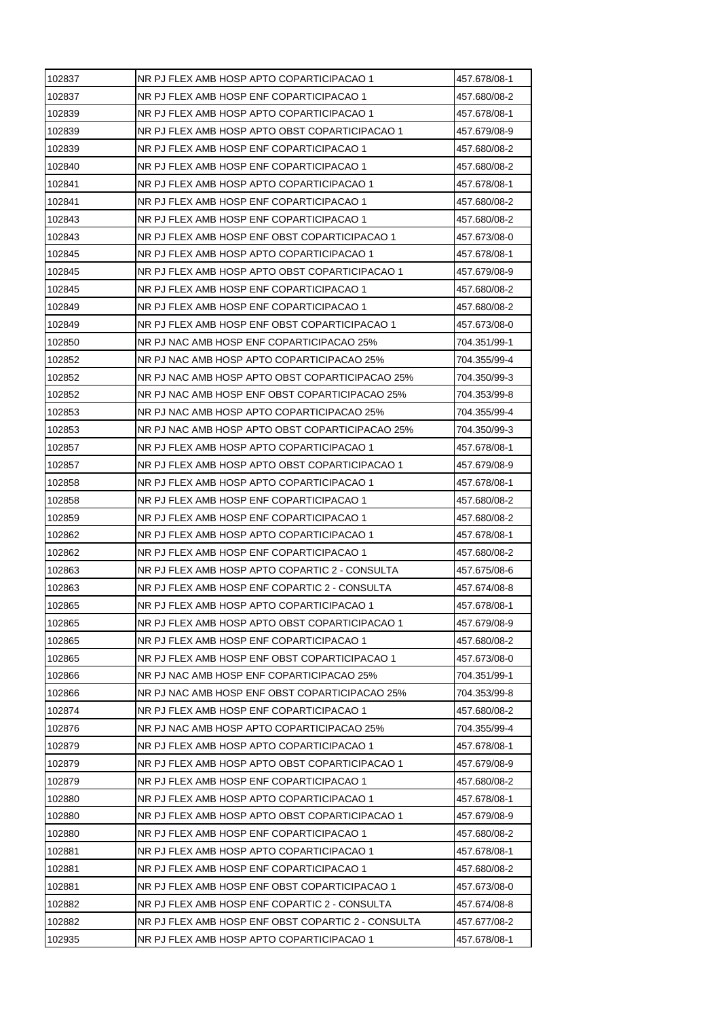| 102837 | NR PJ FLEX AMB HOSP APTO COPARTICIPACAO 1          | 457.678/08-1 |
|--------|----------------------------------------------------|--------------|
| 102837 | NR PJ FLEX AMB HOSP ENF COPARTICIPACAO 1           | 457.680/08-2 |
| 102839 | NR PJ FLEX AMB HOSP APTO COPARTICIPACAO 1          | 457.678/08-1 |
| 102839 | NR PJ FLEX AMB HOSP APTO OBST COPARTICIPACAO 1     | 457.679/08-9 |
| 102839 | NR PJ FLEX AMB HOSP ENF COPARTICIPACAO 1           | 457.680/08-2 |
| 102840 | NR PJ FLEX AMB HOSP ENF COPARTICIPACAO 1           | 457.680/08-2 |
| 102841 | NR PJ FLEX AMB HOSP APTO COPARTICIPACAO 1          | 457.678/08-1 |
| 102841 | NR PJ FLEX AMB HOSP ENF COPARTICIPACAO 1           | 457.680/08-2 |
| 102843 | NR PJ FLEX AMB HOSP ENF COPARTICIPACAO 1           | 457.680/08-2 |
| 102843 | NR PJ FLEX AMB HOSP ENF OBST COPARTICIPACAO 1      | 457.673/08-0 |
| 102845 | NR PJ FLEX AMB HOSP APTO COPARTICIPACAO 1          | 457.678/08-1 |
| 102845 | NR PJ FLEX AMB HOSP APTO OBST COPARTICIPACAO 1     | 457.679/08-9 |
| 102845 | NR PJ FLEX AMB HOSP ENF COPARTICIPACAO 1           | 457.680/08-2 |
| 102849 | NR PJ FLEX AMB HOSP ENF COPARTICIPACAO 1           | 457.680/08-2 |
| 102849 | NR PJ FLEX AMB HOSP ENF OBST COPARTICIPACAO 1      | 457.673/08-0 |
| 102850 | NR PJ NAC AMB HOSP ENF COPARTICIPACAO 25%          | 704.351/99-1 |
| 102852 | NR PJ NAC AMB HOSP APTO COPARTICIPACAO 25%         | 704.355/99-4 |
| 102852 | NR PJ NAC AMB HOSP APTO OBST COPARTICIPACAO 25%    | 704.350/99-3 |
| 102852 | NR PJ NAC AMB HOSP ENF OBST COPARTICIPACAO 25%     | 704.353/99-8 |
| 102853 | NR PJ NAC AMB HOSP APTO COPARTICIPACAO 25%         | 704.355/99-4 |
| 102853 | NR PJ NAC AMB HOSP APTO OBST COPARTICIPACAO 25%    | 704.350/99-3 |
| 102857 | NR PJ FLEX AMB HOSP APTO COPARTICIPACAO 1          | 457.678/08-1 |
| 102857 | NR PJ FLEX AMB HOSP APTO OBST COPARTICIPACAO 1     | 457.679/08-9 |
| 102858 | NR PJ FLEX AMB HOSP APTO COPARTICIPACAO 1          | 457.678/08-1 |
| 102858 | NR PJ FLEX AMB HOSP ENF COPARTICIPACAO 1           | 457.680/08-2 |
| 102859 | NR PJ FLEX AMB HOSP ENF COPARTICIPACAO 1           | 457.680/08-2 |
| 102862 | NR PJ FLEX AMB HOSP APTO COPARTICIPACAO 1          | 457.678/08-1 |
| 102862 | NR PJ FLEX AMB HOSP ENF COPARTICIPACAO 1           | 457.680/08-2 |
| 102863 | NR PJ FLEX AMB HOSP APTO COPARTIC 2 - CONSULTA     | 457.675/08-6 |
| 102863 | NR PJ FLEX AMB HOSP ENF COPARTIC 2 - CONSULTA      | 457.674/08-8 |
| 102865 | NR PJ FLEX AMB HOSP APTO COPARTICIPACAO 1          | 457.678/08-1 |
| 102865 | NR PJ FLEX AMB HOSP APTO OBST COPARTICIPACAO 1     | 457.679/08-9 |
| 102865 | NR PJ FLEX AMB HOSP ENF COPARTICIPACAO 1           | 457.680/08-2 |
| 102865 | NR PJ FLEX AMB HOSP ENF OBST COPARTICIPACAO 1      | 457.673/08-0 |
| 102866 | NR PJ NAC AMB HOSP ENF COPARTICIPACAO 25%          | 704.351/99-1 |
| 102866 | NR PJ NAC AMB HOSP ENF OBST COPARTICIPACAO 25%     | 704.353/99-8 |
| 102874 | NR PJ FLEX AMB HOSP ENF COPARTICIPACAO 1           | 457.680/08-2 |
| 102876 | NR PJ NAC AMB HOSP APTO COPARTICIPACAO 25%         | 704.355/99-4 |
| 102879 | NR PJ FLEX AMB HOSP APTO COPARTICIPACAO 1          | 457.678/08-1 |
| 102879 | NR PJ FLEX AMB HOSP APTO OBST COPARTICIPACAO 1     | 457.679/08-9 |
| 102879 | NR PJ FLEX AMB HOSP ENF COPARTICIPACAO 1           | 457.680/08-2 |
| 102880 | NR PJ FLEX AMB HOSP APTO COPARTICIPACAO 1          | 457.678/08-1 |
| 102880 | NR PJ FLEX AMB HOSP APTO OBST COPARTICIPACAO 1     | 457.679/08-9 |
| 102880 | NR PJ FLEX AMB HOSP ENF COPARTICIPACAO 1           | 457.680/08-2 |
| 102881 | NR PJ FLEX AMB HOSP APTO COPARTICIPACAO 1          | 457.678/08-1 |
| 102881 | NR PJ FLEX AMB HOSP ENF COPARTICIPACAO 1           | 457.680/08-2 |
| 102881 | NR PJ FLEX AMB HOSP ENF OBST COPARTICIPACAO 1      | 457.673/08-0 |
| 102882 | NR PJ FLEX AMB HOSP ENF COPARTIC 2 - CONSULTA      | 457.674/08-8 |
| 102882 | NR PJ FLEX AMB HOSP ENF OBST COPARTIC 2 - CONSULTA | 457.677/08-2 |
| 102935 |                                                    |              |
|        | NR PJ FLEX AMB HOSP APTO COPARTICIPACAO 1          | 457.678/08-1 |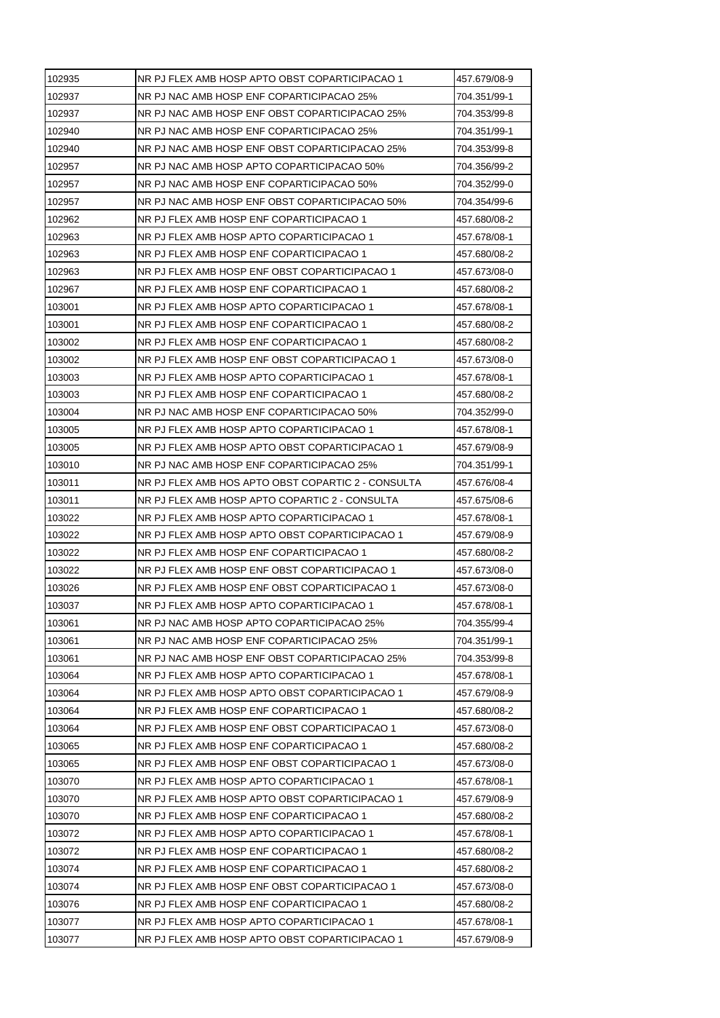| 102935 | NR PJ FLEX AMB HOSP APTO OBST COPARTICIPACAO 1     | 457.679/08-9 |
|--------|----------------------------------------------------|--------------|
| 102937 | NR PJ NAC AMB HOSP ENF COPARTICIPACAO 25%          | 704.351/99-1 |
| 102937 | NR PJ NAC AMB HOSP ENF OBST COPARTICIPACAO 25%     | 704.353/99-8 |
| 102940 | NR PJ NAC AMB HOSP ENF COPARTICIPACAO 25%          | 704.351/99-1 |
| 102940 | NR PJ NAC AMB HOSP ENF OBST COPARTICIPACAO 25%     | 704.353/99-8 |
| 102957 | NR PJ NAC AMB HOSP APTO COPARTICIPACAO 50%         | 704.356/99-2 |
| 102957 | NR PJ NAC AMB HOSP ENF COPARTICIPACAO 50%          | 704.352/99-0 |
| 102957 | NR PJ NAC AMB HOSP ENF OBST COPARTICIPACAO 50%     | 704.354/99-6 |
| 102962 | NR PJ FLEX AMB HOSP ENF COPARTICIPACAO 1           | 457.680/08-2 |
| 102963 | NR PJ FLEX AMB HOSP APTO COPARTICIPACAO 1          | 457.678/08-1 |
| 102963 | NR PJ FLEX AMB HOSP ENF COPARTICIPACAO 1           | 457.680/08-2 |
| 102963 | NR PJ FLEX AMB HOSP ENF OBST COPARTICIPACAO 1      | 457.673/08-0 |
| 102967 | NR PJ FLEX AMB HOSP ENF COPARTICIPACAO 1           | 457.680/08-2 |
| 103001 | NR PJ FLEX AMB HOSP APTO COPARTICIPACAO 1          | 457.678/08-1 |
| 103001 | NR PJ FLEX AMB HOSP ENF COPARTICIPACAO 1           | 457.680/08-2 |
| 103002 | NR PJ FLEX AMB HOSP ENF COPARTICIPACAO 1           | 457.680/08-2 |
| 103002 | NR PJ FLEX AMB HOSP ENF OBST COPARTICIPACAO 1      | 457.673/08-0 |
| 103003 | NR PJ FLEX AMB HOSP APTO COPARTICIPACAO 1          | 457.678/08-1 |
| 103003 | NR PJ FLEX AMB HOSP ENF COPARTICIPACAO 1           | 457.680/08-2 |
| 103004 | NR PJ NAC AMB HOSP ENF COPARTICIPACAO 50%          | 704.352/99-0 |
| 103005 | NR PJ FLEX AMB HOSP APTO COPARTICIPACAO 1          | 457.678/08-1 |
| 103005 | NR PJ FLEX AMB HOSP APTO OBST COPARTICIPACAO 1     | 457.679/08-9 |
| 103010 | NR PJ NAC AMB HOSP ENF COPARTICIPACAO 25%          | 704.351/99-1 |
| 103011 | NR PJ FLEX AMB HOS APTO OBST COPARTIC 2 - CONSULTA | 457.676/08-4 |
| 103011 | NR PJ FLEX AMB HOSP APTO COPARTIC 2 - CONSULTA     | 457.675/08-6 |
| 103022 | NR PJ FLEX AMB HOSP APTO COPARTICIPACAO 1          | 457.678/08-1 |
| 103022 | NR PJ FLEX AMB HOSP APTO OBST COPARTICIPACAO 1     | 457.679/08-9 |
| 103022 | NR PJ FLEX AMB HOSP ENF COPARTICIPACAO 1           | 457.680/08-2 |
| 103022 | NR PJ FLEX AMB HOSP ENF OBST COPARTICIPACAO 1      | 457.673/08-0 |
| 103026 | NR PJ FLEX AMB HOSP ENF OBST COPARTICIPACAO 1      | 457.673/08-0 |
| 103037 | NR PJ FLEX AMB HOSP APTO COPARTICIPACAO 1          | 457.678/08-1 |
| 103061 | NR PJ NAC AMB HOSP APTO COPARTICIPACAO 25%         | 704.355/99-4 |
| 103061 | NR PJ NAC AMB HOSP ENF COPARTICIPACAO 25%          | 704.351/99-1 |
| 103061 | NR PJ NAC AMB HOSP ENF OBST COPARTICIPACAO 25%     | 704.353/99-8 |
| 103064 | NR PJ FLEX AMB HOSP APTO COPARTICIPACAO 1          | 457.678/08-1 |
| 103064 | NR PJ FLEX AMB HOSP APTO OBST COPARTICIPACAO 1     | 457.679/08-9 |
| 103064 | NR PJ FLEX AMB HOSP ENF COPARTICIPACAO 1           | 457.680/08-2 |
| 103064 | NR PJ FLEX AMB HOSP ENF OBST COPARTICIPACAO 1      | 457.673/08-0 |
| 103065 | NR PJ FLEX AMB HOSP ENF COPARTICIPACAO 1           | 457.680/08-2 |
| 103065 | NR PJ FLEX AMB HOSP ENF OBST COPARTICIPACAO 1      |              |
| 103070 |                                                    | 457.673/08-0 |
| 103070 | NR PJ FLEX AMB HOSP APTO COPARTICIPACAO 1          | 457.678/08-1 |
|        | NR PJ FLEX AMB HOSP APTO OBST COPARTICIPACAO 1     | 457.679/08-9 |
| 103070 | NR PJ FLEX AMB HOSP ENF COPARTICIPACAO 1           | 457.680/08-2 |
| 103072 | NR PJ FLEX AMB HOSP APTO COPARTICIPACAO 1          | 457.678/08-1 |
| 103072 | NR PJ FLEX AMB HOSP ENF COPARTICIPACAO 1           | 457.680/08-2 |
| 103074 | NR PJ FLEX AMB HOSP ENF COPARTICIPACAO 1           | 457.680/08-2 |
| 103074 | NR PJ FLEX AMB HOSP ENF OBST COPARTICIPACAO 1      | 457.673/08-0 |
| 103076 | NR PJ FLEX AMB HOSP ENF COPARTICIPACAO 1           | 457.680/08-2 |
| 103077 | NR PJ FLEX AMB HOSP APTO COPARTICIPACAO 1          | 457.678/08-1 |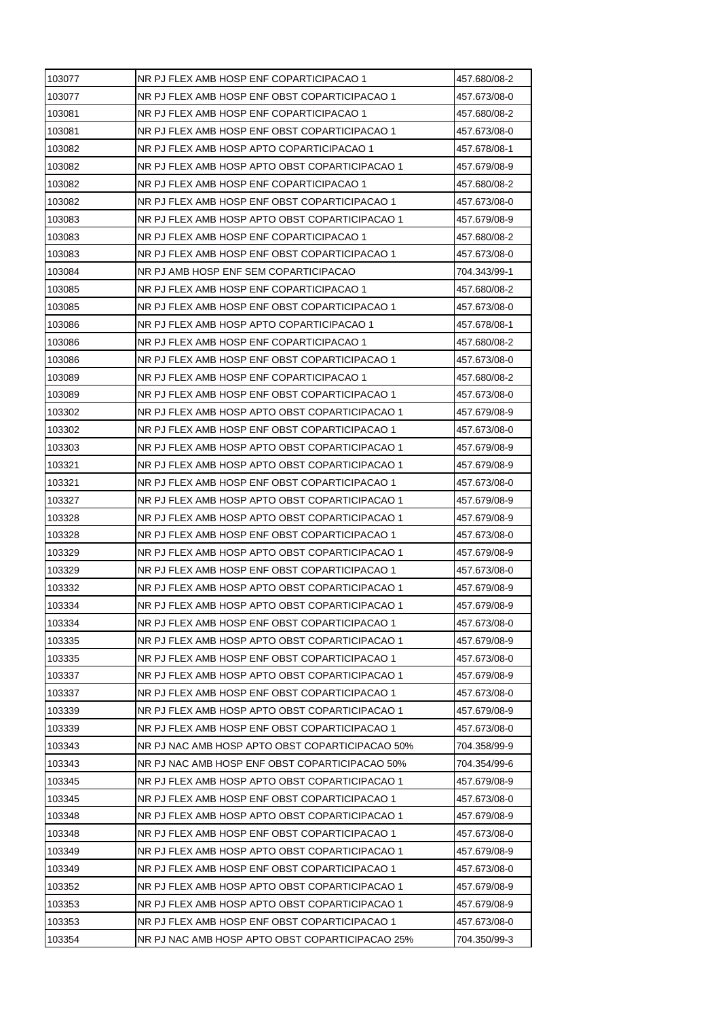| 103077 | NR PJ FLEX AMB HOSP ENF COPARTICIPACAO 1        | 457.680/08-2 |
|--------|-------------------------------------------------|--------------|
| 103077 | NR PJ FLEX AMB HOSP ENF OBST COPARTICIPACAO 1   | 457.673/08-0 |
| 103081 | NR PJ FLEX AMB HOSP ENF COPARTICIPACAO 1        | 457.680/08-2 |
| 103081 | NR PJ FLEX AMB HOSP ENF OBST COPARTICIPACAO 1   | 457.673/08-0 |
| 103082 | NR PJ FLEX AMB HOSP APTO COPARTICIPACAO 1       | 457.678/08-1 |
| 103082 | NR PJ FLEX AMB HOSP APTO OBST COPARTICIPACAO 1  | 457.679/08-9 |
| 103082 | NR PJ FLEX AMB HOSP ENF COPARTICIPACAO 1        | 457.680/08-2 |
| 103082 | NR PJ FLEX AMB HOSP ENF OBST COPARTICIPACAO 1   | 457.673/08-0 |
| 103083 | NR PJ FLEX AMB HOSP APTO OBST COPARTICIPACAO 1  | 457.679/08-9 |
| 103083 | NR PJ FLEX AMB HOSP ENF COPARTICIPACAO 1        | 457.680/08-2 |
| 103083 | NR PJ FLEX AMB HOSP ENF OBST COPARTICIPACAO 1   | 457.673/08-0 |
| 103084 | NR PJ AMB HOSP ENF SEM COPARTICIPACAO           | 704.343/99-1 |
| 103085 | NR PJ FLEX AMB HOSP ENF COPARTICIPACAO 1        | 457.680/08-2 |
| 103085 | NR PJ FLEX AMB HOSP ENF OBST COPARTICIPACAO 1   | 457.673/08-0 |
| 103086 | NR PJ FLEX AMB HOSP APTO COPARTICIPACAO 1       | 457.678/08-1 |
| 103086 | NR PJ FLEX AMB HOSP ENF COPARTICIPACAO 1        | 457.680/08-2 |
| 103086 | NR PJ FLEX AMB HOSP ENF OBST COPARTICIPACAO 1   | 457.673/08-0 |
| 103089 | NR PJ FLEX AMB HOSP ENF COPARTICIPACAO 1        | 457.680/08-2 |
| 103089 | NR PJ FLEX AMB HOSP ENF OBST COPARTICIPACAO 1   | 457.673/08-0 |
| 103302 | NR PJ FLEX AMB HOSP APTO OBST COPARTICIPACAO 1  | 457.679/08-9 |
| 103302 | NR PJ FLEX AMB HOSP ENF OBST COPARTICIPACAO 1   | 457.673/08-0 |
| 103303 | NR PJ FLEX AMB HOSP APTO OBST COPARTICIPACAO 1  | 457.679/08-9 |
| 103321 | NR PJ FLEX AMB HOSP APTO OBST COPARTICIPACAO 1  | 457.679/08-9 |
| 103321 | NR PJ FLEX AMB HOSP ENF OBST COPARTICIPACAO 1   | 457.673/08-0 |
| 103327 | NR PJ FLEX AMB HOSP APTO OBST COPARTICIPACAO 1  | 457.679/08-9 |
| 103328 | NR PJ FLEX AMB HOSP APTO OBST COPARTICIPACAO 1  | 457.679/08-9 |
| 103328 | NR PJ FLEX AMB HOSP ENF OBST COPARTICIPACAO 1   | 457.673/08-0 |
| 103329 | NR PJ FLEX AMB HOSP APTO OBST COPARTICIPACAO 1  | 457.679/08-9 |
| 103329 | NR PJ FLEX AMB HOSP ENF OBST COPARTICIPACAO 1   | 457.673/08-0 |
| 103332 | NR PJ FLEX AMB HOSP APTO OBST COPARTICIPACAO 1  | 457.679/08-9 |
| 103334 | NR PJ FLEX AMB HOSP APTO OBST COPARTICIPACAO 1  | 457.679/08-9 |
| 103334 | NR PJ FLEX AMB HOSP ENF OBST COPARTICIPACAO 1   | 457.673/08-0 |
| 103335 | NR PJ FLEX AMB HOSP APTO OBST COPARTICIPACAO 1  | 457.679/08-9 |
| 103335 | NR PJ FLEX AMB HOSP ENF OBST COPARTICIPACAO 1   | 457.673/08-0 |
| 103337 | NR PJ FLEX AMB HOSP APTO OBST COPARTICIPACAO 1  | 457.679/08-9 |
| 103337 | NR PJ FLEX AMB HOSP ENF OBST COPARTICIPACAO 1   | 457.673/08-0 |
| 103339 | NR PJ FLEX AMB HOSP APTO OBST COPARTICIPACAO 1  | 457.679/08-9 |
| 103339 | NR PJ FLEX AMB HOSP ENF OBST COPARTICIPACAO 1   | 457.673/08-0 |
| 103343 | NR PJ NAC AMB HOSP APTO OBST COPARTICIPACAO 50% | 704.358/99-9 |
| 103343 | NR PJ NAC AMB HOSP ENF OBST COPARTICIPACAO 50%  | 704.354/99-6 |
| 103345 | NR PJ FLEX AMB HOSP APTO OBST COPARTICIPACAO 1  | 457.679/08-9 |
| 103345 | NR PJ FLEX AMB HOSP ENF OBST COPARTICIPACAO 1   | 457.673/08-0 |
| 103348 | NR PJ FLEX AMB HOSP APTO OBST COPARTICIPACAO 1  | 457.679/08-9 |
| 103348 | NR PJ FLEX AMB HOSP ENF OBST COPARTICIPACAO 1   | 457.673/08-0 |
| 103349 | NR PJ FLEX AMB HOSP APTO OBST COPARTICIPACAO 1  | 457.679/08-9 |
| 103349 | NR PJ FLEX AMB HOSP ENF OBST COPARTICIPACAO 1   | 457.673/08-0 |
| 103352 | NR PJ FLEX AMB HOSP APTO OBST COPARTICIPACAO 1  | 457.679/08-9 |
| 103353 | NR PJ FLEX AMB HOSP APTO OBST COPARTICIPACAO 1  | 457.679/08-9 |
| 103353 | NR PJ FLEX AMB HOSP ENF OBST COPARTICIPACAO 1   | 457.673/08-0 |
| 103354 | NR PJ NAC AMB HOSP APTO OBST COPARTICIPACAO 25% | 704.350/99-3 |
|        |                                                 |              |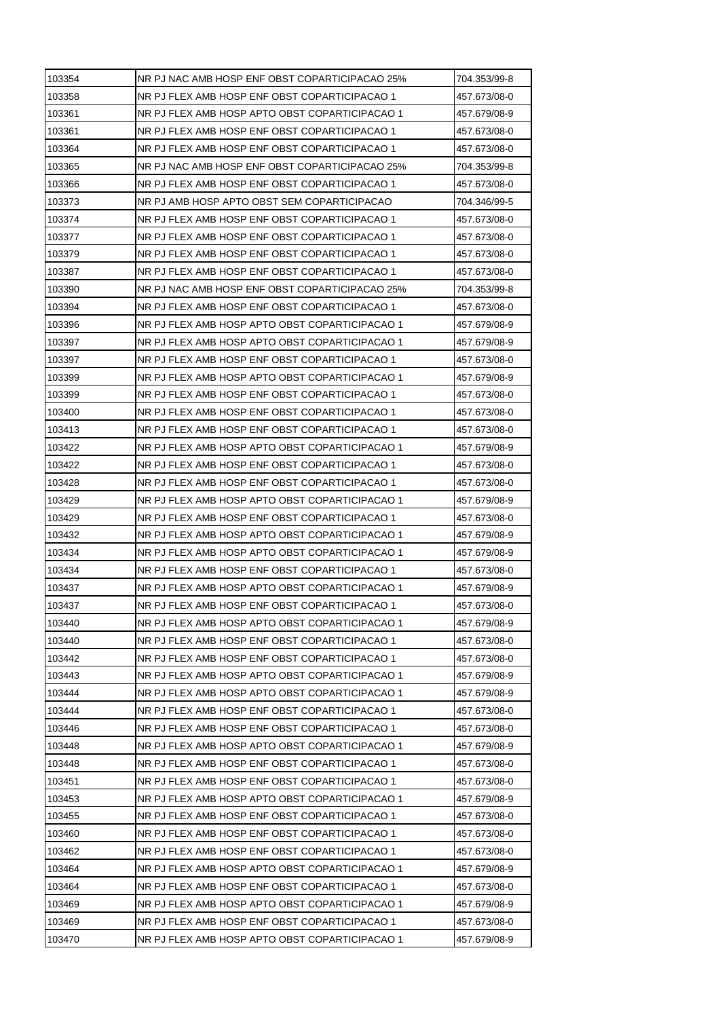| 103354 | NR PJ NAC AMB HOSP ENF OBST COPARTICIPACAO 25% | 704.353/99-8 |
|--------|------------------------------------------------|--------------|
| 103358 | NR PJ FLEX AMB HOSP ENF OBST COPARTICIPACAO 1  | 457.673/08-0 |
| 103361 | NR PJ FLEX AMB HOSP APTO OBST COPARTICIPACAO 1 | 457.679/08-9 |
| 103361 | NR PJ FLEX AMB HOSP ENF OBST COPARTICIPACAO 1  | 457.673/08-0 |
| 103364 | NR PJ FLEX AMB HOSP ENF OBST COPARTICIPACAO 1  | 457.673/08-0 |
| 103365 | NR PJ NAC AMB HOSP ENF OBST COPARTICIPACAO 25% | 704.353/99-8 |
| 103366 | NR PJ FLEX AMB HOSP ENF OBST COPARTICIPACAO 1  | 457.673/08-0 |
| 103373 | NR PJ AMB HOSP APTO OBST SEM COPARTICIPACAO    | 704.346/99-5 |
| 103374 | NR PJ FLEX AMB HOSP ENF OBST COPARTICIPACAO 1  | 457.673/08-0 |
| 103377 | NR PJ FLEX AMB HOSP ENF OBST COPARTICIPACAO 1  | 457.673/08-0 |
| 103379 | NR PJ FLEX AMB HOSP ENF OBST COPARTICIPACAO 1  | 457.673/08-0 |
| 103387 | NR PJ FLEX AMB HOSP ENF OBST COPARTICIPACAO 1  | 457.673/08-0 |
| 103390 | NR PJ NAC AMB HOSP ENF OBST COPARTICIPACAO 25% | 704.353/99-8 |
| 103394 | NR PJ FLEX AMB HOSP ENF OBST COPARTICIPACAO 1  | 457.673/08-0 |
| 103396 | NR PJ FLEX AMB HOSP APTO OBST COPARTICIPACAO 1 | 457.679/08-9 |
| 103397 | NR PJ FLEX AMB HOSP APTO OBST COPARTICIPACAO 1 | 457.679/08-9 |
| 103397 | NR PJ FLEX AMB HOSP ENF OBST COPARTICIPACAO 1  | 457.673/08-0 |
| 103399 | NR PJ FLEX AMB HOSP APTO OBST COPARTICIPACAO 1 | 457.679/08-9 |
| 103399 | NR PJ FLEX AMB HOSP ENF OBST COPARTICIPACAO 1  | 457.673/08-0 |
| 103400 | NR PJ FLEX AMB HOSP ENF OBST COPARTICIPACAO 1  | 457.673/08-0 |
| 103413 | NR PJ FLEX AMB HOSP ENF OBST COPARTICIPACAO 1  | 457.673/08-0 |
| 103422 | NR PJ FLEX AMB HOSP APTO OBST COPARTICIPACAO 1 | 457.679/08-9 |
| 103422 | NR PJ FLEX AMB HOSP ENF OBST COPARTICIPACAO 1  | 457.673/08-0 |
| 103428 | NR PJ FLEX AMB HOSP ENF OBST COPARTICIPACAO 1  | 457.673/08-0 |
| 103429 | NR PJ FLEX AMB HOSP APTO OBST COPARTICIPACAO 1 | 457.679/08-9 |
| 103429 | NR PJ FLEX AMB HOSP ENF OBST COPARTICIPACAO 1  | 457.673/08-0 |
| 103432 | NR PJ FLEX AMB HOSP APTO OBST COPARTICIPACAO 1 | 457.679/08-9 |
| 103434 | NR PJ FLEX AMB HOSP APTO OBST COPARTICIPACAO 1 | 457.679/08-9 |
| 103434 | NR PJ FLEX AMB HOSP ENF OBST COPARTICIPACAO 1  | 457.673/08-0 |
| 103437 | NR PJ FLEX AMB HOSP APTO OBST COPARTICIPACAO 1 | 457.679/08-9 |
| 103437 | NR PJ FLEX AMB HOSP ENF OBST COPARTICIPACAO 1  | 457.673/08-0 |
| 103440 | NR PJ FLEX AMB HOSP APTO OBST COPARTICIPACAO 1 | 457.679/08-9 |
| 103440 | NR PJ FLEX AMB HOSP ENF OBST COPARTICIPACAO 1  | 457.673/08-0 |
| 103442 | NR PJ FLEX AMB HOSP ENF OBST COPARTICIPACAO 1  | 457.673/08-0 |
| 103443 | NR PJ FLEX AMB HOSP APTO OBST COPARTICIPACAO 1 | 457.679/08-9 |
| 103444 | NR PJ FLEX AMB HOSP APTO OBST COPARTICIPACAO 1 | 457.679/08-9 |
| 103444 | NR PJ FLEX AMB HOSP ENF OBST COPARTICIPACAO 1  | 457.673/08-0 |
| 103446 | NR PJ FLEX AMB HOSP ENF OBST COPARTICIPACAO 1  | 457.673/08-0 |
| 103448 | NR PJ FLEX AMB HOSP APTO OBST COPARTICIPACAO 1 | 457.679/08-9 |
| 103448 | NR PJ FLEX AMB HOSP ENF OBST COPARTICIPACAO 1  | 457.673/08-0 |
| 103451 | NR PJ FLEX AMB HOSP ENF OBST COPARTICIPACAO 1  | 457.673/08-0 |
| 103453 | NR PJ FLEX AMB HOSP APTO OBST COPARTICIPACAO 1 | 457.679/08-9 |
| 103455 | NR PJ FLEX AMB HOSP ENF OBST COPARTICIPACAO 1  | 457.673/08-0 |
| 103460 |                                                |              |
| 103462 | NR PJ FLEX AMB HOSP ENF OBST COPARTICIPACAO 1  | 457.673/08-0 |
|        | NR PJ FLEX AMB HOSP ENF OBST COPARTICIPACAO 1  | 457.673/08-0 |
| 103464 | NR PJ FLEX AMB HOSP APTO OBST COPARTICIPACAO 1 | 457.679/08-9 |
| 103464 | NR PJ FLEX AMB HOSP ENF OBST COPARTICIPACAO 1  | 457.673/08-0 |
| 103469 | NR PJ FLEX AMB HOSP APTO OBST COPARTICIPACAO 1 | 457.679/08-9 |
| 103469 | NR PJ FLEX AMB HOSP ENF OBST COPARTICIPACAO 1  | 457.673/08-0 |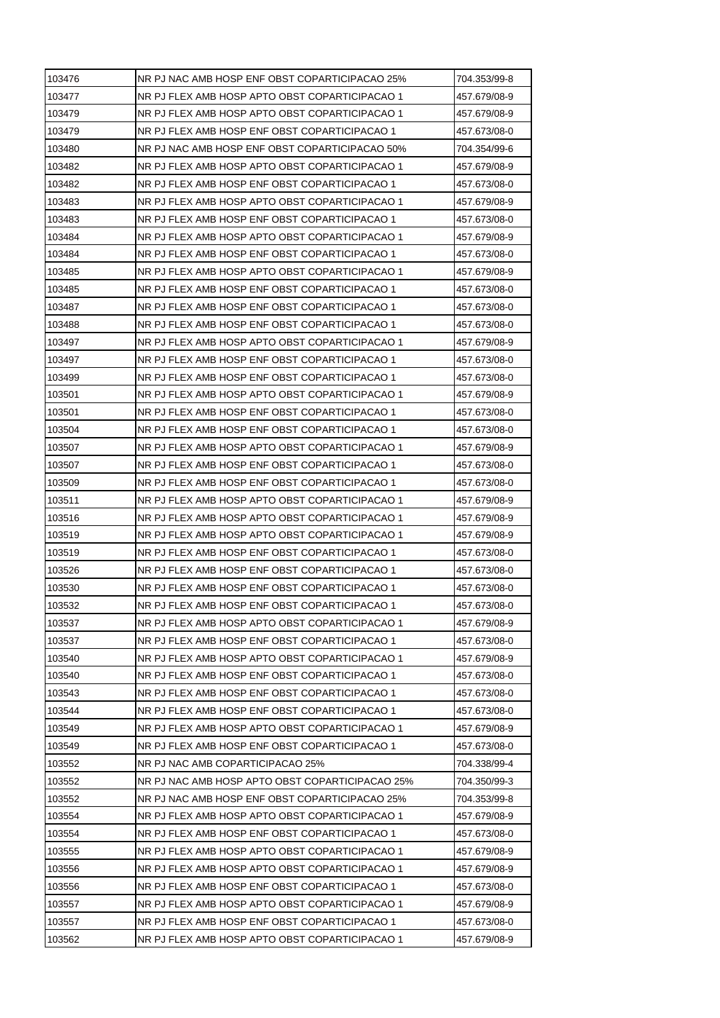| 103476 | NR PJ NAC AMB HOSP ENF OBST COPARTICIPACAO 25%  | 704.353/99-8 |
|--------|-------------------------------------------------|--------------|
| 103477 | NR PJ FLEX AMB HOSP APTO OBST COPARTICIPACAO 1  | 457.679/08-9 |
| 103479 | NR PJ FLEX AMB HOSP APTO OBST COPARTICIPACAO 1  | 457.679/08-9 |
| 103479 | NR PJ FLEX AMB HOSP ENF OBST COPARTICIPACAO 1   | 457.673/08-0 |
| 103480 | NR PJ NAC AMB HOSP ENF OBST COPARTICIPACAO 50%  | 704.354/99-6 |
| 103482 | NR PJ FLEX AMB HOSP APTO OBST COPARTICIPACAO 1  | 457.679/08-9 |
| 103482 | NR PJ FLEX AMB HOSP ENF OBST COPARTICIPACAO 1   | 457.673/08-0 |
| 103483 | NR PJ FLEX AMB HOSP APTO OBST COPARTICIPACAO 1  | 457.679/08-9 |
| 103483 | NR PJ FLEX AMB HOSP ENF OBST COPARTICIPACAO 1   | 457.673/08-0 |
| 103484 | NR PJ FLEX AMB HOSP APTO OBST COPARTICIPACAO 1  | 457.679/08-9 |
| 103484 | NR PJ FLEX AMB HOSP ENF OBST COPARTICIPACAO 1   | 457.673/08-0 |
| 103485 | NR PJ FLEX AMB HOSP APTO OBST COPARTICIPACAO 1  | 457.679/08-9 |
| 103485 | NR PJ FLEX AMB HOSP ENF OBST COPARTICIPACAO 1   | 457.673/08-0 |
| 103487 | NR PJ FLEX AMB HOSP ENF OBST COPARTICIPACAO 1   | 457.673/08-0 |
| 103488 | NR PJ FLEX AMB HOSP ENF OBST COPARTICIPACAO 1   | 457.673/08-0 |
| 103497 | NR PJ FLEX AMB HOSP APTO OBST COPARTICIPACAO 1  | 457.679/08-9 |
| 103497 | NR PJ FLEX AMB HOSP ENF OBST COPARTICIPACAO 1   | 457.673/08-0 |
| 103499 | NR PJ FLEX AMB HOSP ENF OBST COPARTICIPACAO 1   | 457.673/08-0 |
| 103501 | NR PJ FLEX AMB HOSP APTO OBST COPARTICIPACAO 1  | 457.679/08-9 |
| 103501 | NR PJ FLEX AMB HOSP ENF OBST COPARTICIPACAO 1   | 457.673/08-0 |
| 103504 | NR PJ FLEX AMB HOSP ENF OBST COPARTICIPACAO 1   | 457.673/08-0 |
| 103507 | NR PJ FLEX AMB HOSP APTO OBST COPARTICIPACAO 1  | 457.679/08-9 |
| 103507 | NR PJ FLEX AMB HOSP ENF OBST COPARTICIPACAO 1   | 457.673/08-0 |
| 103509 | NR PJ FLEX AMB HOSP ENF OBST COPARTICIPACAO 1   | 457.673/08-0 |
| 103511 | NR PJ FLEX AMB HOSP APTO OBST COPARTICIPACAO 1  | 457.679/08-9 |
| 103516 | NR PJ FLEX AMB HOSP APTO OBST COPARTICIPACAO 1  | 457.679/08-9 |
| 103519 | NR PJ FLEX AMB HOSP APTO OBST COPARTICIPACAO 1  | 457.679/08-9 |
| 103519 | NR PJ FLEX AMB HOSP ENF OBST COPARTICIPACAO 1   | 457.673/08-0 |
| 103526 | NR PJ FLEX AMB HOSP ENF OBST COPARTICIPACAO 1   | 457.673/08-0 |
| 103530 | NR PJ FLEX AMB HOSP ENF OBST COPARTICIPACAO 1   | 457.673/08-0 |
| 103532 | NR PJ FLEX AMB HOSP ENF OBST COPARTICIPACAO 1   | 457.673/08-0 |
| 103537 | NR PJ FLEX AMB HOSP APTO OBST COPARTICIPACAO 1  | 457.679/08-9 |
| 103537 | NR PJ FLEX AMB HOSP ENF OBST COPARTICIPACAO 1   | 457.673/08-0 |
| 103540 | NR PJ FLEX AMB HOSP APTO OBST COPARTICIPACAO 1  | 457.679/08-9 |
| 103540 | NR PJ FLEX AMB HOSP ENF OBST COPARTICIPACAO 1   | 457.673/08-0 |
| 103543 | NR PJ FLEX AMB HOSP ENF OBST COPARTICIPACAO 1   | 457.673/08-0 |
| 103544 | NR PJ FLEX AMB HOSP ENF OBST COPARTICIPACAO 1   | 457.673/08-0 |
| 103549 | NR PJ FLEX AMB HOSP APTO OBST COPARTICIPACAO 1  | 457.679/08-9 |
| 103549 | NR PJ FLEX AMB HOSP ENF OBST COPARTICIPACAO 1   | 457.673/08-0 |
| 103552 | NR PJ NAC AMB COPARTICIPACAO 25%                | 704.338/99-4 |
| 103552 | NR PJ NAC AMB HOSP APTO OBST COPARTICIPACAO 25% | 704.350/99-3 |
| 103552 | NR PJ NAC AMB HOSP ENF OBST COPARTICIPACAO 25%  | 704.353/99-8 |
| 103554 | NR PJ FLEX AMB HOSP APTO OBST COPARTICIPACAO 1  | 457.679/08-9 |
| 103554 | NR PJ FLEX AMB HOSP ENF OBST COPARTICIPACAO 1   | 457.673/08-0 |
| 103555 | NR PJ FLEX AMB HOSP APTO OBST COPARTICIPACAO 1  | 457.679/08-9 |
| 103556 | NR PJ FLEX AMB HOSP APTO OBST COPARTICIPACAO 1  | 457.679/08-9 |
| 103556 | NR PJ FLEX AMB HOSP ENF OBST COPARTICIPACAO 1   | 457.673/08-0 |
| 103557 | NR PJ FLEX AMB HOSP APTO OBST COPARTICIPACAO 1  | 457.679/08-9 |
| 103557 | NR PJ FLEX AMB HOSP ENF OBST COPARTICIPACAO 1   | 457.673/08-0 |
| 103562 | NR PJ FLEX AMB HOSP APTO OBST COPARTICIPACAO 1  | 457.679/08-9 |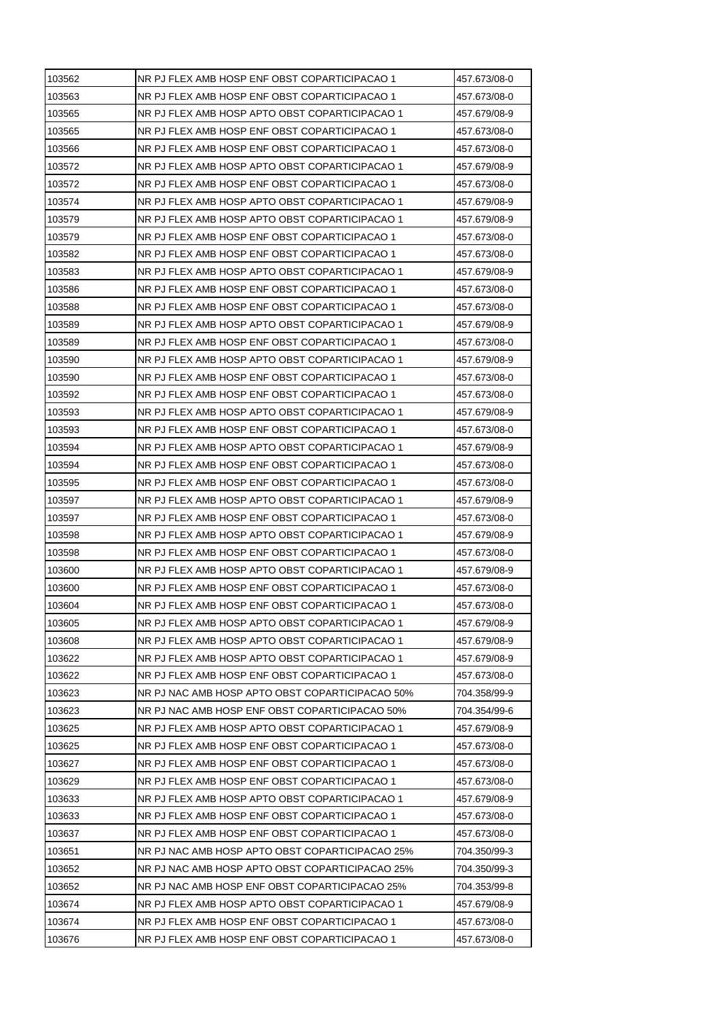| NR PJ FLEX AMB HOSP ENF OBST COPARTICIPACAO 1<br>457.673/08-0<br>NR PJ FLEX AMB HOSP APTO OBST COPARTICIPACAO 1<br>457.679/08-9<br>NR PJ FLEX AMB HOSP ENF OBST COPARTICIPACAO 1<br>457.673/08-0<br>NR PJ FLEX AMB HOSP ENF OBST COPARTICIPACAO 1<br>457.673/08-0<br>NR PJ FLEX AMB HOSP APTO OBST COPARTICIPACAO 1<br>457.679/08-9<br>NR PJ FLEX AMB HOSP ENF OBST COPARTICIPACAO 1<br>457.673/08-0<br>NR PJ FLEX AMB HOSP APTO OBST COPARTICIPACAO 1<br>457.679/08-9<br>NR PJ FLEX AMB HOSP APTO OBST COPARTICIPACAO 1<br>457.679/08-9<br>NR PJ FLEX AMB HOSP ENF OBST COPARTICIPACAO 1<br>457.673/08-0<br>NR PJ FLEX AMB HOSP ENF OBST COPARTICIPACAO 1<br>457.673/08-0<br>NR PJ FLEX AMB HOSP APTO OBST COPARTICIPACAO 1<br>457.679/08-9<br>NR PJ FLEX AMB HOSP ENF OBST COPARTICIPACAO 1<br>457.673/08-0<br>NR PJ FLEX AMB HOSP ENF OBST COPARTICIPACAO 1<br>457.673/08-0<br>NR PJ FLEX AMB HOSP APTO OBST COPARTICIPACAO 1<br>457.679/08-9<br>NR PJ FLEX AMB HOSP ENF OBST COPARTICIPACAO 1<br>457.673/08-0<br>NR PJ FLEX AMB HOSP APTO OBST COPARTICIPACAO 1<br>457.679/08-9<br>NR PJ FLEX AMB HOSP ENF OBST COPARTICIPACAO 1<br>457.673/08-0<br>NR PJ FLEX AMB HOSP ENF OBST COPARTICIPACAO 1<br>457.673/08-0<br>NR PJ FLEX AMB HOSP APTO OBST COPARTICIPACAO 1<br>457.679/08-9<br>NR PJ FLEX AMB HOSP ENF OBST COPARTICIPACAO 1<br>457.673/08-0<br>NR PJ FLEX AMB HOSP APTO OBST COPARTICIPACAO 1<br>457.679/08-9<br>NR PJ FLEX AMB HOSP ENF OBST COPARTICIPACAO 1<br>457.673/08-0<br>NR PJ FLEX AMB HOSP ENF OBST COPARTICIPACAO 1<br>457.673/08-0<br>NR PJ FLEX AMB HOSP APTO OBST COPARTICIPACAO 1<br>457.679/08-9<br>NR PJ FLEX AMB HOSP ENF OBST COPARTICIPACAO 1<br>457.673/08-0<br>NR PJ FLEX AMB HOSP APTO OBST COPARTICIPACAO 1<br>457.679/08-9<br>NR PJ FLEX AMB HOSP ENF OBST COPARTICIPACAO 1<br>457.673/08-0<br>NR PJ FLEX AMB HOSP APTO OBST COPARTICIPACAO 1<br>457.679/08-9<br>NR PJ FLEX AMB HOSP ENF OBST COPARTICIPACAO 1<br>457.673/08-0<br>NR PJ FLEX AMB HOSP ENF OBST COPARTICIPACAO 1<br>457.673/08-0<br>103605<br>NR PJ FLEX AMB HOSP APTO OBST COPARTICIPACAO 1<br>457.679/08-9<br>103608<br>NR PJ FLEX AMB HOSP APTO OBST COPARTICIPACAO 1<br>457.679/08-9<br>NR PJ FLEX AMB HOSP APTO OBST COPARTICIPACAO 1<br>457.679/08-9<br>NR PJ FLEX AMB HOSP ENF OBST COPARTICIPACAO 1<br>457.673/08-0<br>NR PJ NAC AMB HOSP APTO OBST COPARTICIPACAO 50%<br>704.358/99-9<br>NR PJ NAC AMB HOSP ENF OBST COPARTICIPACAO 50%<br>704.354/99-6<br>NR PJ FLEX AMB HOSP APTO OBST COPARTICIPACAO 1<br>457.679/08-9<br>NR PJ FLEX AMB HOSP ENF OBST COPARTICIPACAO 1<br>457.673/08-0<br>NR PJ FLEX AMB HOSP ENF OBST COPARTICIPACAO 1<br>457.673/08-0<br>NR PJ FLEX AMB HOSP ENF OBST COPARTICIPACAO 1<br>457.673/08-0<br>NR PJ FLEX AMB HOSP APTO OBST COPARTICIPACAO 1<br>457.679/08-9<br>NR PJ FLEX AMB HOSP ENF OBST COPARTICIPACAO 1<br>457.673/08-0<br>NR PJ FLEX AMB HOSP ENF OBST COPARTICIPACAO 1<br>457.673/08-0<br>NR PJ NAC AMB HOSP APTO OBST COPARTICIPACAO 25%<br>704.350/99-3<br>NR PJ NAC AMB HOSP APTO OBST COPARTICIPACAO 25%<br>704.350/99-3<br>NR PJ NAC AMB HOSP ENF OBST COPARTICIPACAO 25%<br>103652<br>704.353/99-8<br>NR PJ FLEX AMB HOSP APTO OBST COPARTICIPACAO 1<br>457.679/08-9<br>103674<br>NR PJ FLEX AMB HOSP ENF OBST COPARTICIPACAO 1<br>457.673/08-0<br>NR PJ FLEX AMB HOSP ENF OBST COPARTICIPACAO 1<br>457.673/08-0 | 103562 | NR PJ FLEX AMB HOSP ENF OBST COPARTICIPACAO 1 | 457.673/08-0 |
|---------------------------------------------------------------------------------------------------------------------------------------------------------------------------------------------------------------------------------------------------------------------------------------------------------------------------------------------------------------------------------------------------------------------------------------------------------------------------------------------------------------------------------------------------------------------------------------------------------------------------------------------------------------------------------------------------------------------------------------------------------------------------------------------------------------------------------------------------------------------------------------------------------------------------------------------------------------------------------------------------------------------------------------------------------------------------------------------------------------------------------------------------------------------------------------------------------------------------------------------------------------------------------------------------------------------------------------------------------------------------------------------------------------------------------------------------------------------------------------------------------------------------------------------------------------------------------------------------------------------------------------------------------------------------------------------------------------------------------------------------------------------------------------------------------------------------------------------------------------------------------------------------------------------------------------------------------------------------------------------------------------------------------------------------------------------------------------------------------------------------------------------------------------------------------------------------------------------------------------------------------------------------------------------------------------------------------------------------------------------------------------------------------------------------------------------------------------------------------------------------------------------------------------------------------------------------------------------------------------------------------------------------------------------------------------------------------------------------------------------------------------------------------------------------------------------------------------------------------------------------------------------------------------------------------------------------------------------------------------------------------------------------------------------------------------------------------------------------------------------------------------------------------------------------------------------------------------------------------------------------------------------------------------------------------------------------------------------------------------------------------|--------|-----------------------------------------------|--------------|
|                                                                                                                                                                                                                                                                                                                                                                                                                                                                                                                                                                                                                                                                                                                                                                                                                                                                                                                                                                                                                                                                                                                                                                                                                                                                                                                                                                                                                                                                                                                                                                                                                                                                                                                                                                                                                                                                                                                                                                                                                                                                                                                                                                                                                                                                                                                                                                                                                                                                                                                                                                                                                                                                                                                                                                                                                                                                                                                                                                                                                                                                                                                                                                                                                                                                                                                                                                                 | 103563 |                                               |              |
|                                                                                                                                                                                                                                                                                                                                                                                                                                                                                                                                                                                                                                                                                                                                                                                                                                                                                                                                                                                                                                                                                                                                                                                                                                                                                                                                                                                                                                                                                                                                                                                                                                                                                                                                                                                                                                                                                                                                                                                                                                                                                                                                                                                                                                                                                                                                                                                                                                                                                                                                                                                                                                                                                                                                                                                                                                                                                                                                                                                                                                                                                                                                                                                                                                                                                                                                                                                 | 103565 |                                               |              |
|                                                                                                                                                                                                                                                                                                                                                                                                                                                                                                                                                                                                                                                                                                                                                                                                                                                                                                                                                                                                                                                                                                                                                                                                                                                                                                                                                                                                                                                                                                                                                                                                                                                                                                                                                                                                                                                                                                                                                                                                                                                                                                                                                                                                                                                                                                                                                                                                                                                                                                                                                                                                                                                                                                                                                                                                                                                                                                                                                                                                                                                                                                                                                                                                                                                                                                                                                                                 | 103565 |                                               |              |
|                                                                                                                                                                                                                                                                                                                                                                                                                                                                                                                                                                                                                                                                                                                                                                                                                                                                                                                                                                                                                                                                                                                                                                                                                                                                                                                                                                                                                                                                                                                                                                                                                                                                                                                                                                                                                                                                                                                                                                                                                                                                                                                                                                                                                                                                                                                                                                                                                                                                                                                                                                                                                                                                                                                                                                                                                                                                                                                                                                                                                                                                                                                                                                                                                                                                                                                                                                                 | 103566 |                                               |              |
|                                                                                                                                                                                                                                                                                                                                                                                                                                                                                                                                                                                                                                                                                                                                                                                                                                                                                                                                                                                                                                                                                                                                                                                                                                                                                                                                                                                                                                                                                                                                                                                                                                                                                                                                                                                                                                                                                                                                                                                                                                                                                                                                                                                                                                                                                                                                                                                                                                                                                                                                                                                                                                                                                                                                                                                                                                                                                                                                                                                                                                                                                                                                                                                                                                                                                                                                                                                 | 103572 |                                               |              |
|                                                                                                                                                                                                                                                                                                                                                                                                                                                                                                                                                                                                                                                                                                                                                                                                                                                                                                                                                                                                                                                                                                                                                                                                                                                                                                                                                                                                                                                                                                                                                                                                                                                                                                                                                                                                                                                                                                                                                                                                                                                                                                                                                                                                                                                                                                                                                                                                                                                                                                                                                                                                                                                                                                                                                                                                                                                                                                                                                                                                                                                                                                                                                                                                                                                                                                                                                                                 | 103572 |                                               |              |
|                                                                                                                                                                                                                                                                                                                                                                                                                                                                                                                                                                                                                                                                                                                                                                                                                                                                                                                                                                                                                                                                                                                                                                                                                                                                                                                                                                                                                                                                                                                                                                                                                                                                                                                                                                                                                                                                                                                                                                                                                                                                                                                                                                                                                                                                                                                                                                                                                                                                                                                                                                                                                                                                                                                                                                                                                                                                                                                                                                                                                                                                                                                                                                                                                                                                                                                                                                                 | 103574 |                                               |              |
|                                                                                                                                                                                                                                                                                                                                                                                                                                                                                                                                                                                                                                                                                                                                                                                                                                                                                                                                                                                                                                                                                                                                                                                                                                                                                                                                                                                                                                                                                                                                                                                                                                                                                                                                                                                                                                                                                                                                                                                                                                                                                                                                                                                                                                                                                                                                                                                                                                                                                                                                                                                                                                                                                                                                                                                                                                                                                                                                                                                                                                                                                                                                                                                                                                                                                                                                                                                 | 103579 |                                               |              |
|                                                                                                                                                                                                                                                                                                                                                                                                                                                                                                                                                                                                                                                                                                                                                                                                                                                                                                                                                                                                                                                                                                                                                                                                                                                                                                                                                                                                                                                                                                                                                                                                                                                                                                                                                                                                                                                                                                                                                                                                                                                                                                                                                                                                                                                                                                                                                                                                                                                                                                                                                                                                                                                                                                                                                                                                                                                                                                                                                                                                                                                                                                                                                                                                                                                                                                                                                                                 | 103579 |                                               |              |
|                                                                                                                                                                                                                                                                                                                                                                                                                                                                                                                                                                                                                                                                                                                                                                                                                                                                                                                                                                                                                                                                                                                                                                                                                                                                                                                                                                                                                                                                                                                                                                                                                                                                                                                                                                                                                                                                                                                                                                                                                                                                                                                                                                                                                                                                                                                                                                                                                                                                                                                                                                                                                                                                                                                                                                                                                                                                                                                                                                                                                                                                                                                                                                                                                                                                                                                                                                                 | 103582 |                                               |              |
|                                                                                                                                                                                                                                                                                                                                                                                                                                                                                                                                                                                                                                                                                                                                                                                                                                                                                                                                                                                                                                                                                                                                                                                                                                                                                                                                                                                                                                                                                                                                                                                                                                                                                                                                                                                                                                                                                                                                                                                                                                                                                                                                                                                                                                                                                                                                                                                                                                                                                                                                                                                                                                                                                                                                                                                                                                                                                                                                                                                                                                                                                                                                                                                                                                                                                                                                                                                 | 103583 |                                               |              |
|                                                                                                                                                                                                                                                                                                                                                                                                                                                                                                                                                                                                                                                                                                                                                                                                                                                                                                                                                                                                                                                                                                                                                                                                                                                                                                                                                                                                                                                                                                                                                                                                                                                                                                                                                                                                                                                                                                                                                                                                                                                                                                                                                                                                                                                                                                                                                                                                                                                                                                                                                                                                                                                                                                                                                                                                                                                                                                                                                                                                                                                                                                                                                                                                                                                                                                                                                                                 | 103586 |                                               |              |
|                                                                                                                                                                                                                                                                                                                                                                                                                                                                                                                                                                                                                                                                                                                                                                                                                                                                                                                                                                                                                                                                                                                                                                                                                                                                                                                                                                                                                                                                                                                                                                                                                                                                                                                                                                                                                                                                                                                                                                                                                                                                                                                                                                                                                                                                                                                                                                                                                                                                                                                                                                                                                                                                                                                                                                                                                                                                                                                                                                                                                                                                                                                                                                                                                                                                                                                                                                                 | 103588 |                                               |              |
|                                                                                                                                                                                                                                                                                                                                                                                                                                                                                                                                                                                                                                                                                                                                                                                                                                                                                                                                                                                                                                                                                                                                                                                                                                                                                                                                                                                                                                                                                                                                                                                                                                                                                                                                                                                                                                                                                                                                                                                                                                                                                                                                                                                                                                                                                                                                                                                                                                                                                                                                                                                                                                                                                                                                                                                                                                                                                                                                                                                                                                                                                                                                                                                                                                                                                                                                                                                 | 103589 |                                               |              |
|                                                                                                                                                                                                                                                                                                                                                                                                                                                                                                                                                                                                                                                                                                                                                                                                                                                                                                                                                                                                                                                                                                                                                                                                                                                                                                                                                                                                                                                                                                                                                                                                                                                                                                                                                                                                                                                                                                                                                                                                                                                                                                                                                                                                                                                                                                                                                                                                                                                                                                                                                                                                                                                                                                                                                                                                                                                                                                                                                                                                                                                                                                                                                                                                                                                                                                                                                                                 | 103589 |                                               |              |
|                                                                                                                                                                                                                                                                                                                                                                                                                                                                                                                                                                                                                                                                                                                                                                                                                                                                                                                                                                                                                                                                                                                                                                                                                                                                                                                                                                                                                                                                                                                                                                                                                                                                                                                                                                                                                                                                                                                                                                                                                                                                                                                                                                                                                                                                                                                                                                                                                                                                                                                                                                                                                                                                                                                                                                                                                                                                                                                                                                                                                                                                                                                                                                                                                                                                                                                                                                                 | 103590 |                                               |              |
|                                                                                                                                                                                                                                                                                                                                                                                                                                                                                                                                                                                                                                                                                                                                                                                                                                                                                                                                                                                                                                                                                                                                                                                                                                                                                                                                                                                                                                                                                                                                                                                                                                                                                                                                                                                                                                                                                                                                                                                                                                                                                                                                                                                                                                                                                                                                                                                                                                                                                                                                                                                                                                                                                                                                                                                                                                                                                                                                                                                                                                                                                                                                                                                                                                                                                                                                                                                 | 103590 |                                               |              |
|                                                                                                                                                                                                                                                                                                                                                                                                                                                                                                                                                                                                                                                                                                                                                                                                                                                                                                                                                                                                                                                                                                                                                                                                                                                                                                                                                                                                                                                                                                                                                                                                                                                                                                                                                                                                                                                                                                                                                                                                                                                                                                                                                                                                                                                                                                                                                                                                                                                                                                                                                                                                                                                                                                                                                                                                                                                                                                                                                                                                                                                                                                                                                                                                                                                                                                                                                                                 | 103592 |                                               |              |
|                                                                                                                                                                                                                                                                                                                                                                                                                                                                                                                                                                                                                                                                                                                                                                                                                                                                                                                                                                                                                                                                                                                                                                                                                                                                                                                                                                                                                                                                                                                                                                                                                                                                                                                                                                                                                                                                                                                                                                                                                                                                                                                                                                                                                                                                                                                                                                                                                                                                                                                                                                                                                                                                                                                                                                                                                                                                                                                                                                                                                                                                                                                                                                                                                                                                                                                                                                                 | 103593 |                                               |              |
|                                                                                                                                                                                                                                                                                                                                                                                                                                                                                                                                                                                                                                                                                                                                                                                                                                                                                                                                                                                                                                                                                                                                                                                                                                                                                                                                                                                                                                                                                                                                                                                                                                                                                                                                                                                                                                                                                                                                                                                                                                                                                                                                                                                                                                                                                                                                                                                                                                                                                                                                                                                                                                                                                                                                                                                                                                                                                                                                                                                                                                                                                                                                                                                                                                                                                                                                                                                 | 103593 |                                               |              |
|                                                                                                                                                                                                                                                                                                                                                                                                                                                                                                                                                                                                                                                                                                                                                                                                                                                                                                                                                                                                                                                                                                                                                                                                                                                                                                                                                                                                                                                                                                                                                                                                                                                                                                                                                                                                                                                                                                                                                                                                                                                                                                                                                                                                                                                                                                                                                                                                                                                                                                                                                                                                                                                                                                                                                                                                                                                                                                                                                                                                                                                                                                                                                                                                                                                                                                                                                                                 | 103594 |                                               |              |
|                                                                                                                                                                                                                                                                                                                                                                                                                                                                                                                                                                                                                                                                                                                                                                                                                                                                                                                                                                                                                                                                                                                                                                                                                                                                                                                                                                                                                                                                                                                                                                                                                                                                                                                                                                                                                                                                                                                                                                                                                                                                                                                                                                                                                                                                                                                                                                                                                                                                                                                                                                                                                                                                                                                                                                                                                                                                                                                                                                                                                                                                                                                                                                                                                                                                                                                                                                                 | 103594 |                                               |              |
|                                                                                                                                                                                                                                                                                                                                                                                                                                                                                                                                                                                                                                                                                                                                                                                                                                                                                                                                                                                                                                                                                                                                                                                                                                                                                                                                                                                                                                                                                                                                                                                                                                                                                                                                                                                                                                                                                                                                                                                                                                                                                                                                                                                                                                                                                                                                                                                                                                                                                                                                                                                                                                                                                                                                                                                                                                                                                                                                                                                                                                                                                                                                                                                                                                                                                                                                                                                 | 103595 |                                               |              |
|                                                                                                                                                                                                                                                                                                                                                                                                                                                                                                                                                                                                                                                                                                                                                                                                                                                                                                                                                                                                                                                                                                                                                                                                                                                                                                                                                                                                                                                                                                                                                                                                                                                                                                                                                                                                                                                                                                                                                                                                                                                                                                                                                                                                                                                                                                                                                                                                                                                                                                                                                                                                                                                                                                                                                                                                                                                                                                                                                                                                                                                                                                                                                                                                                                                                                                                                                                                 | 103597 |                                               |              |
|                                                                                                                                                                                                                                                                                                                                                                                                                                                                                                                                                                                                                                                                                                                                                                                                                                                                                                                                                                                                                                                                                                                                                                                                                                                                                                                                                                                                                                                                                                                                                                                                                                                                                                                                                                                                                                                                                                                                                                                                                                                                                                                                                                                                                                                                                                                                                                                                                                                                                                                                                                                                                                                                                                                                                                                                                                                                                                                                                                                                                                                                                                                                                                                                                                                                                                                                                                                 | 103597 |                                               |              |
|                                                                                                                                                                                                                                                                                                                                                                                                                                                                                                                                                                                                                                                                                                                                                                                                                                                                                                                                                                                                                                                                                                                                                                                                                                                                                                                                                                                                                                                                                                                                                                                                                                                                                                                                                                                                                                                                                                                                                                                                                                                                                                                                                                                                                                                                                                                                                                                                                                                                                                                                                                                                                                                                                                                                                                                                                                                                                                                                                                                                                                                                                                                                                                                                                                                                                                                                                                                 | 103598 |                                               |              |
|                                                                                                                                                                                                                                                                                                                                                                                                                                                                                                                                                                                                                                                                                                                                                                                                                                                                                                                                                                                                                                                                                                                                                                                                                                                                                                                                                                                                                                                                                                                                                                                                                                                                                                                                                                                                                                                                                                                                                                                                                                                                                                                                                                                                                                                                                                                                                                                                                                                                                                                                                                                                                                                                                                                                                                                                                                                                                                                                                                                                                                                                                                                                                                                                                                                                                                                                                                                 | 103598 |                                               |              |
|                                                                                                                                                                                                                                                                                                                                                                                                                                                                                                                                                                                                                                                                                                                                                                                                                                                                                                                                                                                                                                                                                                                                                                                                                                                                                                                                                                                                                                                                                                                                                                                                                                                                                                                                                                                                                                                                                                                                                                                                                                                                                                                                                                                                                                                                                                                                                                                                                                                                                                                                                                                                                                                                                                                                                                                                                                                                                                                                                                                                                                                                                                                                                                                                                                                                                                                                                                                 | 103600 |                                               |              |
|                                                                                                                                                                                                                                                                                                                                                                                                                                                                                                                                                                                                                                                                                                                                                                                                                                                                                                                                                                                                                                                                                                                                                                                                                                                                                                                                                                                                                                                                                                                                                                                                                                                                                                                                                                                                                                                                                                                                                                                                                                                                                                                                                                                                                                                                                                                                                                                                                                                                                                                                                                                                                                                                                                                                                                                                                                                                                                                                                                                                                                                                                                                                                                                                                                                                                                                                                                                 | 103600 |                                               |              |
|                                                                                                                                                                                                                                                                                                                                                                                                                                                                                                                                                                                                                                                                                                                                                                                                                                                                                                                                                                                                                                                                                                                                                                                                                                                                                                                                                                                                                                                                                                                                                                                                                                                                                                                                                                                                                                                                                                                                                                                                                                                                                                                                                                                                                                                                                                                                                                                                                                                                                                                                                                                                                                                                                                                                                                                                                                                                                                                                                                                                                                                                                                                                                                                                                                                                                                                                                                                 | 103604 |                                               |              |
|                                                                                                                                                                                                                                                                                                                                                                                                                                                                                                                                                                                                                                                                                                                                                                                                                                                                                                                                                                                                                                                                                                                                                                                                                                                                                                                                                                                                                                                                                                                                                                                                                                                                                                                                                                                                                                                                                                                                                                                                                                                                                                                                                                                                                                                                                                                                                                                                                                                                                                                                                                                                                                                                                                                                                                                                                                                                                                                                                                                                                                                                                                                                                                                                                                                                                                                                                                                 |        |                                               |              |
|                                                                                                                                                                                                                                                                                                                                                                                                                                                                                                                                                                                                                                                                                                                                                                                                                                                                                                                                                                                                                                                                                                                                                                                                                                                                                                                                                                                                                                                                                                                                                                                                                                                                                                                                                                                                                                                                                                                                                                                                                                                                                                                                                                                                                                                                                                                                                                                                                                                                                                                                                                                                                                                                                                                                                                                                                                                                                                                                                                                                                                                                                                                                                                                                                                                                                                                                                                                 |        |                                               |              |
|                                                                                                                                                                                                                                                                                                                                                                                                                                                                                                                                                                                                                                                                                                                                                                                                                                                                                                                                                                                                                                                                                                                                                                                                                                                                                                                                                                                                                                                                                                                                                                                                                                                                                                                                                                                                                                                                                                                                                                                                                                                                                                                                                                                                                                                                                                                                                                                                                                                                                                                                                                                                                                                                                                                                                                                                                                                                                                                                                                                                                                                                                                                                                                                                                                                                                                                                                                                 | 103622 |                                               |              |
|                                                                                                                                                                                                                                                                                                                                                                                                                                                                                                                                                                                                                                                                                                                                                                                                                                                                                                                                                                                                                                                                                                                                                                                                                                                                                                                                                                                                                                                                                                                                                                                                                                                                                                                                                                                                                                                                                                                                                                                                                                                                                                                                                                                                                                                                                                                                                                                                                                                                                                                                                                                                                                                                                                                                                                                                                                                                                                                                                                                                                                                                                                                                                                                                                                                                                                                                                                                 | 103622 |                                               |              |
|                                                                                                                                                                                                                                                                                                                                                                                                                                                                                                                                                                                                                                                                                                                                                                                                                                                                                                                                                                                                                                                                                                                                                                                                                                                                                                                                                                                                                                                                                                                                                                                                                                                                                                                                                                                                                                                                                                                                                                                                                                                                                                                                                                                                                                                                                                                                                                                                                                                                                                                                                                                                                                                                                                                                                                                                                                                                                                                                                                                                                                                                                                                                                                                                                                                                                                                                                                                 | 103623 |                                               |              |
|                                                                                                                                                                                                                                                                                                                                                                                                                                                                                                                                                                                                                                                                                                                                                                                                                                                                                                                                                                                                                                                                                                                                                                                                                                                                                                                                                                                                                                                                                                                                                                                                                                                                                                                                                                                                                                                                                                                                                                                                                                                                                                                                                                                                                                                                                                                                                                                                                                                                                                                                                                                                                                                                                                                                                                                                                                                                                                                                                                                                                                                                                                                                                                                                                                                                                                                                                                                 | 103623 |                                               |              |
|                                                                                                                                                                                                                                                                                                                                                                                                                                                                                                                                                                                                                                                                                                                                                                                                                                                                                                                                                                                                                                                                                                                                                                                                                                                                                                                                                                                                                                                                                                                                                                                                                                                                                                                                                                                                                                                                                                                                                                                                                                                                                                                                                                                                                                                                                                                                                                                                                                                                                                                                                                                                                                                                                                                                                                                                                                                                                                                                                                                                                                                                                                                                                                                                                                                                                                                                                                                 | 103625 |                                               |              |
|                                                                                                                                                                                                                                                                                                                                                                                                                                                                                                                                                                                                                                                                                                                                                                                                                                                                                                                                                                                                                                                                                                                                                                                                                                                                                                                                                                                                                                                                                                                                                                                                                                                                                                                                                                                                                                                                                                                                                                                                                                                                                                                                                                                                                                                                                                                                                                                                                                                                                                                                                                                                                                                                                                                                                                                                                                                                                                                                                                                                                                                                                                                                                                                                                                                                                                                                                                                 | 103625 |                                               |              |
|                                                                                                                                                                                                                                                                                                                                                                                                                                                                                                                                                                                                                                                                                                                                                                                                                                                                                                                                                                                                                                                                                                                                                                                                                                                                                                                                                                                                                                                                                                                                                                                                                                                                                                                                                                                                                                                                                                                                                                                                                                                                                                                                                                                                                                                                                                                                                                                                                                                                                                                                                                                                                                                                                                                                                                                                                                                                                                                                                                                                                                                                                                                                                                                                                                                                                                                                                                                 | 103627 |                                               |              |
|                                                                                                                                                                                                                                                                                                                                                                                                                                                                                                                                                                                                                                                                                                                                                                                                                                                                                                                                                                                                                                                                                                                                                                                                                                                                                                                                                                                                                                                                                                                                                                                                                                                                                                                                                                                                                                                                                                                                                                                                                                                                                                                                                                                                                                                                                                                                                                                                                                                                                                                                                                                                                                                                                                                                                                                                                                                                                                                                                                                                                                                                                                                                                                                                                                                                                                                                                                                 | 103629 |                                               |              |
|                                                                                                                                                                                                                                                                                                                                                                                                                                                                                                                                                                                                                                                                                                                                                                                                                                                                                                                                                                                                                                                                                                                                                                                                                                                                                                                                                                                                                                                                                                                                                                                                                                                                                                                                                                                                                                                                                                                                                                                                                                                                                                                                                                                                                                                                                                                                                                                                                                                                                                                                                                                                                                                                                                                                                                                                                                                                                                                                                                                                                                                                                                                                                                                                                                                                                                                                                                                 | 103633 |                                               |              |
|                                                                                                                                                                                                                                                                                                                                                                                                                                                                                                                                                                                                                                                                                                                                                                                                                                                                                                                                                                                                                                                                                                                                                                                                                                                                                                                                                                                                                                                                                                                                                                                                                                                                                                                                                                                                                                                                                                                                                                                                                                                                                                                                                                                                                                                                                                                                                                                                                                                                                                                                                                                                                                                                                                                                                                                                                                                                                                                                                                                                                                                                                                                                                                                                                                                                                                                                                                                 | 103633 |                                               |              |
|                                                                                                                                                                                                                                                                                                                                                                                                                                                                                                                                                                                                                                                                                                                                                                                                                                                                                                                                                                                                                                                                                                                                                                                                                                                                                                                                                                                                                                                                                                                                                                                                                                                                                                                                                                                                                                                                                                                                                                                                                                                                                                                                                                                                                                                                                                                                                                                                                                                                                                                                                                                                                                                                                                                                                                                                                                                                                                                                                                                                                                                                                                                                                                                                                                                                                                                                                                                 | 103637 |                                               |              |
|                                                                                                                                                                                                                                                                                                                                                                                                                                                                                                                                                                                                                                                                                                                                                                                                                                                                                                                                                                                                                                                                                                                                                                                                                                                                                                                                                                                                                                                                                                                                                                                                                                                                                                                                                                                                                                                                                                                                                                                                                                                                                                                                                                                                                                                                                                                                                                                                                                                                                                                                                                                                                                                                                                                                                                                                                                                                                                                                                                                                                                                                                                                                                                                                                                                                                                                                                                                 | 103651 |                                               |              |
|                                                                                                                                                                                                                                                                                                                                                                                                                                                                                                                                                                                                                                                                                                                                                                                                                                                                                                                                                                                                                                                                                                                                                                                                                                                                                                                                                                                                                                                                                                                                                                                                                                                                                                                                                                                                                                                                                                                                                                                                                                                                                                                                                                                                                                                                                                                                                                                                                                                                                                                                                                                                                                                                                                                                                                                                                                                                                                                                                                                                                                                                                                                                                                                                                                                                                                                                                                                 | 103652 |                                               |              |
|                                                                                                                                                                                                                                                                                                                                                                                                                                                                                                                                                                                                                                                                                                                                                                                                                                                                                                                                                                                                                                                                                                                                                                                                                                                                                                                                                                                                                                                                                                                                                                                                                                                                                                                                                                                                                                                                                                                                                                                                                                                                                                                                                                                                                                                                                                                                                                                                                                                                                                                                                                                                                                                                                                                                                                                                                                                                                                                                                                                                                                                                                                                                                                                                                                                                                                                                                                                 |        |                                               |              |
|                                                                                                                                                                                                                                                                                                                                                                                                                                                                                                                                                                                                                                                                                                                                                                                                                                                                                                                                                                                                                                                                                                                                                                                                                                                                                                                                                                                                                                                                                                                                                                                                                                                                                                                                                                                                                                                                                                                                                                                                                                                                                                                                                                                                                                                                                                                                                                                                                                                                                                                                                                                                                                                                                                                                                                                                                                                                                                                                                                                                                                                                                                                                                                                                                                                                                                                                                                                 | 103674 |                                               |              |
|                                                                                                                                                                                                                                                                                                                                                                                                                                                                                                                                                                                                                                                                                                                                                                                                                                                                                                                                                                                                                                                                                                                                                                                                                                                                                                                                                                                                                                                                                                                                                                                                                                                                                                                                                                                                                                                                                                                                                                                                                                                                                                                                                                                                                                                                                                                                                                                                                                                                                                                                                                                                                                                                                                                                                                                                                                                                                                                                                                                                                                                                                                                                                                                                                                                                                                                                                                                 |        |                                               |              |
|                                                                                                                                                                                                                                                                                                                                                                                                                                                                                                                                                                                                                                                                                                                                                                                                                                                                                                                                                                                                                                                                                                                                                                                                                                                                                                                                                                                                                                                                                                                                                                                                                                                                                                                                                                                                                                                                                                                                                                                                                                                                                                                                                                                                                                                                                                                                                                                                                                                                                                                                                                                                                                                                                                                                                                                                                                                                                                                                                                                                                                                                                                                                                                                                                                                                                                                                                                                 | 103676 |                                               |              |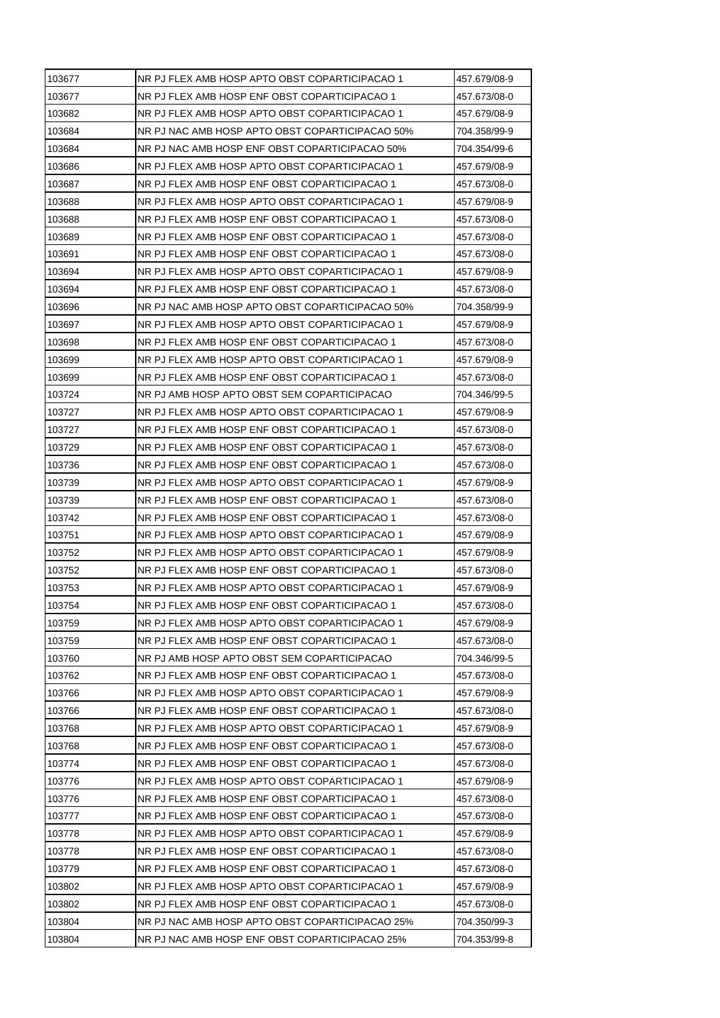| 103677 | NR PJ FLEX AMB HOSP APTO OBST COPARTICIPACAO 1  | 457.679/08-9 |
|--------|-------------------------------------------------|--------------|
| 103677 | NR PJ FLEX AMB HOSP ENF OBST COPARTICIPACAO 1   | 457.673/08-0 |
| 103682 | NR PJ FLEX AMB HOSP APTO OBST COPARTICIPACAO 1  | 457.679/08-9 |
| 103684 | NR PJ NAC AMB HOSP APTO OBST COPARTICIPACAO 50% | 704.358/99-9 |
| 103684 | NR PJ NAC AMB HOSP ENF OBST COPARTICIPACAO 50%  | 704.354/99-6 |
| 103686 | NR PJ FLEX AMB HOSP APTO OBST COPARTICIPACAO 1  | 457.679/08-9 |
| 103687 | NR PJ FLEX AMB HOSP ENF OBST COPARTICIPACAO 1   | 457.673/08-0 |
| 103688 | NR PJ FLEX AMB HOSP APTO OBST COPARTICIPACAO 1  | 457.679/08-9 |
| 103688 | NR PJ FLEX AMB HOSP ENF OBST COPARTICIPACAO 1   | 457.673/08-0 |
| 103689 | NR PJ FLEX AMB HOSP ENF OBST COPARTICIPACAO 1   | 457.673/08-0 |
| 103691 | NR PJ FLEX AMB HOSP ENF OBST COPARTICIPACAO 1   | 457.673/08-0 |
| 103694 | NR PJ FLEX AMB HOSP APTO OBST COPARTICIPACAO 1  | 457.679/08-9 |
| 103694 | NR PJ FLEX AMB HOSP ENF OBST COPARTICIPACAO 1   | 457.673/08-0 |
| 103696 | NR PJ NAC AMB HOSP APTO OBST COPARTICIPACAO 50% | 704.358/99-9 |
| 103697 | NR PJ FLEX AMB HOSP APTO OBST COPARTICIPACAO 1  | 457.679/08-9 |
| 103698 | NR PJ FLEX AMB HOSP ENF OBST COPARTICIPACAO 1   | 457.673/08-0 |
| 103699 | NR PJ FLEX AMB HOSP APTO OBST COPARTICIPACAO 1  | 457.679/08-9 |
| 103699 | NR PJ FLEX AMB HOSP ENF OBST COPARTICIPACAO 1   | 457.673/08-0 |
| 103724 | NR PJ AMB HOSP APTO OBST SEM COPARTICIPACAO     | 704.346/99-5 |
| 103727 | NR PJ FLEX AMB HOSP APTO OBST COPARTICIPACAO 1  | 457.679/08-9 |
| 103727 | NR PJ FLEX AMB HOSP ENF OBST COPARTICIPACAO 1   | 457.673/08-0 |
| 103729 | NR PJ FLEX AMB HOSP ENF OBST COPARTICIPACAO 1   | 457.673/08-0 |
| 103736 | NR PJ FLEX AMB HOSP ENF OBST COPARTICIPACAO 1   | 457.673/08-0 |
| 103739 | NR PJ FLEX AMB HOSP APTO OBST COPARTICIPACAO 1  | 457.679/08-9 |
| 103739 | NR PJ FLEX AMB HOSP ENF OBST COPARTICIPACAO 1   | 457.673/08-0 |
| 103742 | NR PJ FLEX AMB HOSP ENF OBST COPARTICIPACAO 1   | 457.673/08-0 |
| 103751 | NR PJ FLEX AMB HOSP APTO OBST COPARTICIPACAO 1  | 457.679/08-9 |
| 103752 | NR PJ FLEX AMB HOSP APTO OBST COPARTICIPACAO 1  | 457.679/08-9 |
| 103752 | NR PJ FLEX AMB HOSP ENF OBST COPARTICIPACAO 1   | 457.673/08-0 |
| 103753 | NR PJ FLEX AMB HOSP APTO OBST COPARTICIPACAO 1  | 457.679/08-9 |
| 103754 | NR PJ FLEX AMB HOSP ENF OBST COPARTICIPACAO 1   | 457.673/08-0 |
| 103759 | NR PJ FLEX AMB HOSP APTO OBST COPARTICIPACAO 1  | 457.679/08-9 |
| 103759 | NR PJ FLEX AMB HOSP ENF OBST COPARTICIPACAO 1   | 457.673/08-0 |
| 103760 | NR PJ AMB HOSP APTO OBST SEM COPARTICIPACAO     | 704.346/99-5 |
| 103762 | NR PJ FLEX AMB HOSP ENF OBST COPARTICIPACAO 1   | 457.673/08-0 |
| 103766 | NR PJ FLEX AMB HOSP APTO OBST COPARTICIPACAO 1  | 457.679/08-9 |
| 103766 | NR PJ FLEX AMB HOSP ENF OBST COPARTICIPACAO 1   | 457.673/08-0 |
| 103768 | NR PJ FLEX AMB HOSP APTO OBST COPARTICIPACAO 1  | 457.679/08-9 |
| 103768 | NR PJ FLEX AMB HOSP ENF OBST COPARTICIPACAO 1   | 457.673/08-0 |
| 103774 | NR PJ FLEX AMB HOSP ENF OBST COPARTICIPACAO 1   | 457.673/08-0 |
| 103776 | NR PJ FLEX AMB HOSP APTO OBST COPARTICIPACAO 1  | 457.679/08-9 |
| 103776 | NR PJ FLEX AMB HOSP ENF OBST COPARTICIPACAO 1   | 457.673/08-0 |
| 103777 | NR PJ FLEX AMB HOSP ENF OBST COPARTICIPACAO 1   | 457.673/08-0 |
| 103778 | NR PJ FLEX AMB HOSP APTO OBST COPARTICIPACAO 1  | 457.679/08-9 |
| 103778 | NR PJ FLEX AMB HOSP ENF OBST COPARTICIPACAO 1   | 457.673/08-0 |
| 103779 | NR PJ FLEX AMB HOSP ENF OBST COPARTICIPACAO 1   | 457.673/08-0 |
| 103802 | NR PJ FLEX AMB HOSP APTO OBST COPARTICIPACAO 1  | 457.679/08-9 |
| 103802 | NR PJ FLEX AMB HOSP ENF OBST COPARTICIPACAO 1   | 457.673/08-0 |
| 103804 | NR PJ NAC AMB HOSP APTO OBST COPARTICIPACAO 25% | 704.350/99-3 |
|        |                                                 |              |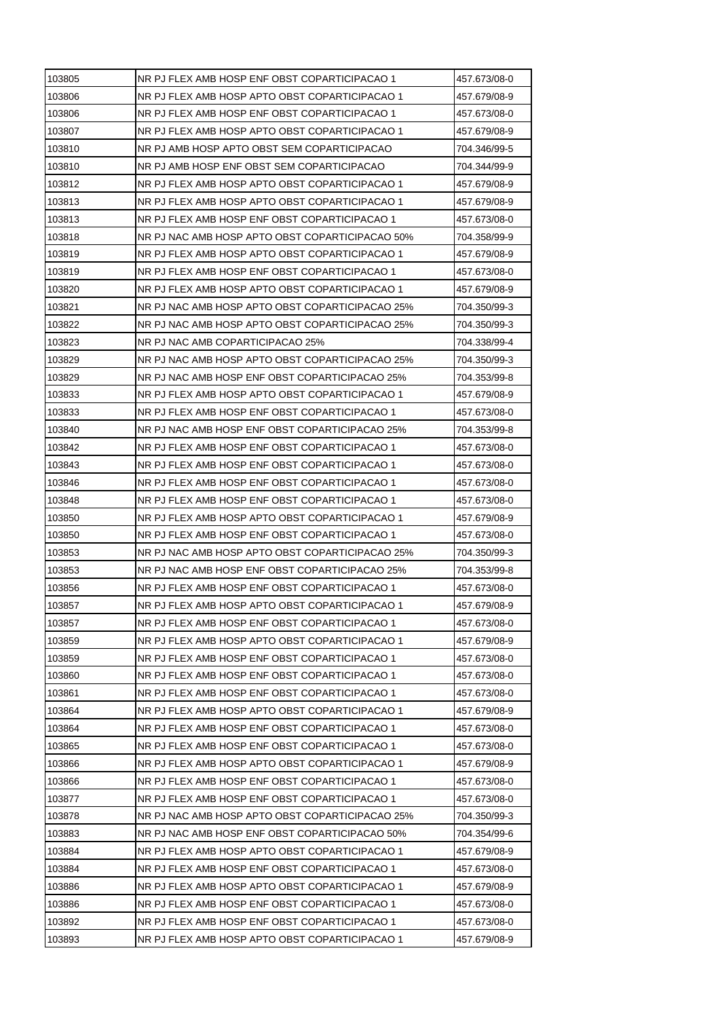| 103805 | NR PJ FLEX AMB HOSP ENF OBST COPARTICIPACAO 1   | 457.673/08-0 |
|--------|-------------------------------------------------|--------------|
| 103806 | NR PJ FLEX AMB HOSP APTO OBST COPARTICIPACAO 1  | 457.679/08-9 |
| 103806 | NR PJ FLEX AMB HOSP ENF OBST COPARTICIPACAO 1   | 457.673/08-0 |
| 103807 | NR PJ FLEX AMB HOSP APTO OBST COPARTICIPACAO 1  | 457.679/08-9 |
| 103810 | NR PJ AMB HOSP APTO OBST SEM COPARTICIPACAO     | 704.346/99-5 |
| 103810 | NR PJ AMB HOSP ENF OBST SEM COPARTICIPACAO      | 704.344/99-9 |
| 103812 | NR PJ FLEX AMB HOSP APTO OBST COPARTICIPACAO 1  | 457.679/08-9 |
| 103813 | NR PJ FLEX AMB HOSP APTO OBST COPARTICIPACAO 1  | 457.679/08-9 |
| 103813 | NR PJ FLEX AMB HOSP ENF OBST COPARTICIPACAO 1   | 457.673/08-0 |
| 103818 | NR PJ NAC AMB HOSP APTO OBST COPARTICIPACAO 50% | 704.358/99-9 |
| 103819 | NR PJ FLEX AMB HOSP APTO OBST COPARTICIPACAO 1  | 457.679/08-9 |
| 103819 | NR PJ FLEX AMB HOSP ENF OBST COPARTICIPACAO 1   | 457.673/08-0 |
| 103820 | NR PJ FLEX AMB HOSP APTO OBST COPARTICIPACAO 1  | 457.679/08-9 |
| 103821 | NR PJ NAC AMB HOSP APTO OBST COPARTICIPACAO 25% | 704.350/99-3 |
| 103822 | NR PJ NAC AMB HOSP APTO OBST COPARTICIPACAO 25% | 704.350/99-3 |
| 103823 | NR PJ NAC AMB COPARTICIPACAO 25%                | 704.338/99-4 |
| 103829 | NR PJ NAC AMB HOSP APTO OBST COPARTICIPACAO 25% | 704.350/99-3 |
| 103829 | NR PJ NAC AMB HOSP ENF OBST COPARTICIPACAO 25%  | 704.353/99-8 |
| 103833 | NR PJ FLEX AMB HOSP APTO OBST COPARTICIPACAO 1  | 457.679/08-9 |
| 103833 | NR PJ FLEX AMB HOSP ENF OBST COPARTICIPACAO 1   | 457.673/08-0 |
| 103840 | NR PJ NAC AMB HOSP ENF OBST COPARTICIPACAO 25%  | 704.353/99-8 |
| 103842 | NR PJ FLEX AMB HOSP ENF OBST COPARTICIPACAO 1   | 457.673/08-0 |
| 103843 | NR PJ FLEX AMB HOSP ENF OBST COPARTICIPACAO 1   | 457.673/08-0 |
| 103846 | NR PJ FLEX AMB HOSP ENF OBST COPARTICIPACAO 1   | 457.673/08-0 |
| 103848 | NR PJ FLEX AMB HOSP ENF OBST COPARTICIPACAO 1   | 457.673/08-0 |
| 103850 | NR PJ FLEX AMB HOSP APTO OBST COPARTICIPACAO 1  | 457.679/08-9 |
| 103850 | NR PJ FLEX AMB HOSP ENF OBST COPARTICIPACAO 1   | 457.673/08-0 |
| 103853 | NR PJ NAC AMB HOSP APTO OBST COPARTICIPACAO 25% | 704.350/99-3 |
| 103853 | NR PJ NAC AMB HOSP ENF OBST COPARTICIPACAO 25%  | 704.353/99-8 |
| 103856 | NR PJ FLEX AMB HOSP ENF OBST COPARTICIPACAO 1   | 457.673/08-0 |
| 103857 | NR PJ FLEX AMB HOSP APTO OBST COPARTICIPACAO 1  | 457.679/08-9 |
| 103857 | NR PJ FLEX AMB HOSP ENF OBST COPARTICIPACAO 1   | 457.673/08-0 |
| 103859 | NR PJ FLEX AMB HOSP APTO OBST COPARTICIPACAO 1  | 457.679/08-9 |
| 103859 | NR PJ FLEX AMB HOSP ENF OBST COPARTICIPACAO 1   | 457.673/08-0 |
| 103860 | NR PJ FLEX AMB HOSP ENF OBST COPARTICIPACAO 1   | 457.673/08-0 |
| 103861 | NR PJ FLEX AMB HOSP ENF OBST COPARTICIPACAO 1   | 457.673/08-0 |
| 103864 | NR PJ FLEX AMB HOSP APTO OBST COPARTICIPACAO 1  | 457.679/08-9 |
| 103864 | NR PJ FLEX AMB HOSP ENF OBST COPARTICIPACAO 1   | 457.673/08-0 |
| 103865 | NR PJ FLEX AMB HOSP ENF OBST COPARTICIPACAO 1   | 457.673/08-0 |
| 103866 | NR PJ FLEX AMB HOSP APTO OBST COPARTICIPACAO 1  | 457.679/08-9 |
| 103866 | NR PJ FLEX AMB HOSP ENF OBST COPARTICIPACAO 1   | 457.673/08-0 |
| 103877 | NR PJ FLEX AMB HOSP ENF OBST COPARTICIPACAO 1   | 457.673/08-0 |
| 103878 | NR PJ NAC AMB HOSP APTO OBST COPARTICIPACAO 25% | 704.350/99-3 |
| 103883 | NR PJ NAC AMB HOSP ENF OBST COPARTICIPACAO 50%  | 704.354/99-6 |
| 103884 | NR PJ FLEX AMB HOSP APTO OBST COPARTICIPACAO 1  | 457.679/08-9 |
| 103884 | NR PJ FLEX AMB HOSP ENF OBST COPARTICIPACAO 1   | 457.673/08-0 |
| 103886 | NR PJ FLEX AMB HOSP APTO OBST COPARTICIPACAO 1  | 457.679/08-9 |
| 103886 | NR PJ FLEX AMB HOSP ENF OBST COPARTICIPACAO 1   | 457.673/08-0 |
| 103892 | NR PJ FLEX AMB HOSP ENF OBST COPARTICIPACAO 1   | 457.673/08-0 |
| 103893 | NR PJ FLEX AMB HOSP APTO OBST COPARTICIPACAO 1  | 457.679/08-9 |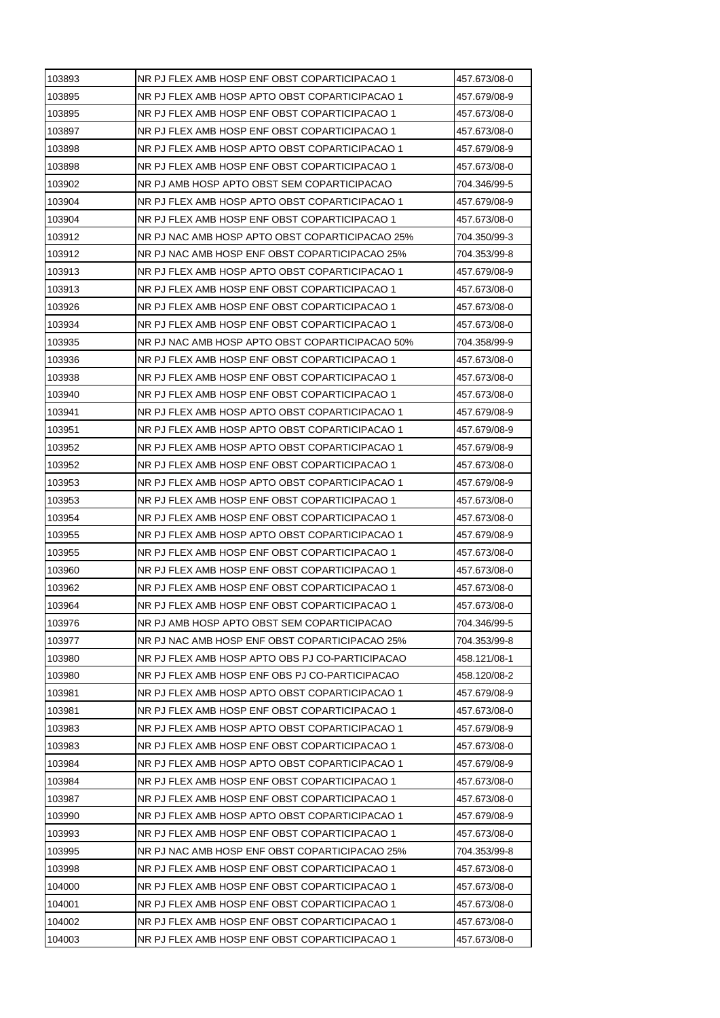| 103893 | NR PJ FLEX AMB HOSP ENF OBST COPARTICIPACAO 1   | 457.673/08-0 |
|--------|-------------------------------------------------|--------------|
| 103895 | NR PJ FLEX AMB HOSP APTO OBST COPARTICIPACAO 1  | 457.679/08-9 |
| 103895 | NR PJ FLEX AMB HOSP ENF OBST COPARTICIPACAO 1   | 457.673/08-0 |
| 103897 | NR PJ FLEX AMB HOSP ENF OBST COPARTICIPACAO 1   | 457.673/08-0 |
| 103898 | NR PJ FLEX AMB HOSP APTO OBST COPARTICIPACAO 1  | 457.679/08-9 |
| 103898 | NR PJ FLEX AMB HOSP ENF OBST COPARTICIPACAO 1   | 457.673/08-0 |
| 103902 | NR PJ AMB HOSP APTO OBST SEM COPARTICIPACAO     | 704.346/99-5 |
| 103904 | NR PJ FLEX AMB HOSP APTO OBST COPARTICIPACAO 1  | 457.679/08-9 |
| 103904 | NR PJ FLEX AMB HOSP ENF OBST COPARTICIPACAO 1   | 457.673/08-0 |
| 103912 | NR PJ NAC AMB HOSP APTO OBST COPARTICIPACAO 25% | 704.350/99-3 |
| 103912 | NR PJ NAC AMB HOSP ENF OBST COPARTICIPACAO 25%  | 704.353/99-8 |
| 103913 | NR PJ FLEX AMB HOSP APTO OBST COPARTICIPACAO 1  | 457.679/08-9 |
| 103913 | NR PJ FLEX AMB HOSP ENF OBST COPARTICIPACAO 1   | 457.673/08-0 |
| 103926 | NR PJ FLEX AMB HOSP ENF OBST COPARTICIPACAO 1   | 457.673/08-0 |
| 103934 | NR PJ FLEX AMB HOSP ENF OBST COPARTICIPACAO 1   | 457.673/08-0 |
| 103935 | NR PJ NAC AMB HOSP APTO OBST COPARTICIPACAO 50% | 704.358/99-9 |
| 103936 | NR PJ FLEX AMB HOSP ENF OBST COPARTICIPACAO 1   | 457.673/08-0 |
| 103938 | NR PJ FLEX AMB HOSP ENF OBST COPARTICIPACAO 1   | 457.673/08-0 |
| 103940 | NR PJ FLEX AMB HOSP ENF OBST COPARTICIPACAO 1   | 457.673/08-0 |
| 103941 | NR PJ FLEX AMB HOSP APTO OBST COPARTICIPACAO 1  | 457.679/08-9 |
| 103951 | NR PJ FLEX AMB HOSP APTO OBST COPARTICIPACAO 1  | 457.679/08-9 |
| 103952 | NR PJ FLEX AMB HOSP APTO OBST COPARTICIPACAO 1  | 457.679/08-9 |
| 103952 | NR PJ FLEX AMB HOSP ENF OBST COPARTICIPACAO 1   | 457.673/08-0 |
| 103953 | NR PJ FLEX AMB HOSP APTO OBST COPARTICIPACAO 1  | 457.679/08-9 |
| 103953 | NR PJ FLEX AMB HOSP ENF OBST COPARTICIPACAO 1   | 457.673/08-0 |
| 103954 | NR PJ FLEX AMB HOSP ENF OBST COPARTICIPACAO 1   | 457.673/08-0 |
| 103955 | NR PJ FLEX AMB HOSP APTO OBST COPARTICIPACAO 1  | 457.679/08-9 |
| 103955 | NR PJ FLEX AMB HOSP ENF OBST COPARTICIPACAO 1   | 457.673/08-0 |
| 103960 | NR PJ FLEX AMB HOSP ENF OBST COPARTICIPACAO 1   | 457.673/08-0 |
| 103962 | NR PJ FLEX AMB HOSP ENF OBST COPARTICIPACAO 1   | 457.673/08-0 |
| 103964 | NR PJ FLEX AMB HOSP ENF OBST COPARTICIPACAO 1   | 457.673/08-0 |
| 103976 | NR PJ AMB HOSP APTO OBST SEM COPARTICIPACAO     | 704.346/99-5 |
| 103977 | NR PJ NAC AMB HOSP ENF OBST COPARTICIPACAO 25%  | 704.353/99-8 |
| 103980 | NR PJ FLEX AMB HOSP APTO OBS PJ CO-PARTICIPACAO | 458.121/08-1 |
| 103980 | NR PJ FLEX AMB HOSP ENF OBS PJ CO-PARTICIPACAO  | 458.120/08-2 |
| 103981 | NR PJ FLEX AMB HOSP APTO OBST COPARTICIPACAO 1  | 457.679/08-9 |
| 103981 | NR PJ FLEX AMB HOSP ENF OBST COPARTICIPACAO 1   | 457.673/08-0 |
| 103983 | NR PJ FLEX AMB HOSP APTO OBST COPARTICIPACAO 1  | 457.679/08-9 |
| 103983 | NR PJ FLEX AMB HOSP ENF OBST COPARTICIPACAO 1   | 457.673/08-0 |
| 103984 | NR PJ FLEX AMB HOSP APTO OBST COPARTICIPACAO 1  | 457.679/08-9 |
| 103984 | NR PJ FLEX AMB HOSP ENF OBST COPARTICIPACAO 1   | 457.673/08-0 |
| 103987 | NR PJ FLEX AMB HOSP ENF OBST COPARTICIPACAO 1   | 457.673/08-0 |
| 103990 | NR PJ FLEX AMB HOSP APTO OBST COPARTICIPACAO 1  | 457.679/08-9 |
| 103993 | NR PJ FLEX AMB HOSP ENF OBST COPARTICIPACAO 1   | 457.673/08-0 |
| 103995 | NR PJ NAC AMB HOSP ENF OBST COPARTICIPACAO 25%  | 704.353/99-8 |
| 103998 | NR PJ FLEX AMB HOSP ENF OBST COPARTICIPACAO 1   | 457.673/08-0 |
| 104000 | NR PJ FLEX AMB HOSP ENF OBST COPARTICIPACAO 1   | 457.673/08-0 |
| 104001 | NR PJ FLEX AMB HOSP ENF OBST COPARTICIPACAO 1   | 457.673/08-0 |
| 104002 | NR PJ FLEX AMB HOSP ENF OBST COPARTICIPACAO 1   | 457.673/08-0 |
| 104003 | NR PJ FLEX AMB HOSP ENF OBST COPARTICIPACAO 1   | 457.673/08-0 |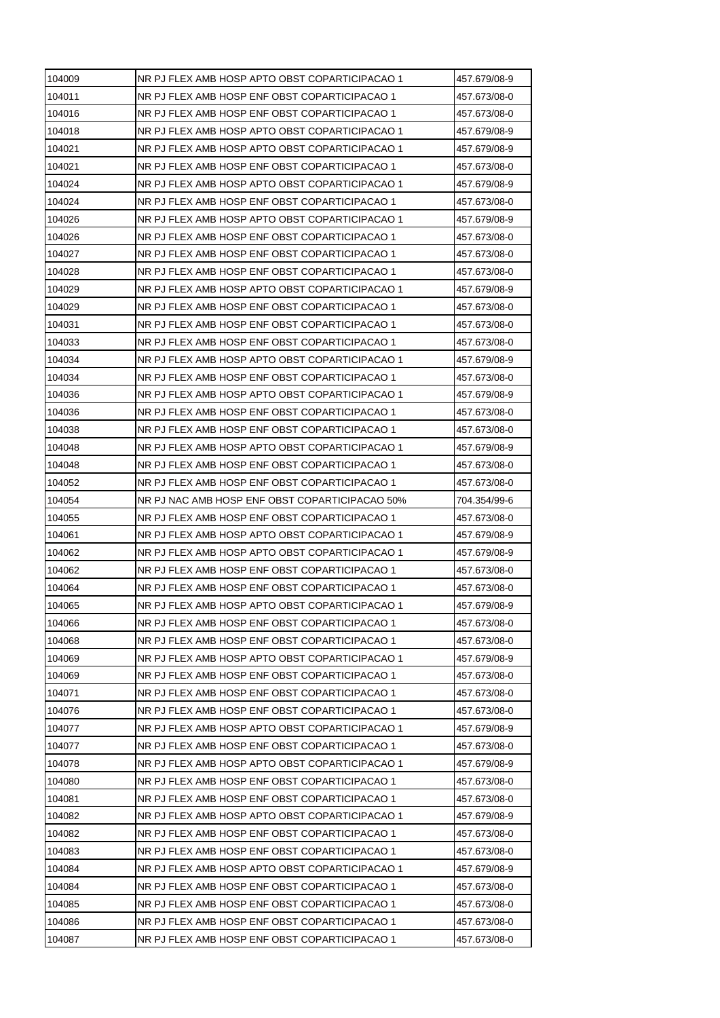| 104009 | NR PJ FLEX AMB HOSP APTO OBST COPARTICIPACAO 1 | 457.679/08-9 |
|--------|------------------------------------------------|--------------|
| 104011 | NR PJ FLEX AMB HOSP ENF OBST COPARTICIPACAO 1  | 457.673/08-0 |
| 104016 | NR PJ FLEX AMB HOSP ENF OBST COPARTICIPACAO 1  | 457.673/08-0 |
| 104018 | NR PJ FLEX AMB HOSP APTO OBST COPARTICIPACAO 1 | 457.679/08-9 |
| 104021 | NR PJ FLEX AMB HOSP APTO OBST COPARTICIPACAO 1 | 457.679/08-9 |
| 104021 | NR PJ FLEX AMB HOSP ENF OBST COPARTICIPACAO 1  | 457.673/08-0 |
| 104024 | NR PJ FLEX AMB HOSP APTO OBST COPARTICIPACAO 1 | 457.679/08-9 |
| 104024 | NR PJ FLEX AMB HOSP ENF OBST COPARTICIPACAO 1  | 457.673/08-0 |
| 104026 | NR PJ FLEX AMB HOSP APTO OBST COPARTICIPACAO 1 | 457.679/08-9 |
| 104026 | NR PJ FLEX AMB HOSP ENF OBST COPARTICIPACAO 1  | 457.673/08-0 |
| 104027 | NR PJ FLEX AMB HOSP ENF OBST COPARTICIPACAO 1  | 457.673/08-0 |
| 104028 | NR PJ FLEX AMB HOSP ENF OBST COPARTICIPACAO 1  | 457.673/08-0 |
| 104029 | NR PJ FLEX AMB HOSP APTO OBST COPARTICIPACAO 1 | 457.679/08-9 |
| 104029 | NR PJ FLEX AMB HOSP ENF OBST COPARTICIPACAO 1  | 457.673/08-0 |
| 104031 | NR PJ FLEX AMB HOSP ENF OBST COPARTICIPACAO 1  | 457.673/08-0 |
| 104033 | NR PJ FLEX AMB HOSP ENF OBST COPARTICIPACAO 1  | 457.673/08-0 |
| 104034 | NR PJ FLEX AMB HOSP APTO OBST COPARTICIPACAO 1 | 457.679/08-9 |
| 104034 | NR PJ FLEX AMB HOSP ENF OBST COPARTICIPACAO 1  | 457.673/08-0 |
| 104036 | NR PJ FLEX AMB HOSP APTO OBST COPARTICIPACAO 1 | 457.679/08-9 |
| 104036 | NR PJ FLEX AMB HOSP ENF OBST COPARTICIPACAO 1  | 457.673/08-0 |
| 104038 | NR PJ FLEX AMB HOSP ENF OBST COPARTICIPACAO 1  | 457.673/08-0 |
| 104048 | NR PJ FLEX AMB HOSP APTO OBST COPARTICIPACAO 1 | 457.679/08-9 |
| 104048 | NR PJ FLEX AMB HOSP ENF OBST COPARTICIPACAO 1  | 457.673/08-0 |
| 104052 | NR PJ FLEX AMB HOSP ENF OBST COPARTICIPACAO 1  | 457.673/08-0 |
| 104054 | NR PJ NAC AMB HOSP ENF OBST COPARTICIPACAO 50% | 704.354/99-6 |
| 104055 | NR PJ FLEX AMB HOSP ENF OBST COPARTICIPACAO 1  | 457.673/08-0 |
| 104061 | NR PJ FLEX AMB HOSP APTO OBST COPARTICIPACAO 1 | 457.679/08-9 |
| 104062 | NR PJ FLEX AMB HOSP APTO OBST COPARTICIPACAO 1 | 457.679/08-9 |
| 104062 | NR PJ FLEX AMB HOSP ENF OBST COPARTICIPACAO 1  | 457.673/08-0 |
| 104064 | NR PJ FLEX AMB HOSP ENF OBST COPARTICIPACAO 1  | 457.673/08-0 |
| 104065 | NR PJ FLEX AMB HOSP APTO OBST COPARTICIPACAO 1 | 457.679/08-9 |
| 104066 | NR PJ FLEX AMB HOSP ENF OBST COPARTICIPACAO 1  | 457.673/08-0 |
| 104068 | NR PJ FLEX AMB HOSP ENF OBST COPARTICIPACAO 1  | 457.673/08-0 |
| 104069 | NR PJ FLEX AMB HOSP APTO OBST COPARTICIPACAO 1 | 457.679/08-9 |
| 104069 | NR PJ FLEX AMB HOSP ENF OBST COPARTICIPACAO 1  | 457.673/08-0 |
| 104071 | NR PJ FLEX AMB HOSP ENF OBST COPARTICIPACAO 1  | 457.673/08-0 |
| 104076 | NR PJ FLEX AMB HOSP ENF OBST COPARTICIPACAO 1  | 457.673/08-0 |
| 104077 | NR PJ FLEX AMB HOSP APTO OBST COPARTICIPACAO 1 | 457.679/08-9 |
| 104077 | NR PJ FLEX AMB HOSP ENF OBST COPARTICIPACAO 1  | 457.673/08-0 |
| 104078 | NR PJ FLEX AMB HOSP APTO OBST COPARTICIPACAO 1 | 457.679/08-9 |
| 104080 | NR PJ FLEX AMB HOSP ENF OBST COPARTICIPACAO 1  | 457.673/08-0 |
| 104081 | NR PJ FLEX AMB HOSP ENF OBST COPARTICIPACAO 1  | 457.673/08-0 |
| 104082 | NR PJ FLEX AMB HOSP APTO OBST COPARTICIPACAO 1 | 457.679/08-9 |
| 104082 | NR PJ FLEX AMB HOSP ENF OBST COPARTICIPACAO 1  | 457.673/08-0 |
| 104083 | NR PJ FLEX AMB HOSP ENF OBST COPARTICIPACAO 1  | 457.673/08-0 |
| 104084 | NR PJ FLEX AMB HOSP APTO OBST COPARTICIPACAO 1 | 457.679/08-9 |
| 104084 |                                                |              |
|        | NR PJ FLEX AMB HOSP ENF OBST COPARTICIPACAO 1  | 457.673/08-0 |
| 104085 | NR PJ FLEX AMB HOSP ENF OBST COPARTICIPACAO 1  | 457.673/08-0 |
| 104086 | NR PJ FLEX AMB HOSP ENF OBST COPARTICIPACAO 1  | 457.673/08-0 |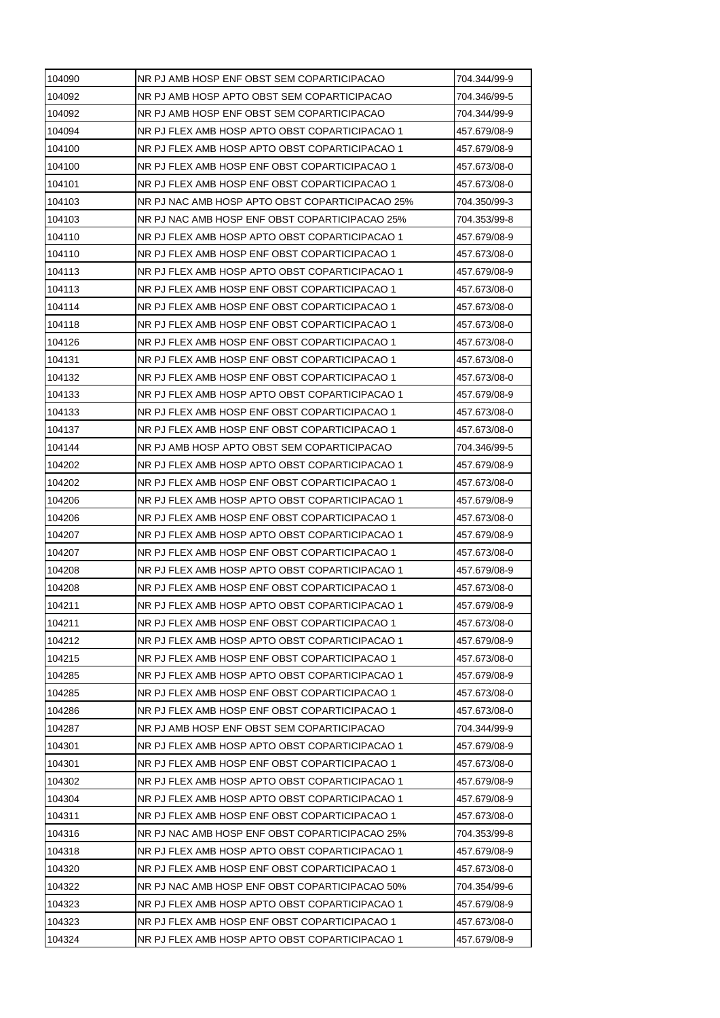| 104090 | NR PJ AMB HOSP ENF OBST SEM COPARTICIPACAO      | 704.344/99-9 |
|--------|-------------------------------------------------|--------------|
| 104092 | NR PJ AMB HOSP APTO OBST SEM COPARTICIPACAO     | 704.346/99-5 |
| 104092 | NR PJ AMB HOSP ENF OBST SEM COPARTICIPACAO      | 704.344/99-9 |
| 104094 | NR PJ FLEX AMB HOSP APTO OBST COPARTICIPACAO 1  | 457.679/08-9 |
| 104100 | NR PJ FLEX AMB HOSP APTO OBST COPARTICIPACAO 1  | 457.679/08-9 |
| 104100 | NR PJ FLEX AMB HOSP ENF OBST COPARTICIPACAO 1   | 457.673/08-0 |
| 104101 | NR PJ FLEX AMB HOSP ENF OBST COPARTICIPACAO 1   | 457.673/08-0 |
| 104103 | NR PJ NAC AMB HOSP APTO OBST COPARTICIPACAO 25% | 704.350/99-3 |
| 104103 | NR PJ NAC AMB HOSP ENF OBST COPARTICIPACAO 25%  | 704.353/99-8 |
| 104110 | NR PJ FLEX AMB HOSP APTO OBST COPARTICIPACAO 1  | 457.679/08-9 |
| 104110 | NR PJ FLEX AMB HOSP ENF OBST COPARTICIPACAO 1   | 457.673/08-0 |
| 104113 | NR PJ FLEX AMB HOSP APTO OBST COPARTICIPACAO 1  | 457.679/08-9 |
| 104113 | NR PJ FLEX AMB HOSP ENF OBST COPARTICIPACAO 1   | 457.673/08-0 |
| 104114 | NR PJ FLEX AMB HOSP ENF OBST COPARTICIPACAO 1   | 457.673/08-0 |
| 104118 | NR PJ FLEX AMB HOSP ENF OBST COPARTICIPACAO 1   | 457.673/08-0 |
| 104126 | NR PJ FLEX AMB HOSP ENF OBST COPARTICIPACAO 1   | 457.673/08-0 |
| 104131 | NR PJ FLEX AMB HOSP ENF OBST COPARTICIPACAO 1   | 457.673/08-0 |
| 104132 | NR PJ FLEX AMB HOSP ENF OBST COPARTICIPACAO 1   | 457.673/08-0 |
| 104133 | NR PJ FLEX AMB HOSP APTO OBST COPARTICIPACAO 1  | 457.679/08-9 |
| 104133 | NR PJ FLEX AMB HOSP ENF OBST COPARTICIPACAO 1   | 457.673/08-0 |
| 104137 | NR PJ FLEX AMB HOSP ENF OBST COPARTICIPACAO 1   | 457.673/08-0 |
| 104144 | NR PJ AMB HOSP APTO OBST SEM COPARTICIPACAO     | 704.346/99-5 |
| 104202 | NR PJ FLEX AMB HOSP APTO OBST COPARTICIPACAO 1  | 457.679/08-9 |
| 104202 | NR PJ FLEX AMB HOSP ENF OBST COPARTICIPACAO 1   | 457.673/08-0 |
| 104206 | NR PJ FLEX AMB HOSP APTO OBST COPARTICIPACAO 1  | 457.679/08-9 |
| 104206 | NR PJ FLEX AMB HOSP ENF OBST COPARTICIPACAO 1   | 457.673/08-0 |
| 104207 | NR PJ FLEX AMB HOSP APTO OBST COPARTICIPACAO 1  | 457.679/08-9 |
| 104207 | NR PJ FLEX AMB HOSP ENF OBST COPARTICIPACAO 1   | 457.673/08-0 |
| 104208 | NR PJ FLEX AMB HOSP APTO OBST COPARTICIPACAO 1  | 457.679/08-9 |
| 104208 | NR PJ FLEX AMB HOSP ENF OBST COPARTICIPACAO 1   | 457.673/08-0 |
| 104211 | NR PJ FLEX AMB HOSP APTO OBST COPARTICIPACAO 1  | 457.679/08-9 |
| 104211 | NR PJ FLEX AMB HOSP ENF OBST COPARTICIPACAO 1   | 457.673/08-0 |
| 104212 | NR PJ FLEX AMB HOSP APTO OBST COPARTICIPACAO 1  | 457.679/08-9 |
| 104215 | NR PJ FLEX AMB HOSP ENF OBST COPARTICIPACAO 1   | 457.673/08-0 |
| 104285 | NR PJ FLEX AMB HOSP APTO OBST COPARTICIPACAO 1  | 457.679/08-9 |
| 104285 | NR PJ FLEX AMB HOSP ENF OBST COPARTICIPACAO 1   | 457.673/08-0 |
| 104286 | NR PJ FLEX AMB HOSP ENF OBST COPARTICIPACAO 1   | 457.673/08-0 |
| 104287 | NR PJ AMB HOSP ENF OBST SEM COPARTICIPACAO      | 704.344/99-9 |
| 104301 | NR PJ FLEX AMB HOSP APTO OBST COPARTICIPACAO 1  | 457.679/08-9 |
| 104301 | NR PJ FLEX AMB HOSP ENF OBST COPARTICIPACAO 1   | 457.673/08-0 |
| 104302 | NR PJ FLEX AMB HOSP APTO OBST COPARTICIPACAO 1  | 457.679/08-9 |
| 104304 | NR PJ FLEX AMB HOSP APTO OBST COPARTICIPACAO 1  | 457.679/08-9 |
| 104311 | NR PJ FLEX AMB HOSP ENF OBST COPARTICIPACAO 1   | 457.673/08-0 |
| 104316 | NR PJ NAC AMB HOSP ENF OBST COPARTICIPACAO 25%  | 704.353/99-8 |
| 104318 | NR PJ FLEX AMB HOSP APTO OBST COPARTICIPACAO 1  | 457.679/08-9 |
| 104320 | NR PJ FLEX AMB HOSP ENF OBST COPARTICIPACAO 1   | 457.673/08-0 |
| 104322 | NR PJ NAC AMB HOSP ENF OBST COPARTICIPACAO 50%  | 704.354/99-6 |
| 104323 | NR PJ FLEX AMB HOSP APTO OBST COPARTICIPACAO 1  | 457.679/08-9 |
| 104323 | NR PJ FLEX AMB HOSP ENF OBST COPARTICIPACAO 1   | 457.673/08-0 |
| 104324 | NR PJ FLEX AMB HOSP APTO OBST COPARTICIPACAO 1  | 457.679/08-9 |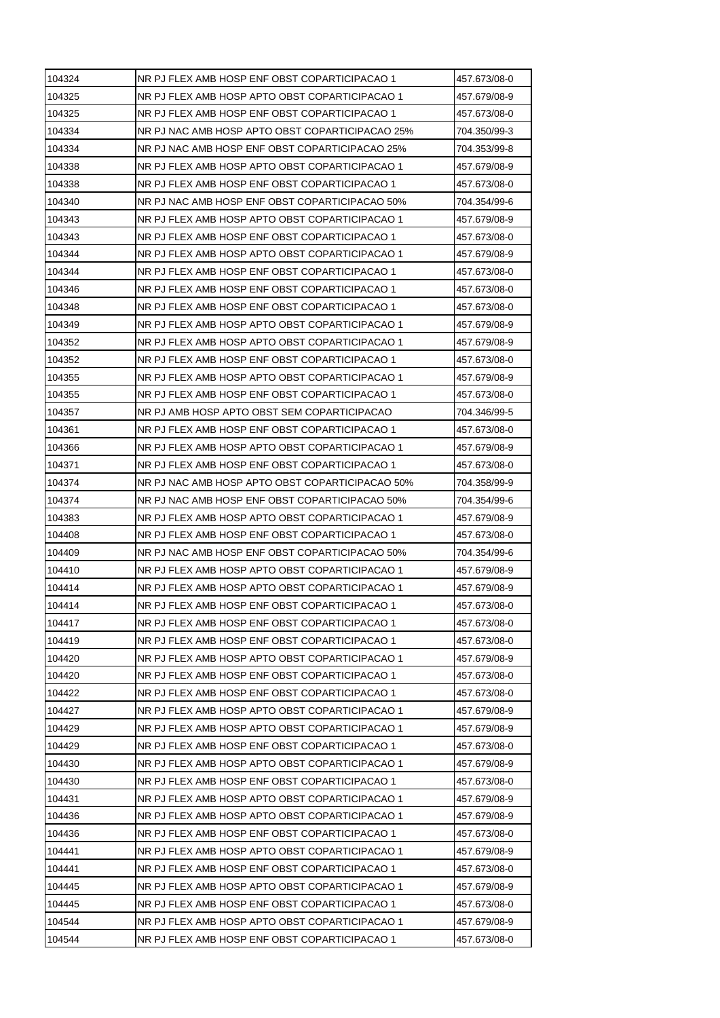| 104324 | NR PJ FLEX AMB HOSP ENF OBST COPARTICIPACAO 1   | 457.673/08-0 |
|--------|-------------------------------------------------|--------------|
| 104325 | NR PJ FLEX AMB HOSP APTO OBST COPARTICIPACAO 1  | 457.679/08-9 |
| 104325 | NR PJ FLEX AMB HOSP ENF OBST COPARTICIPACAO 1   | 457.673/08-0 |
| 104334 | NR PJ NAC AMB HOSP APTO OBST COPARTICIPACAO 25% | 704.350/99-3 |
| 104334 | NR PJ NAC AMB HOSP ENF OBST COPARTICIPACAO 25%  | 704.353/99-8 |
| 104338 | NR PJ FLEX AMB HOSP APTO OBST COPARTICIPACAO 1  | 457.679/08-9 |
| 104338 | NR PJ FLEX AMB HOSP ENF OBST COPARTICIPACAO 1   | 457.673/08-0 |
| 104340 | NR PJ NAC AMB HOSP ENF OBST COPARTICIPACAO 50%  | 704.354/99-6 |
| 104343 | NR PJ FLEX AMB HOSP APTO OBST COPARTICIPACAO 1  | 457.679/08-9 |
| 104343 | NR PJ FLEX AMB HOSP ENF OBST COPARTICIPACAO 1   | 457.673/08-0 |
| 104344 | NR PJ FLEX AMB HOSP APTO OBST COPARTICIPACAO 1  | 457.679/08-9 |
| 104344 | NR PJ FLEX AMB HOSP ENF OBST COPARTICIPACAO 1   | 457.673/08-0 |
| 104346 | NR PJ FLEX AMB HOSP ENF OBST COPARTICIPACAO 1   | 457.673/08-0 |
| 104348 | NR PJ FLEX AMB HOSP ENF OBST COPARTICIPACAO 1   | 457.673/08-0 |
| 104349 | NR PJ FLEX AMB HOSP APTO OBST COPARTICIPACAO 1  | 457.679/08-9 |
| 104352 | NR PJ FLEX AMB HOSP APTO OBST COPARTICIPACAO 1  | 457.679/08-9 |
| 104352 | NR PJ FLEX AMB HOSP ENF OBST COPARTICIPACAO 1   | 457.673/08-0 |
| 104355 | NR PJ FLEX AMB HOSP APTO OBST COPARTICIPACAO 1  | 457.679/08-9 |
| 104355 | NR PJ FLEX AMB HOSP ENF OBST COPARTICIPACAO 1   | 457.673/08-0 |
| 104357 | NR PJ AMB HOSP APTO OBST SEM COPARTICIPACAO     | 704.346/99-5 |
| 104361 | NR PJ FLEX AMB HOSP ENF OBST COPARTICIPACAO 1   | 457.673/08-0 |
| 104366 | NR PJ FLEX AMB HOSP APTO OBST COPARTICIPACAO 1  | 457.679/08-9 |
| 104371 | NR PJ FLEX AMB HOSP ENF OBST COPARTICIPACAO 1   | 457.673/08-0 |
| 104374 | NR PJ NAC AMB HOSP APTO OBST COPARTICIPACAO 50% | 704.358/99-9 |
| 104374 | NR PJ NAC AMB HOSP ENF OBST COPARTICIPACAO 50%  | 704.354/99-6 |
| 104383 | NR PJ FLEX AMB HOSP APTO OBST COPARTICIPACAO 1  | 457.679/08-9 |
| 104408 | NR PJ FLEX AMB HOSP ENF OBST COPARTICIPACAO 1   | 457.673/08-0 |
| 104409 | NR PJ NAC AMB HOSP ENF OBST COPARTICIPACAO 50%  | 704.354/99-6 |
| 104410 | NR PJ FLEX AMB HOSP APTO OBST COPARTICIPACAO 1  | 457.679/08-9 |
| 104414 | NR PJ FLEX AMB HOSP APTO OBST COPARTICIPACAO 1  | 457.679/08-9 |
| 104414 | NR PJ FLEX AMB HOSP ENF OBST COPARTICIPACAO 1   | 457.673/08-0 |
| 104417 | NR PJ FLEX AMB HOSP ENF OBST COPARTICIPACAO 1   | 457.673/08-0 |
| 104419 | NR PJ FLEX AMB HOSP ENF OBST COPARTICIPACAO 1   | 457.673/08-0 |
| 104420 | NR PJ FLEX AMB HOSP APTO OBST COPARTICIPACAO 1  | 457.679/08-9 |
| 104420 | NR PJ FLEX AMB HOSP ENF OBST COPARTICIPACAO 1   | 457.673/08-0 |
| 104422 | NR PJ FLEX AMB HOSP ENF OBST COPARTICIPACAO 1   | 457.673/08-0 |
| 104427 | NR PJ FLEX AMB HOSP APTO OBST COPARTICIPACAO 1  | 457.679/08-9 |
| 104429 | NR PJ FLEX AMB HOSP APTO OBST COPARTICIPACAO 1  | 457.679/08-9 |
| 104429 | NR PJ FLEX AMB HOSP ENF OBST COPARTICIPACAO 1   | 457.673/08-0 |
| 104430 | NR PJ FLEX AMB HOSP APTO OBST COPARTICIPACAO 1  | 457.679/08-9 |
| 104430 | NR PJ FLEX AMB HOSP ENF OBST COPARTICIPACAO 1   | 457.673/08-0 |
| 104431 | NR PJ FLEX AMB HOSP APTO OBST COPARTICIPACAO 1  | 457.679/08-9 |
| 104436 | NR PJ FLEX AMB HOSP APTO OBST COPARTICIPACAO 1  | 457.679/08-9 |
| 104436 | NR PJ FLEX AMB HOSP ENF OBST COPARTICIPACAO 1   | 457.673/08-0 |
| 104441 | NR PJ FLEX AMB HOSP APTO OBST COPARTICIPACAO 1  | 457.679/08-9 |
| 104441 | NR PJ FLEX AMB HOSP ENF OBST COPARTICIPACAO 1   | 457.673/08-0 |
| 104445 | NR PJ FLEX AMB HOSP APTO OBST COPARTICIPACAO 1  | 457.679/08-9 |
| 104445 | NR PJ FLEX AMB HOSP ENF OBST COPARTICIPACAO 1   | 457.673/08-0 |
| 104544 | NR PJ FLEX AMB HOSP APTO OBST COPARTICIPACAO 1  | 457.679/08-9 |
| 104544 | NR PJ FLEX AMB HOSP ENF OBST COPARTICIPACAO 1   | 457.673/08-0 |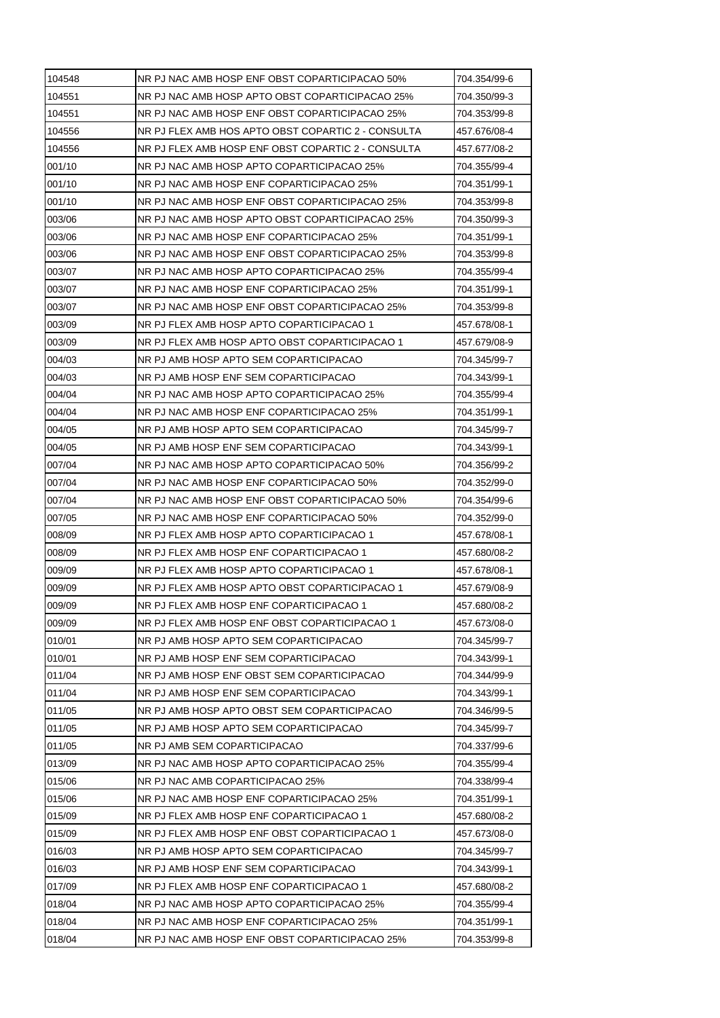| 104548 | NR PJ NAC AMB HOSP ENF OBST COPARTICIPACAO 50%     | 704.354/99-6 |
|--------|----------------------------------------------------|--------------|
| 104551 | NR PJ NAC AMB HOSP APTO OBST COPARTICIPACAO 25%    | 704.350/99-3 |
| 104551 | NR PJ NAC AMB HOSP ENF OBST COPARTICIPACAO 25%     | 704.353/99-8 |
| 104556 | NR PJ FLEX AMB HOS APTO OBST COPARTIC 2 - CONSULTA | 457.676/08-4 |
| 104556 | NR PJ FLEX AMB HOSP ENF OBST COPARTIC 2 - CONSULTA | 457.677/08-2 |
| 001/10 | NR PJ NAC AMB HOSP APTO COPARTICIPACAO 25%         | 704.355/99-4 |
| 001/10 | NR PJ NAC AMB HOSP ENF COPARTICIPACAO 25%          | 704.351/99-1 |
| 001/10 | NR PJ NAC AMB HOSP ENF OBST COPARTICIPACAO 25%     | 704.353/99-8 |
| 003/06 | NR PJ NAC AMB HOSP APTO OBST COPARTICIPACAO 25%    | 704.350/99-3 |
| 003/06 | NR PJ NAC AMB HOSP ENF COPARTICIPACAO 25%          | 704.351/99-1 |
| 003/06 | NR PJ NAC AMB HOSP ENF OBST COPARTICIPACAO 25%     | 704.353/99-8 |
| 003/07 | NR PJ NAC AMB HOSP APTO COPARTICIPACAO 25%         | 704.355/99-4 |
| 003/07 | NR PJ NAC AMB HOSP ENF COPARTICIPACAO 25%          | 704.351/99-1 |
| 003/07 | NR PJ NAC AMB HOSP ENF OBST COPARTICIPACAO 25%     | 704.353/99-8 |
| 003/09 | NR PJ FLEX AMB HOSP APTO COPARTICIPACAO 1          | 457.678/08-1 |
| 003/09 | NR PJ FLEX AMB HOSP APTO OBST COPARTICIPACAO 1     | 457.679/08-9 |
| 004/03 | NR PJ AMB HOSP APTO SEM COPARTICIPACAO             | 704.345/99-7 |
| 004/03 | NR PJ AMB HOSP ENF SEM COPARTICIPACAO              | 704.343/99-1 |
| 004/04 | NR PJ NAC AMB HOSP APTO COPARTICIPACAO 25%         | 704.355/99-4 |
| 004/04 | NR PJ NAC AMB HOSP ENF COPARTICIPACAO 25%          | 704.351/99-1 |
| 004/05 | NR PJ AMB HOSP APTO SEM COPARTICIPACAO             | 704.345/99-7 |
| 004/05 | NR PJ AMB HOSP ENF SEM COPARTICIPACAO              | 704.343/99-1 |
| 007/04 | NR PJ NAC AMB HOSP APTO COPARTICIPACAO 50%         | 704.356/99-2 |
| 007/04 | NR PJ NAC AMB HOSP ENF COPARTICIPACAO 50%          | 704.352/99-0 |
| 007/04 | NR PJ NAC AMB HOSP ENF OBST COPARTICIPACAO 50%     | 704.354/99-6 |
| 007/05 | NR PJ NAC AMB HOSP ENF COPARTICIPACAO 50%          | 704.352/99-0 |
| 008/09 | NR PJ FLEX AMB HOSP APTO COPARTICIPACAO 1          | 457.678/08-1 |
| 008/09 | NR PJ FLEX AMB HOSP ENF COPARTICIPACAO 1           | 457.680/08-2 |
| 009/09 | NR PJ FLEX AMB HOSP APTO COPARTICIPACAO 1          | 457.678/08-1 |
| 009/09 | NR PJ FLEX AMB HOSP APTO OBST COPARTICIPACAO 1     | 457.679/08-9 |
| 009/09 | NR PJ FLEX AMB HOSP ENF COPARTICIPACAO 1           | 457.680/08-2 |
| 009/09 | NR PJ FLEX AMB HOSP ENF OBST COPARTICIPACAO 1      | 457.673/08-0 |
| 010/01 | NR PJ AMB HOSP APTO SEM COPARTICIPACAO             | 704.345/99-7 |
| 010/01 | NR PJ AMB HOSP ENF SEM COPARTICIPACAO              | 704.343/99-1 |
| 011/04 | NR PJ AMB HOSP ENF OBST SEM COPARTICIPACAO         | 704.344/99-9 |
| 011/04 | NR PJ AMB HOSP ENF SEM COPARTICIPACAO              | 704.343/99-1 |
| 011/05 | NR PJ AMB HOSP APTO OBST SEM COPARTICIPACAO        | 704.346/99-5 |
| 011/05 | NR PJ AMB HOSP APTO SEM COPARTICIPACAO             | 704.345/99-7 |
| 011/05 | NR PJ AMB SEM COPARTICIPACAO                       | 704.337/99-6 |
| 013/09 | NR PJ NAC AMB HOSP APTO COPARTICIPACAO 25%         | 704.355/99-4 |
| 015/06 | NR PJ NAC AMB COPARTICIPACAO 25%                   | 704.338/99-4 |
| 015/06 | NR PJ NAC AMB HOSP ENF COPARTICIPACAO 25%          | 704.351/99-1 |
| 015/09 | NR PJ FLEX AMB HOSP ENF COPARTICIPACAO 1           | 457.680/08-2 |
| 015/09 | NR PJ FLEX AMB HOSP ENF OBST COPARTICIPACAO 1      | 457.673/08-0 |
| 016/03 | NR PJ AMB HOSP APTO SEM COPARTICIPACAO             | 704.345/99-7 |
| 016/03 | NR PJ AMB HOSP ENF SEM COPARTICIPACAO              | 704.343/99-1 |
| 017/09 | NR PJ FLEX AMB HOSP ENF COPARTICIPACAO 1           | 457.680/08-2 |
| 018/04 | NR PJ NAC AMB HOSP APTO COPARTICIPACAO 25%         | 704.355/99-4 |
| 018/04 | NR PJ NAC AMB HOSP ENF COPARTICIPACAO 25%          | 704.351/99-1 |
| 018/04 | NR PJ NAC AMB HOSP ENF OBST COPARTICIPACAO 25%     | 704.353/99-8 |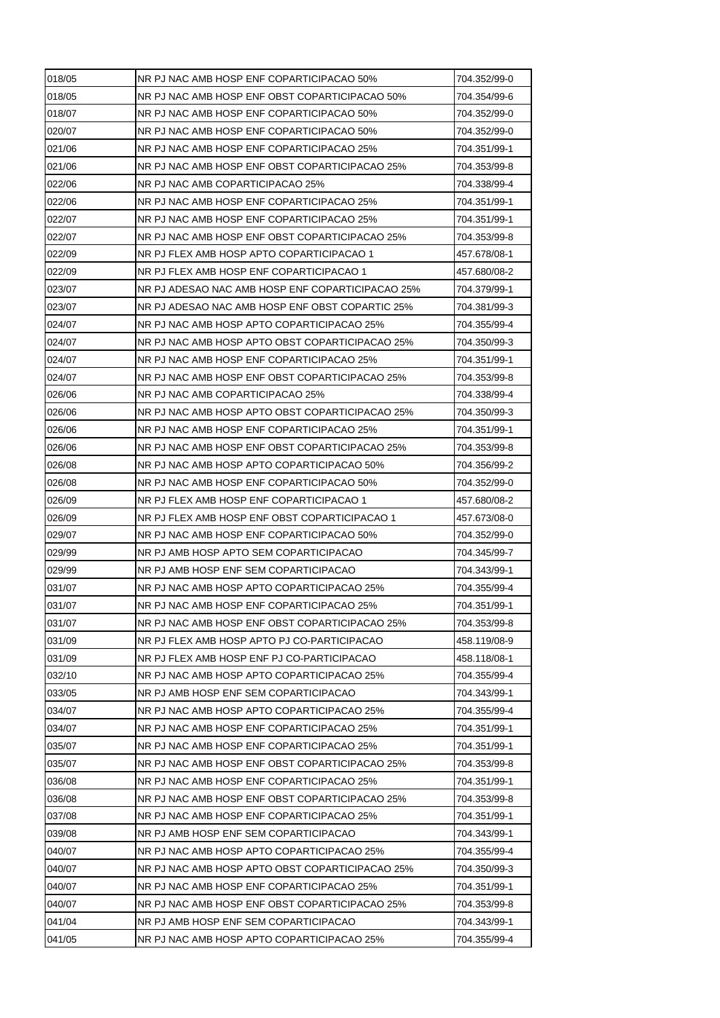| 018/05 | NR PJ NAC AMB HOSP ENF COPARTICIPACAO 50%        | 704.352/99-0 |
|--------|--------------------------------------------------|--------------|
| 018/05 | NR PJ NAC AMB HOSP ENF OBST COPARTICIPACAO 50%   | 704.354/99-6 |
| 018/07 | NR PJ NAC AMB HOSP ENF COPARTICIPACAO 50%        | 704.352/99-0 |
| 020/07 | NR PJ NAC AMB HOSP ENF COPARTICIPACAO 50%        | 704.352/99-0 |
| 021/06 | NR PJ NAC AMB HOSP ENF COPARTICIPACAO 25%        | 704.351/99-1 |
| 021/06 | NR PJ NAC AMB HOSP ENF OBST COPARTICIPACAO 25%   | 704.353/99-8 |
| 022/06 | NR PJ NAC AMB COPARTICIPACAO 25%                 | 704.338/99-4 |
| 022/06 | NR PJ NAC AMB HOSP ENF COPARTICIPACAO 25%        | 704.351/99-1 |
| 022/07 | NR PJ NAC AMB HOSP ENF COPARTICIPACAO 25%        | 704.351/99-1 |
| 022/07 | NR PJ NAC AMB HOSP ENF OBST COPARTICIPACAO 25%   | 704.353/99-8 |
| 022/09 | NR PJ FLEX AMB HOSP APTO COPARTICIPACAO 1        | 457.678/08-1 |
| 022/09 | NR PJ FLEX AMB HOSP ENF COPARTICIPACAO 1         | 457.680/08-2 |
| 023/07 | NR PJ ADESAO NAC AMB HOSP ENF COPARTICIPACAO 25% | 704.379/99-1 |
| 023/07 | NR PJ ADESAO NAC AMB HOSP ENF OBST COPARTIC 25%  | 704.381/99-3 |
| 024/07 | NR PJ NAC AMB HOSP APTO COPARTICIPACAO 25%       | 704.355/99-4 |
| 024/07 | NR PJ NAC AMB HOSP APTO OBST COPARTICIPACAO 25%  | 704.350/99-3 |
| 024/07 | NR PJ NAC AMB HOSP ENF COPARTICIPACAO 25%        | 704.351/99-1 |
| 024/07 | NR PJ NAC AMB HOSP ENF OBST COPARTICIPACAO 25%   | 704.353/99-8 |
| 026/06 | NR PJ NAC AMB COPARTICIPACAO 25%                 | 704.338/99-4 |
| 026/06 | NR PJ NAC AMB HOSP APTO OBST COPARTICIPACAO 25%  | 704.350/99-3 |
| 026/06 | NR PJ NAC AMB HOSP ENF COPARTICIPACAO 25%        | 704.351/99-1 |
| 026/06 | NR PJ NAC AMB HOSP ENF OBST COPARTICIPACAO 25%   | 704.353/99-8 |
| 026/08 | NR PJ NAC AMB HOSP APTO COPARTICIPACAO 50%       | 704.356/99-2 |
| 026/08 | NR PJ NAC AMB HOSP ENF COPARTICIPACAO 50%        | 704.352/99-0 |
| 026/09 | NR PJ FLEX AMB HOSP ENF COPARTICIPACAO 1         | 457.680/08-2 |
| 026/09 | NR PJ FLEX AMB HOSP ENF OBST COPARTICIPACAO 1    | 457.673/08-0 |
| 029/07 | NR PJ NAC AMB HOSP ENF COPARTICIPACAO 50%        | 704.352/99-0 |
| 029/99 | NR PJ AMB HOSP APTO SEM COPARTICIPACAO           | 704.345/99-7 |
| 029/99 | NR PJ AMB HOSP ENF SEM COPARTICIPACAO            | 704.343/99-1 |
| 031/07 | NR PJ NAC AMB HOSP APTO COPARTICIPACAO 25%       | 704.355/99-4 |
| 031/07 | NR PJ NAC AMB HOSP ENF COPARTICIPACAO 25%        | 704.351/99-1 |
| 031/07 | NR PJ NAC AMB HOSP ENF OBST COPARTICIPACAO 25%   | 704.353/99-8 |
| 031/09 | NR PJ FLEX AMB HOSP APTO PJ CO-PARTICIPACAO      | 458.119/08-9 |
| 031/09 | NR PJ FLEX AMB HOSP ENF PJ CO-PARTICIPACAO       | 458.118/08-1 |
| 032/10 | NR PJ NAC AMB HOSP APTO COPARTICIPACAO 25%       | 704.355/99-4 |
| 033/05 | NR PJ AMB HOSP ENF SEM COPARTICIPACAO            | 704.343/99-1 |
| 034/07 | NR PJ NAC AMB HOSP APTO COPARTICIPACAO 25%       | 704.355/99-4 |
| 034/07 | NR PJ NAC AMB HOSP ENF COPARTICIPACAO 25%        | 704.351/99-1 |
| 035/07 | NR PJ NAC AMB HOSP ENF COPARTICIPACAO 25%        | 704.351/99-1 |
| 035/07 | NR PJ NAC AMB HOSP ENF OBST COPARTICIPACAO 25%   | 704.353/99-8 |
| 036/08 | NR PJ NAC AMB HOSP ENF COPARTICIPACAO 25%        | 704.351/99-1 |
| 036/08 | NR PJ NAC AMB HOSP ENF OBST COPARTICIPACAO 25%   | 704.353/99-8 |
| 037/08 | NR PJ NAC AMB HOSP ENF COPARTICIPACAO 25%        | 704.351/99-1 |
| 039/08 | NR PJ AMB HOSP ENF SEM COPARTICIPACAO            | 704.343/99-1 |
| 040/07 | NR PJ NAC AMB HOSP APTO COPARTICIPACAO 25%       | 704.355/99-4 |
|        |                                                  |              |
| 040/07 | NR PJ NAC AMB HOSP APTO OBST COPARTICIPACAO 25%  | 704.350/99-3 |
| 040/07 | NR PJ NAC AMB HOSP ENF COPARTICIPACAO 25%        | 704.351/99-1 |
| 040/07 | NR PJ NAC AMB HOSP ENF OBST COPARTICIPACAO 25%   | 704.353/99-8 |
| 041/04 | NR PJ AMB HOSP ENF SEM COPARTICIPACAO            | 704.343/99-1 |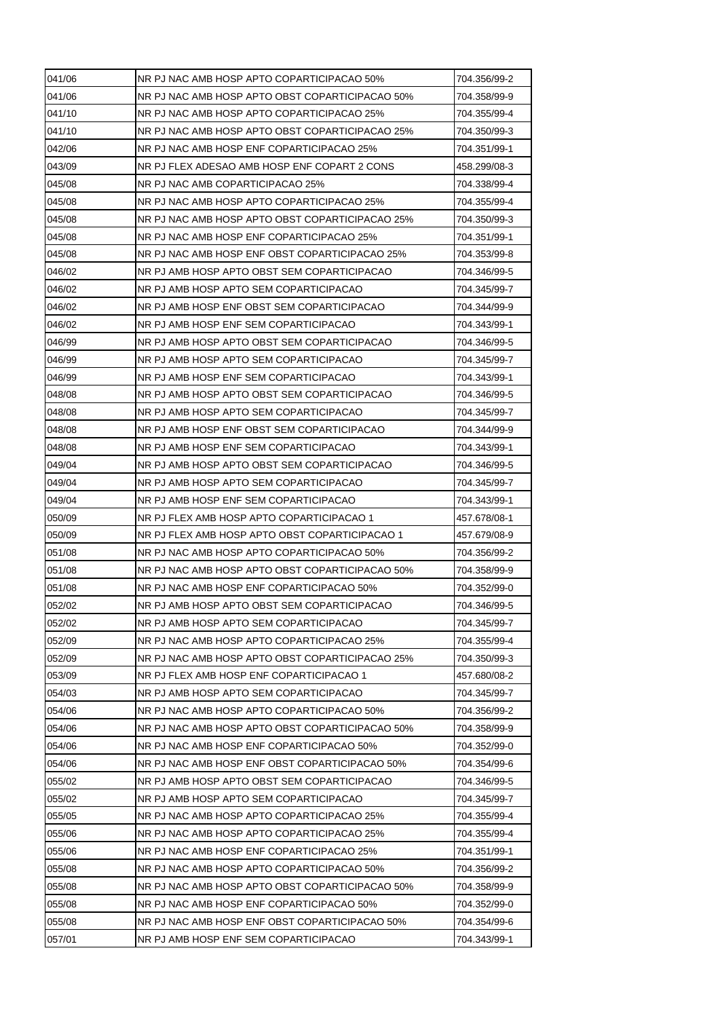| 041/06 | NR PJ NAC AMB HOSP APTO COPARTICIPACAO 50%      | 704.356/99-2 |
|--------|-------------------------------------------------|--------------|
| 041/06 | NR PJ NAC AMB HOSP APTO OBST COPARTICIPACAO 50% | 704.358/99-9 |
| 041/10 | NR PJ NAC AMB HOSP APTO COPARTICIPACAO 25%      | 704.355/99-4 |
| 041/10 | NR PJ NAC AMB HOSP APTO OBST COPARTICIPACAO 25% | 704.350/99-3 |
| 042/06 | NR PJ NAC AMB HOSP ENF COPARTICIPACAO 25%       | 704.351/99-1 |
| 043/09 | NR PJ FLEX ADESAO AMB HOSP ENF COPART 2 CONS    | 458.299/08-3 |
| 045/08 | NR PJ NAC AMB COPARTICIPACAO 25%                | 704.338/99-4 |
| 045/08 | NR PJ NAC AMB HOSP APTO COPARTICIPACAO 25%      | 704.355/99-4 |
| 045/08 | NR PJ NAC AMB HOSP APTO OBST COPARTICIPACAO 25% | 704.350/99-3 |
| 045/08 | NR PJ NAC AMB HOSP ENF COPARTICIPACAO 25%       | 704.351/99-1 |
| 045/08 | NR PJ NAC AMB HOSP ENF OBST COPARTICIPACAO 25%  | 704.353/99-8 |
| 046/02 | NR PJ AMB HOSP APTO OBST SEM COPARTICIPACAO     | 704.346/99-5 |
| 046/02 | NR PJ AMB HOSP APTO SEM COPARTICIPACAO          | 704.345/99-7 |
| 046/02 | NR PJ AMB HOSP ENF OBST SEM COPARTICIPACAO      | 704.344/99-9 |
| 046/02 | NR PJ AMB HOSP ENF SEM COPARTICIPACAO           | 704.343/99-1 |
| 046/99 | NR PJ AMB HOSP APTO OBST SEM COPARTICIPACAO     | 704.346/99-5 |
| 046/99 | NR PJ AMB HOSP APTO SEM COPARTICIPACAO          | 704.345/99-7 |
| 046/99 | NR PJ AMB HOSP ENF SEM COPARTICIPACAO           | 704.343/99-1 |
| 048/08 | NR PJ AMB HOSP APTO OBST SEM COPARTICIPACAO     | 704.346/99-5 |
| 048/08 | NR PJ AMB HOSP APTO SEM COPARTICIPACAO          | 704.345/99-7 |
| 048/08 | NR PJ AMB HOSP ENF OBST SEM COPARTICIPACAO      | 704.344/99-9 |
| 048/08 | NR PJ AMB HOSP ENF SEM COPARTICIPACAO           | 704.343/99-1 |
| 049/04 | NR PJ AMB HOSP APTO OBST SEM COPARTICIPACAO     | 704.346/99-5 |
| 049/04 | NR PJ AMB HOSP APTO SEM COPARTICIPACAO          | 704.345/99-7 |
| 049/04 | NR PJ AMB HOSP ENF SEM COPARTICIPACAO           | 704.343/99-1 |
| 050/09 | NR PJ FLEX AMB HOSP APTO COPARTICIPACAO 1       | 457.678/08-1 |
| 050/09 | NR PJ FLEX AMB HOSP APTO OBST COPARTICIPACAO 1  | 457.679/08-9 |
| 051/08 | NR PJ NAC AMB HOSP APTO COPARTICIPACAO 50%      | 704.356/99-2 |
| 051/08 | NR PJ NAC AMB HOSP APTO OBST COPARTICIPACAO 50% | 704.358/99-9 |
| 051/08 | NR PJ NAC AMB HOSP ENF COPARTICIPACAO 50%       | 704.352/99-0 |
| 052/02 | NR PJ AMB HOSP APTO OBST SEM COPARTICIPACAO     | 704.346/99-5 |
| 052/02 | NR PJ AMB HOSP APTO SEM COPARTICIPACAO          | 704.345/99-7 |
| 052/09 | NR PJ NAC AMB HOSP APTO COPARTICIPACAO 25%      | 704.355/99-4 |
| 052/09 | NR PJ NAC AMB HOSP APTO OBST COPARTICIPACAO 25% | 704.350/99-3 |
| 053/09 | NR PJ FLEX AMB HOSP ENF COPARTICIPACAO 1        | 457.680/08-2 |
| 054/03 | NR PJ AMB HOSP APTO SEM COPARTICIPACAO          | 704.345/99-7 |
| 054/06 | NR PJ NAC AMB HOSP APTO COPARTICIPACAO 50%      | 704.356/99-2 |
| 054/06 | NR PJ NAC AMB HOSP APTO OBST COPARTICIPACAO 50% | 704.358/99-9 |
| 054/06 | NR PJ NAC AMB HOSP ENF COPARTICIPACAO 50%       | 704.352/99-0 |
| 054/06 | NR PJ NAC AMB HOSP ENF OBST COPARTICIPACAO 50%  | 704.354/99-6 |
| 055/02 | NR PJ AMB HOSP APTO OBST SEM COPARTICIPACAO     | 704.346/99-5 |
| 055/02 | NR PJ AMB HOSP APTO SEM COPARTICIPACAO          | 704.345/99-7 |
| 055/05 | NR PJ NAC AMB HOSP APTO COPARTICIPACAO 25%      | 704.355/99-4 |
| 055/06 | NR PJ NAC AMB HOSP APTO COPARTICIPACAO 25%      | 704.355/99-4 |
| 055/06 | NR PJ NAC AMB HOSP ENF COPARTICIPACAO 25%       | 704.351/99-1 |
| 055/08 | NR PJ NAC AMB HOSP APTO COPARTICIPACAO 50%      | 704.356/99-2 |
| 055/08 | NR PJ NAC AMB HOSP APTO OBST COPARTICIPACAO 50% | 704.358/99-9 |
| 055/08 | NR PJ NAC AMB HOSP ENF COPARTICIPACAO 50%       | 704.352/99-0 |
| 055/08 | NR PJ NAC AMB HOSP ENF OBST COPARTICIPACAO 50%  | 704.354/99-6 |
| 057/01 | NR PJ AMB HOSP ENF SEM COPARTICIPACAO           | 704.343/99-1 |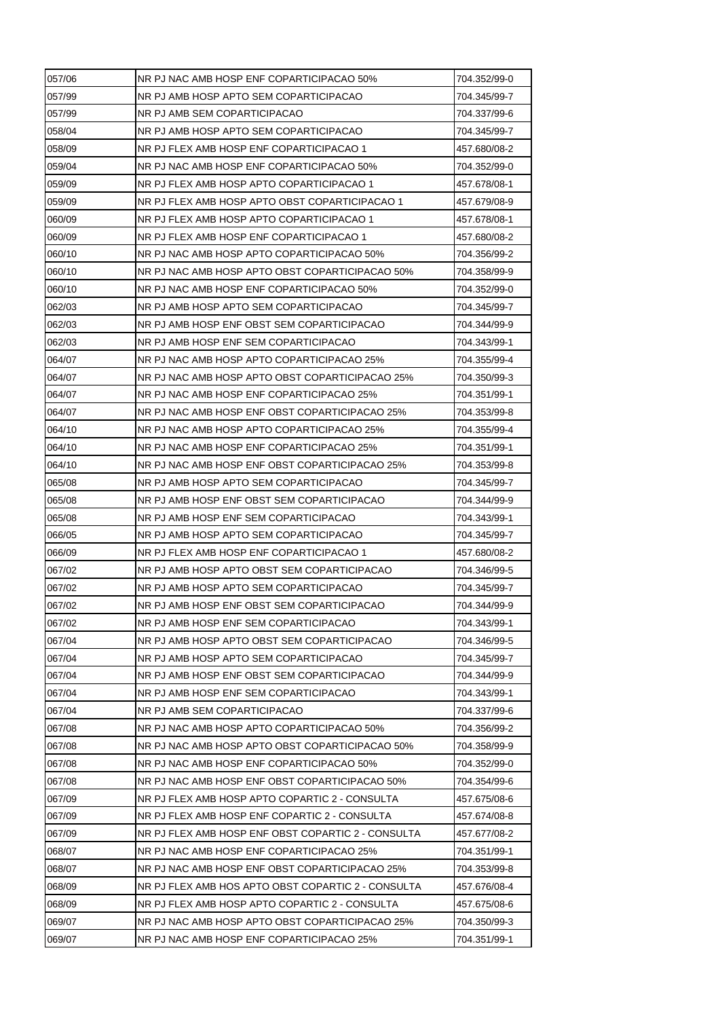| 057/06 | NR PJ NAC AMB HOSP ENF COPARTICIPACAO 50%          | 704.352/99-0 |
|--------|----------------------------------------------------|--------------|
| 057/99 | NR PJ AMB HOSP APTO SEM COPARTICIPACAO             | 704.345/99-7 |
| 057/99 | NR PJ AMB SEM COPARTICIPACAO                       | 704.337/99-6 |
| 058/04 | NR PJ AMB HOSP APTO SEM COPARTICIPACAO             | 704.345/99-7 |
| 058/09 | NR PJ FLEX AMB HOSP ENF COPARTICIPACAO 1           | 457.680/08-2 |
| 059/04 | NR PJ NAC AMB HOSP ENF COPARTICIPACAO 50%          | 704.352/99-0 |
| 059/09 | NR PJ FLEX AMB HOSP APTO COPARTICIPACAO 1          | 457.678/08-1 |
| 059/09 | NR PJ FLEX AMB HOSP APTO OBST COPARTICIPACAO 1     | 457.679/08-9 |
| 060/09 | NR PJ FLEX AMB HOSP APTO COPARTICIPACAO 1          | 457.678/08-1 |
| 060/09 | NR PJ FLEX AMB HOSP ENF COPARTICIPACAO 1           | 457.680/08-2 |
| 060/10 | NR PJ NAC AMB HOSP APTO COPARTICIPACAO 50%         | 704.356/99-2 |
| 060/10 | NR PJ NAC AMB HOSP APTO OBST COPARTICIPACAO 50%    | 704.358/99-9 |
| 060/10 | NR PJ NAC AMB HOSP ENF COPARTICIPACAO 50%          | 704.352/99-0 |
| 062/03 | NR PJ AMB HOSP APTO SEM COPARTICIPACAO             | 704.345/99-7 |
| 062/03 | NR PJ AMB HOSP ENF OBST SEM COPARTICIPACAO         | 704.344/99-9 |
| 062/03 | NR PJ AMB HOSP ENF SEM COPARTICIPACAO              | 704.343/99-1 |
| 064/07 | NR PJ NAC AMB HOSP APTO COPARTICIPACAO 25%         | 704.355/99-4 |
| 064/07 | NR PJ NAC AMB HOSP APTO OBST COPARTICIPACAO 25%    | 704.350/99-3 |
| 064/07 | NR PJ NAC AMB HOSP ENF COPARTICIPACAO 25%          | 704.351/99-1 |
| 064/07 | NR PJ NAC AMB HOSP ENF OBST COPARTICIPACAO 25%     | 704.353/99-8 |
| 064/10 | NR PJ NAC AMB HOSP APTO COPARTICIPACAO 25%         | 704.355/99-4 |
| 064/10 | NR PJ NAC AMB HOSP ENF COPARTICIPACAO 25%          | 704.351/99-1 |
| 064/10 | NR PJ NAC AMB HOSP ENF OBST COPARTICIPACAO 25%     | 704.353/99-8 |
| 065/08 | NR PJ AMB HOSP APTO SEM COPARTICIPACAO             | 704.345/99-7 |
| 065/08 | NR PJ AMB HOSP ENF OBST SEM COPARTICIPACAO         | 704.344/99-9 |
| 065/08 | NR PJ AMB HOSP ENF SEM COPARTICIPACAO              | 704.343/99-1 |
| 066/05 | NR PJ AMB HOSP APTO SEM COPARTICIPACAO             | 704.345/99-7 |
| 066/09 | NR PJ FLEX AMB HOSP ENF COPARTICIPACAO 1           | 457.680/08-2 |
| 067/02 | NR PJ AMB HOSP APTO OBST SEM COPARTICIPACAO        | 704.346/99-5 |
| 067/02 | NR PJ AMB HOSP APTO SEM COPARTICIPACAO             | 704.345/99-7 |
| 067/02 | NR PJ AMB HOSP ENF OBST SEM COPARTICIPACAO         | 704.344/99-9 |
| 067/02 | NR PJ AMB HOSP ENF SEM COPARTICIPACAO              | 704.343/99-1 |
| 067/04 | NR PJ AMB HOSP APTO OBST SEM COPARTICIPACAO        | 704.346/99-5 |
| 067/04 | NR PJ AMB HOSP APTO SEM COPARTICIPACAO             | 704.345/99-7 |
| 067/04 | NR PJ AMB HOSP ENF OBST SEM COPARTICIPACAO         | 704.344/99-9 |
|        |                                                    |              |
| 067/04 | NR PJ AMB HOSP ENF SEM COPARTICIPACAO              | 704.343/99-1 |
| 067/04 | NR PJ AMB SEM COPARTICIPACAO                       | 704.337/99-6 |
| 067/08 | NR PJ NAC AMB HOSP APTO COPARTICIPACAO 50%         | 704.356/99-2 |
| 067/08 | NR PJ NAC AMB HOSP APTO OBST COPARTICIPACAO 50%    | 704.358/99-9 |
| 067/08 | NR PJ NAC AMB HOSP ENF COPARTICIPACAO 50%          | 704.352/99-0 |
| 067/08 | NR PJ NAC AMB HOSP ENF OBST COPARTICIPACAO 50%     | 704.354/99-6 |
| 067/09 | NR PJ FLEX AMB HOSP APTO COPARTIC 2 - CONSULTA     | 457.675/08-6 |
| 067/09 | NR PJ FLEX AMB HOSP ENF COPARTIC 2 - CONSULTA      | 457.674/08-8 |
| 067/09 | NR PJ FLEX AMB HOSP ENF OBST COPARTIC 2 - CONSULTA | 457.677/08-2 |
| 068/07 | NR PJ NAC AMB HOSP ENF COPARTICIPACAO 25%          | 704.351/99-1 |
| 068/07 | NR PJ NAC AMB HOSP ENF OBST COPARTICIPACAO 25%     | 704.353/99-8 |
| 068/09 | NR PJ FLEX AMB HOS APTO OBST COPARTIC 2 - CONSULTA | 457.676/08-4 |
| 068/09 | NR PJ FLEX AMB HOSP APTO COPARTIC 2 - CONSULTA     | 457.675/08-6 |
| 069/07 | NR PJ NAC AMB HOSP APTO OBST COPARTICIPACAO 25%    | 704.350/99-3 |
| 069/07 | NR PJ NAC AMB HOSP ENF COPARTICIPACAO 25%          | 704.351/99-1 |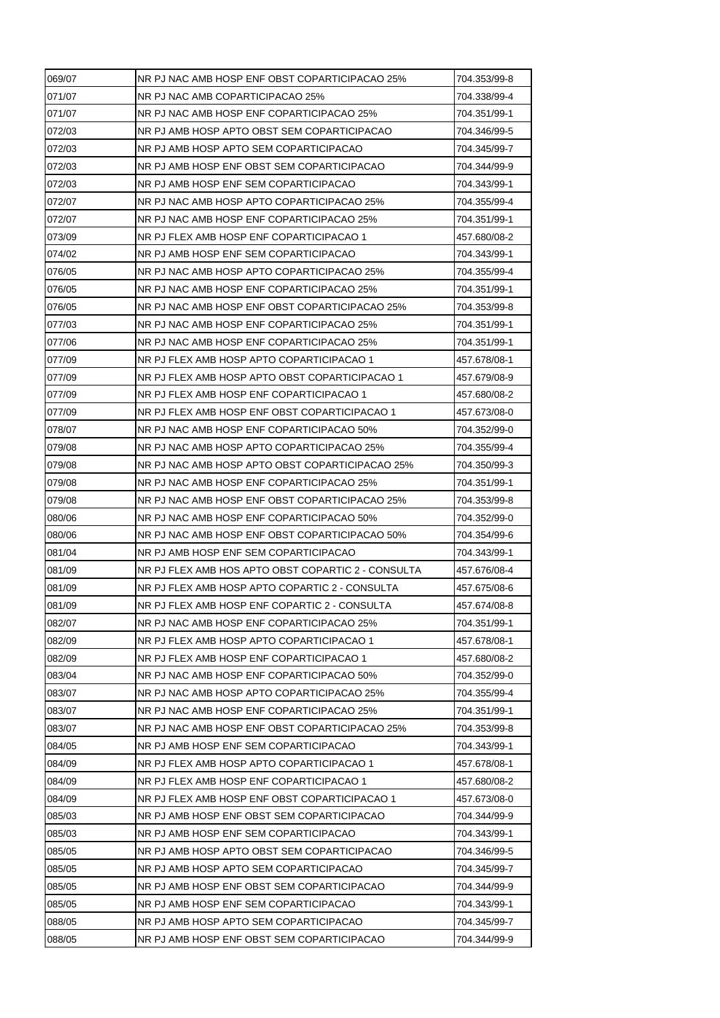| 069/07 | NR PJ NAC AMB HOSP ENF OBST COPARTICIPACAO 25%     | 704.353/99-8 |
|--------|----------------------------------------------------|--------------|
| 071/07 | NR PJ NAC AMB COPARTICIPACAO 25%                   | 704.338/99-4 |
| 071/07 | NR PJ NAC AMB HOSP ENF COPARTICIPACAO 25%          | 704.351/99-1 |
| 072/03 | NR PJ AMB HOSP APTO OBST SEM COPARTICIPACAO        | 704.346/99-5 |
| 072/03 | NR PJ AMB HOSP APTO SEM COPARTICIPACAO             | 704.345/99-7 |
| 072/03 | NR PJ AMB HOSP ENF OBST SEM COPARTICIPACAO         | 704.344/99-9 |
| 072/03 | NR PJ AMB HOSP ENF SEM COPARTICIPACAO              | 704.343/99-1 |
| 072/07 | NR PJ NAC AMB HOSP APTO COPARTICIPACAO 25%         | 704.355/99-4 |
| 072/07 | NR PJ NAC AMB HOSP ENF COPARTICIPACAO 25%          | 704.351/99-1 |
| 073/09 | NR PJ FLEX AMB HOSP ENF COPARTICIPACAO 1           | 457.680/08-2 |
| 074/02 | NR PJ AMB HOSP ENF SEM COPARTICIPACAO              | 704.343/99-1 |
| 076/05 | NR PJ NAC AMB HOSP APTO COPARTICIPACAO 25%         | 704.355/99-4 |
| 076/05 | NR PJ NAC AMB HOSP ENF COPARTICIPACAO 25%          | 704.351/99-1 |
| 076/05 | NR PJ NAC AMB HOSP ENF OBST COPARTICIPACAO 25%     | 704.353/99-8 |
| 077/03 | NR PJ NAC AMB HOSP ENF COPARTICIPACAO 25%          | 704.351/99-1 |
| 077/06 | NR PJ NAC AMB HOSP ENF COPARTICIPACAO 25%          | 704.351/99-1 |
| 077/09 | NR PJ FLEX AMB HOSP APTO COPARTICIPACAO 1          | 457.678/08-1 |
| 077/09 | NR PJ FLEX AMB HOSP APTO OBST COPARTICIPACAO 1     | 457.679/08-9 |
| 077/09 | NR PJ FLEX AMB HOSP ENF COPARTICIPACAO 1           | 457.680/08-2 |
| 077/09 | NR PJ FLEX AMB HOSP ENF OBST COPARTICIPACAO 1      | 457.673/08-0 |
| 078/07 | NR PJ NAC AMB HOSP ENF COPARTICIPACAO 50%          | 704.352/99-0 |
| 079/08 | NR PJ NAC AMB HOSP APTO COPARTICIPACAO 25%         | 704.355/99-4 |
| 079/08 | NR PJ NAC AMB HOSP APTO OBST COPARTICIPACAO 25%    | 704.350/99-3 |
| 079/08 | NR PJ NAC AMB HOSP ENF COPARTICIPACAO 25%          | 704.351/99-1 |
| 079/08 | NR PJ NAC AMB HOSP ENF OBST COPARTICIPACAO 25%     | 704.353/99-8 |
| 080/06 | NR PJ NAC AMB HOSP ENF COPARTICIPACAO 50%          | 704.352/99-0 |
| 080/06 | NR PJ NAC AMB HOSP ENF OBST COPARTICIPACAO 50%     | 704.354/99-6 |
| 081/04 | NR PJ AMB HOSP ENF SEM COPARTICIPACAO              | 704.343/99-1 |
| 081/09 | NR PJ FLEX AMB HOS APTO OBST COPARTIC 2 - CONSULTA | 457.676/08-4 |
| 081/09 | NR PJ FLEX AMB HOSP APTO COPARTIC 2 - CONSULTA     | 457.675/08-6 |
| 081/09 | NR PJ FLEX AMB HOSP ENF COPARTIC 2 - CONSULTA      | 457.674/08-8 |
| 082/07 | NR PJ NAC AMB HOSP ENF COPARTICIPACAO 25%          | 704.351/99-1 |
| 082/09 | NR PJ FLEX AMB HOSP APTO COPARTICIPACAO 1          | 457.678/08-1 |
| 082/09 | NR PJ FLEX AMB HOSP ENF COPARTICIPACAO 1           | 457.680/08-2 |
| 083/04 | NR PJ NAC AMB HOSP ENF COPARTICIPACAO 50%          | 704.352/99-0 |
| 083/07 | NR PJ NAC AMB HOSP APTO COPARTICIPACAO 25%         | 704.355/99-4 |
| 083/07 | NR PJ NAC AMB HOSP ENF COPARTICIPACAO 25%          | 704.351/99-1 |
| 083/07 | NR PJ NAC AMB HOSP ENF OBST COPARTICIPACAO 25%     | 704.353/99-8 |
| 084/05 | NR PJ AMB HOSP ENF SEM COPARTICIPACAO              | 704.343/99-1 |
| 084/09 | NR PJ FLEX AMB HOSP APTO COPARTICIPACAO 1          | 457.678/08-1 |
| 084/09 | NR PJ FLEX AMB HOSP ENF COPARTICIPACAO 1           | 457.680/08-2 |
| 084/09 | NR PJ FLEX AMB HOSP ENF OBST COPARTICIPACAO 1      | 457.673/08-0 |
| 085/03 | NR PJ AMB HOSP ENF OBST SEM COPARTICIPACAO         | 704.344/99-9 |
| 085/03 | NR PJ AMB HOSP ENF SEM COPARTICIPACAO              | 704.343/99-1 |
| 085/05 | NR PJ AMB HOSP APTO OBST SEM COPARTICIPACAO        | 704.346/99-5 |
| 085/05 | NR PJ AMB HOSP APTO SEM COPARTICIPACAO             | 704.345/99-7 |
| 085/05 | NR PJ AMB HOSP ENF OBST SEM COPARTICIPACAO         | 704.344/99-9 |
| 085/05 | NR PJ AMB HOSP ENF SEM COPARTICIPACAO              | 704.343/99-1 |
| 088/05 | NR PJ AMB HOSP APTO SEM COPARTICIPACAO             | 704.345/99-7 |
| 088/05 | NR PJ AMB HOSP ENF OBST SEM COPARTICIPACAO         | 704.344/99-9 |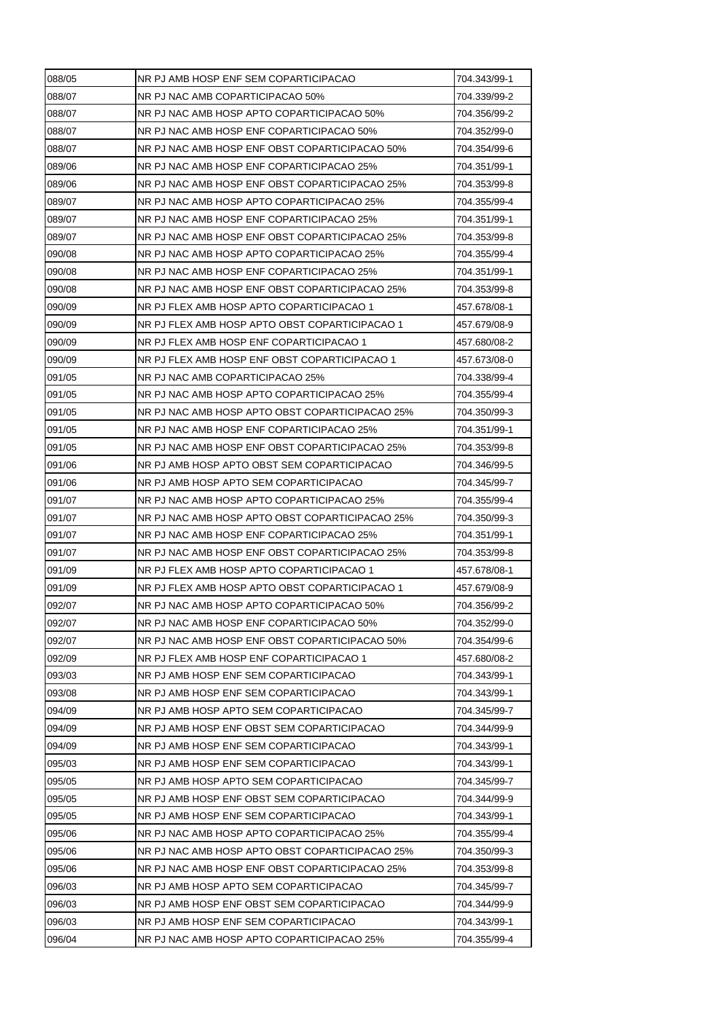| 088/05 | NR PJ AMB HOSP ENF SEM COPARTICIPACAO           | 704.343/99-1 |
|--------|-------------------------------------------------|--------------|
| 088/07 | NR PJ NAC AMB COPARTICIPACAO 50%                | 704.339/99-2 |
| 088/07 | NR PJ NAC AMB HOSP APTO COPARTICIPACAO 50%      | 704.356/99-2 |
| 088/07 | NR PJ NAC AMB HOSP ENF COPARTICIPACAO 50%       | 704.352/99-0 |
| 088/07 | NR PJ NAC AMB HOSP ENF OBST COPARTICIPACAO 50%  | 704.354/99-6 |
| 089/06 | NR PJ NAC AMB HOSP ENF COPARTICIPACAO 25%       | 704.351/99-1 |
| 089/06 | NR PJ NAC AMB HOSP ENF OBST COPARTICIPACAO 25%  | 704.353/99-8 |
| 089/07 | NR PJ NAC AMB HOSP APTO COPARTICIPACAO 25%      | 704.355/99-4 |
| 089/07 | NR PJ NAC AMB HOSP ENF COPARTICIPACAO 25%       | 704.351/99-1 |
| 089/07 | NR PJ NAC AMB HOSP ENF OBST COPARTICIPACAO 25%  | 704.353/99-8 |
| 090/08 | NR PJ NAC AMB HOSP APTO COPARTICIPACAO 25%      | 704.355/99-4 |
| 090/08 | NR PJ NAC AMB HOSP ENF COPARTICIPACAO 25%       | 704.351/99-1 |
| 090/08 | NR PJ NAC AMB HOSP ENF OBST COPARTICIPACAO 25%  | 704.353/99-8 |
| 090/09 | NR PJ FLEX AMB HOSP APTO COPARTICIPACAO 1       | 457.678/08-1 |
| 090/09 | NR PJ FLEX AMB HOSP APTO OBST COPARTICIPACAO 1  | 457.679/08-9 |
| 090/09 | NR PJ FLEX AMB HOSP ENF COPARTICIPACAO 1        | 457.680/08-2 |
| 090/09 | NR PJ FLEX AMB HOSP ENF OBST COPARTICIPACAO 1   | 457.673/08-0 |
| 091/05 | NR PJ NAC AMB COPARTICIPACAO 25%                | 704.338/99-4 |
| 091/05 | NR PJ NAC AMB HOSP APTO COPARTICIPACAO 25%      | 704.355/99-4 |
| 091/05 | NR PJ NAC AMB HOSP APTO OBST COPARTICIPACAO 25% | 704.350/99-3 |
| 091/05 | NR PJ NAC AMB HOSP ENF COPARTICIPACAO 25%       | 704.351/99-1 |
| 091/05 | NR PJ NAC AMB HOSP ENF OBST COPARTICIPACAO 25%  | 704.353/99-8 |
| 091/06 | NR PJ AMB HOSP APTO OBST SEM COPARTICIPACAO     | 704.346/99-5 |
| 091/06 | NR PJ AMB HOSP APTO SEM COPARTICIPACAO          | 704.345/99-7 |
| 091/07 | NR PJ NAC AMB HOSP APTO COPARTICIPACAO 25%      | 704.355/99-4 |
| 091/07 | NR PJ NAC AMB HOSP APTO OBST COPARTICIPACAO 25% | 704.350/99-3 |
| 091/07 | NR PJ NAC AMB HOSP ENF COPARTICIPACAO 25%       | 704.351/99-1 |
| 091/07 | NR PJ NAC AMB HOSP ENF OBST COPARTICIPACAO 25%  | 704.353/99-8 |
| 091/09 | NR PJ FLEX AMB HOSP APTO COPARTICIPACAO 1       | 457.678/08-1 |
| 091/09 | NR PJ FLEX AMB HOSP APTO OBST COPARTICIPACAO 1  | 457.679/08-9 |
| 092/07 | NR PJ NAC AMB HOSP APTO COPARTICIPACAO 50%      | 704.356/99-2 |
| 092/07 | NR PJ NAC AMB HOSP ENF COPARTICIPACAO 50%       | 704.352/99-0 |
| 092/07 | NR PJ NAC AMB HOSP ENF OBST COPARTICIPACAO 50%  | 704.354/99-6 |
| 092/09 | NR PJ FLEX AMB HOSP ENF COPARTICIPACAO 1        | 457.680/08-2 |
| 093/03 | NR PJ AMB HOSP ENF SEM COPARTICIPACAO           | 704.343/99-1 |
| 093/08 | NR PJ AMB HOSP ENF SEM COPARTICIPACAO           | 704.343/99-1 |
| 094/09 | NR PJ AMB HOSP APTO SEM COPARTICIPACAO          | 704.345/99-7 |
| 094/09 | NR PJ AMB HOSP ENF OBST SEM COPARTICIPACAO      | 704.344/99-9 |
| 094/09 | NR PJ AMB HOSP ENF SEM COPARTICIPACAO           | 704.343/99-1 |
| 095/03 | NR PJ AMB HOSP ENF SEM COPARTICIPACAO           | 704.343/99-1 |
| 095/05 | NR PJ AMB HOSP APTO SEM COPARTICIPACAO          | 704.345/99-7 |
| 095/05 | NR PJ AMB HOSP ENF OBST SEM COPARTICIPACAO      | 704.344/99-9 |
| 095/05 | NR PJ AMB HOSP ENF SEM COPARTICIPACAO           | 704.343/99-1 |
| 095/06 | NR PJ NAC AMB HOSP APTO COPARTICIPACAO 25%      | 704.355/99-4 |
| 095/06 | NR PJ NAC AMB HOSP APTO OBST COPARTICIPACAO 25% | 704.350/99-3 |
| 095/06 | NR PJ NAC AMB HOSP ENF OBST COPARTICIPACAO 25%  | 704.353/99-8 |
| 096/03 | NR PJ AMB HOSP APTO SEM COPARTICIPACAO          | 704.345/99-7 |
| 096/03 | NR PJ AMB HOSP ENF OBST SEM COPARTICIPACAO      | 704.344/99-9 |
| 096/03 | NR PJ AMB HOSP ENF SEM COPARTICIPACAO           | 704.343/99-1 |
| 096/04 | NR PJ NAC AMB HOSP APTO COPARTICIPACAO 25%      | 704.355/99-4 |
|        |                                                 |              |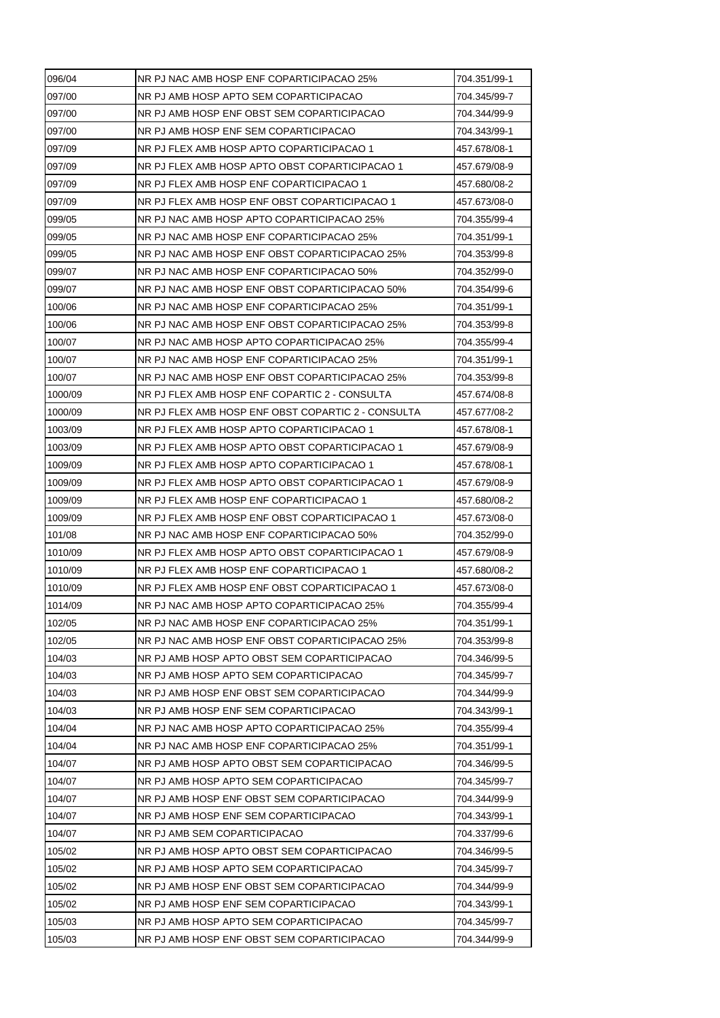| 096/04  | NR PJ NAC AMB HOSP ENF COPARTICIPACAO 25%          | 704.351/99-1 |
|---------|----------------------------------------------------|--------------|
| 097/00  | NR PJ AMB HOSP APTO SEM COPARTICIPACAO             | 704.345/99-7 |
| 097/00  | NR PJ AMB HOSP ENF OBST SEM COPARTICIPACAO         | 704.344/99-9 |
| 097/00  | NR PJ AMB HOSP ENF SEM COPARTICIPACAO              | 704.343/99-1 |
| 097/09  | NR PJ FLEX AMB HOSP APTO COPARTICIPACAO 1          | 457.678/08-1 |
| 097/09  | NR PJ FLEX AMB HOSP APTO OBST COPARTICIPACAO 1     | 457.679/08-9 |
| 097/09  | NR PJ FLEX AMB HOSP ENF COPARTICIPACAO 1           | 457.680/08-2 |
| 097/09  | NR PJ FLEX AMB HOSP ENF OBST COPARTICIPACAO 1      | 457.673/08-0 |
| 099/05  | NR PJ NAC AMB HOSP APTO COPARTICIPACAO 25%         | 704.355/99-4 |
| 099/05  | NR PJ NAC AMB HOSP ENF COPARTICIPACAO 25%          | 704.351/99-1 |
| 099/05  | NR PJ NAC AMB HOSP ENF OBST COPARTICIPACAO 25%     | 704.353/99-8 |
| 099/07  | NR PJ NAC AMB HOSP ENF COPARTICIPACAO 50%          | 704.352/99-0 |
| 099/07  | NR PJ NAC AMB HOSP ENF OBST COPARTICIPACAO 50%     | 704.354/99-6 |
| 100/06  | NR PJ NAC AMB HOSP ENF COPARTICIPACAO 25%          | 704.351/99-1 |
| 100/06  | NR PJ NAC AMB HOSP ENF OBST COPARTICIPACAO 25%     | 704.353/99-8 |
| 100/07  | NR PJ NAC AMB HOSP APTO COPARTICIPACAO 25%         | 704.355/99-4 |
| 100/07  | NR PJ NAC AMB HOSP ENF COPARTICIPACAO 25%          | 704.351/99-1 |
| 100/07  | NR PJ NAC AMB HOSP ENF OBST COPARTICIPACAO 25%     | 704.353/99-8 |
| 1000/09 | NR PJ FLEX AMB HOSP ENF COPARTIC 2 - CONSULTA      | 457.674/08-8 |
| 1000/09 | NR PJ FLEX AMB HOSP ENF OBST COPARTIC 2 - CONSULTA | 457.677/08-2 |
| 1003/09 | NR PJ FLEX AMB HOSP APTO COPARTICIPACAO 1          | 457.678/08-1 |
| 1003/09 | NR PJ FLEX AMB HOSP APTO OBST COPARTICIPACAO 1     | 457.679/08-9 |
| 1009/09 | NR PJ FLEX AMB HOSP APTO COPARTICIPACAO 1          | 457.678/08-1 |
| 1009/09 | NR PJ FLEX AMB HOSP APTO OBST COPARTICIPACAO 1     | 457.679/08-9 |
| 1009/09 | NR PJ FLEX AMB HOSP ENF COPARTICIPACAO 1           | 457.680/08-2 |
| 1009/09 | NR PJ FLEX AMB HOSP ENF OBST COPARTICIPACAO 1      | 457.673/08-0 |
| 101/08  | NR PJ NAC AMB HOSP ENF COPARTICIPACAO 50%          | 704.352/99-0 |
| 1010/09 | NR PJ FLEX AMB HOSP APTO OBST COPARTICIPACAO 1     | 457.679/08-9 |
| 1010/09 | NR PJ FLEX AMB HOSP ENF COPARTICIPACAO 1           | 457.680/08-2 |
| 1010/09 | NR PJ FLEX AMB HOSP ENF OBST COPARTICIPACAO 1      | 457.673/08-0 |
| 1014/09 | NR PJ NAC AMB HOSP APTO COPARTICIPACAO 25%         | 704.355/99-4 |
| 102/05  | NR PJ NAC AMB HOSP ENF COPARTICIPACAO 25%          | 704.351/99-1 |
| 102/05  | NR PJ NAC AMB HOSP ENF OBST COPARTICIPACAO 25%     | 704.353/99-8 |
| 104/03  | NR PJ AMB HOSP APTO OBST SEM COPARTICIPACAO        | 704.346/99-5 |
| 104/03  | NR PJ AMB HOSP APTO SEM COPARTICIPACAO             | 704.345/99-7 |
| 104/03  | NR PJ AMB HOSP ENF OBST SEM COPARTICIPACAO         | 704.344/99-9 |
| 104/03  | NR PJ AMB HOSP ENF SEM COPARTICIPACAO              | 704.343/99-1 |
| 104/04  | NR PJ NAC AMB HOSP APTO COPARTICIPACAO 25%         | 704.355/99-4 |
| 104/04  | NR PJ NAC AMB HOSP ENF COPARTICIPACAO 25%          | 704.351/99-1 |
| 104/07  | NR PJ AMB HOSP APTO OBST SEM COPARTICIPACAO        | 704.346/99-5 |
| 104/07  | NR PJ AMB HOSP APTO SEM COPARTICIPACAO             | 704.345/99-7 |
| 104/07  | NR PJ AMB HOSP ENF OBST SEM COPARTICIPACAO         | 704.344/99-9 |
| 104/07  | NR PJ AMB HOSP ENF SEM COPARTICIPACAO              | 704.343/99-1 |
| 104/07  | NR PJ AMB SEM COPARTICIPACAO                       | 704.337/99-6 |
| 105/02  | NR PJ AMB HOSP APTO OBST SEM COPARTICIPACAO        | 704.346/99-5 |
|         |                                                    |              |
| 105/02  | NR PJ AMB HOSP APTO SEM COPARTICIPACAO             | 704.345/99-7 |
| 105/02  | NR PJ AMB HOSP ENF OBST SEM COPARTICIPACAO         | 704.344/99-9 |
| 105/02  | NR PJ AMB HOSP ENF SEM COPARTICIPACAO              | 704.343/99-1 |
| 105/03  | NR PJ AMB HOSP APTO SEM COPARTICIPACAO             | 704.345/99-7 |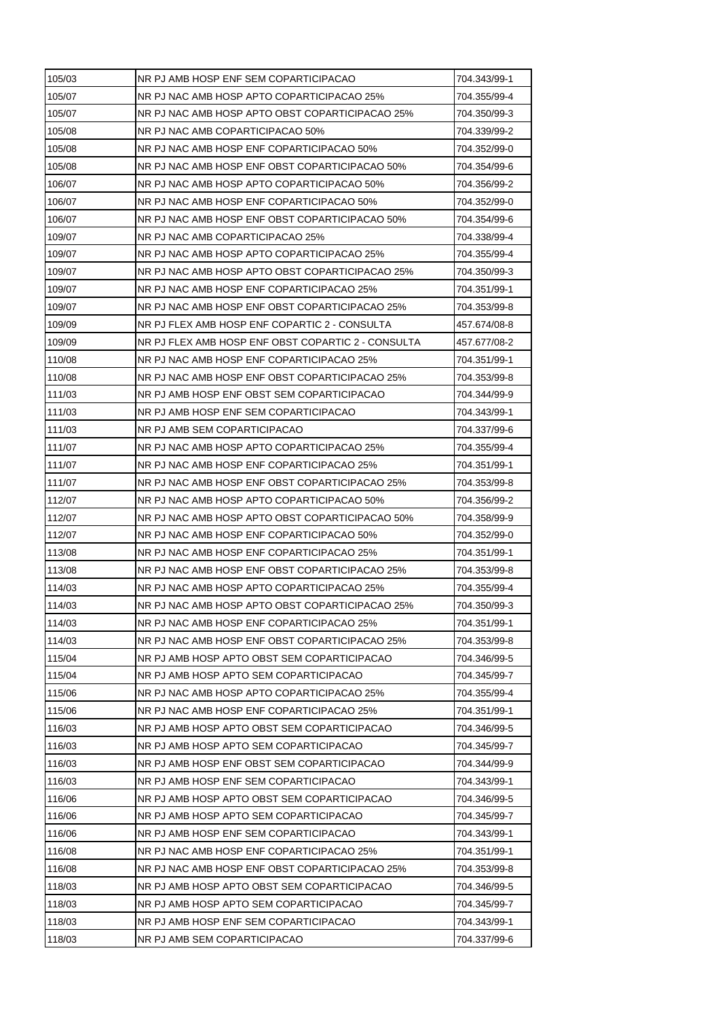| 105/03 | NR PJ AMB HOSP ENF SEM COPARTICIPACAO              | 704.343/99-1 |
|--------|----------------------------------------------------|--------------|
| 105/07 | NR PJ NAC AMB HOSP APTO COPARTICIPACAO 25%         | 704.355/99-4 |
| 105/07 | NR PJ NAC AMB HOSP APTO OBST COPARTICIPACAO 25%    | 704.350/99-3 |
| 105/08 | NR PJ NAC AMB COPARTICIPACAO 50%                   | 704.339/99-2 |
| 105/08 | NR PJ NAC AMB HOSP ENF COPARTICIPACAO 50%          | 704.352/99-0 |
| 105/08 | NR PJ NAC AMB HOSP ENF OBST COPARTICIPACAO 50%     | 704.354/99-6 |
| 106/07 | NR PJ NAC AMB HOSP APTO COPARTICIPACAO 50%         | 704.356/99-2 |
| 106/07 | NR PJ NAC AMB HOSP ENF COPARTICIPACAO 50%          | 704.352/99-0 |
| 106/07 | NR PJ NAC AMB HOSP ENF OBST COPARTICIPACAO 50%     | 704.354/99-6 |
| 109/07 | NR PJ NAC AMB COPARTICIPACAO 25%                   | 704.338/99-4 |
| 109/07 | NR PJ NAC AMB HOSP APTO COPARTICIPACAO 25%         | 704.355/99-4 |
| 109/07 | NR PJ NAC AMB HOSP APTO OBST COPARTICIPACAO 25%    | 704.350/99-3 |
| 109/07 | NR PJ NAC AMB HOSP ENF COPARTICIPACAO 25%          | 704.351/99-1 |
| 109/07 | NR PJ NAC AMB HOSP ENF OBST COPARTICIPACAO 25%     | 704.353/99-8 |
| 109/09 | NR PJ FLEX AMB HOSP ENF COPARTIC 2 - CONSULTA      | 457.674/08-8 |
| 109/09 | NR PJ FLEX AMB HOSP ENF OBST COPARTIC 2 - CONSULTA | 457.677/08-2 |
| 110/08 | NR PJ NAC AMB HOSP ENF COPARTICIPACAO 25%          | 704.351/99-1 |
| 110/08 | NR PJ NAC AMB HOSP ENF OBST COPARTICIPACAO 25%     | 704.353/99-8 |
| 111/03 | NR PJ AMB HOSP ENF OBST SEM COPARTICIPACAO         | 704.344/99-9 |
| 111/03 | NR PJ AMB HOSP ENF SEM COPARTICIPACAO              | 704.343/99-1 |
| 111/03 | NR PJ AMB SEM COPARTICIPACAO                       | 704.337/99-6 |
| 111/07 | NR PJ NAC AMB HOSP APTO COPARTICIPACAO 25%         | 704.355/99-4 |
| 111/07 | NR PJ NAC AMB HOSP ENF COPARTICIPACAO 25%          | 704.351/99-1 |
| 111/07 | NR PJ NAC AMB HOSP ENF OBST COPARTICIPACAO 25%     | 704.353/99-8 |
| 112/07 | NR PJ NAC AMB HOSP APTO COPARTICIPACAO 50%         | 704.356/99-2 |
| 112/07 | NR PJ NAC AMB HOSP APTO OBST COPARTICIPACAO 50%    | 704.358/99-9 |
| 112/07 | NR PJ NAC AMB HOSP ENF COPARTICIPACAO 50%          | 704.352/99-0 |
| 113/08 | NR PJ NAC AMB HOSP ENF COPARTICIPACAO 25%          | 704.351/99-1 |
| 113/08 | NR PJ NAC AMB HOSP ENF OBST COPARTICIPACAO 25%     | 704.353/99-8 |
| 114/03 | NR PJ NAC AMB HOSP APTO COPARTICIPACAO 25%         | 704.355/99-4 |
| 114/03 | NR PJ NAC AMB HOSP APTO OBST COPARTICIPACAO 25%    | 704.350/99-3 |
| 114/03 | NR PJ NAC AMB HOSP ENF COPARTICIPACAO 25%          | 704.351/99-1 |
| 114/03 | NR PJ NAC AMB HOSP ENF OBST COPARTICIPACAO 25%     | 704.353/99-8 |
| 115/04 | NR PJ AMB HOSP APTO OBST SEM COPARTICIPACAO        | 704.346/99-5 |
| 115/04 | NR PJ AMB HOSP APTO SEM COPARTICIPACAO             | 704.345/99-7 |
| 115/06 | NR PJ NAC AMB HOSP APTO COPARTICIPACAO 25%         | 704.355/99-4 |
| 115/06 | NR PJ NAC AMB HOSP ENF COPARTICIPACAO 25%          | 704.351/99-1 |
| 116/03 | NR PJ AMB HOSP APTO OBST SEM COPARTICIPACAO        | 704.346/99-5 |
| 116/03 | NR PJ AMB HOSP APTO SEM COPARTICIPACAO             | 704.345/99-7 |
| 116/03 | NR PJ AMB HOSP ENF OBST SEM COPARTICIPACAO         | 704.344/99-9 |
| 116/03 | NR PJ AMB HOSP ENF SEM COPARTICIPACAO              | 704.343/99-1 |
| 116/06 | NR PJ AMB HOSP APTO OBST SEM COPARTICIPACAO        | 704.346/99-5 |
| 116/06 | NR PJ AMB HOSP APTO SEM COPARTICIPACAO             | 704.345/99-7 |
| 116/06 | NR PJ AMB HOSP ENF SEM COPARTICIPACAO              | 704.343/99-1 |
| 116/08 | NR PJ NAC AMB HOSP ENF COPARTICIPACAO 25%          | 704.351/99-1 |
| 116/08 | NR PJ NAC AMB HOSP ENF OBST COPARTICIPACAO 25%     | 704.353/99-8 |
| 118/03 | NR PJ AMB HOSP APTO OBST SEM COPARTICIPACAO        | 704.346/99-5 |
| 118/03 | NR PJ AMB HOSP APTO SEM COPARTICIPACAO             | 704.345/99-7 |
| 118/03 | NR PJ AMB HOSP ENF SEM COPARTICIPACAO              | 704.343/99-1 |
| 118/03 | NR PJ AMB SEM COPARTICIPACAO                       |              |
|        |                                                    | 704.337/99-6 |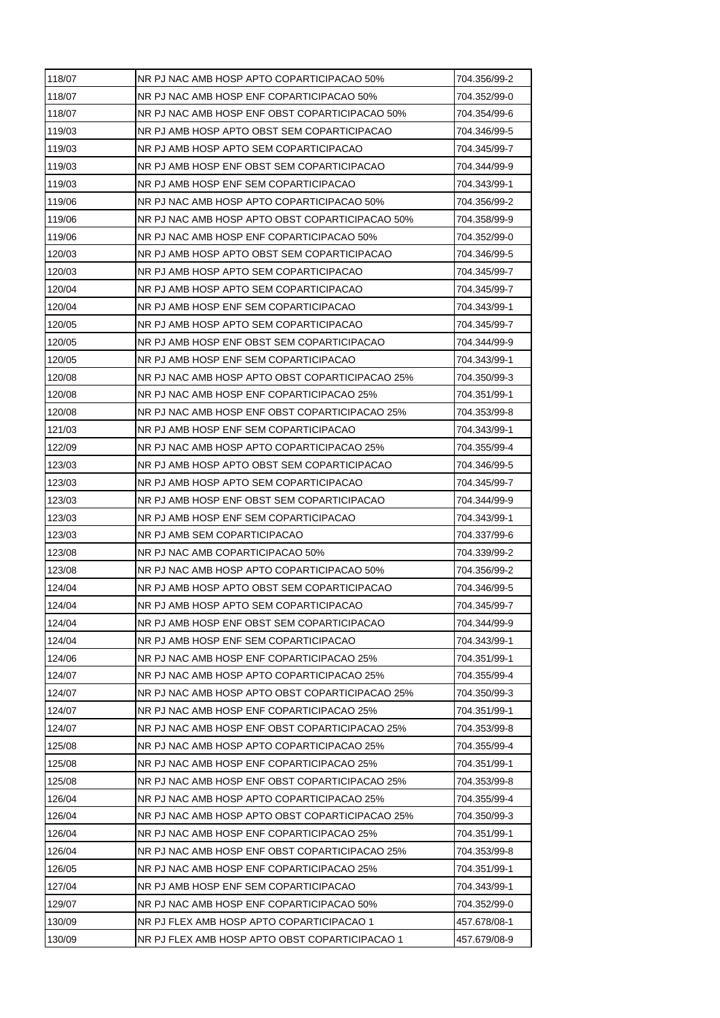| 118/07 | NR PJ NAC AMB HOSP APTO COPARTICIPACAO 50%      | 704.356/99-2 |
|--------|-------------------------------------------------|--------------|
| 118/07 | NR PJ NAC AMB HOSP ENF COPARTICIPACAO 50%       | 704.352/99-0 |
| 118/07 | NR PJ NAC AMB HOSP ENF OBST COPARTICIPACAO 50%  | 704.354/99-6 |
| 119/03 | NR PJ AMB HOSP APTO OBST SEM COPARTICIPACAO     | 704.346/99-5 |
| 119/03 | NR PJ AMB HOSP APTO SEM COPARTICIPACAO          | 704.345/99-7 |
| 119/03 | NR PJ AMB HOSP ENF OBST SEM COPARTICIPACAO      | 704.344/99-9 |
| 119/03 | NR PJ AMB HOSP ENF SEM COPARTICIPACAO           | 704.343/99-1 |
| 119/06 | NR PJ NAC AMB HOSP APTO COPARTICIPACAO 50%      | 704.356/99-2 |
| 119/06 | NR PJ NAC AMB HOSP APTO OBST COPARTICIPACAO 50% | 704.358/99-9 |
| 119/06 | NR PJ NAC AMB HOSP ENF COPARTICIPACAO 50%       | 704.352/99-0 |
| 120/03 | NR PJ AMB HOSP APTO OBST SEM COPARTICIPACAO     | 704.346/99-5 |
| 120/03 | NR PJ AMB HOSP APTO SEM COPARTICIPACAO          | 704.345/99-7 |
| 120/04 | NR PJ AMB HOSP APTO SEM COPARTICIPACAO          | 704.345/99-7 |
| 120/04 | NR PJ AMB HOSP ENF SEM COPARTICIPACAO           | 704.343/99-1 |
| 120/05 | NR PJ AMB HOSP APTO SEM COPARTICIPACAO          | 704.345/99-7 |
| 120/05 | NR PJ AMB HOSP ENF OBST SEM COPARTICIPACAO      | 704.344/99-9 |
| 120/05 | NR PJ AMB HOSP ENF SEM COPARTICIPACAO           | 704.343/99-1 |
| 120/08 | NR PJ NAC AMB HOSP APTO OBST COPARTICIPACAO 25% | 704.350/99-3 |
| 120/08 | NR PJ NAC AMB HOSP ENF COPARTICIPACAO 25%       | 704.351/99-1 |
| 120/08 | NR PJ NAC AMB HOSP ENF OBST COPARTICIPACAO 25%  | 704.353/99-8 |
| 121/03 | NR PJ AMB HOSP ENF SEM COPARTICIPACAO           | 704.343/99-1 |
| 122/09 | NR PJ NAC AMB HOSP APTO COPARTICIPACAO 25%      | 704.355/99-4 |
| 123/03 | NR PJ AMB HOSP APTO OBST SEM COPARTICIPACAO     | 704.346/99-5 |
| 123/03 | NR PJ AMB HOSP APTO SEM COPARTICIPACAO          | 704.345/99-7 |
| 123/03 | NR PJ AMB HOSP ENF OBST SEM COPARTICIPACAO      | 704.344/99-9 |
| 123/03 | NR PJ AMB HOSP ENF SEM COPARTICIPACAO           | 704.343/99-1 |
| 123/03 | NR PJ AMB SEM COPARTICIPACAO                    | 704.337/99-6 |
| 123/08 | NR PJ NAC AMB COPARTICIPACAO 50%                | 704.339/99-2 |
| 123/08 | NR PJ NAC AMB HOSP APTO COPARTICIPACAO 50%      | 704.356/99-2 |
| 124/04 | NR PJ AMB HOSP APTO OBST SEM COPARTICIPACAO     | 704.346/99-5 |
| 124/04 | NR PJ AMB HOSP APTO SEM COPARTICIPACAO          | 704.345/99-7 |
| 124/04 | NR PJ AMB HOSP ENF OBST SEM COPARTICIPACAO      | 704.344/99-9 |
| 124/04 | NR PJ AMB HOSP ENF SEM COPARTICIPACAO           | 704.343/99-1 |
| 124/06 | NR PJ NAC AMB HOSP ENF COPARTICIPACAO 25%       | 704.351/99-1 |
| 124/07 | NR PJ NAC AMB HOSP APTO COPARTICIPACAO 25%      | 704.355/99-4 |
| 124/07 | NR PJ NAC AMB HOSP APTO OBST COPARTICIPACAO 25% | 704.350/99-3 |
| 124/07 | NR PJ NAC AMB HOSP ENF COPARTICIPACAO 25%       | 704.351/99-1 |
| 124/07 | NR PJ NAC AMB HOSP ENF OBST COPARTICIPACAO 25%  | 704.353/99-8 |
| 125/08 | NR PJ NAC AMB HOSP APTO COPARTICIPACAO 25%      | 704.355/99-4 |
| 125/08 | NR PJ NAC AMB HOSP ENF COPARTICIPACAO 25%       | 704.351/99-1 |
| 125/08 | NR PJ NAC AMB HOSP ENF OBST COPARTICIPACAO 25%  | 704.353/99-8 |
| 126/04 | NR PJ NAC AMB HOSP APTO COPARTICIPACAO 25%      | 704.355/99-4 |
| 126/04 | NR PJ NAC AMB HOSP APTO OBST COPARTICIPACAO 25% | 704.350/99-3 |
| 126/04 | NR PJ NAC AMB HOSP ENF COPARTICIPACAO 25%       | 704.351/99-1 |
| 126/04 | NR PJ NAC AMB HOSP ENF OBST COPARTICIPACAO 25%  | 704.353/99-8 |
| 126/05 | NR PJ NAC AMB HOSP ENF COPARTICIPACAO 25%       | 704.351/99-1 |
| 127/04 | NR PJ AMB HOSP ENF SEM COPARTICIPACAO           | 704.343/99-1 |
| 129/07 | NR PJ NAC AMB HOSP ENF COPARTICIPACAO 50%       | 704.352/99-0 |
| 130/09 | NR PJ FLEX AMB HOSP APTO COPARTICIPACAO 1       | 457.678/08-1 |
| 130/09 | NR PJ FLEX AMB HOSP APTO OBST COPARTICIPACAO 1  | 457.679/08-9 |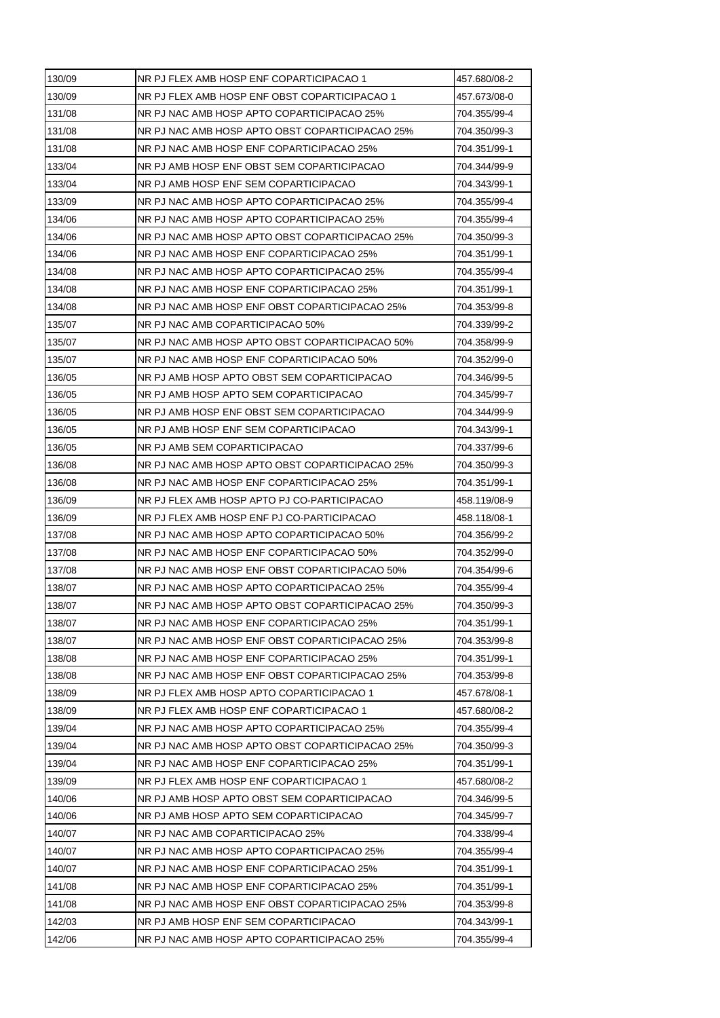| 130/09<br>NR PJ FLEX AMB HOSP ENF OBST COPARTICIPACAO 1<br>457.673/08-0<br>131/08<br>NR PJ NAC AMB HOSP APTO COPARTICIPACAO 25%<br>704.355/99-4<br>131/08<br>NR PJ NAC AMB HOSP APTO OBST COPARTICIPACAO 25%<br>704.350/99-3<br>131/08<br>NR PJ NAC AMB HOSP ENF COPARTICIPACAO 25%<br>704.351/99-1<br>133/04<br>NR PJ AMB HOSP ENF OBST SEM COPARTICIPACAO<br>704.344/99-9<br>133/04<br>NR PJ AMB HOSP ENF SEM COPARTICIPACAO<br>704.343/99-1<br>133/09<br>NR PJ NAC AMB HOSP APTO COPARTICIPACAO 25%<br>704.355/99-4<br>134/06<br>NR PJ NAC AMB HOSP APTO COPARTICIPACAO 25%<br>704.355/99-4<br>134/06<br>NR PJ NAC AMB HOSP APTO OBST COPARTICIPACAO 25%<br>704.350/99-3<br>134/06<br>NR PJ NAC AMB HOSP ENF COPARTICIPACAO 25%<br>704.351/99-1 |
|----------------------------------------------------------------------------------------------------------------------------------------------------------------------------------------------------------------------------------------------------------------------------------------------------------------------------------------------------------------------------------------------------------------------------------------------------------------------------------------------------------------------------------------------------------------------------------------------------------------------------------------------------------------------------------------------------------------------------------------------------|
|                                                                                                                                                                                                                                                                                                                                                                                                                                                                                                                                                                                                                                                                                                                                                    |
|                                                                                                                                                                                                                                                                                                                                                                                                                                                                                                                                                                                                                                                                                                                                                    |
|                                                                                                                                                                                                                                                                                                                                                                                                                                                                                                                                                                                                                                                                                                                                                    |
|                                                                                                                                                                                                                                                                                                                                                                                                                                                                                                                                                                                                                                                                                                                                                    |
|                                                                                                                                                                                                                                                                                                                                                                                                                                                                                                                                                                                                                                                                                                                                                    |
|                                                                                                                                                                                                                                                                                                                                                                                                                                                                                                                                                                                                                                                                                                                                                    |
|                                                                                                                                                                                                                                                                                                                                                                                                                                                                                                                                                                                                                                                                                                                                                    |
|                                                                                                                                                                                                                                                                                                                                                                                                                                                                                                                                                                                                                                                                                                                                                    |
|                                                                                                                                                                                                                                                                                                                                                                                                                                                                                                                                                                                                                                                                                                                                                    |
|                                                                                                                                                                                                                                                                                                                                                                                                                                                                                                                                                                                                                                                                                                                                                    |
| 134/08<br>NR PJ NAC AMB HOSP APTO COPARTICIPACAO 25%<br>704.355/99-4                                                                                                                                                                                                                                                                                                                                                                                                                                                                                                                                                                                                                                                                               |
| 134/08<br>NR PJ NAC AMB HOSP ENF COPARTICIPACAO 25%<br>704.351/99-1                                                                                                                                                                                                                                                                                                                                                                                                                                                                                                                                                                                                                                                                                |
| 134/08<br>NR PJ NAC AMB HOSP ENF OBST COPARTICIPACAO 25%<br>704.353/99-8                                                                                                                                                                                                                                                                                                                                                                                                                                                                                                                                                                                                                                                                           |
| 135/07<br>NR PJ NAC AMB COPARTICIPACAO 50%<br>704.339/99-2                                                                                                                                                                                                                                                                                                                                                                                                                                                                                                                                                                                                                                                                                         |
| 135/07<br>NR PJ NAC AMB HOSP APTO OBST COPARTICIPACAO 50%<br>704.358/99-9                                                                                                                                                                                                                                                                                                                                                                                                                                                                                                                                                                                                                                                                          |
| 135/07<br>NR PJ NAC AMB HOSP ENF COPARTICIPACAO 50%<br>704.352/99-0                                                                                                                                                                                                                                                                                                                                                                                                                                                                                                                                                                                                                                                                                |
| 136/05<br>NR PJ AMB HOSP APTO OBST SEM COPARTICIPACAO<br>704.346/99-5                                                                                                                                                                                                                                                                                                                                                                                                                                                                                                                                                                                                                                                                              |
| 136/05<br>NR PJ AMB HOSP APTO SEM COPARTICIPACAO<br>704.345/99-7                                                                                                                                                                                                                                                                                                                                                                                                                                                                                                                                                                                                                                                                                   |
| 136/05<br>NR PJ AMB HOSP ENF OBST SEM COPARTICIPACAO<br>704.344/99-9                                                                                                                                                                                                                                                                                                                                                                                                                                                                                                                                                                                                                                                                               |
| 136/05<br>NR PJ AMB HOSP ENF SEM COPARTICIPACAO<br>704.343/99-1                                                                                                                                                                                                                                                                                                                                                                                                                                                                                                                                                                                                                                                                                    |
| 136/05<br>NR PJ AMB SEM COPARTICIPACAO<br>704.337/99-6                                                                                                                                                                                                                                                                                                                                                                                                                                                                                                                                                                                                                                                                                             |
| 136/08<br>NR PJ NAC AMB HOSP APTO OBST COPARTICIPACAO 25%<br>704.350/99-3                                                                                                                                                                                                                                                                                                                                                                                                                                                                                                                                                                                                                                                                          |
| 136/08<br>NR PJ NAC AMB HOSP ENF COPARTICIPACAO 25%<br>704.351/99-1                                                                                                                                                                                                                                                                                                                                                                                                                                                                                                                                                                                                                                                                                |
| NR PJ FLEX AMB HOSP APTO PJ CO-PARTICIPACAO<br>136/09<br>458.119/08-9                                                                                                                                                                                                                                                                                                                                                                                                                                                                                                                                                                                                                                                                              |
| 136/09<br>NR PJ FLEX AMB HOSP ENF PJ CO-PARTICIPACAO<br>458.118/08-1                                                                                                                                                                                                                                                                                                                                                                                                                                                                                                                                                                                                                                                                               |
| 137/08<br>NR PJ NAC AMB HOSP APTO COPARTICIPACAO 50%<br>704.356/99-2                                                                                                                                                                                                                                                                                                                                                                                                                                                                                                                                                                                                                                                                               |
| NR PJ NAC AMB HOSP ENF COPARTICIPACAO 50%<br>137/08<br>704.352/99-0                                                                                                                                                                                                                                                                                                                                                                                                                                                                                                                                                                                                                                                                                |
| 137/08<br>NR PJ NAC AMB HOSP ENF OBST COPARTICIPACAO 50%<br>704.354/99-6                                                                                                                                                                                                                                                                                                                                                                                                                                                                                                                                                                                                                                                                           |
| 138/07<br>NR PJ NAC AMB HOSP APTO COPARTICIPACAO 25%<br>704.355/99-4                                                                                                                                                                                                                                                                                                                                                                                                                                                                                                                                                                                                                                                                               |
| 138/07<br>NR PJ NAC AMB HOSP APTO OBST COPARTICIPACAO 25%<br>704.350/99-3                                                                                                                                                                                                                                                                                                                                                                                                                                                                                                                                                                                                                                                                          |
| NR PJ NAC AMB HOSP ENF COPARTICIPACAO 25%<br>138/07<br>704.351/99-1                                                                                                                                                                                                                                                                                                                                                                                                                                                                                                                                                                                                                                                                                |
| 138/07<br>NR PJ NAC AMB HOSP ENF OBST COPARTICIPACAO 25%<br>704.353/99-8                                                                                                                                                                                                                                                                                                                                                                                                                                                                                                                                                                                                                                                                           |
| 138/08<br>NR PJ NAC AMB HOSP ENF COPARTICIPACAO 25%<br>704.351/99-1                                                                                                                                                                                                                                                                                                                                                                                                                                                                                                                                                                                                                                                                                |
| 138/08<br>NR PJ NAC AMB HOSP ENF OBST COPARTICIPACAO 25%<br>704.353/99-8                                                                                                                                                                                                                                                                                                                                                                                                                                                                                                                                                                                                                                                                           |
| 138/09<br>NR PJ FLEX AMB HOSP APTO COPARTICIPACAO 1<br>457.678/08-1                                                                                                                                                                                                                                                                                                                                                                                                                                                                                                                                                                                                                                                                                |
| 138/09<br>NR PJ FLEX AMB HOSP ENF COPARTICIPACAO 1<br>457.680/08-2                                                                                                                                                                                                                                                                                                                                                                                                                                                                                                                                                                                                                                                                                 |
| 139/04<br>NR PJ NAC AMB HOSP APTO COPARTICIPACAO 25%<br>704.355/99-4                                                                                                                                                                                                                                                                                                                                                                                                                                                                                                                                                                                                                                                                               |
| 139/04<br>NR PJ NAC AMB HOSP APTO OBST COPARTICIPACAO 25%<br>704.350/99-3                                                                                                                                                                                                                                                                                                                                                                                                                                                                                                                                                                                                                                                                          |
| 139/04<br>NR PJ NAC AMB HOSP ENF COPARTICIPACAO 25%<br>704.351/99-1                                                                                                                                                                                                                                                                                                                                                                                                                                                                                                                                                                                                                                                                                |
| 139/09<br>NR PJ FLEX AMB HOSP ENF COPARTICIPACAO 1<br>457.680/08-2                                                                                                                                                                                                                                                                                                                                                                                                                                                                                                                                                                                                                                                                                 |
| 140/06<br>NR PJ AMB HOSP APTO OBST SEM COPARTICIPACAO<br>704.346/99-5                                                                                                                                                                                                                                                                                                                                                                                                                                                                                                                                                                                                                                                                              |
| 140/06<br>NR PJ AMB HOSP APTO SEM COPARTICIPACAO<br>704.345/99-7                                                                                                                                                                                                                                                                                                                                                                                                                                                                                                                                                                                                                                                                                   |
| 140/07<br>NR PJ NAC AMB COPARTICIPACAO 25%<br>704.338/99-4                                                                                                                                                                                                                                                                                                                                                                                                                                                                                                                                                                                                                                                                                         |
| 140/07<br>NR PJ NAC AMB HOSP APTO COPARTICIPACAO 25%<br>704.355/99-4                                                                                                                                                                                                                                                                                                                                                                                                                                                                                                                                                                                                                                                                               |
| 140/07<br>NR PJ NAC AMB HOSP ENF COPARTICIPACAO 25%<br>704.351/99-1                                                                                                                                                                                                                                                                                                                                                                                                                                                                                                                                                                                                                                                                                |
| 141/08<br>NR PJ NAC AMB HOSP ENF COPARTICIPACAO 25%<br>704.351/99-1                                                                                                                                                                                                                                                                                                                                                                                                                                                                                                                                                                                                                                                                                |
| 141/08<br>NR PJ NAC AMB HOSP ENF OBST COPARTICIPACAO 25%<br>704.353/99-8                                                                                                                                                                                                                                                                                                                                                                                                                                                                                                                                                                                                                                                                           |
| 142/03<br>NR PJ AMB HOSP ENF SEM COPARTICIPACAO<br>704.343/99-1                                                                                                                                                                                                                                                                                                                                                                                                                                                                                                                                                                                                                                                                                    |
| 142/06<br>NR PJ NAC AMB HOSP APTO COPARTICIPACAO 25%<br>704.355/99-4                                                                                                                                                                                                                                                                                                                                                                                                                                                                                                                                                                                                                                                                               |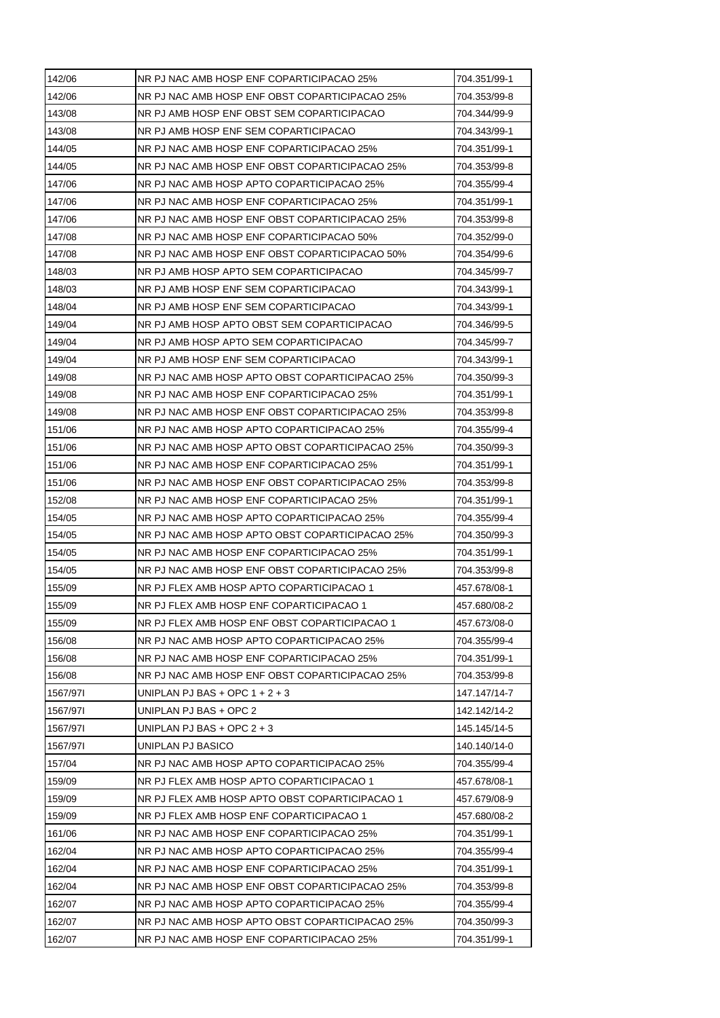| 142/06   | NR PJ NAC AMB HOSP ENF COPARTICIPACAO 25%       | 704.351/99-1 |
|----------|-------------------------------------------------|--------------|
| 142/06   | NR PJ NAC AMB HOSP ENF OBST COPARTICIPACAO 25%  | 704.353/99-8 |
| 143/08   | NR PJ AMB HOSP ENF OBST SEM COPARTICIPACAO      | 704.344/99-9 |
| 143/08   | NR PJ AMB HOSP ENF SEM COPARTICIPACAO           | 704.343/99-1 |
| 144/05   | NR PJ NAC AMB HOSP ENF COPARTICIPACAO 25%       | 704.351/99-1 |
| 144/05   | NR PJ NAC AMB HOSP ENF OBST COPARTICIPACAO 25%  | 704.353/99-8 |
| 147/06   | NR PJ NAC AMB HOSP APTO COPARTICIPACAO 25%      | 704.355/99-4 |
| 147/06   | NR PJ NAC AMB HOSP ENF COPARTICIPACAO 25%       | 704.351/99-1 |
| 147/06   | NR PJ NAC AMB HOSP ENF OBST COPARTICIPACAO 25%  | 704.353/99-8 |
| 147/08   | NR PJ NAC AMB HOSP ENF COPARTICIPACAO 50%       | 704.352/99-0 |
| 147/08   | NR PJ NAC AMB HOSP ENF OBST COPARTICIPACAO 50%  | 704.354/99-6 |
| 148/03   | NR PJ AMB HOSP APTO SEM COPARTICIPACAO          | 704.345/99-7 |
| 148/03   | NR PJ AMB HOSP ENF SEM COPARTICIPACAO           | 704.343/99-1 |
| 148/04   | NR PJ AMB HOSP ENF SEM COPARTICIPACAO           | 704.343/99-1 |
| 149/04   | NR PJ AMB HOSP APTO OBST SEM COPARTICIPACAO     | 704.346/99-5 |
| 149/04   | NR PJ AMB HOSP APTO SEM COPARTICIPACAO          | 704.345/99-7 |
| 149/04   | NR PJ AMB HOSP ENF SEM COPARTICIPACAO           | 704.343/99-1 |
| 149/08   | NR PJ NAC AMB HOSP APTO OBST COPARTICIPACAO 25% | 704.350/99-3 |
| 149/08   | NR PJ NAC AMB HOSP ENF COPARTICIPACAO 25%       | 704.351/99-1 |
| 149/08   | NR PJ NAC AMB HOSP ENF OBST COPARTICIPACAO 25%  | 704.353/99-8 |
| 151/06   | NR PJ NAC AMB HOSP APTO COPARTICIPACAO 25%      | 704.355/99-4 |
| 151/06   | NR PJ NAC AMB HOSP APTO OBST COPARTICIPACAO 25% | 704.350/99-3 |
| 151/06   | NR PJ NAC AMB HOSP ENF COPARTICIPACAO 25%       | 704.351/99-1 |
| 151/06   | NR PJ NAC AMB HOSP ENF OBST COPARTICIPACAO 25%  | 704.353/99-8 |
| 152/08   | NR PJ NAC AMB HOSP ENF COPARTICIPACAO 25%       | 704.351/99-1 |
| 154/05   | NR PJ NAC AMB HOSP APTO COPARTICIPACAO 25%      | 704.355/99-4 |
| 154/05   | NR PJ NAC AMB HOSP APTO OBST COPARTICIPACAO 25% | 704.350/99-3 |
| 154/05   | NR PJ NAC AMB HOSP ENF COPARTICIPACAO 25%       | 704.351/99-1 |
| 154/05   | NR PJ NAC AMB HOSP ENF OBST COPARTICIPACAO 25%  | 704.353/99-8 |
| 155/09   | NR PJ FLEX AMB HOSP APTO COPARTICIPACAO 1       | 457.678/08-1 |
| 155/09   | NR PJ FLEX AMB HOSP ENF COPARTICIPACAO 1        | 457.680/08-2 |
| 155/09   | NR PJ FLEX AMB HOSP ENF OBST COPARTICIPACAO 1   | 457.673/08-0 |
| 156/08   | NR PJ NAC AMB HOSP APTO COPARTICIPACAO 25%      | 704.355/99-4 |
| 156/08   | NR PJ NAC AMB HOSP ENF COPARTICIPACAO 25%       | 704.351/99-1 |
| 156/08   | NR PJ NAC AMB HOSP ENF OBST COPARTICIPACAO 25%  | 704.353/99-8 |
| 1567/971 | UNIPLAN PJ BAS + OPC $1 + 2 + 3$                | 147.147/14-7 |
| 1567/971 | UNIPLAN PJ BAS + OPC 2                          | 142.142/14-2 |
| 1567/971 | UNIPLAN PJ BAS + OPC $2 + 3$                    | 145.145/14-5 |
| 1567/971 | UNIPLAN PJ BASICO                               | 140.140/14-0 |
| 157/04   | NR PJ NAC AMB HOSP APTO COPARTICIPACAO 25%      | 704.355/99-4 |
| 159/09   | NR PJ FLEX AMB HOSP APTO COPARTICIPACAO 1       | 457.678/08-1 |
| 159/09   | NR PJ FLEX AMB HOSP APTO OBST COPARTICIPACAO 1  | 457.679/08-9 |
| 159/09   | NR PJ FLEX AMB HOSP ENF COPARTICIPACAO 1        | 457.680/08-2 |
| 161/06   | NR PJ NAC AMB HOSP ENF COPARTICIPACAO 25%       | 704.351/99-1 |
| 162/04   | NR PJ NAC AMB HOSP APTO COPARTICIPACAO 25%      | 704.355/99-4 |
| 162/04   | NR PJ NAC AMB HOSP ENF COPARTICIPACAO 25%       | 704.351/99-1 |
| 162/04   | NR PJ NAC AMB HOSP ENF OBST COPARTICIPACAO 25%  | 704.353/99-8 |
| 162/07   | NR PJ NAC AMB HOSP APTO COPARTICIPACAO 25%      | 704.355/99-4 |
| 162/07   | NR PJ NAC AMB HOSP APTO OBST COPARTICIPACAO 25% | 704.350/99-3 |
| 162/07   | NR PJ NAC AMB HOSP ENF COPARTICIPACAO 25%       | 704.351/99-1 |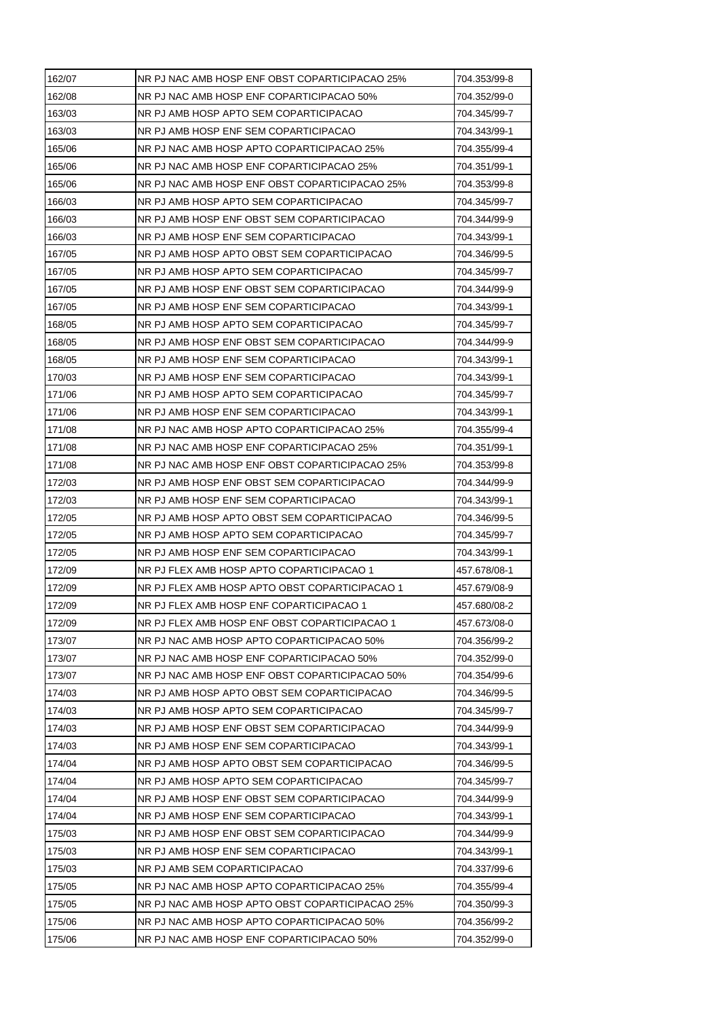| 162/07 | NR PJ NAC AMB HOSP ENF OBST COPARTICIPACAO 25%  | 704.353/99-8 |
|--------|-------------------------------------------------|--------------|
| 162/08 | NR PJ NAC AMB HOSP ENF COPARTICIPACAO 50%       | 704.352/99-0 |
| 163/03 | NR PJ AMB HOSP APTO SEM COPARTICIPACAO          | 704.345/99-7 |
| 163/03 | NR PJ AMB HOSP ENF SEM COPARTICIPACAO           | 704.343/99-1 |
| 165/06 | NR PJ NAC AMB HOSP APTO COPARTICIPACAO 25%      | 704.355/99-4 |
| 165/06 | NR PJ NAC AMB HOSP ENF COPARTICIPACAO 25%       | 704.351/99-1 |
| 165/06 | NR PJ NAC AMB HOSP ENF OBST COPARTICIPACAO 25%  | 704.353/99-8 |
| 166/03 | NR PJ AMB HOSP APTO SEM COPARTICIPACAO          | 704.345/99-7 |
| 166/03 | NR PJ AMB HOSP ENF OBST SEM COPARTICIPACAO      | 704.344/99-9 |
| 166/03 | NR PJ AMB HOSP ENF SEM COPARTICIPACAO           | 704.343/99-1 |
| 167/05 | NR PJ AMB HOSP APTO OBST SEM COPARTICIPACAO     | 704.346/99-5 |
| 167/05 | NR PJ AMB HOSP APTO SEM COPARTICIPACAO          | 704.345/99-7 |
| 167/05 | NR PJ AMB HOSP ENF OBST SEM COPARTICIPACAO      | 704.344/99-9 |
| 167/05 | NR PJ AMB HOSP ENF SEM COPARTICIPACAO           | 704.343/99-1 |
| 168/05 | NR PJ AMB HOSP APTO SEM COPARTICIPACAO          | 704.345/99-7 |
| 168/05 | NR PJ AMB HOSP ENF OBST SEM COPARTICIPACAO      | 704.344/99-9 |
| 168/05 | NR PJ AMB HOSP ENF SEM COPARTICIPACAO           | 704.343/99-1 |
| 170/03 | NR PJ AMB HOSP ENF SEM COPARTICIPACAO           | 704.343/99-1 |
| 171/06 | NR PJ AMB HOSP APTO SEM COPARTICIPACAO          | 704.345/99-7 |
| 171/06 | NR PJ AMB HOSP ENF SEM COPARTICIPACAO           | 704.343/99-1 |
| 171/08 | NR PJ NAC AMB HOSP APTO COPARTICIPACAO 25%      | 704.355/99-4 |
| 171/08 | NR PJ NAC AMB HOSP ENF COPARTICIPACAO 25%       | 704.351/99-1 |
| 171/08 | NR PJ NAC AMB HOSP ENF OBST COPARTICIPACAO 25%  | 704.353/99-8 |
| 172/03 | NR PJ AMB HOSP ENF OBST SEM COPARTICIPACAO      | 704.344/99-9 |
| 172/03 | NR PJ AMB HOSP ENF SEM COPARTICIPACAO           | 704.343/99-1 |
| 172/05 | NR PJ AMB HOSP APTO OBST SEM COPARTICIPACAO     | 704.346/99-5 |
| 172/05 | NR PJ AMB HOSP APTO SEM COPARTICIPACAO          | 704.345/99-7 |
| 172/05 | NR PJ AMB HOSP ENF SEM COPARTICIPACAO           | 704.343/99-1 |
| 172/09 | NR PJ FLEX AMB HOSP APTO COPARTICIPACAO 1       | 457.678/08-1 |
| 172/09 | NR PJ FLEX AMB HOSP APTO OBST COPARTICIPACAO 1  | 457.679/08-9 |
| 172/09 | NR PJ FLEX AMB HOSP ENF COPARTICIPACAO 1        | 457.680/08-2 |
| 172/09 | NR PJ FLEX AMB HOSP ENF OBST COPARTICIPACAO 1   | 457.673/08-0 |
| 173/07 | NR PJ NAC AMB HOSP APTO COPARTICIPACAO 50%      | 704.356/99-2 |
| 173/07 | NR PJ NAC AMB HOSP ENF COPARTICIPACAO 50%       | 704.352/99-0 |
| 173/07 | NR PJ NAC AMB HOSP ENF OBST COPARTICIPACAO 50%  | 704.354/99-6 |
| 174/03 | NR PJ AMB HOSP APTO OBST SEM COPARTICIPACAO     | 704.346/99-5 |
| 174/03 | NR PJ AMB HOSP APTO SEM COPARTICIPACAO          | 704.345/99-7 |
| 174/03 | NR PJ AMB HOSP ENF OBST SEM COPARTICIPACAO      | 704.344/99-9 |
| 174/03 | NR PJ AMB HOSP ENF SEM COPARTICIPACAO           | 704.343/99-1 |
| 174/04 | NR PJ AMB HOSP APTO OBST SEM COPARTICIPACAO     | 704.346/99-5 |
| 174/04 | NR PJ AMB HOSP APTO SEM COPARTICIPACAO          | 704.345/99-7 |
| 174/04 | NR PJ AMB HOSP ENF OBST SEM COPARTICIPACAO      | 704.344/99-9 |
| 174/04 | NR PJ AMB HOSP ENF SEM COPARTICIPACAO           | 704.343/99-1 |
| 175/03 | NR PJ AMB HOSP ENF OBST SEM COPARTICIPACAO      | 704.344/99-9 |
| 175/03 | NR PJ AMB HOSP ENF SEM COPARTICIPACAO           | 704.343/99-1 |
| 175/03 | NR PJ AMB SEM COPARTICIPACAO                    | 704.337/99-6 |
| 175/05 | NR PJ NAC AMB HOSP APTO COPARTICIPACAO 25%      | 704.355/99-4 |
| 175/05 | NR PJ NAC AMB HOSP APTO OBST COPARTICIPACAO 25% | 704.350/99-3 |
| 175/06 | NR PJ NAC AMB HOSP APTO COPARTICIPACAO 50%      | 704.356/99-2 |
| 175/06 | NR PJ NAC AMB HOSP ENF COPARTICIPACAO 50%       | 704.352/99-0 |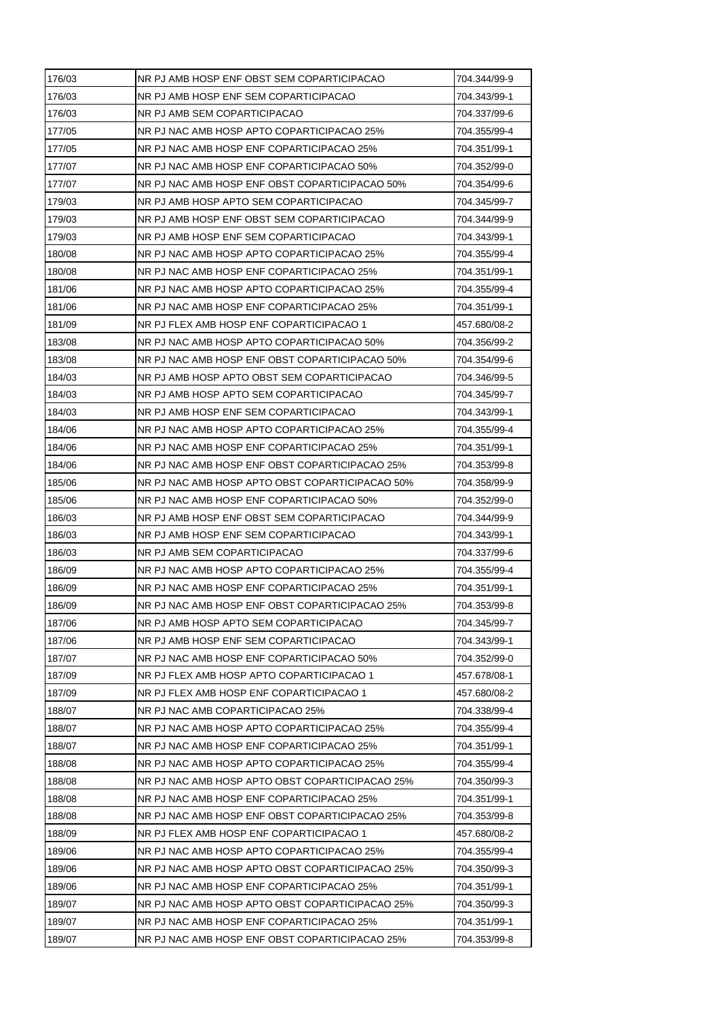| 176/03 | NR PJ AMB HOSP ENF OBST SEM COPARTICIPACAO      | 704.344/99-9 |
|--------|-------------------------------------------------|--------------|
| 176/03 | NR PJ AMB HOSP ENF SEM COPARTICIPACAO           | 704.343/99-1 |
| 176/03 | NR PJ AMB SEM COPARTICIPACAO                    | 704.337/99-6 |
| 177/05 | NR PJ NAC AMB HOSP APTO COPARTICIPACAO 25%      | 704.355/99-4 |
| 177/05 | NR PJ NAC AMB HOSP ENF COPARTICIPACAO 25%       | 704.351/99-1 |
| 177/07 | NR PJ NAC AMB HOSP ENF COPARTICIPACAO 50%       | 704.352/99-0 |
| 177/07 | NR PJ NAC AMB HOSP ENF OBST COPARTICIPACAO 50%  | 704.354/99-6 |
| 179/03 | NR PJ AMB HOSP APTO SEM COPARTICIPACAO          | 704.345/99-7 |
| 179/03 | NR PJ AMB HOSP ENF OBST SEM COPARTICIPACAO      | 704.344/99-9 |
| 179/03 | NR PJ AMB HOSP ENF SEM COPARTICIPACAO           | 704.343/99-1 |
| 180/08 | NR PJ NAC AMB HOSP APTO COPARTICIPACAO 25%      | 704.355/99-4 |
| 180/08 | NR PJ NAC AMB HOSP ENF COPARTICIPACAO 25%       | 704.351/99-1 |
| 181/06 | NR PJ NAC AMB HOSP APTO COPARTICIPACAO 25%      | 704.355/99-4 |
| 181/06 | NR PJ NAC AMB HOSP ENF COPARTICIPACAO 25%       | 704.351/99-1 |
| 181/09 | NR PJ FLEX AMB HOSP ENF COPARTICIPACAO 1        | 457.680/08-2 |
| 183/08 | NR PJ NAC AMB HOSP APTO COPARTICIPACAO 50%      | 704.356/99-2 |
| 183/08 | NR PJ NAC AMB HOSP ENF OBST COPARTICIPACAO 50%  | 704.354/99-6 |
| 184/03 | NR PJ AMB HOSP APTO OBST SEM COPARTICIPACAO     | 704.346/99-5 |
| 184/03 | NR PJ AMB HOSP APTO SEM COPARTICIPACAO          | 704.345/99-7 |
| 184/03 | NR PJ AMB HOSP ENF SEM COPARTICIPACAO           | 704.343/99-1 |
| 184/06 | NR PJ NAC AMB HOSP APTO COPARTICIPACAO 25%      | 704.355/99-4 |
| 184/06 | NR PJ NAC AMB HOSP ENF COPARTICIPACAO 25%       | 704.351/99-1 |
| 184/06 | NR PJ NAC AMB HOSP ENF OBST COPARTICIPACAO 25%  | 704.353/99-8 |
| 185/06 | NR PJ NAC AMB HOSP APTO OBST COPARTICIPACAO 50% | 704.358/99-9 |
| 185/06 | NR PJ NAC AMB HOSP ENF COPARTICIPACAO 50%       | 704.352/99-0 |
| 186/03 | NR PJ AMB HOSP ENF OBST SEM COPARTICIPACAO      | 704.344/99-9 |
| 186/03 | NR PJ AMB HOSP ENF SEM COPARTICIPACAO           | 704.343/99-1 |
| 186/03 | NR PJ AMB SEM COPARTICIPACAO                    | 704.337/99-6 |
| 186/09 | NR PJ NAC AMB HOSP APTO COPARTICIPACAO 25%      | 704.355/99-4 |
| 186/09 | NR PJ NAC AMB HOSP ENF COPARTICIPACAO 25%       | 704.351/99-1 |
| 186/09 | NR PJ NAC AMB HOSP ENF OBST COPARTICIPACAO 25%  | 704.353/99-8 |
| 187/06 | NR PJ AMB HOSP APTO SEM COPARTICIPACAO          | 704.345/99-7 |
| 187/06 | NR PJ AMB HOSP ENF SEM COPARTICIPACAO           | 704.343/99-1 |
| 187/07 | NR PJ NAC AMB HOSP ENF COPARTICIPACAO 50%       | 704.352/99-0 |
| 187/09 | NR PJ FLEX AMB HOSP APTO COPARTICIPACAO 1       | 457.678/08-1 |
| 187/09 | NR PJ FLEX AMB HOSP ENF COPARTICIPACAO 1        | 457.680/08-2 |
| 188/07 | NR PJ NAC AMB COPARTICIPACAO 25%                | 704.338/99-4 |
| 188/07 | NR PJ NAC AMB HOSP APTO COPARTICIPACAO 25%      | 704.355/99-4 |
| 188/07 | NR PJ NAC AMB HOSP ENF COPARTICIPACAO 25%       | 704.351/99-1 |
| 188/08 | NR PJ NAC AMB HOSP APTO COPARTICIPACAO 25%      | 704.355/99-4 |
| 188/08 | NR PJ NAC AMB HOSP APTO OBST COPARTICIPACAO 25% | 704.350/99-3 |
| 188/08 | NR PJ NAC AMB HOSP ENF COPARTICIPACAO 25%       | 704.351/99-1 |
| 188/08 | NR PJ NAC AMB HOSP ENF OBST COPARTICIPACAO 25%  | 704.353/99-8 |
| 188/09 | NR PJ FLEX AMB HOSP ENF COPARTICIPACAO 1        | 457.680/08-2 |
| 189/06 | NR PJ NAC AMB HOSP APTO COPARTICIPACAO 25%      | 704.355/99-4 |
| 189/06 | NR PJ NAC AMB HOSP APTO OBST COPARTICIPACAO 25% | 704.350/99-3 |
| 189/06 | NR PJ NAC AMB HOSP ENF COPARTICIPACAO 25%       | 704.351/99-1 |
| 189/07 | NR PJ NAC AMB HOSP APTO OBST COPARTICIPACAO 25% | 704.350/99-3 |
| 189/07 | NR PJ NAC AMB HOSP ENF COPARTICIPACAO 25%       | 704.351/99-1 |
| 189/07 | NR PJ NAC AMB HOSP ENF OBST COPARTICIPACAO 25%  | 704.353/99-8 |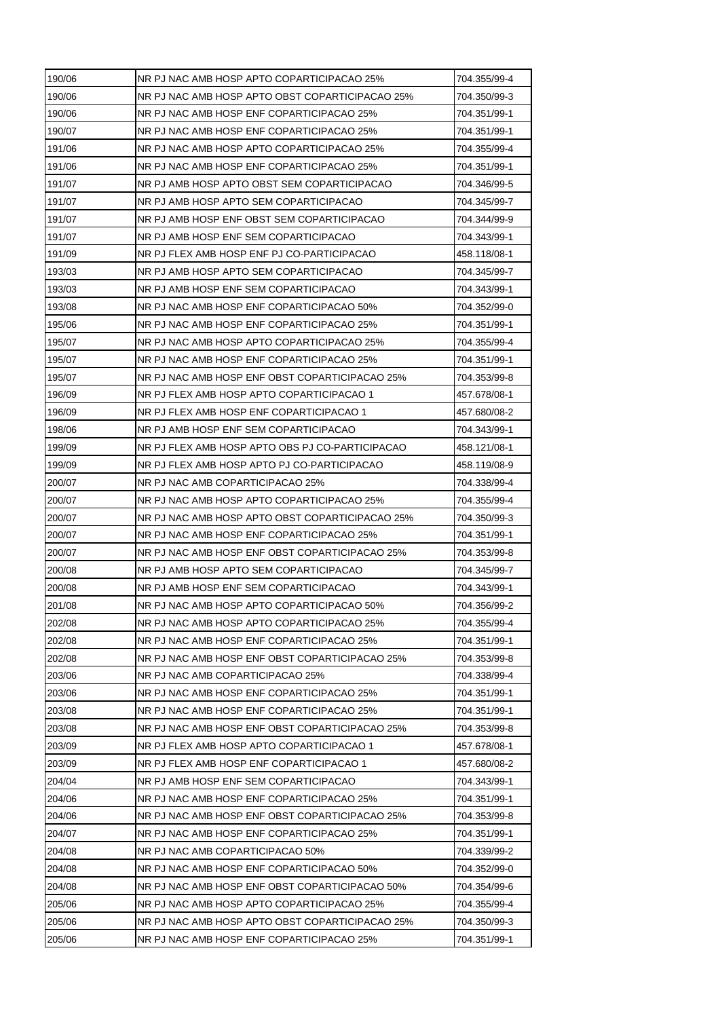| 190/06 | NR PJ NAC AMB HOSP APTO COPARTICIPACAO 25%      | 704.355/99-4 |
|--------|-------------------------------------------------|--------------|
| 190/06 | NR PJ NAC AMB HOSP APTO OBST COPARTICIPACAO 25% | 704.350/99-3 |
| 190/06 | NR PJ NAC AMB HOSP ENF COPARTICIPACAO 25%       | 704.351/99-1 |
| 190/07 | NR PJ NAC AMB HOSP ENF COPARTICIPACAO 25%       | 704.351/99-1 |
| 191/06 | NR PJ NAC AMB HOSP APTO COPARTICIPACAO 25%      | 704.355/99-4 |
| 191/06 | NR PJ NAC AMB HOSP ENF COPARTICIPACAO 25%       | 704.351/99-1 |
| 191/07 | NR PJ AMB HOSP APTO OBST SEM COPARTICIPACAO     | 704.346/99-5 |
| 191/07 | NR PJ AMB HOSP APTO SEM COPARTICIPACAO          | 704.345/99-7 |
| 191/07 | NR PJ AMB HOSP ENF OBST SEM COPARTICIPACAO      | 704.344/99-9 |
| 191/07 | NR PJ AMB HOSP ENF SEM COPARTICIPACAO           | 704.343/99-1 |
| 191/09 | NR PJ FLEX AMB HOSP ENF PJ CO-PARTICIPACAO      | 458.118/08-1 |
| 193/03 | NR PJ AMB HOSP APTO SEM COPARTICIPACAO          | 704.345/99-7 |
| 193/03 | NR PJ AMB HOSP ENF SEM COPARTICIPACAO           | 704.343/99-1 |
| 193/08 | NR PJ NAC AMB HOSP ENF COPARTICIPACAO 50%       | 704.352/99-0 |
| 195/06 | NR PJ NAC AMB HOSP ENF COPARTICIPACAO 25%       | 704.351/99-1 |
| 195/07 | NR PJ NAC AMB HOSP APTO COPARTICIPACAO 25%      | 704.355/99-4 |
| 195/07 | NR PJ NAC AMB HOSP ENF COPARTICIPACAO 25%       | 704.351/99-1 |
| 195/07 | NR PJ NAC AMB HOSP ENF OBST COPARTICIPACAO 25%  | 704.353/99-8 |
| 196/09 | NR PJ FLEX AMB HOSP APTO COPARTICIPACAO 1       | 457.678/08-1 |
| 196/09 | NR PJ FLEX AMB HOSP ENF COPARTICIPACAO 1        | 457.680/08-2 |
| 198/06 | NR PJ AMB HOSP ENF SEM COPARTICIPACAO           | 704.343/99-1 |
| 199/09 | NR PJ FLEX AMB HOSP APTO OBS PJ CO-PARTICIPACAO | 458.121/08-1 |
| 199/09 | NR PJ FLEX AMB HOSP APTO PJ CO-PARTICIPACAO     | 458.119/08-9 |
| 200/07 | NR PJ NAC AMB COPARTICIPACAO 25%                | 704.338/99-4 |
| 200/07 | NR PJ NAC AMB HOSP APTO COPARTICIPACAO 25%      | 704.355/99-4 |
| 200/07 | NR PJ NAC AMB HOSP APTO OBST COPARTICIPACAO 25% | 704.350/99-3 |
| 200/07 | NR PJ NAC AMB HOSP ENF COPARTICIPACAO 25%       | 704.351/99-1 |
| 200/07 | NR PJ NAC AMB HOSP ENF OBST COPARTICIPACAO 25%  | 704.353/99-8 |
| 200/08 | NR PJ AMB HOSP APTO SEM COPARTICIPACAO          | 704.345/99-7 |
| 200/08 | NR PJ AMB HOSP ENF SEM COPARTICIPACAO           | 704.343/99-1 |
| 201/08 | NR PJ NAC AMB HOSP APTO COPARTICIPACAO 50%      | 704.356/99-2 |
| 202/08 | NR PJ NAC AMB HOSP APTO COPARTICIPACAO 25%      | 704.355/99-4 |
| 202/08 | NR PJ NAC AMB HOSP ENF COPARTICIPACAO 25%       | 704.351/99-1 |
| 202/08 | NR PJ NAC AMB HOSP ENF OBST COPARTICIPACAO 25%  | 704.353/99-8 |
| 203/06 | NR PJ NAC AMB COPARTICIPACAO 25%                | 704.338/99-4 |
| 203/06 | NR PJ NAC AMB HOSP ENF COPARTICIPACAO 25%       | 704.351/99-1 |
| 203/08 | NR PJ NAC AMB HOSP ENF COPARTICIPACAO 25%       | 704.351/99-1 |
| 203/08 | NR PJ NAC AMB HOSP ENF OBST COPARTICIPACAO 25%  | 704.353/99-8 |
| 203/09 | NR PJ FLEX AMB HOSP APTO COPARTICIPACAO 1       | 457.678/08-1 |
| 203/09 | NR PJ FLEX AMB HOSP ENF COPARTICIPACAO 1        | 457.680/08-2 |
| 204/04 | NR PJ AMB HOSP ENF SEM COPARTICIPACAO           | 704.343/99-1 |
| 204/06 | NR PJ NAC AMB HOSP ENF COPARTICIPACAO 25%       | 704.351/99-1 |
| 204/06 | NR PJ NAC AMB HOSP ENF OBST COPARTICIPACAO 25%  | 704.353/99-8 |
| 204/07 | NR PJ NAC AMB HOSP ENF COPARTICIPACAO 25%       | 704.351/99-1 |
| 204/08 | NR PJ NAC AMB COPARTICIPACAO 50%                | 704.339/99-2 |
| 204/08 | NR PJ NAC AMB HOSP ENF COPARTICIPACAO 50%       | 704.352/99-0 |
| 204/08 | NR PJ NAC AMB HOSP ENF OBST COPARTICIPACAO 50%  | 704.354/99-6 |
| 205/06 | NR PJ NAC AMB HOSP APTO COPARTICIPACAO 25%      | 704.355/99-4 |
| 205/06 | NR PJ NAC AMB HOSP APTO OBST COPARTICIPACAO 25% | 704.350/99-3 |
| 205/06 | NR PJ NAC AMB HOSP ENF COPARTICIPACAO 25%       | 704.351/99-1 |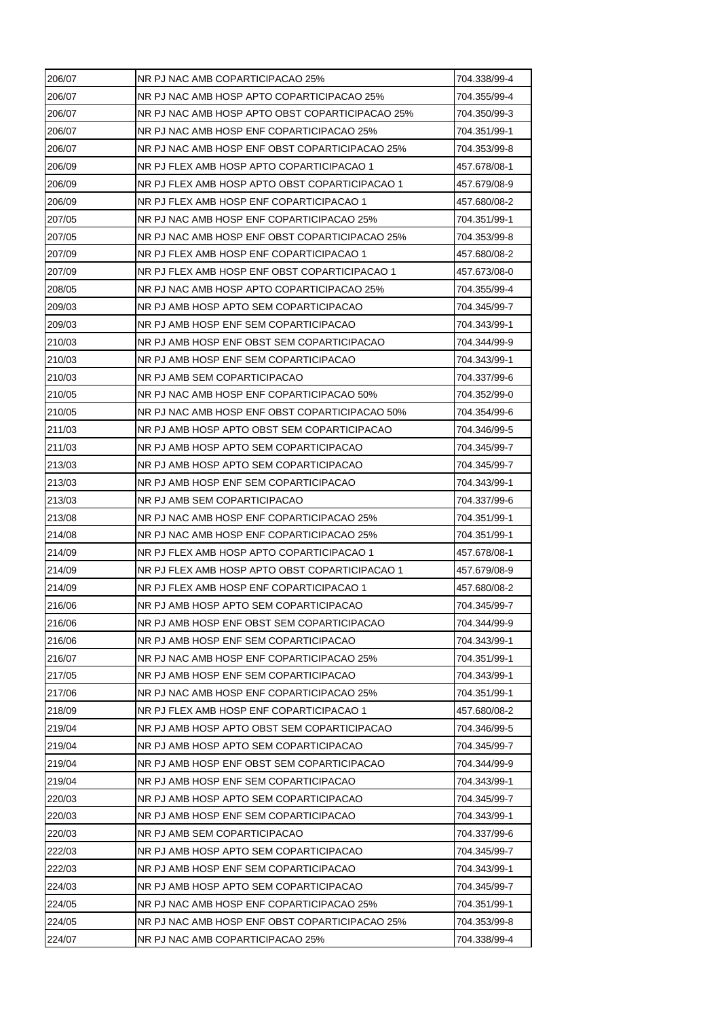| 206/07 | NR PJ NAC AMB COPARTICIPACAO 25%                | 704.338/99-4 |
|--------|-------------------------------------------------|--------------|
| 206/07 | NR PJ NAC AMB HOSP APTO COPARTICIPACAO 25%      | 704.355/99-4 |
| 206/07 | NR PJ NAC AMB HOSP APTO OBST COPARTICIPACAO 25% | 704.350/99-3 |
| 206/07 | NR PJ NAC AMB HOSP ENF COPARTICIPACAO 25%       | 704.351/99-1 |
| 206/07 | NR PJ NAC AMB HOSP ENF OBST COPARTICIPACAO 25%  | 704.353/99-8 |
| 206/09 | NR PJ FLEX AMB HOSP APTO COPARTICIPACAO 1       | 457.678/08-1 |
| 206/09 | NR PJ FLEX AMB HOSP APTO OBST COPARTICIPACAO 1  | 457.679/08-9 |
| 206/09 | NR PJ FLEX AMB HOSP ENF COPARTICIPACAO 1        | 457.680/08-2 |
| 207/05 | NR PJ NAC AMB HOSP ENF COPARTICIPACAO 25%       | 704.351/99-1 |
| 207/05 | NR PJ NAC AMB HOSP ENF OBST COPARTICIPACAO 25%  | 704.353/99-8 |
| 207/09 | NR PJ FLEX AMB HOSP ENF COPARTICIPACAO 1        | 457.680/08-2 |
| 207/09 | NR PJ FLEX AMB HOSP ENF OBST COPARTICIPACAO 1   | 457.673/08-0 |
| 208/05 | NR PJ NAC AMB HOSP APTO COPARTICIPACAO 25%      | 704.355/99-4 |
| 209/03 | NR PJ AMB HOSP APTO SEM COPARTICIPACAO          | 704.345/99-7 |
| 209/03 | NR PJ AMB HOSP ENF SEM COPARTICIPACAO           | 704.343/99-1 |
| 210/03 | NR PJ AMB HOSP ENF OBST SEM COPARTICIPACAO      | 704.344/99-9 |
| 210/03 | NR PJ AMB HOSP ENF SEM COPARTICIPACAO           | 704.343/99-1 |
| 210/03 | NR PJ AMB SEM COPARTICIPACAO                    | 704.337/99-6 |
| 210/05 | NR PJ NAC AMB HOSP ENF COPARTICIPACAO 50%       | 704.352/99-0 |
| 210/05 | NR PJ NAC AMB HOSP ENF OBST COPARTICIPACAO 50%  | 704.354/99-6 |
| 211/03 | NR PJ AMB HOSP APTO OBST SEM COPARTICIPACAO     | 704.346/99-5 |
| 211/03 | NR PJ AMB HOSP APTO SEM COPARTICIPACAO          | 704.345/99-7 |
| 213/03 | NR PJ AMB HOSP APTO SEM COPARTICIPACAO          | 704.345/99-7 |
| 213/03 | NR PJ AMB HOSP ENF SEM COPARTICIPACAO           | 704.343/99-1 |
| 213/03 | NR PJ AMB SEM COPARTICIPACAO                    | 704.337/99-6 |
| 213/08 | NR PJ NAC AMB HOSP ENF COPARTICIPACAO 25%       | 704.351/99-1 |
| 214/08 | NR PJ NAC AMB HOSP ENF COPARTICIPACAO 25%       | 704.351/99-1 |
| 214/09 | NR PJ FLEX AMB HOSP APTO COPARTICIPACAO 1       | 457.678/08-1 |
| 214/09 | NR PJ FLEX AMB HOSP APTO OBST COPARTICIPACAO 1  | 457.679/08-9 |
| 214/09 | NR PJ FLEX AMB HOSP ENF COPARTICIPACAO 1        | 457.680/08-2 |
| 216/06 | NR PJ AMB HOSP APTO SEM COPARTICIPACAO          | 704.345/99-7 |
| 216/06 | NR PJ AMB HOSP ENF OBST SEM COPARTICIPACAO      | 704.344/99-9 |
| 216/06 | NR PJ AMB HOSP ENF SEM COPARTICIPACAO           | 704.343/99-1 |
| 216/07 | NR PJ NAC AMB HOSP ENF COPARTICIPACAO 25%       | 704.351/99-1 |
| 217/05 | NR PJ AMB HOSP ENF SEM COPARTICIPACAO           | 704.343/99-1 |
| 217/06 | NR PJ NAC AMB HOSP ENF COPARTICIPACAO 25%       | 704.351/99-1 |
| 218/09 | NR PJ FLEX AMB HOSP ENF COPARTICIPACAO 1        | 457.680/08-2 |
| 219/04 | NR PJ AMB HOSP APTO OBST SEM COPARTICIPACAO     | 704.346/99-5 |
| 219/04 | NR PJ AMB HOSP APTO SEM COPARTICIPACAO          | 704.345/99-7 |
| 219/04 | NR PJ AMB HOSP ENF OBST SEM COPARTICIPACAO      | 704.344/99-9 |
| 219/04 | NR PJ AMB HOSP ENF SEM COPARTICIPACAO           | 704.343/99-1 |
| 220/03 | NR PJ AMB HOSP APTO SEM COPARTICIPACAO          | 704.345/99-7 |
| 220/03 | NR PJ AMB HOSP ENF SEM COPARTICIPACAO           | 704.343/99-1 |
| 220/03 | NR PJ AMB SEM COPARTICIPACAO                    | 704.337/99-6 |
| 222/03 | NR PJ AMB HOSP APTO SEM COPARTICIPACAO          | 704.345/99-7 |
| 222/03 | NR PJ AMB HOSP ENF SEM COPARTICIPACAO           | 704.343/99-1 |
| 224/03 | NR PJ AMB HOSP APTO SEM COPARTICIPACAO          | 704.345/99-7 |
| 224/05 | NR PJ NAC AMB HOSP ENF COPARTICIPACAO 25%       | 704.351/99-1 |
| 224/05 | NR PJ NAC AMB HOSP ENF OBST COPARTICIPACAO 25%  | 704.353/99-8 |
| 224/07 | NR PJ NAC AMB COPARTICIPACAO 25%                | 704.338/99-4 |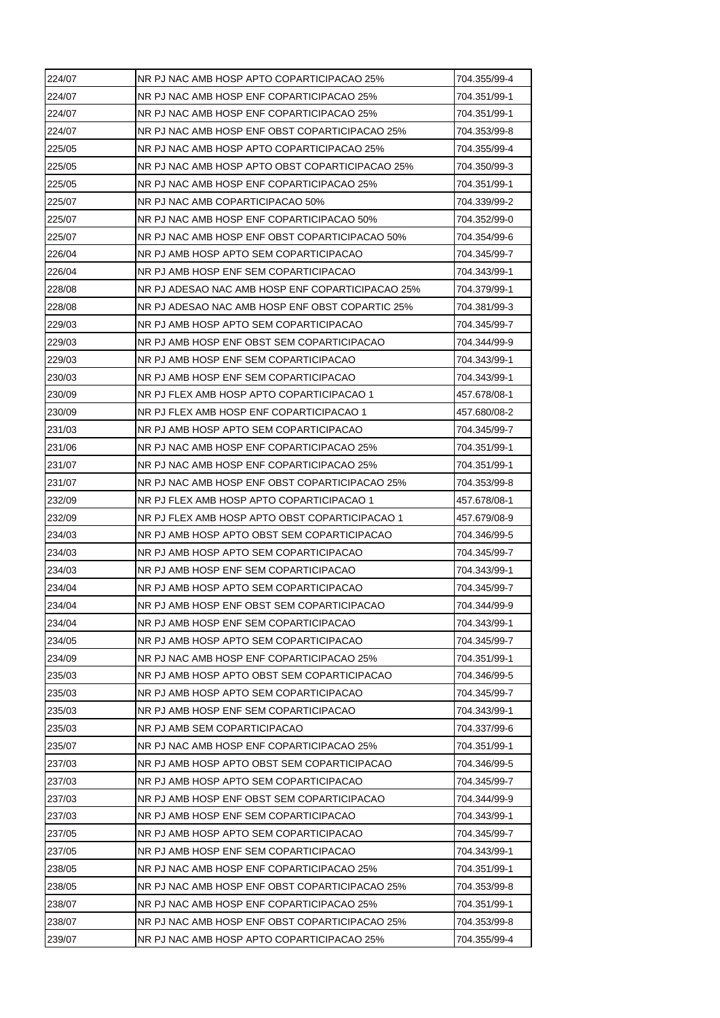| NR PJ NAC AMB HOSP ENF COPARTICIPACAO 25%<br>704.351/99-1<br>NR PJ NAC AMB HOSP ENF COPARTICIPACAO 25%<br>704.351/99-1<br>NR PJ NAC AMB HOSP ENF OBST COPARTICIPACAO 25%<br>704.353/99-8<br>NR PJ NAC AMB HOSP APTO COPARTICIPACAO 25%<br>704.355/99-4<br>NR PJ NAC AMB HOSP APTO OBST COPARTICIPACAO 25%<br>704.350/99-3<br>NR PJ NAC AMB HOSP ENF COPARTICIPACAO 25%<br>704.351/99-1<br>NR PJ NAC AMB COPARTICIPACAO 50%<br>704.339/99-2<br>NR PJ NAC AMB HOSP ENF COPARTICIPACAO 50%<br>704.352/99-0<br>NR PJ NAC AMB HOSP ENF OBST COPARTICIPACAO 50%<br>704.354/99-6<br>NR PJ AMB HOSP APTO SEM COPARTICIPACAO<br>704.345/99-7<br>704.343/99-1<br>NR PJ AMB HOSP ENF SEM COPARTICIPACAO<br>NR PJ ADESAO NAC AMB HOSP ENF COPARTICIPACAO 25%<br>704.379/99-1<br>NR PJ ADESAO NAC AMB HOSP ENF OBST COPARTIC 25%<br>704.381/99-3<br>NR PJ AMB HOSP APTO SEM COPARTICIPACAO<br>704.345/99-7<br>NR PJ AMB HOSP ENF OBST SEM COPARTICIPACAO<br>704.344/99-9<br>NR PJ AMB HOSP ENF SEM COPARTICIPACAO<br>704.343/99-1<br>NR PJ AMB HOSP ENF SEM COPARTICIPACAO<br>704.343/99-1<br>NR PJ FLEX AMB HOSP APTO COPARTICIPACAO 1<br>457.678/08-1<br>NR PJ FLEX AMB HOSP ENF COPARTICIPACAO 1<br>457.680/08-2<br>NR PJ AMB HOSP APTO SEM COPARTICIPACAO<br>704.345/99-7<br>231/06<br>NR PJ NAC AMB HOSP ENF COPARTICIPACAO 25%<br>704.351/99-1<br>231/07<br>NR PJ NAC AMB HOSP ENF COPARTICIPACAO 25%<br>704.351/99-1<br>231/07<br>NR PJ NAC AMB HOSP ENF OBST COPARTICIPACAO 25%<br>704.353/99-8<br>232/09<br>NR PJ FLEX AMB HOSP APTO COPARTICIPACAO 1<br>457.678/08-1<br>NR PJ FLEX AMB HOSP APTO OBST COPARTICIPACAO 1<br>457.679/08-9<br>NR PJ AMB HOSP APTO OBST SEM COPARTICIPACAO<br>704.346/99-5<br>NR PJ AMB HOSP APTO SEM COPARTICIPACAO<br>704.345/99-7<br>NR PJ AMB HOSP ENF SEM COPARTICIPACAO<br>704.343/99-1<br>NR PJ AMB HOSP APTO SEM COPARTICIPACAO<br>704.345/99-7<br>NR PJ AMB HOSP ENF OBST SEM COPARTICIPACAO<br>704.344/99-9<br>234/04<br>NR PJ AMB HOSP ENF SEM COPARTICIPACAO<br>704.343/99-1<br>NR PJ AMB HOSP APTO SEM COPARTICIPACAO<br>704.345/99-7<br>NR PJ NAC AMB HOSP ENF COPARTICIPACAO 25%<br>234/09<br>704.351/99-1<br>NR PJ AMB HOSP APTO OBST SEM COPARTICIPACAO<br>704.346/99-5<br>235/03<br>NR PJ AMB HOSP APTO SEM COPARTICIPACAO<br>704.345/99-7<br>NR PJ AMB HOSP ENF SEM COPARTICIPACAO<br>704.343/99-1<br>NR PJ AMB SEM COPARTICIPACAO<br>704.337/99-6<br>NR PJ NAC AMB HOSP ENF COPARTICIPACAO 25%<br>704.351/99-1<br>NR PJ AMB HOSP APTO OBST SEM COPARTICIPACAO<br>704.346/99-5<br>NR PJ AMB HOSP APTO SEM COPARTICIPACAO<br>704.345/99-7<br>NR PJ AMB HOSP ENF OBST SEM COPARTICIPACAO<br>704.344/99-9<br>NR PJ AMB HOSP ENF SEM COPARTICIPACAO<br>704.343/99-1<br>NR PJ AMB HOSP APTO SEM COPARTICIPACAO<br>704.345/99-7<br>NR PJ AMB HOSP ENF SEM COPARTICIPACAO<br>704.343/99-1<br>NR PJ NAC AMB HOSP ENF COPARTICIPACAO 25%<br>704.351/99-1<br>NR PJ NAC AMB HOSP ENF OBST COPARTICIPACAO 25%<br>704.353/99-8<br>NR PJ NAC AMB HOSP ENF COPARTICIPACAO 25%<br>704.351/99-1<br>NR PJ NAC AMB HOSP ENF OBST COPARTICIPACAO 25%<br>704.353/99-8<br>NR PJ NAC AMB HOSP APTO COPARTICIPACAO 25%<br>704.355/99-4 | 224/07 | NR PJ NAC AMB HOSP APTO COPARTICIPACAO 25% | 704.355/99-4 |
|-----------------------------------------------------------------------------------------------------------------------------------------------------------------------------------------------------------------------------------------------------------------------------------------------------------------------------------------------------------------------------------------------------------------------------------------------------------------------------------------------------------------------------------------------------------------------------------------------------------------------------------------------------------------------------------------------------------------------------------------------------------------------------------------------------------------------------------------------------------------------------------------------------------------------------------------------------------------------------------------------------------------------------------------------------------------------------------------------------------------------------------------------------------------------------------------------------------------------------------------------------------------------------------------------------------------------------------------------------------------------------------------------------------------------------------------------------------------------------------------------------------------------------------------------------------------------------------------------------------------------------------------------------------------------------------------------------------------------------------------------------------------------------------------------------------------------------------------------------------------------------------------------------------------------------------------------------------------------------------------------------------------------------------------------------------------------------------------------------------------------------------------------------------------------------------------------------------------------------------------------------------------------------------------------------------------------------------------------------------------------------------------------------------------------------------------------------------------------------------------------------------------------------------------------------------------------------------------------------------------------------------------------------------------------------------------------------------------------------------------------------------------------------------------------------------------------------------------------------------------------------------------------------------------------------------------------------------------------------------------------------------------------------------------------------------------------------------------------------------------------------------------------------------|--------|--------------------------------------------|--------------|
|                                                                                                                                                                                                                                                                                                                                                                                                                                                                                                                                                                                                                                                                                                                                                                                                                                                                                                                                                                                                                                                                                                                                                                                                                                                                                                                                                                                                                                                                                                                                                                                                                                                                                                                                                                                                                                                                                                                                                                                                                                                                                                                                                                                                                                                                                                                                                                                                                                                                                                                                                                                                                                                                                                                                                                                                                                                                                                                                                                                                                                                                                                                                                           | 224/07 |                                            |              |
|                                                                                                                                                                                                                                                                                                                                                                                                                                                                                                                                                                                                                                                                                                                                                                                                                                                                                                                                                                                                                                                                                                                                                                                                                                                                                                                                                                                                                                                                                                                                                                                                                                                                                                                                                                                                                                                                                                                                                                                                                                                                                                                                                                                                                                                                                                                                                                                                                                                                                                                                                                                                                                                                                                                                                                                                                                                                                                                                                                                                                                                                                                                                                           | 224/07 |                                            |              |
|                                                                                                                                                                                                                                                                                                                                                                                                                                                                                                                                                                                                                                                                                                                                                                                                                                                                                                                                                                                                                                                                                                                                                                                                                                                                                                                                                                                                                                                                                                                                                                                                                                                                                                                                                                                                                                                                                                                                                                                                                                                                                                                                                                                                                                                                                                                                                                                                                                                                                                                                                                                                                                                                                                                                                                                                                                                                                                                                                                                                                                                                                                                                                           | 224/07 |                                            |              |
|                                                                                                                                                                                                                                                                                                                                                                                                                                                                                                                                                                                                                                                                                                                                                                                                                                                                                                                                                                                                                                                                                                                                                                                                                                                                                                                                                                                                                                                                                                                                                                                                                                                                                                                                                                                                                                                                                                                                                                                                                                                                                                                                                                                                                                                                                                                                                                                                                                                                                                                                                                                                                                                                                                                                                                                                                                                                                                                                                                                                                                                                                                                                                           | 225/05 |                                            |              |
|                                                                                                                                                                                                                                                                                                                                                                                                                                                                                                                                                                                                                                                                                                                                                                                                                                                                                                                                                                                                                                                                                                                                                                                                                                                                                                                                                                                                                                                                                                                                                                                                                                                                                                                                                                                                                                                                                                                                                                                                                                                                                                                                                                                                                                                                                                                                                                                                                                                                                                                                                                                                                                                                                                                                                                                                                                                                                                                                                                                                                                                                                                                                                           | 225/05 |                                            |              |
|                                                                                                                                                                                                                                                                                                                                                                                                                                                                                                                                                                                                                                                                                                                                                                                                                                                                                                                                                                                                                                                                                                                                                                                                                                                                                                                                                                                                                                                                                                                                                                                                                                                                                                                                                                                                                                                                                                                                                                                                                                                                                                                                                                                                                                                                                                                                                                                                                                                                                                                                                                                                                                                                                                                                                                                                                                                                                                                                                                                                                                                                                                                                                           | 225/05 |                                            |              |
|                                                                                                                                                                                                                                                                                                                                                                                                                                                                                                                                                                                                                                                                                                                                                                                                                                                                                                                                                                                                                                                                                                                                                                                                                                                                                                                                                                                                                                                                                                                                                                                                                                                                                                                                                                                                                                                                                                                                                                                                                                                                                                                                                                                                                                                                                                                                                                                                                                                                                                                                                                                                                                                                                                                                                                                                                                                                                                                                                                                                                                                                                                                                                           | 225/07 |                                            |              |
|                                                                                                                                                                                                                                                                                                                                                                                                                                                                                                                                                                                                                                                                                                                                                                                                                                                                                                                                                                                                                                                                                                                                                                                                                                                                                                                                                                                                                                                                                                                                                                                                                                                                                                                                                                                                                                                                                                                                                                                                                                                                                                                                                                                                                                                                                                                                                                                                                                                                                                                                                                                                                                                                                                                                                                                                                                                                                                                                                                                                                                                                                                                                                           | 225/07 |                                            |              |
|                                                                                                                                                                                                                                                                                                                                                                                                                                                                                                                                                                                                                                                                                                                                                                                                                                                                                                                                                                                                                                                                                                                                                                                                                                                                                                                                                                                                                                                                                                                                                                                                                                                                                                                                                                                                                                                                                                                                                                                                                                                                                                                                                                                                                                                                                                                                                                                                                                                                                                                                                                                                                                                                                                                                                                                                                                                                                                                                                                                                                                                                                                                                                           | 225/07 |                                            |              |
|                                                                                                                                                                                                                                                                                                                                                                                                                                                                                                                                                                                                                                                                                                                                                                                                                                                                                                                                                                                                                                                                                                                                                                                                                                                                                                                                                                                                                                                                                                                                                                                                                                                                                                                                                                                                                                                                                                                                                                                                                                                                                                                                                                                                                                                                                                                                                                                                                                                                                                                                                                                                                                                                                                                                                                                                                                                                                                                                                                                                                                                                                                                                                           | 226/04 |                                            |              |
|                                                                                                                                                                                                                                                                                                                                                                                                                                                                                                                                                                                                                                                                                                                                                                                                                                                                                                                                                                                                                                                                                                                                                                                                                                                                                                                                                                                                                                                                                                                                                                                                                                                                                                                                                                                                                                                                                                                                                                                                                                                                                                                                                                                                                                                                                                                                                                                                                                                                                                                                                                                                                                                                                                                                                                                                                                                                                                                                                                                                                                                                                                                                                           | 226/04 |                                            |              |
|                                                                                                                                                                                                                                                                                                                                                                                                                                                                                                                                                                                                                                                                                                                                                                                                                                                                                                                                                                                                                                                                                                                                                                                                                                                                                                                                                                                                                                                                                                                                                                                                                                                                                                                                                                                                                                                                                                                                                                                                                                                                                                                                                                                                                                                                                                                                                                                                                                                                                                                                                                                                                                                                                                                                                                                                                                                                                                                                                                                                                                                                                                                                                           | 228/08 |                                            |              |
|                                                                                                                                                                                                                                                                                                                                                                                                                                                                                                                                                                                                                                                                                                                                                                                                                                                                                                                                                                                                                                                                                                                                                                                                                                                                                                                                                                                                                                                                                                                                                                                                                                                                                                                                                                                                                                                                                                                                                                                                                                                                                                                                                                                                                                                                                                                                                                                                                                                                                                                                                                                                                                                                                                                                                                                                                                                                                                                                                                                                                                                                                                                                                           | 228/08 |                                            |              |
|                                                                                                                                                                                                                                                                                                                                                                                                                                                                                                                                                                                                                                                                                                                                                                                                                                                                                                                                                                                                                                                                                                                                                                                                                                                                                                                                                                                                                                                                                                                                                                                                                                                                                                                                                                                                                                                                                                                                                                                                                                                                                                                                                                                                                                                                                                                                                                                                                                                                                                                                                                                                                                                                                                                                                                                                                                                                                                                                                                                                                                                                                                                                                           | 229/03 |                                            |              |
|                                                                                                                                                                                                                                                                                                                                                                                                                                                                                                                                                                                                                                                                                                                                                                                                                                                                                                                                                                                                                                                                                                                                                                                                                                                                                                                                                                                                                                                                                                                                                                                                                                                                                                                                                                                                                                                                                                                                                                                                                                                                                                                                                                                                                                                                                                                                                                                                                                                                                                                                                                                                                                                                                                                                                                                                                                                                                                                                                                                                                                                                                                                                                           | 229/03 |                                            |              |
|                                                                                                                                                                                                                                                                                                                                                                                                                                                                                                                                                                                                                                                                                                                                                                                                                                                                                                                                                                                                                                                                                                                                                                                                                                                                                                                                                                                                                                                                                                                                                                                                                                                                                                                                                                                                                                                                                                                                                                                                                                                                                                                                                                                                                                                                                                                                                                                                                                                                                                                                                                                                                                                                                                                                                                                                                                                                                                                                                                                                                                                                                                                                                           | 229/03 |                                            |              |
|                                                                                                                                                                                                                                                                                                                                                                                                                                                                                                                                                                                                                                                                                                                                                                                                                                                                                                                                                                                                                                                                                                                                                                                                                                                                                                                                                                                                                                                                                                                                                                                                                                                                                                                                                                                                                                                                                                                                                                                                                                                                                                                                                                                                                                                                                                                                                                                                                                                                                                                                                                                                                                                                                                                                                                                                                                                                                                                                                                                                                                                                                                                                                           | 230/03 |                                            |              |
|                                                                                                                                                                                                                                                                                                                                                                                                                                                                                                                                                                                                                                                                                                                                                                                                                                                                                                                                                                                                                                                                                                                                                                                                                                                                                                                                                                                                                                                                                                                                                                                                                                                                                                                                                                                                                                                                                                                                                                                                                                                                                                                                                                                                                                                                                                                                                                                                                                                                                                                                                                                                                                                                                                                                                                                                                                                                                                                                                                                                                                                                                                                                                           | 230/09 |                                            |              |
|                                                                                                                                                                                                                                                                                                                                                                                                                                                                                                                                                                                                                                                                                                                                                                                                                                                                                                                                                                                                                                                                                                                                                                                                                                                                                                                                                                                                                                                                                                                                                                                                                                                                                                                                                                                                                                                                                                                                                                                                                                                                                                                                                                                                                                                                                                                                                                                                                                                                                                                                                                                                                                                                                                                                                                                                                                                                                                                                                                                                                                                                                                                                                           | 230/09 |                                            |              |
|                                                                                                                                                                                                                                                                                                                                                                                                                                                                                                                                                                                                                                                                                                                                                                                                                                                                                                                                                                                                                                                                                                                                                                                                                                                                                                                                                                                                                                                                                                                                                                                                                                                                                                                                                                                                                                                                                                                                                                                                                                                                                                                                                                                                                                                                                                                                                                                                                                                                                                                                                                                                                                                                                                                                                                                                                                                                                                                                                                                                                                                                                                                                                           | 231/03 |                                            |              |
|                                                                                                                                                                                                                                                                                                                                                                                                                                                                                                                                                                                                                                                                                                                                                                                                                                                                                                                                                                                                                                                                                                                                                                                                                                                                                                                                                                                                                                                                                                                                                                                                                                                                                                                                                                                                                                                                                                                                                                                                                                                                                                                                                                                                                                                                                                                                                                                                                                                                                                                                                                                                                                                                                                                                                                                                                                                                                                                                                                                                                                                                                                                                                           |        |                                            |              |
|                                                                                                                                                                                                                                                                                                                                                                                                                                                                                                                                                                                                                                                                                                                                                                                                                                                                                                                                                                                                                                                                                                                                                                                                                                                                                                                                                                                                                                                                                                                                                                                                                                                                                                                                                                                                                                                                                                                                                                                                                                                                                                                                                                                                                                                                                                                                                                                                                                                                                                                                                                                                                                                                                                                                                                                                                                                                                                                                                                                                                                                                                                                                                           |        |                                            |              |
|                                                                                                                                                                                                                                                                                                                                                                                                                                                                                                                                                                                                                                                                                                                                                                                                                                                                                                                                                                                                                                                                                                                                                                                                                                                                                                                                                                                                                                                                                                                                                                                                                                                                                                                                                                                                                                                                                                                                                                                                                                                                                                                                                                                                                                                                                                                                                                                                                                                                                                                                                                                                                                                                                                                                                                                                                                                                                                                                                                                                                                                                                                                                                           |        |                                            |              |
|                                                                                                                                                                                                                                                                                                                                                                                                                                                                                                                                                                                                                                                                                                                                                                                                                                                                                                                                                                                                                                                                                                                                                                                                                                                                                                                                                                                                                                                                                                                                                                                                                                                                                                                                                                                                                                                                                                                                                                                                                                                                                                                                                                                                                                                                                                                                                                                                                                                                                                                                                                                                                                                                                                                                                                                                                                                                                                                                                                                                                                                                                                                                                           |        |                                            |              |
|                                                                                                                                                                                                                                                                                                                                                                                                                                                                                                                                                                                                                                                                                                                                                                                                                                                                                                                                                                                                                                                                                                                                                                                                                                                                                                                                                                                                                                                                                                                                                                                                                                                                                                                                                                                                                                                                                                                                                                                                                                                                                                                                                                                                                                                                                                                                                                                                                                                                                                                                                                                                                                                                                                                                                                                                                                                                                                                                                                                                                                                                                                                                                           | 232/09 |                                            |              |
|                                                                                                                                                                                                                                                                                                                                                                                                                                                                                                                                                                                                                                                                                                                                                                                                                                                                                                                                                                                                                                                                                                                                                                                                                                                                                                                                                                                                                                                                                                                                                                                                                                                                                                                                                                                                                                                                                                                                                                                                                                                                                                                                                                                                                                                                                                                                                                                                                                                                                                                                                                                                                                                                                                                                                                                                                                                                                                                                                                                                                                                                                                                                                           | 234/03 |                                            |              |
|                                                                                                                                                                                                                                                                                                                                                                                                                                                                                                                                                                                                                                                                                                                                                                                                                                                                                                                                                                                                                                                                                                                                                                                                                                                                                                                                                                                                                                                                                                                                                                                                                                                                                                                                                                                                                                                                                                                                                                                                                                                                                                                                                                                                                                                                                                                                                                                                                                                                                                                                                                                                                                                                                                                                                                                                                                                                                                                                                                                                                                                                                                                                                           | 234/03 |                                            |              |
|                                                                                                                                                                                                                                                                                                                                                                                                                                                                                                                                                                                                                                                                                                                                                                                                                                                                                                                                                                                                                                                                                                                                                                                                                                                                                                                                                                                                                                                                                                                                                                                                                                                                                                                                                                                                                                                                                                                                                                                                                                                                                                                                                                                                                                                                                                                                                                                                                                                                                                                                                                                                                                                                                                                                                                                                                                                                                                                                                                                                                                                                                                                                                           | 234/03 |                                            |              |
|                                                                                                                                                                                                                                                                                                                                                                                                                                                                                                                                                                                                                                                                                                                                                                                                                                                                                                                                                                                                                                                                                                                                                                                                                                                                                                                                                                                                                                                                                                                                                                                                                                                                                                                                                                                                                                                                                                                                                                                                                                                                                                                                                                                                                                                                                                                                                                                                                                                                                                                                                                                                                                                                                                                                                                                                                                                                                                                                                                                                                                                                                                                                                           | 234/04 |                                            |              |
|                                                                                                                                                                                                                                                                                                                                                                                                                                                                                                                                                                                                                                                                                                                                                                                                                                                                                                                                                                                                                                                                                                                                                                                                                                                                                                                                                                                                                                                                                                                                                                                                                                                                                                                                                                                                                                                                                                                                                                                                                                                                                                                                                                                                                                                                                                                                                                                                                                                                                                                                                                                                                                                                                                                                                                                                                                                                                                                                                                                                                                                                                                                                                           | 234/04 |                                            |              |
|                                                                                                                                                                                                                                                                                                                                                                                                                                                                                                                                                                                                                                                                                                                                                                                                                                                                                                                                                                                                                                                                                                                                                                                                                                                                                                                                                                                                                                                                                                                                                                                                                                                                                                                                                                                                                                                                                                                                                                                                                                                                                                                                                                                                                                                                                                                                                                                                                                                                                                                                                                                                                                                                                                                                                                                                                                                                                                                                                                                                                                                                                                                                                           |        |                                            |              |
|                                                                                                                                                                                                                                                                                                                                                                                                                                                                                                                                                                                                                                                                                                                                                                                                                                                                                                                                                                                                                                                                                                                                                                                                                                                                                                                                                                                                                                                                                                                                                                                                                                                                                                                                                                                                                                                                                                                                                                                                                                                                                                                                                                                                                                                                                                                                                                                                                                                                                                                                                                                                                                                                                                                                                                                                                                                                                                                                                                                                                                                                                                                                                           | 234/05 |                                            |              |
|                                                                                                                                                                                                                                                                                                                                                                                                                                                                                                                                                                                                                                                                                                                                                                                                                                                                                                                                                                                                                                                                                                                                                                                                                                                                                                                                                                                                                                                                                                                                                                                                                                                                                                                                                                                                                                                                                                                                                                                                                                                                                                                                                                                                                                                                                                                                                                                                                                                                                                                                                                                                                                                                                                                                                                                                                                                                                                                                                                                                                                                                                                                                                           |        |                                            |              |
|                                                                                                                                                                                                                                                                                                                                                                                                                                                                                                                                                                                                                                                                                                                                                                                                                                                                                                                                                                                                                                                                                                                                                                                                                                                                                                                                                                                                                                                                                                                                                                                                                                                                                                                                                                                                                                                                                                                                                                                                                                                                                                                                                                                                                                                                                                                                                                                                                                                                                                                                                                                                                                                                                                                                                                                                                                                                                                                                                                                                                                                                                                                                                           | 235/03 |                                            |              |
|                                                                                                                                                                                                                                                                                                                                                                                                                                                                                                                                                                                                                                                                                                                                                                                                                                                                                                                                                                                                                                                                                                                                                                                                                                                                                                                                                                                                                                                                                                                                                                                                                                                                                                                                                                                                                                                                                                                                                                                                                                                                                                                                                                                                                                                                                                                                                                                                                                                                                                                                                                                                                                                                                                                                                                                                                                                                                                                                                                                                                                                                                                                                                           |        |                                            |              |
|                                                                                                                                                                                                                                                                                                                                                                                                                                                                                                                                                                                                                                                                                                                                                                                                                                                                                                                                                                                                                                                                                                                                                                                                                                                                                                                                                                                                                                                                                                                                                                                                                                                                                                                                                                                                                                                                                                                                                                                                                                                                                                                                                                                                                                                                                                                                                                                                                                                                                                                                                                                                                                                                                                                                                                                                                                                                                                                                                                                                                                                                                                                                                           | 235/03 |                                            |              |
|                                                                                                                                                                                                                                                                                                                                                                                                                                                                                                                                                                                                                                                                                                                                                                                                                                                                                                                                                                                                                                                                                                                                                                                                                                                                                                                                                                                                                                                                                                                                                                                                                                                                                                                                                                                                                                                                                                                                                                                                                                                                                                                                                                                                                                                                                                                                                                                                                                                                                                                                                                                                                                                                                                                                                                                                                                                                                                                                                                                                                                                                                                                                                           | 235/03 |                                            |              |
|                                                                                                                                                                                                                                                                                                                                                                                                                                                                                                                                                                                                                                                                                                                                                                                                                                                                                                                                                                                                                                                                                                                                                                                                                                                                                                                                                                                                                                                                                                                                                                                                                                                                                                                                                                                                                                                                                                                                                                                                                                                                                                                                                                                                                                                                                                                                                                                                                                                                                                                                                                                                                                                                                                                                                                                                                                                                                                                                                                                                                                                                                                                                                           | 235/07 |                                            |              |
|                                                                                                                                                                                                                                                                                                                                                                                                                                                                                                                                                                                                                                                                                                                                                                                                                                                                                                                                                                                                                                                                                                                                                                                                                                                                                                                                                                                                                                                                                                                                                                                                                                                                                                                                                                                                                                                                                                                                                                                                                                                                                                                                                                                                                                                                                                                                                                                                                                                                                                                                                                                                                                                                                                                                                                                                                                                                                                                                                                                                                                                                                                                                                           | 237/03 |                                            |              |
|                                                                                                                                                                                                                                                                                                                                                                                                                                                                                                                                                                                                                                                                                                                                                                                                                                                                                                                                                                                                                                                                                                                                                                                                                                                                                                                                                                                                                                                                                                                                                                                                                                                                                                                                                                                                                                                                                                                                                                                                                                                                                                                                                                                                                                                                                                                                                                                                                                                                                                                                                                                                                                                                                                                                                                                                                                                                                                                                                                                                                                                                                                                                                           | 237/03 |                                            |              |
|                                                                                                                                                                                                                                                                                                                                                                                                                                                                                                                                                                                                                                                                                                                                                                                                                                                                                                                                                                                                                                                                                                                                                                                                                                                                                                                                                                                                                                                                                                                                                                                                                                                                                                                                                                                                                                                                                                                                                                                                                                                                                                                                                                                                                                                                                                                                                                                                                                                                                                                                                                                                                                                                                                                                                                                                                                                                                                                                                                                                                                                                                                                                                           | 237/03 |                                            |              |
|                                                                                                                                                                                                                                                                                                                                                                                                                                                                                                                                                                                                                                                                                                                                                                                                                                                                                                                                                                                                                                                                                                                                                                                                                                                                                                                                                                                                                                                                                                                                                                                                                                                                                                                                                                                                                                                                                                                                                                                                                                                                                                                                                                                                                                                                                                                                                                                                                                                                                                                                                                                                                                                                                                                                                                                                                                                                                                                                                                                                                                                                                                                                                           | 237/03 |                                            |              |
|                                                                                                                                                                                                                                                                                                                                                                                                                                                                                                                                                                                                                                                                                                                                                                                                                                                                                                                                                                                                                                                                                                                                                                                                                                                                                                                                                                                                                                                                                                                                                                                                                                                                                                                                                                                                                                                                                                                                                                                                                                                                                                                                                                                                                                                                                                                                                                                                                                                                                                                                                                                                                                                                                                                                                                                                                                                                                                                                                                                                                                                                                                                                                           | 237/05 |                                            |              |
|                                                                                                                                                                                                                                                                                                                                                                                                                                                                                                                                                                                                                                                                                                                                                                                                                                                                                                                                                                                                                                                                                                                                                                                                                                                                                                                                                                                                                                                                                                                                                                                                                                                                                                                                                                                                                                                                                                                                                                                                                                                                                                                                                                                                                                                                                                                                                                                                                                                                                                                                                                                                                                                                                                                                                                                                                                                                                                                                                                                                                                                                                                                                                           | 237/05 |                                            |              |
|                                                                                                                                                                                                                                                                                                                                                                                                                                                                                                                                                                                                                                                                                                                                                                                                                                                                                                                                                                                                                                                                                                                                                                                                                                                                                                                                                                                                                                                                                                                                                                                                                                                                                                                                                                                                                                                                                                                                                                                                                                                                                                                                                                                                                                                                                                                                                                                                                                                                                                                                                                                                                                                                                                                                                                                                                                                                                                                                                                                                                                                                                                                                                           | 238/05 |                                            |              |
|                                                                                                                                                                                                                                                                                                                                                                                                                                                                                                                                                                                                                                                                                                                                                                                                                                                                                                                                                                                                                                                                                                                                                                                                                                                                                                                                                                                                                                                                                                                                                                                                                                                                                                                                                                                                                                                                                                                                                                                                                                                                                                                                                                                                                                                                                                                                                                                                                                                                                                                                                                                                                                                                                                                                                                                                                                                                                                                                                                                                                                                                                                                                                           | 238/05 |                                            |              |
|                                                                                                                                                                                                                                                                                                                                                                                                                                                                                                                                                                                                                                                                                                                                                                                                                                                                                                                                                                                                                                                                                                                                                                                                                                                                                                                                                                                                                                                                                                                                                                                                                                                                                                                                                                                                                                                                                                                                                                                                                                                                                                                                                                                                                                                                                                                                                                                                                                                                                                                                                                                                                                                                                                                                                                                                                                                                                                                                                                                                                                                                                                                                                           | 238/07 |                                            |              |
|                                                                                                                                                                                                                                                                                                                                                                                                                                                                                                                                                                                                                                                                                                                                                                                                                                                                                                                                                                                                                                                                                                                                                                                                                                                                                                                                                                                                                                                                                                                                                                                                                                                                                                                                                                                                                                                                                                                                                                                                                                                                                                                                                                                                                                                                                                                                                                                                                                                                                                                                                                                                                                                                                                                                                                                                                                                                                                                                                                                                                                                                                                                                                           | 238/07 |                                            |              |
|                                                                                                                                                                                                                                                                                                                                                                                                                                                                                                                                                                                                                                                                                                                                                                                                                                                                                                                                                                                                                                                                                                                                                                                                                                                                                                                                                                                                                                                                                                                                                                                                                                                                                                                                                                                                                                                                                                                                                                                                                                                                                                                                                                                                                                                                                                                                                                                                                                                                                                                                                                                                                                                                                                                                                                                                                                                                                                                                                                                                                                                                                                                                                           | 239/07 |                                            |              |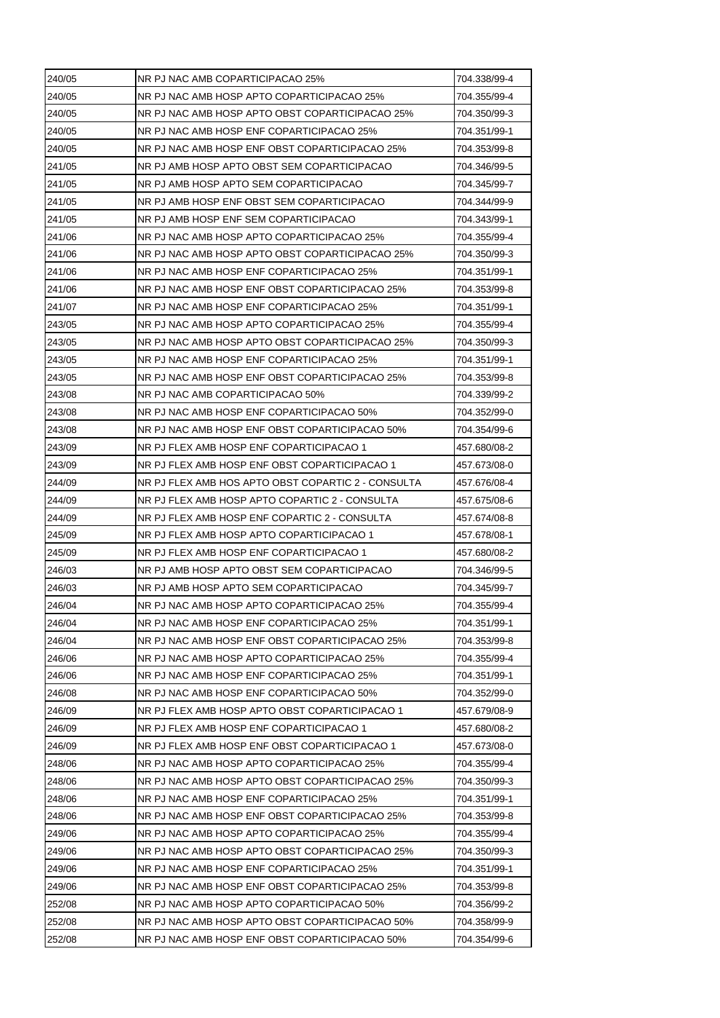| NR PJ NAC AMB HOSP APTO COPARTICIPACAO 25%<br>704.355/99-4<br>NR PJ NAC AMB HOSP APTO OBST COPARTICIPACAO 25%<br>704.350/99-3<br>NR PJ NAC AMB HOSP ENF COPARTICIPACAO 25%<br>704.351/99-1<br>NR PJ NAC AMB HOSP ENF OBST COPARTICIPACAO 25%<br>704.353/99-8<br>NR PJ AMB HOSP APTO OBST SEM COPARTICIPACAO<br>704.346/99-5<br>NR PJ AMB HOSP APTO SEM COPARTICIPACAO<br>704.345/99-7<br>NR PJ AMB HOSP ENF OBST SEM COPARTICIPACAO<br>704.344/99-9<br>NR PJ AMB HOSP ENF SEM COPARTICIPACAO<br>704.343/99-1<br>NR PJ NAC AMB HOSP APTO COPARTICIPACAO 25%<br>704.355/99-4<br>NR PJ NAC AMB HOSP APTO OBST COPARTICIPACAO 25%<br>704.350/99-3<br>NR PJ NAC AMB HOSP ENF COPARTICIPACAO 25%<br>704.351/99-1<br>NR PJ NAC AMB HOSP ENF OBST COPARTICIPACAO 25%<br>704.353/99-8<br>NR PJ NAC AMB HOSP ENF COPARTICIPACAO 25%<br>704.351/99-1<br>NR PJ NAC AMB HOSP APTO COPARTICIPACAO 25%<br>243/05<br>704.355/99-4<br>NR PJ NAC AMB HOSP APTO OBST COPARTICIPACAO 25%<br>704.350/99-3<br>NR PJ NAC AMB HOSP ENF COPARTICIPACAO 25%<br>704.351/99-1<br>NR PJ NAC AMB HOSP ENF OBST COPARTICIPACAO 25%<br>704.353/99-8<br>NR PJ NAC AMB COPARTICIPACAO 50%<br>704.339/99-2<br>NR PJ NAC AMB HOSP ENF COPARTICIPACAO 50%<br>704.352/99-0<br>NR PJ NAC AMB HOSP ENF OBST COPARTICIPACAO 50%<br>704.354/99-6<br>243/09<br>NR PJ FLEX AMB HOSP ENF COPARTICIPACAO 1<br>457.680/08-2<br>243/09<br>NR PJ FLEX AMB HOSP ENF OBST COPARTICIPACAO 1<br>457.673/08-0<br>244/09<br>NR PJ FLEX AMB HOS APTO OBST COPARTIC 2 - CONSULTA<br>457.676/08-4<br>244/09<br>NR PJ FLEX AMB HOSP APTO COPARTIC 2 - CONSULTA<br>457.675/08-6<br>244/09<br>NR PJ FLEX AMB HOSP ENF COPARTIC 2 - CONSULTA<br>457.674/08-8<br>NR PJ FLEX AMB HOSP APTO COPARTICIPACAO 1<br>457.678/08-1<br>NR PJ FLEX AMB HOSP ENF COPARTICIPACAO 1<br>457.680/08-2<br>246/03<br>NR PJ AMB HOSP APTO OBST SEM COPARTICIPACAO<br>704.346/99-5<br>NR PJ AMB HOSP APTO SEM COPARTICIPACAO<br>704.345/99-7<br>246/04<br>NR PJ NAC AMB HOSP APTO COPARTICIPACAO 25%<br>704.355/99-4<br>NR PJ NAC AMB HOSP ENF COPARTICIPACAO 25%<br>246/04<br>704.351/99-1<br>246/04<br>NR PJ NAC AMB HOSP ENF OBST COPARTICIPACAO 25%<br>704.353/99-8<br>246/06<br>NR PJ NAC AMB HOSP APTO COPARTICIPACAO 25%<br>704.355/99-4<br>246/06<br>NR PJ NAC AMB HOSP ENF COPARTICIPACAO 25%<br>704.351/99-1<br>246/08<br>NR PJ NAC AMB HOSP ENF COPARTICIPACAO 50%<br>704.352/99-0<br>246/09<br>NR PJ FLEX AMB HOSP APTO OBST COPARTICIPACAO 1<br>457.679/08-9<br>246/09<br>NR PJ FLEX AMB HOSP ENF COPARTICIPACAO 1<br>457.680/08-2<br>NR PJ FLEX AMB HOSP ENF OBST COPARTICIPACAO 1<br>246/09<br>457.673/08-0<br>248/06<br>NR PJ NAC AMB HOSP APTO COPARTICIPACAO 25%<br>704.355/99-4<br>248/06<br>NR PJ NAC AMB HOSP APTO OBST COPARTICIPACAO 25%<br>704.350/99-3<br>NR PJ NAC AMB HOSP ENF COPARTICIPACAO 25%<br>704.351/99-1<br>248/06<br>NR PJ NAC AMB HOSP ENF OBST COPARTICIPACAO 25%<br>704.353/99-8<br>249/06<br>NR PJ NAC AMB HOSP APTO COPARTICIPACAO 25%<br>704.355/99-4<br>NR PJ NAC AMB HOSP APTO OBST COPARTICIPACAO 25%<br>704.350/99-3<br>249/06<br>NR PJ NAC AMB HOSP ENF COPARTICIPACAO 25%<br>704.351/99-1<br>NR PJ NAC AMB HOSP ENF OBST COPARTICIPACAO 25%<br>249/06<br>704.353/99-8<br>252/08<br>NR PJ NAC AMB HOSP APTO COPARTICIPACAO 50%<br>704.356/99-2<br>252/08<br>NR PJ NAC AMB HOSP APTO OBST COPARTICIPACAO 50%<br>704.358/99-9<br>NR PJ NAC AMB HOSP ENF OBST COPARTICIPACAO 50%<br>704.354/99-6 | 240/05 | NR PJ NAC AMB COPARTICIPACAO 25% | 704.338/99-4 |
|-------------------------------------------------------------------------------------------------------------------------------------------------------------------------------------------------------------------------------------------------------------------------------------------------------------------------------------------------------------------------------------------------------------------------------------------------------------------------------------------------------------------------------------------------------------------------------------------------------------------------------------------------------------------------------------------------------------------------------------------------------------------------------------------------------------------------------------------------------------------------------------------------------------------------------------------------------------------------------------------------------------------------------------------------------------------------------------------------------------------------------------------------------------------------------------------------------------------------------------------------------------------------------------------------------------------------------------------------------------------------------------------------------------------------------------------------------------------------------------------------------------------------------------------------------------------------------------------------------------------------------------------------------------------------------------------------------------------------------------------------------------------------------------------------------------------------------------------------------------------------------------------------------------------------------------------------------------------------------------------------------------------------------------------------------------------------------------------------------------------------------------------------------------------------------------------------------------------------------------------------------------------------------------------------------------------------------------------------------------------------------------------------------------------------------------------------------------------------------------------------------------------------------------------------------------------------------------------------------------------------------------------------------------------------------------------------------------------------------------------------------------------------------------------------------------------------------------------------------------------------------------------------------------------------------------------------------------------------------------------------------------------------------------------------------------------------------------------------------------------------------------------------------------------------------------------------------------------------------------------------------------------------------------------------------------------------------------------------------------------------------------------------------------------------------------------------------------|--------|----------------------------------|--------------|
|                                                                                                                                                                                                                                                                                                                                                                                                                                                                                                                                                                                                                                                                                                                                                                                                                                                                                                                                                                                                                                                                                                                                                                                                                                                                                                                                                                                                                                                                                                                                                                                                                                                                                                                                                                                                                                                                                                                                                                                                                                                                                                                                                                                                                                                                                                                                                                                                                                                                                                                                                                                                                                                                                                                                                                                                                                                                                                                                                                                                                                                                                                                                                                                                                                                                                                                                                                                                                                                             | 240/05 |                                  |              |
|                                                                                                                                                                                                                                                                                                                                                                                                                                                                                                                                                                                                                                                                                                                                                                                                                                                                                                                                                                                                                                                                                                                                                                                                                                                                                                                                                                                                                                                                                                                                                                                                                                                                                                                                                                                                                                                                                                                                                                                                                                                                                                                                                                                                                                                                                                                                                                                                                                                                                                                                                                                                                                                                                                                                                                                                                                                                                                                                                                                                                                                                                                                                                                                                                                                                                                                                                                                                                                                             | 240/05 |                                  |              |
|                                                                                                                                                                                                                                                                                                                                                                                                                                                                                                                                                                                                                                                                                                                                                                                                                                                                                                                                                                                                                                                                                                                                                                                                                                                                                                                                                                                                                                                                                                                                                                                                                                                                                                                                                                                                                                                                                                                                                                                                                                                                                                                                                                                                                                                                                                                                                                                                                                                                                                                                                                                                                                                                                                                                                                                                                                                                                                                                                                                                                                                                                                                                                                                                                                                                                                                                                                                                                                                             | 240/05 |                                  |              |
|                                                                                                                                                                                                                                                                                                                                                                                                                                                                                                                                                                                                                                                                                                                                                                                                                                                                                                                                                                                                                                                                                                                                                                                                                                                                                                                                                                                                                                                                                                                                                                                                                                                                                                                                                                                                                                                                                                                                                                                                                                                                                                                                                                                                                                                                                                                                                                                                                                                                                                                                                                                                                                                                                                                                                                                                                                                                                                                                                                                                                                                                                                                                                                                                                                                                                                                                                                                                                                                             | 240/05 |                                  |              |
|                                                                                                                                                                                                                                                                                                                                                                                                                                                                                                                                                                                                                                                                                                                                                                                                                                                                                                                                                                                                                                                                                                                                                                                                                                                                                                                                                                                                                                                                                                                                                                                                                                                                                                                                                                                                                                                                                                                                                                                                                                                                                                                                                                                                                                                                                                                                                                                                                                                                                                                                                                                                                                                                                                                                                                                                                                                                                                                                                                                                                                                                                                                                                                                                                                                                                                                                                                                                                                                             | 241/05 |                                  |              |
|                                                                                                                                                                                                                                                                                                                                                                                                                                                                                                                                                                                                                                                                                                                                                                                                                                                                                                                                                                                                                                                                                                                                                                                                                                                                                                                                                                                                                                                                                                                                                                                                                                                                                                                                                                                                                                                                                                                                                                                                                                                                                                                                                                                                                                                                                                                                                                                                                                                                                                                                                                                                                                                                                                                                                                                                                                                                                                                                                                                                                                                                                                                                                                                                                                                                                                                                                                                                                                                             | 241/05 |                                  |              |
|                                                                                                                                                                                                                                                                                                                                                                                                                                                                                                                                                                                                                                                                                                                                                                                                                                                                                                                                                                                                                                                                                                                                                                                                                                                                                                                                                                                                                                                                                                                                                                                                                                                                                                                                                                                                                                                                                                                                                                                                                                                                                                                                                                                                                                                                                                                                                                                                                                                                                                                                                                                                                                                                                                                                                                                                                                                                                                                                                                                                                                                                                                                                                                                                                                                                                                                                                                                                                                                             | 241/05 |                                  |              |
|                                                                                                                                                                                                                                                                                                                                                                                                                                                                                                                                                                                                                                                                                                                                                                                                                                                                                                                                                                                                                                                                                                                                                                                                                                                                                                                                                                                                                                                                                                                                                                                                                                                                                                                                                                                                                                                                                                                                                                                                                                                                                                                                                                                                                                                                                                                                                                                                                                                                                                                                                                                                                                                                                                                                                                                                                                                                                                                                                                                                                                                                                                                                                                                                                                                                                                                                                                                                                                                             | 241/05 |                                  |              |
|                                                                                                                                                                                                                                                                                                                                                                                                                                                                                                                                                                                                                                                                                                                                                                                                                                                                                                                                                                                                                                                                                                                                                                                                                                                                                                                                                                                                                                                                                                                                                                                                                                                                                                                                                                                                                                                                                                                                                                                                                                                                                                                                                                                                                                                                                                                                                                                                                                                                                                                                                                                                                                                                                                                                                                                                                                                                                                                                                                                                                                                                                                                                                                                                                                                                                                                                                                                                                                                             | 241/06 |                                  |              |
|                                                                                                                                                                                                                                                                                                                                                                                                                                                                                                                                                                                                                                                                                                                                                                                                                                                                                                                                                                                                                                                                                                                                                                                                                                                                                                                                                                                                                                                                                                                                                                                                                                                                                                                                                                                                                                                                                                                                                                                                                                                                                                                                                                                                                                                                                                                                                                                                                                                                                                                                                                                                                                                                                                                                                                                                                                                                                                                                                                                                                                                                                                                                                                                                                                                                                                                                                                                                                                                             | 241/06 |                                  |              |
|                                                                                                                                                                                                                                                                                                                                                                                                                                                                                                                                                                                                                                                                                                                                                                                                                                                                                                                                                                                                                                                                                                                                                                                                                                                                                                                                                                                                                                                                                                                                                                                                                                                                                                                                                                                                                                                                                                                                                                                                                                                                                                                                                                                                                                                                                                                                                                                                                                                                                                                                                                                                                                                                                                                                                                                                                                                                                                                                                                                                                                                                                                                                                                                                                                                                                                                                                                                                                                                             | 241/06 |                                  |              |
|                                                                                                                                                                                                                                                                                                                                                                                                                                                                                                                                                                                                                                                                                                                                                                                                                                                                                                                                                                                                                                                                                                                                                                                                                                                                                                                                                                                                                                                                                                                                                                                                                                                                                                                                                                                                                                                                                                                                                                                                                                                                                                                                                                                                                                                                                                                                                                                                                                                                                                                                                                                                                                                                                                                                                                                                                                                                                                                                                                                                                                                                                                                                                                                                                                                                                                                                                                                                                                                             | 241/06 |                                  |              |
|                                                                                                                                                                                                                                                                                                                                                                                                                                                                                                                                                                                                                                                                                                                                                                                                                                                                                                                                                                                                                                                                                                                                                                                                                                                                                                                                                                                                                                                                                                                                                                                                                                                                                                                                                                                                                                                                                                                                                                                                                                                                                                                                                                                                                                                                                                                                                                                                                                                                                                                                                                                                                                                                                                                                                                                                                                                                                                                                                                                                                                                                                                                                                                                                                                                                                                                                                                                                                                                             | 241/07 |                                  |              |
|                                                                                                                                                                                                                                                                                                                                                                                                                                                                                                                                                                                                                                                                                                                                                                                                                                                                                                                                                                                                                                                                                                                                                                                                                                                                                                                                                                                                                                                                                                                                                                                                                                                                                                                                                                                                                                                                                                                                                                                                                                                                                                                                                                                                                                                                                                                                                                                                                                                                                                                                                                                                                                                                                                                                                                                                                                                                                                                                                                                                                                                                                                                                                                                                                                                                                                                                                                                                                                                             |        |                                  |              |
|                                                                                                                                                                                                                                                                                                                                                                                                                                                                                                                                                                                                                                                                                                                                                                                                                                                                                                                                                                                                                                                                                                                                                                                                                                                                                                                                                                                                                                                                                                                                                                                                                                                                                                                                                                                                                                                                                                                                                                                                                                                                                                                                                                                                                                                                                                                                                                                                                                                                                                                                                                                                                                                                                                                                                                                                                                                                                                                                                                                                                                                                                                                                                                                                                                                                                                                                                                                                                                                             | 243/05 |                                  |              |
|                                                                                                                                                                                                                                                                                                                                                                                                                                                                                                                                                                                                                                                                                                                                                                                                                                                                                                                                                                                                                                                                                                                                                                                                                                                                                                                                                                                                                                                                                                                                                                                                                                                                                                                                                                                                                                                                                                                                                                                                                                                                                                                                                                                                                                                                                                                                                                                                                                                                                                                                                                                                                                                                                                                                                                                                                                                                                                                                                                                                                                                                                                                                                                                                                                                                                                                                                                                                                                                             | 243/05 |                                  |              |
|                                                                                                                                                                                                                                                                                                                                                                                                                                                                                                                                                                                                                                                                                                                                                                                                                                                                                                                                                                                                                                                                                                                                                                                                                                                                                                                                                                                                                                                                                                                                                                                                                                                                                                                                                                                                                                                                                                                                                                                                                                                                                                                                                                                                                                                                                                                                                                                                                                                                                                                                                                                                                                                                                                                                                                                                                                                                                                                                                                                                                                                                                                                                                                                                                                                                                                                                                                                                                                                             | 243/05 |                                  |              |
|                                                                                                                                                                                                                                                                                                                                                                                                                                                                                                                                                                                                                                                                                                                                                                                                                                                                                                                                                                                                                                                                                                                                                                                                                                                                                                                                                                                                                                                                                                                                                                                                                                                                                                                                                                                                                                                                                                                                                                                                                                                                                                                                                                                                                                                                                                                                                                                                                                                                                                                                                                                                                                                                                                                                                                                                                                                                                                                                                                                                                                                                                                                                                                                                                                                                                                                                                                                                                                                             | 243/08 |                                  |              |
|                                                                                                                                                                                                                                                                                                                                                                                                                                                                                                                                                                                                                                                                                                                                                                                                                                                                                                                                                                                                                                                                                                                                                                                                                                                                                                                                                                                                                                                                                                                                                                                                                                                                                                                                                                                                                                                                                                                                                                                                                                                                                                                                                                                                                                                                                                                                                                                                                                                                                                                                                                                                                                                                                                                                                                                                                                                                                                                                                                                                                                                                                                                                                                                                                                                                                                                                                                                                                                                             | 243/08 |                                  |              |
|                                                                                                                                                                                                                                                                                                                                                                                                                                                                                                                                                                                                                                                                                                                                                                                                                                                                                                                                                                                                                                                                                                                                                                                                                                                                                                                                                                                                                                                                                                                                                                                                                                                                                                                                                                                                                                                                                                                                                                                                                                                                                                                                                                                                                                                                                                                                                                                                                                                                                                                                                                                                                                                                                                                                                                                                                                                                                                                                                                                                                                                                                                                                                                                                                                                                                                                                                                                                                                                             | 243/08 |                                  |              |
|                                                                                                                                                                                                                                                                                                                                                                                                                                                                                                                                                                                                                                                                                                                                                                                                                                                                                                                                                                                                                                                                                                                                                                                                                                                                                                                                                                                                                                                                                                                                                                                                                                                                                                                                                                                                                                                                                                                                                                                                                                                                                                                                                                                                                                                                                                                                                                                                                                                                                                                                                                                                                                                                                                                                                                                                                                                                                                                                                                                                                                                                                                                                                                                                                                                                                                                                                                                                                                                             |        |                                  |              |
|                                                                                                                                                                                                                                                                                                                                                                                                                                                                                                                                                                                                                                                                                                                                                                                                                                                                                                                                                                                                                                                                                                                                                                                                                                                                                                                                                                                                                                                                                                                                                                                                                                                                                                                                                                                                                                                                                                                                                                                                                                                                                                                                                                                                                                                                                                                                                                                                                                                                                                                                                                                                                                                                                                                                                                                                                                                                                                                                                                                                                                                                                                                                                                                                                                                                                                                                                                                                                                                             |        |                                  |              |
|                                                                                                                                                                                                                                                                                                                                                                                                                                                                                                                                                                                                                                                                                                                                                                                                                                                                                                                                                                                                                                                                                                                                                                                                                                                                                                                                                                                                                                                                                                                                                                                                                                                                                                                                                                                                                                                                                                                                                                                                                                                                                                                                                                                                                                                                                                                                                                                                                                                                                                                                                                                                                                                                                                                                                                                                                                                                                                                                                                                                                                                                                                                                                                                                                                                                                                                                                                                                                                                             |        |                                  |              |
|                                                                                                                                                                                                                                                                                                                                                                                                                                                                                                                                                                                                                                                                                                                                                                                                                                                                                                                                                                                                                                                                                                                                                                                                                                                                                                                                                                                                                                                                                                                                                                                                                                                                                                                                                                                                                                                                                                                                                                                                                                                                                                                                                                                                                                                                                                                                                                                                                                                                                                                                                                                                                                                                                                                                                                                                                                                                                                                                                                                                                                                                                                                                                                                                                                                                                                                                                                                                                                                             |        |                                  |              |
|                                                                                                                                                                                                                                                                                                                                                                                                                                                                                                                                                                                                                                                                                                                                                                                                                                                                                                                                                                                                                                                                                                                                                                                                                                                                                                                                                                                                                                                                                                                                                                                                                                                                                                                                                                                                                                                                                                                                                                                                                                                                                                                                                                                                                                                                                                                                                                                                                                                                                                                                                                                                                                                                                                                                                                                                                                                                                                                                                                                                                                                                                                                                                                                                                                                                                                                                                                                                                                                             |        |                                  |              |
|                                                                                                                                                                                                                                                                                                                                                                                                                                                                                                                                                                                                                                                                                                                                                                                                                                                                                                                                                                                                                                                                                                                                                                                                                                                                                                                                                                                                                                                                                                                                                                                                                                                                                                                                                                                                                                                                                                                                                                                                                                                                                                                                                                                                                                                                                                                                                                                                                                                                                                                                                                                                                                                                                                                                                                                                                                                                                                                                                                                                                                                                                                                                                                                                                                                                                                                                                                                                                                                             | 245/09 |                                  |              |
|                                                                                                                                                                                                                                                                                                                                                                                                                                                                                                                                                                                                                                                                                                                                                                                                                                                                                                                                                                                                                                                                                                                                                                                                                                                                                                                                                                                                                                                                                                                                                                                                                                                                                                                                                                                                                                                                                                                                                                                                                                                                                                                                                                                                                                                                                                                                                                                                                                                                                                                                                                                                                                                                                                                                                                                                                                                                                                                                                                                                                                                                                                                                                                                                                                                                                                                                                                                                                                                             | 245/09 |                                  |              |
|                                                                                                                                                                                                                                                                                                                                                                                                                                                                                                                                                                                                                                                                                                                                                                                                                                                                                                                                                                                                                                                                                                                                                                                                                                                                                                                                                                                                                                                                                                                                                                                                                                                                                                                                                                                                                                                                                                                                                                                                                                                                                                                                                                                                                                                                                                                                                                                                                                                                                                                                                                                                                                                                                                                                                                                                                                                                                                                                                                                                                                                                                                                                                                                                                                                                                                                                                                                                                                                             |        |                                  |              |
|                                                                                                                                                                                                                                                                                                                                                                                                                                                                                                                                                                                                                                                                                                                                                                                                                                                                                                                                                                                                                                                                                                                                                                                                                                                                                                                                                                                                                                                                                                                                                                                                                                                                                                                                                                                                                                                                                                                                                                                                                                                                                                                                                                                                                                                                                                                                                                                                                                                                                                                                                                                                                                                                                                                                                                                                                                                                                                                                                                                                                                                                                                                                                                                                                                                                                                                                                                                                                                                             | 246/03 |                                  |              |
|                                                                                                                                                                                                                                                                                                                                                                                                                                                                                                                                                                                                                                                                                                                                                                                                                                                                                                                                                                                                                                                                                                                                                                                                                                                                                                                                                                                                                                                                                                                                                                                                                                                                                                                                                                                                                                                                                                                                                                                                                                                                                                                                                                                                                                                                                                                                                                                                                                                                                                                                                                                                                                                                                                                                                                                                                                                                                                                                                                                                                                                                                                                                                                                                                                                                                                                                                                                                                                                             |        |                                  |              |
|                                                                                                                                                                                                                                                                                                                                                                                                                                                                                                                                                                                                                                                                                                                                                                                                                                                                                                                                                                                                                                                                                                                                                                                                                                                                                                                                                                                                                                                                                                                                                                                                                                                                                                                                                                                                                                                                                                                                                                                                                                                                                                                                                                                                                                                                                                                                                                                                                                                                                                                                                                                                                                                                                                                                                                                                                                                                                                                                                                                                                                                                                                                                                                                                                                                                                                                                                                                                                                                             |        |                                  |              |
|                                                                                                                                                                                                                                                                                                                                                                                                                                                                                                                                                                                                                                                                                                                                                                                                                                                                                                                                                                                                                                                                                                                                                                                                                                                                                                                                                                                                                                                                                                                                                                                                                                                                                                                                                                                                                                                                                                                                                                                                                                                                                                                                                                                                                                                                                                                                                                                                                                                                                                                                                                                                                                                                                                                                                                                                                                                                                                                                                                                                                                                                                                                                                                                                                                                                                                                                                                                                                                                             |        |                                  |              |
|                                                                                                                                                                                                                                                                                                                                                                                                                                                                                                                                                                                                                                                                                                                                                                                                                                                                                                                                                                                                                                                                                                                                                                                                                                                                                                                                                                                                                                                                                                                                                                                                                                                                                                                                                                                                                                                                                                                                                                                                                                                                                                                                                                                                                                                                                                                                                                                                                                                                                                                                                                                                                                                                                                                                                                                                                                                                                                                                                                                                                                                                                                                                                                                                                                                                                                                                                                                                                                                             |        |                                  |              |
|                                                                                                                                                                                                                                                                                                                                                                                                                                                                                                                                                                                                                                                                                                                                                                                                                                                                                                                                                                                                                                                                                                                                                                                                                                                                                                                                                                                                                                                                                                                                                                                                                                                                                                                                                                                                                                                                                                                                                                                                                                                                                                                                                                                                                                                                                                                                                                                                                                                                                                                                                                                                                                                                                                                                                                                                                                                                                                                                                                                                                                                                                                                                                                                                                                                                                                                                                                                                                                                             |        |                                  |              |
|                                                                                                                                                                                                                                                                                                                                                                                                                                                                                                                                                                                                                                                                                                                                                                                                                                                                                                                                                                                                                                                                                                                                                                                                                                                                                                                                                                                                                                                                                                                                                                                                                                                                                                                                                                                                                                                                                                                                                                                                                                                                                                                                                                                                                                                                                                                                                                                                                                                                                                                                                                                                                                                                                                                                                                                                                                                                                                                                                                                                                                                                                                                                                                                                                                                                                                                                                                                                                                                             |        |                                  |              |
|                                                                                                                                                                                                                                                                                                                                                                                                                                                                                                                                                                                                                                                                                                                                                                                                                                                                                                                                                                                                                                                                                                                                                                                                                                                                                                                                                                                                                                                                                                                                                                                                                                                                                                                                                                                                                                                                                                                                                                                                                                                                                                                                                                                                                                                                                                                                                                                                                                                                                                                                                                                                                                                                                                                                                                                                                                                                                                                                                                                                                                                                                                                                                                                                                                                                                                                                                                                                                                                             |        |                                  |              |
|                                                                                                                                                                                                                                                                                                                                                                                                                                                                                                                                                                                                                                                                                                                                                                                                                                                                                                                                                                                                                                                                                                                                                                                                                                                                                                                                                                                                                                                                                                                                                                                                                                                                                                                                                                                                                                                                                                                                                                                                                                                                                                                                                                                                                                                                                                                                                                                                                                                                                                                                                                                                                                                                                                                                                                                                                                                                                                                                                                                                                                                                                                                                                                                                                                                                                                                                                                                                                                                             |        |                                  |              |
|                                                                                                                                                                                                                                                                                                                                                                                                                                                                                                                                                                                                                                                                                                                                                                                                                                                                                                                                                                                                                                                                                                                                                                                                                                                                                                                                                                                                                                                                                                                                                                                                                                                                                                                                                                                                                                                                                                                                                                                                                                                                                                                                                                                                                                                                                                                                                                                                                                                                                                                                                                                                                                                                                                                                                                                                                                                                                                                                                                                                                                                                                                                                                                                                                                                                                                                                                                                                                                                             |        |                                  |              |
|                                                                                                                                                                                                                                                                                                                                                                                                                                                                                                                                                                                                                                                                                                                                                                                                                                                                                                                                                                                                                                                                                                                                                                                                                                                                                                                                                                                                                                                                                                                                                                                                                                                                                                                                                                                                                                                                                                                                                                                                                                                                                                                                                                                                                                                                                                                                                                                                                                                                                                                                                                                                                                                                                                                                                                                                                                                                                                                                                                                                                                                                                                                                                                                                                                                                                                                                                                                                                                                             |        |                                  |              |
|                                                                                                                                                                                                                                                                                                                                                                                                                                                                                                                                                                                                                                                                                                                                                                                                                                                                                                                                                                                                                                                                                                                                                                                                                                                                                                                                                                                                                                                                                                                                                                                                                                                                                                                                                                                                                                                                                                                                                                                                                                                                                                                                                                                                                                                                                                                                                                                                                                                                                                                                                                                                                                                                                                                                                                                                                                                                                                                                                                                                                                                                                                                                                                                                                                                                                                                                                                                                                                                             |        |                                  |              |
|                                                                                                                                                                                                                                                                                                                                                                                                                                                                                                                                                                                                                                                                                                                                                                                                                                                                                                                                                                                                                                                                                                                                                                                                                                                                                                                                                                                                                                                                                                                                                                                                                                                                                                                                                                                                                                                                                                                                                                                                                                                                                                                                                                                                                                                                                                                                                                                                                                                                                                                                                                                                                                                                                                                                                                                                                                                                                                                                                                                                                                                                                                                                                                                                                                                                                                                                                                                                                                                             | 248/06 |                                  |              |
|                                                                                                                                                                                                                                                                                                                                                                                                                                                                                                                                                                                                                                                                                                                                                                                                                                                                                                                                                                                                                                                                                                                                                                                                                                                                                                                                                                                                                                                                                                                                                                                                                                                                                                                                                                                                                                                                                                                                                                                                                                                                                                                                                                                                                                                                                                                                                                                                                                                                                                                                                                                                                                                                                                                                                                                                                                                                                                                                                                                                                                                                                                                                                                                                                                                                                                                                                                                                                                                             |        |                                  |              |
|                                                                                                                                                                                                                                                                                                                                                                                                                                                                                                                                                                                                                                                                                                                                                                                                                                                                                                                                                                                                                                                                                                                                                                                                                                                                                                                                                                                                                                                                                                                                                                                                                                                                                                                                                                                                                                                                                                                                                                                                                                                                                                                                                                                                                                                                                                                                                                                                                                                                                                                                                                                                                                                                                                                                                                                                                                                                                                                                                                                                                                                                                                                                                                                                                                                                                                                                                                                                                                                             |        |                                  |              |
|                                                                                                                                                                                                                                                                                                                                                                                                                                                                                                                                                                                                                                                                                                                                                                                                                                                                                                                                                                                                                                                                                                                                                                                                                                                                                                                                                                                                                                                                                                                                                                                                                                                                                                                                                                                                                                                                                                                                                                                                                                                                                                                                                                                                                                                                                                                                                                                                                                                                                                                                                                                                                                                                                                                                                                                                                                                                                                                                                                                                                                                                                                                                                                                                                                                                                                                                                                                                                                                             | 249/06 |                                  |              |
|                                                                                                                                                                                                                                                                                                                                                                                                                                                                                                                                                                                                                                                                                                                                                                                                                                                                                                                                                                                                                                                                                                                                                                                                                                                                                                                                                                                                                                                                                                                                                                                                                                                                                                                                                                                                                                                                                                                                                                                                                                                                                                                                                                                                                                                                                                                                                                                                                                                                                                                                                                                                                                                                                                                                                                                                                                                                                                                                                                                                                                                                                                                                                                                                                                                                                                                                                                                                                                                             |        |                                  |              |
|                                                                                                                                                                                                                                                                                                                                                                                                                                                                                                                                                                                                                                                                                                                                                                                                                                                                                                                                                                                                                                                                                                                                                                                                                                                                                                                                                                                                                                                                                                                                                                                                                                                                                                                                                                                                                                                                                                                                                                                                                                                                                                                                                                                                                                                                                                                                                                                                                                                                                                                                                                                                                                                                                                                                                                                                                                                                                                                                                                                                                                                                                                                                                                                                                                                                                                                                                                                                                                                             |        |                                  |              |
|                                                                                                                                                                                                                                                                                                                                                                                                                                                                                                                                                                                                                                                                                                                                                                                                                                                                                                                                                                                                                                                                                                                                                                                                                                                                                                                                                                                                                                                                                                                                                                                                                                                                                                                                                                                                                                                                                                                                                                                                                                                                                                                                                                                                                                                                                                                                                                                                                                                                                                                                                                                                                                                                                                                                                                                                                                                                                                                                                                                                                                                                                                                                                                                                                                                                                                                                                                                                                                                             |        |                                  |              |
|                                                                                                                                                                                                                                                                                                                                                                                                                                                                                                                                                                                                                                                                                                                                                                                                                                                                                                                                                                                                                                                                                                                                                                                                                                                                                                                                                                                                                                                                                                                                                                                                                                                                                                                                                                                                                                                                                                                                                                                                                                                                                                                                                                                                                                                                                                                                                                                                                                                                                                                                                                                                                                                                                                                                                                                                                                                                                                                                                                                                                                                                                                                                                                                                                                                                                                                                                                                                                                                             |        |                                  |              |
|                                                                                                                                                                                                                                                                                                                                                                                                                                                                                                                                                                                                                                                                                                                                                                                                                                                                                                                                                                                                                                                                                                                                                                                                                                                                                                                                                                                                                                                                                                                                                                                                                                                                                                                                                                                                                                                                                                                                                                                                                                                                                                                                                                                                                                                                                                                                                                                                                                                                                                                                                                                                                                                                                                                                                                                                                                                                                                                                                                                                                                                                                                                                                                                                                                                                                                                                                                                                                                                             | 252/08 |                                  |              |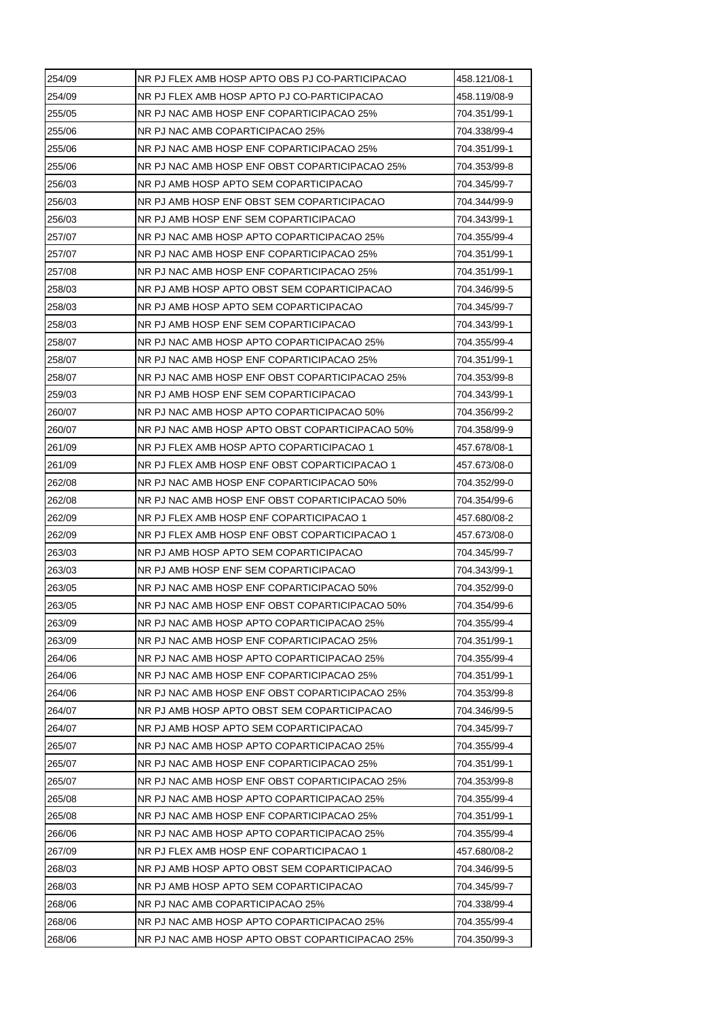| 254/09 | NR PJ FLEX AMB HOSP APTO OBS PJ CO-PARTICIPACAO | 458.121/08-1 |
|--------|-------------------------------------------------|--------------|
| 254/09 | NR PJ FLEX AMB HOSP APTO PJ CO-PARTICIPACAO     | 458.119/08-9 |
| 255/05 | NR PJ NAC AMB HOSP ENF COPARTICIPACAO 25%       | 704.351/99-1 |
| 255/06 | NR PJ NAC AMB COPARTICIPACAO 25%                | 704.338/99-4 |
| 255/06 | NR PJ NAC AMB HOSP ENF COPARTICIPACAO 25%       | 704.351/99-1 |
| 255/06 | NR PJ NAC AMB HOSP ENF OBST COPARTICIPACAO 25%  | 704.353/99-8 |
| 256/03 | NR PJ AMB HOSP APTO SEM COPARTICIPACAO          | 704.345/99-7 |
| 256/03 | NR PJ AMB HOSP ENF OBST SEM COPARTICIPACAO      | 704.344/99-9 |
| 256/03 | NR PJ AMB HOSP ENF SEM COPARTICIPACAO           | 704.343/99-1 |
| 257/07 | NR PJ NAC AMB HOSP APTO COPARTICIPACAO 25%      | 704.355/99-4 |
| 257/07 | NR PJ NAC AMB HOSP ENF COPARTICIPACAO 25%       | 704.351/99-1 |
| 257/08 | NR PJ NAC AMB HOSP ENF COPARTICIPACAO 25%       | 704.351/99-1 |
| 258/03 | NR PJ AMB HOSP APTO OBST SEM COPARTICIPACAO     | 704.346/99-5 |
| 258/03 | NR PJ AMB HOSP APTO SEM COPARTICIPACAO          | 704.345/99-7 |
| 258/03 | NR PJ AMB HOSP ENF SEM COPARTICIPACAO           | 704.343/99-1 |
| 258/07 | NR PJ NAC AMB HOSP APTO COPARTICIPACAO 25%      | 704.355/99-4 |
| 258/07 | NR PJ NAC AMB HOSP ENF COPARTICIPACAO 25%       | 704.351/99-1 |
| 258/07 | NR PJ NAC AMB HOSP ENF OBST COPARTICIPACAO 25%  | 704.353/99-8 |
| 259/03 | NR PJ AMB HOSP ENF SEM COPARTICIPACAO           | 704.343/99-1 |
| 260/07 | NR PJ NAC AMB HOSP APTO COPARTICIPACAO 50%      | 704.356/99-2 |
| 260/07 | NR PJ NAC AMB HOSP APTO OBST COPARTICIPACAO 50% | 704.358/99-9 |
| 261/09 | NR PJ FLEX AMB HOSP APTO COPARTICIPACAO 1       | 457.678/08-1 |
| 261/09 | NR PJ FLEX AMB HOSP ENF OBST COPARTICIPACAO 1   | 457.673/08-0 |
| 262/08 | NR PJ NAC AMB HOSP ENF COPARTICIPACAO 50%       | 704.352/99-0 |
| 262/08 | NR PJ NAC AMB HOSP ENF OBST COPARTICIPACAO 50%  | 704.354/99-6 |
| 262/09 | NR PJ FLEX AMB HOSP ENF COPARTICIPACAO 1        | 457.680/08-2 |
| 262/09 | NR PJ FLEX AMB HOSP ENF OBST COPARTICIPACAO 1   | 457.673/08-0 |
| 263/03 | NR PJ AMB HOSP APTO SEM COPARTICIPACAO          | 704.345/99-7 |
| 263/03 | NR PJ AMB HOSP ENF SEM COPARTICIPACAO           | 704.343/99-1 |
| 263/05 | NR PJ NAC AMB HOSP ENF COPARTICIPACAO 50%       | 704.352/99-0 |
| 263/05 | NR PJ NAC AMB HOSP ENF OBST COPARTICIPACAO 50%  | 704.354/99-6 |
| 263/09 | NR PJ NAC AMB HOSP APTO COPARTICIPACAO 25%      | 704.355/99-4 |
| 263/09 | NR PJ NAC AMB HOSP ENF COPARTICIPACAO 25%       | 704.351/99-1 |
| 264/06 | NR PJ NAC AMB HOSP APTO COPARTICIPACAO 25%      | 704.355/99-4 |
| 264/06 | NR PJ NAC AMB HOSP ENF COPARTICIPACAO 25%       | 704.351/99-1 |
| 264/06 | NR PJ NAC AMB HOSP ENF OBST COPARTICIPACAO 25%  | 704.353/99-8 |
| 264/07 | NR PJ AMB HOSP APTO OBST SEM COPARTICIPACAO     | 704.346/99-5 |
| 264/07 | NR PJ AMB HOSP APTO SEM COPARTICIPACAO          | 704.345/99-7 |
| 265/07 | NR PJ NAC AMB HOSP APTO COPARTICIPACAO 25%      | 704.355/99-4 |
| 265/07 | NR PJ NAC AMB HOSP ENF COPARTICIPACAO 25%       | 704.351/99-1 |
| 265/07 | NR PJ NAC AMB HOSP ENF OBST COPARTICIPACAO 25%  | 704.353/99-8 |
| 265/08 | NR PJ NAC AMB HOSP APTO COPARTICIPACAO 25%      | 704.355/99-4 |
| 265/08 | NR PJ NAC AMB HOSP ENF COPARTICIPACAO 25%       | 704.351/99-1 |
| 266/06 | NR PJ NAC AMB HOSP APTO COPARTICIPACAO 25%      | 704.355/99-4 |
| 267/09 | NR PJ FLEX AMB HOSP ENF COPARTICIPACAO 1        | 457.680/08-2 |
| 268/03 | NR PJ AMB HOSP APTO OBST SEM COPARTICIPACAO     | 704.346/99-5 |
| 268/03 | NR PJ AMB HOSP APTO SEM COPARTICIPACAO          | 704.345/99-7 |
| 268/06 | NR PJ NAC AMB COPARTICIPACAO 25%                | 704.338/99-4 |
| 268/06 | NR PJ NAC AMB HOSP APTO COPARTICIPACAO 25%      | 704.355/99-4 |
| 268/06 | NR PJ NAC AMB HOSP APTO OBST COPARTICIPACAO 25% | 704.350/99-3 |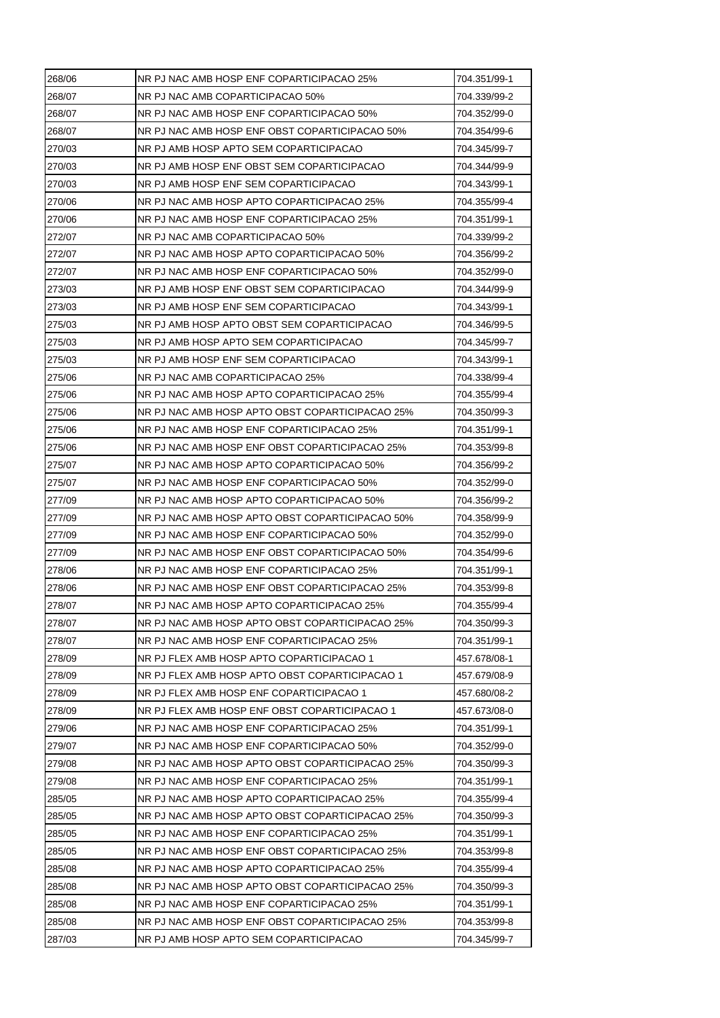| 268/06 | NR PJ NAC AMB HOSP ENF COPARTICIPACAO 25%       | 704.351/99-1 |
|--------|-------------------------------------------------|--------------|
| 268/07 | NR PJ NAC AMB COPARTICIPACAO 50%                | 704.339/99-2 |
| 268/07 | NR PJ NAC AMB HOSP ENF COPARTICIPACAO 50%       | 704.352/99-0 |
| 268/07 | NR PJ NAC AMB HOSP ENF OBST COPARTICIPACAO 50%  | 704.354/99-6 |
| 270/03 | NR PJ AMB HOSP APTO SEM COPARTICIPACAO          | 704.345/99-7 |
| 270/03 | NR PJ AMB HOSP ENF OBST SEM COPARTICIPACAO      | 704.344/99-9 |
| 270/03 | NR PJ AMB HOSP ENF SEM COPARTICIPACAO           | 704.343/99-1 |
| 270/06 | NR PJ NAC AMB HOSP APTO COPARTICIPACAO 25%      | 704.355/99-4 |
| 270/06 | NR PJ NAC AMB HOSP ENF COPARTICIPACAO 25%       | 704.351/99-1 |
| 272/07 | NR PJ NAC AMB COPARTICIPACAO 50%                | 704.339/99-2 |
| 272/07 | NR PJ NAC AMB HOSP APTO COPARTICIPACAO 50%      | 704.356/99-2 |
| 272/07 | NR PJ NAC AMB HOSP ENF COPARTICIPACAO 50%       | 704.352/99-0 |
| 273/03 | NR PJ AMB HOSP ENF OBST SEM COPARTICIPACAO      | 704.344/99-9 |
| 273/03 | NR PJ AMB HOSP ENF SEM COPARTICIPACAO           | 704.343/99-1 |
| 275/03 | NR PJ AMB HOSP APTO OBST SEM COPARTICIPACAO     | 704.346/99-5 |
| 275/03 | NR PJ AMB HOSP APTO SEM COPARTICIPACAO          | 704.345/99-7 |
| 275/03 | NR PJ AMB HOSP ENF SEM COPARTICIPACAO           | 704.343/99-1 |
| 275/06 | NR PJ NAC AMB COPARTICIPACAO 25%                | 704.338/99-4 |
| 275/06 | NR PJ NAC AMB HOSP APTO COPARTICIPACAO 25%      | 704.355/99-4 |
| 275/06 | NR PJ NAC AMB HOSP APTO OBST COPARTICIPACAO 25% | 704.350/99-3 |
| 275/06 | NR PJ NAC AMB HOSP ENF COPARTICIPACAO 25%       | 704.351/99-1 |
| 275/06 | NR PJ NAC AMB HOSP ENF OBST COPARTICIPACAO 25%  | 704.353/99-8 |
| 275/07 | NR PJ NAC AMB HOSP APTO COPARTICIPACAO 50%      | 704.356/99-2 |
| 275/07 | NR PJ NAC AMB HOSP ENF COPARTICIPACAO 50%       | 704.352/99-0 |
| 277/09 | NR PJ NAC AMB HOSP APTO COPARTICIPACAO 50%      | 704.356/99-2 |
| 277/09 | NR PJ NAC AMB HOSP APTO OBST COPARTICIPACAO 50% | 704.358/99-9 |
| 277/09 | NR PJ NAC AMB HOSP ENF COPARTICIPACAO 50%       | 704.352/99-0 |
| 277/09 | NR PJ NAC AMB HOSP ENF OBST COPARTICIPACAO 50%  | 704.354/99-6 |
| 278/06 | NR PJ NAC AMB HOSP ENF COPARTICIPACAO 25%       | 704.351/99-1 |
| 278/06 | NR PJ NAC AMB HOSP ENF OBST COPARTICIPACAO 25%  | 704.353/99-8 |
| 278/07 | NR PJ NAC AMB HOSP APTO COPARTICIPACAO 25%      | 704.355/99-4 |
| 278/07 | NR PJ NAC AMB HOSP APTO OBST COPARTICIPACAO 25% | 704.350/99-3 |
| 278/07 | NR PJ NAC AMB HOSP ENF COPARTICIPACAO 25%       | 704.351/99-1 |
| 278/09 | NR PJ FLEX AMB HOSP APTO COPARTICIPACAO 1       | 457.678/08-1 |
| 278/09 | NR PJ FLEX AMB HOSP APTO OBST COPARTICIPACAO 1  | 457.679/08-9 |
| 278/09 | NR PJ FLEX AMB HOSP ENF COPARTICIPACAO 1        | 457.680/08-2 |
| 278/09 | NR PJ FLEX AMB HOSP ENF OBST COPARTICIPACAO 1   | 457.673/08-0 |
| 279/06 | NR PJ NAC AMB HOSP ENF COPARTICIPACAO 25%       | 704.351/99-1 |
| 279/07 | NR PJ NAC AMB HOSP ENF COPARTICIPACAO 50%       | 704.352/99-0 |
| 279/08 | NR PJ NAC AMB HOSP APTO OBST COPARTICIPACAO 25% | 704.350/99-3 |
| 279/08 | NR PJ NAC AMB HOSP ENF COPARTICIPACAO 25%       | 704.351/99-1 |
| 285/05 | NR PJ NAC AMB HOSP APTO COPARTICIPACAO 25%      | 704.355/99-4 |
|        |                                                 |              |
| 285/05 | NR PJ NAC AMB HOSP APTO OBST COPARTICIPACAO 25% | 704.350/99-3 |
| 285/05 | NR PJ NAC AMB HOSP ENF COPARTICIPACAO 25%       | 704.351/99-1 |
| 285/05 | NR PJ NAC AMB HOSP ENF OBST COPARTICIPACAO 25%  | 704.353/99-8 |
| 285/08 | NR PJ NAC AMB HOSP APTO COPARTICIPACAO 25%      | 704.355/99-4 |
| 285/08 | NR PJ NAC AMB HOSP APTO OBST COPARTICIPACAO 25% | 704.350/99-3 |
| 285/08 | NR PJ NAC AMB HOSP ENF COPARTICIPACAO 25%       | 704.351/99-1 |
| 285/08 | NR PJ NAC AMB HOSP ENF OBST COPARTICIPACAO 25%  | 704.353/99-8 |
| 287/03 | NR PJ AMB HOSP APTO SEM COPARTICIPACAO          | 704.345/99-7 |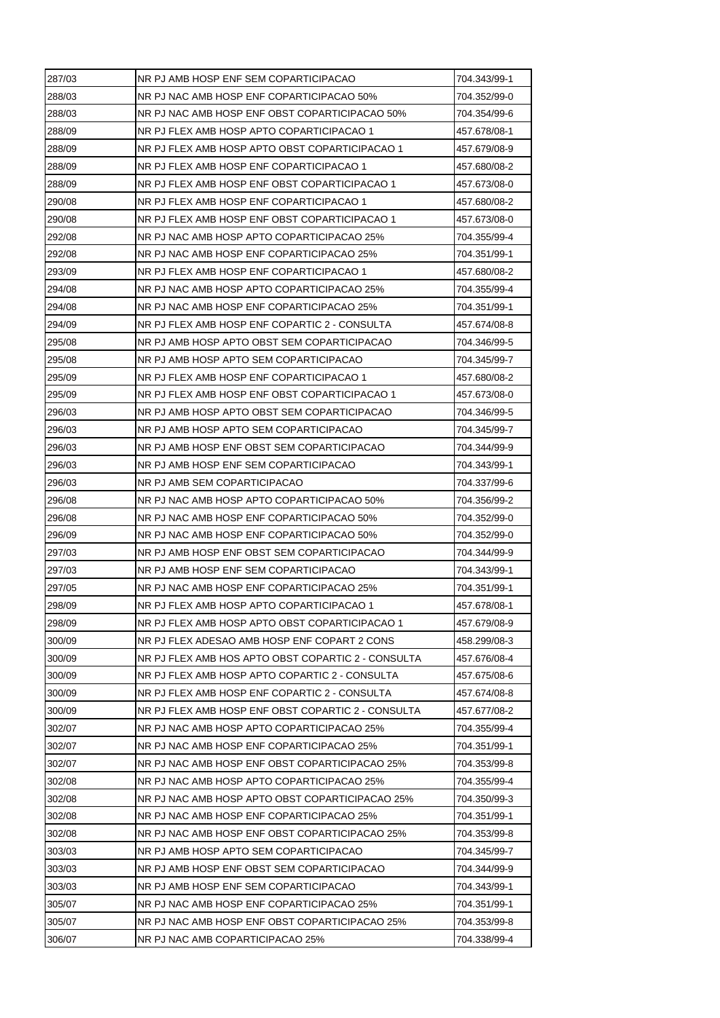| 287/03 | NR PJ AMB HOSP ENF SEM COPARTICIPACAO              | 704.343/99-1 |
|--------|----------------------------------------------------|--------------|
| 288/03 | NR PJ NAC AMB HOSP ENF COPARTICIPACAO 50%          | 704.352/99-0 |
| 288/03 | NR PJ NAC AMB HOSP ENF OBST COPARTICIPACAO 50%     | 704.354/99-6 |
| 288/09 | NR PJ FLEX AMB HOSP APTO COPARTICIPACAO 1          | 457.678/08-1 |
| 288/09 | NR PJ FLEX AMB HOSP APTO OBST COPARTICIPACAO 1     | 457.679/08-9 |
| 288/09 | NR PJ FLEX AMB HOSP ENF COPARTICIPACAO 1           | 457.680/08-2 |
| 288/09 | NR PJ FLEX AMB HOSP ENF OBST COPARTICIPACAO 1      | 457.673/08-0 |
| 290/08 | NR PJ FLEX AMB HOSP ENF COPARTICIPACAO 1           | 457.680/08-2 |
| 290/08 | NR PJ FLEX AMB HOSP ENF OBST COPARTICIPACAO 1      | 457.673/08-0 |
| 292/08 | NR PJ NAC AMB HOSP APTO COPARTICIPACAO 25%         | 704.355/99-4 |
| 292/08 | NR PJ NAC AMB HOSP ENF COPARTICIPACAO 25%          | 704.351/99-1 |
| 293/09 | NR PJ FLEX AMB HOSP ENF COPARTICIPACAO 1           | 457.680/08-2 |
| 294/08 | NR PJ NAC AMB HOSP APTO COPARTICIPACAO 25%         | 704.355/99-4 |
| 294/08 | NR PJ NAC AMB HOSP ENF COPARTICIPACAO 25%          | 704.351/99-1 |
| 294/09 | NR PJ FLEX AMB HOSP ENF COPARTIC 2 - CONSULTA      | 457.674/08-8 |
| 295/08 | NR PJ AMB HOSP APTO OBST SEM COPARTICIPACAO        | 704.346/99-5 |
| 295/08 | NR PJ AMB HOSP APTO SEM COPARTICIPACAO             | 704.345/99-7 |
| 295/09 | NR PJ FLEX AMB HOSP ENF COPARTICIPACAO 1           | 457.680/08-2 |
| 295/09 | NR PJ FLEX AMB HOSP ENF OBST COPARTICIPACAO 1      | 457.673/08-0 |
| 296/03 | NR PJ AMB HOSP APTO OBST SEM COPARTICIPACAO        | 704.346/99-5 |
| 296/03 | NR PJ AMB HOSP APTO SEM COPARTICIPACAO             | 704.345/99-7 |
| 296/03 | NR PJ AMB HOSP ENF OBST SEM COPARTICIPACAO         | 704.344/99-9 |
| 296/03 | NR PJ AMB HOSP ENF SEM COPARTICIPACAO              | 704.343/99-1 |
| 296/03 | NR PJ AMB SEM COPARTICIPACAO                       | 704.337/99-6 |
| 296/08 | NR PJ NAC AMB HOSP APTO COPARTICIPACAO 50%         | 704.356/99-2 |
| 296/08 | NR PJ NAC AMB HOSP ENF COPARTICIPACAO 50%          | 704.352/99-0 |
| 296/09 | NR PJ NAC AMB HOSP ENF COPARTICIPACAO 50%          | 704.352/99-0 |
| 297/03 | NR PJ AMB HOSP ENF OBST SEM COPARTICIPACAO         | 704.344/99-9 |
| 297/03 | NR PJ AMB HOSP ENF SEM COPARTICIPACAO              | 704.343/99-1 |
| 297/05 | NR PJ NAC AMB HOSP ENF COPARTICIPACAO 25%          | 704.351/99-1 |
| 298/09 | NR PJ FLEX AMB HOSP APTO COPARTICIPACAO 1          | 457.678/08-1 |
| 298/09 | NR PJ FLEX AMB HOSP APTO OBST COPARTICIPACAO 1     | 457.679/08-9 |
| 300/09 | NR PJ FLEX ADESAO AMB HOSP ENF COPART 2 CONS       | 458.299/08-3 |
| 300/09 | NR PJ FLEX AMB HOS APTO OBST COPARTIC 2 - CONSULTA | 457.676/08-4 |
| 300/09 | NR PJ FLEX AMB HOSP APTO COPARTIC 2 - CONSULTA     | 457.675/08-6 |
| 300/09 | NR PJ FLEX AMB HOSP ENF COPARTIC 2 - CONSULTA      | 457.674/08-8 |
| 300/09 | NR PJ FLEX AMB HOSP ENF OBST COPARTIC 2 - CONSULTA | 457.677/08-2 |
| 302/07 | NR PJ NAC AMB HOSP APTO COPARTICIPACAO 25%         | 704.355/99-4 |
| 302/07 | NR PJ NAC AMB HOSP ENF COPARTICIPACAO 25%          | 704.351/99-1 |
| 302/07 | NR PJ NAC AMB HOSP ENF OBST COPARTICIPACAO 25%     | 704.353/99-8 |
| 302/08 | NR PJ NAC AMB HOSP APTO COPARTICIPACAO 25%         | 704.355/99-4 |
| 302/08 | NR PJ NAC AMB HOSP APTO OBST COPARTICIPACAO 25%    | 704.350/99-3 |
| 302/08 | NR PJ NAC AMB HOSP ENF COPARTICIPACAO 25%          | 704.351/99-1 |
| 302/08 | NR PJ NAC AMB HOSP ENF OBST COPARTICIPACAO 25%     | 704.353/99-8 |
| 303/03 | NR PJ AMB HOSP APTO SEM COPARTICIPACAO             | 704.345/99-7 |
|        |                                                    |              |
| 303/03 | NR PJ AMB HOSP ENF OBST SEM COPARTICIPACAO         | 704.344/99-9 |
| 303/03 | NR PJ AMB HOSP ENF SEM COPARTICIPACAO              | 704.343/99-1 |
| 305/07 | NR PJ NAC AMB HOSP ENF COPARTICIPACAO 25%          | 704.351/99-1 |
| 305/07 | NR PJ NAC AMB HOSP ENF OBST COPARTICIPACAO 25%     | 704.353/99-8 |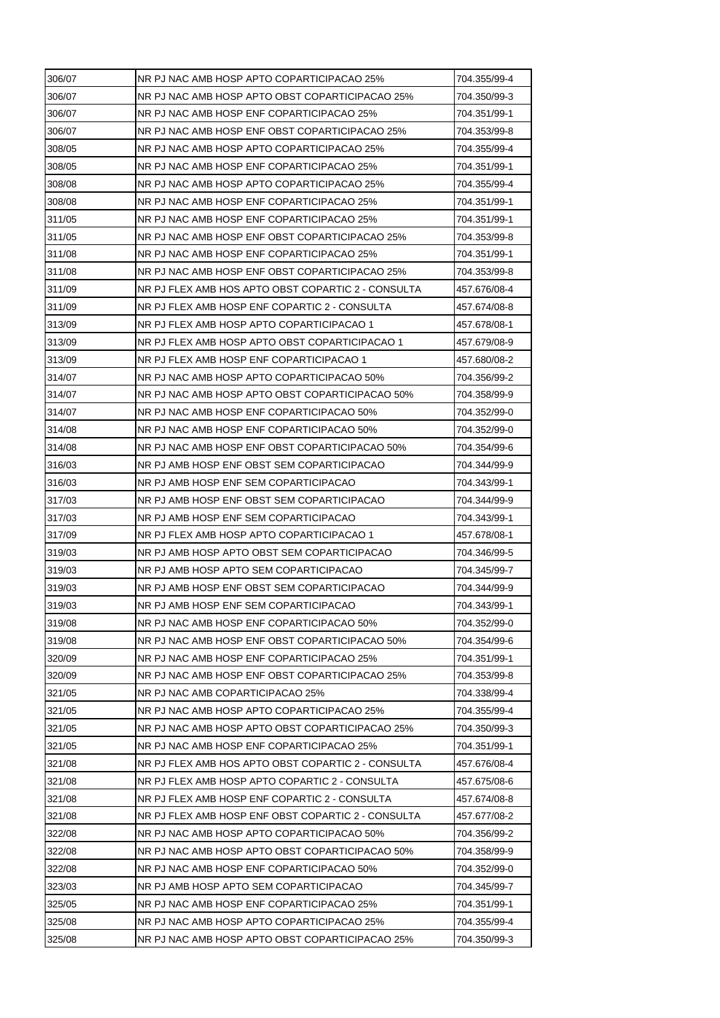| 306/07<br>NR PJ NAC AMB HOSP APTO OBST COPARTICIPACAO 25%<br>704.350/99-3<br>306/07<br>NR PJ NAC AMB HOSP ENF COPARTICIPACAO 25%<br>704.351/99-1<br>306/07<br>NR PJ NAC AMB HOSP ENF OBST COPARTICIPACAO 25%<br>704.353/99-8<br>308/05<br>NR PJ NAC AMB HOSP APTO COPARTICIPACAO 25%<br>704.355/99-4<br>308/05<br>NR PJ NAC AMB HOSP ENF COPARTICIPACAO 25%<br>704.351/99-1<br>308/08<br>NR PJ NAC AMB HOSP APTO COPARTICIPACAO 25%<br>704.355/99-4 |  |
|-----------------------------------------------------------------------------------------------------------------------------------------------------------------------------------------------------------------------------------------------------------------------------------------------------------------------------------------------------------------------------------------------------------------------------------------------------|--|
|                                                                                                                                                                                                                                                                                                                                                                                                                                                     |  |
|                                                                                                                                                                                                                                                                                                                                                                                                                                                     |  |
|                                                                                                                                                                                                                                                                                                                                                                                                                                                     |  |
|                                                                                                                                                                                                                                                                                                                                                                                                                                                     |  |
|                                                                                                                                                                                                                                                                                                                                                                                                                                                     |  |
|                                                                                                                                                                                                                                                                                                                                                                                                                                                     |  |
| 308/08<br>NR PJ NAC AMB HOSP ENF COPARTICIPACAO 25%<br>704.351/99-1                                                                                                                                                                                                                                                                                                                                                                                 |  |
| 311/05<br>NR PJ NAC AMB HOSP ENF COPARTICIPACAO 25%<br>704.351/99-1                                                                                                                                                                                                                                                                                                                                                                                 |  |
| 311/05<br>NR PJ NAC AMB HOSP ENF OBST COPARTICIPACAO 25%<br>704.353/99-8                                                                                                                                                                                                                                                                                                                                                                            |  |
| 311/08<br>NR PJ NAC AMB HOSP ENF COPARTICIPACAO 25%<br>704.351/99-1                                                                                                                                                                                                                                                                                                                                                                                 |  |
| 311/08<br>NR PJ NAC AMB HOSP ENF OBST COPARTICIPACAO 25%<br>704.353/99-8                                                                                                                                                                                                                                                                                                                                                                            |  |
| 311/09<br>NR PJ FLEX AMB HOS APTO OBST COPARTIC 2 - CONSULTA<br>457.676/08-4                                                                                                                                                                                                                                                                                                                                                                        |  |
| 311/09<br>NR PJ FLEX AMB HOSP ENF COPARTIC 2 - CONSULTA<br>457.674/08-8                                                                                                                                                                                                                                                                                                                                                                             |  |
| 313/09<br>NR PJ FLEX AMB HOSP APTO COPARTICIPACAO 1<br>457.678/08-1                                                                                                                                                                                                                                                                                                                                                                                 |  |
| 313/09<br>NR PJ FLEX AMB HOSP APTO OBST COPARTICIPACAO 1<br>457.679/08-9                                                                                                                                                                                                                                                                                                                                                                            |  |
| 313/09<br>NR PJ FLEX AMB HOSP ENF COPARTICIPACAO 1<br>457.680/08-2                                                                                                                                                                                                                                                                                                                                                                                  |  |
| 314/07<br>NR PJ NAC AMB HOSP APTO COPARTICIPACAO 50%<br>704.356/99-2                                                                                                                                                                                                                                                                                                                                                                                |  |
| 314/07<br>NR PJ NAC AMB HOSP APTO OBST COPARTICIPACAO 50%<br>704.358/99-9                                                                                                                                                                                                                                                                                                                                                                           |  |
| 314/07<br>NR PJ NAC AMB HOSP ENF COPARTICIPACAO 50%<br>704.352/99-0                                                                                                                                                                                                                                                                                                                                                                                 |  |
| 314/08<br>NR PJ NAC AMB HOSP ENF COPARTICIPACAO 50%<br>704.352/99-0                                                                                                                                                                                                                                                                                                                                                                                 |  |
| 314/08<br>NR PJ NAC AMB HOSP ENF OBST COPARTICIPACAO 50%<br>704.354/99-6                                                                                                                                                                                                                                                                                                                                                                            |  |
| 316/03<br>NR PJ AMB HOSP ENF OBST SEM COPARTICIPACAO<br>704.344/99-9                                                                                                                                                                                                                                                                                                                                                                                |  |
| 316/03<br>NR PJ AMB HOSP ENF SEM COPARTICIPACAO<br>704.343/99-1                                                                                                                                                                                                                                                                                                                                                                                     |  |
| 317/03<br>NR PJ AMB HOSP ENF OBST SEM COPARTICIPACAO<br>704.344/99-9                                                                                                                                                                                                                                                                                                                                                                                |  |
| 317/03<br>NR PJ AMB HOSP ENF SEM COPARTICIPACAO<br>704.343/99-1                                                                                                                                                                                                                                                                                                                                                                                     |  |
| 317/09<br>NR PJ FLEX AMB HOSP APTO COPARTICIPACAO 1<br>457.678/08-1                                                                                                                                                                                                                                                                                                                                                                                 |  |
| 319/03<br>NR PJ AMB HOSP APTO OBST SEM COPARTICIPACAO<br>704.346/99-5                                                                                                                                                                                                                                                                                                                                                                               |  |
| 319/03<br>NR PJ AMB HOSP APTO SEM COPARTICIPACAO<br>704.345/99-7                                                                                                                                                                                                                                                                                                                                                                                    |  |
| 319/03<br>NR PJ AMB HOSP ENF OBST SEM COPARTICIPACAO<br>704.344/99-9                                                                                                                                                                                                                                                                                                                                                                                |  |
| 319/03<br>NR PJ AMB HOSP ENF SEM COPARTICIPACAO<br>704.343/99-1                                                                                                                                                                                                                                                                                                                                                                                     |  |
| 319/08<br>NR PJ NAC AMB HOSP ENF COPARTICIPACAO 50%<br>704.352/99-0                                                                                                                                                                                                                                                                                                                                                                                 |  |
| 319/08<br>NR PJ NAC AMB HOSP ENF OBST COPARTICIPACAO 50%<br>704.354/99-6                                                                                                                                                                                                                                                                                                                                                                            |  |
| 320/09<br>NR PJ NAC AMB HOSP ENF COPARTICIPACAO 25%<br>704.351/99-1                                                                                                                                                                                                                                                                                                                                                                                 |  |
| 320/09<br>NR PJ NAC AMB HOSP ENF OBST COPARTICIPACAO 25%<br>704.353/99-8                                                                                                                                                                                                                                                                                                                                                                            |  |
| 321/05<br>NR PJ NAC AMB COPARTICIPACAO 25%<br>704.338/99-4                                                                                                                                                                                                                                                                                                                                                                                          |  |
| 321/05<br>NR PJ NAC AMB HOSP APTO COPARTICIPACAO 25%<br>704.355/99-4                                                                                                                                                                                                                                                                                                                                                                                |  |
| 321/05<br>NR PJ NAC AMB HOSP APTO OBST COPARTICIPACAO 25%<br>704.350/99-3                                                                                                                                                                                                                                                                                                                                                                           |  |
| NR PJ NAC AMB HOSP ENF COPARTICIPACAO 25%<br>321/05<br>704.351/99-1                                                                                                                                                                                                                                                                                                                                                                                 |  |
| 321/08<br>NR PJ FLEX AMB HOS APTO OBST COPARTIC 2 - CONSULTA<br>457.676/08-4                                                                                                                                                                                                                                                                                                                                                                        |  |
| 321/08<br>NR PJ FLEX AMB HOSP APTO COPARTIC 2 - CONSULTA<br>457.675/08-6                                                                                                                                                                                                                                                                                                                                                                            |  |
| 321/08<br>NR PJ FLEX AMB HOSP ENF COPARTIC 2 - CONSULTA<br>457.674/08-8                                                                                                                                                                                                                                                                                                                                                                             |  |
| 321/08<br>NR PJ FLEX AMB HOSP ENF OBST COPARTIC 2 - CONSULTA<br>457.677/08-2                                                                                                                                                                                                                                                                                                                                                                        |  |
| 322/08<br>NR PJ NAC AMB HOSP APTO COPARTICIPACAO 50%<br>704.356/99-2                                                                                                                                                                                                                                                                                                                                                                                |  |
| 322/08<br>NR PJ NAC AMB HOSP APTO OBST COPARTICIPACAO 50%<br>704.358/99-9                                                                                                                                                                                                                                                                                                                                                                           |  |
|                                                                                                                                                                                                                                                                                                                                                                                                                                                     |  |
| 322/08<br>NR PJ NAC AMB HOSP ENF COPARTICIPACAO 50%<br>704.352/99-0                                                                                                                                                                                                                                                                                                                                                                                 |  |
| NR PJ AMB HOSP APTO SEM COPARTICIPACAO<br>323/03<br>704.345/99-7                                                                                                                                                                                                                                                                                                                                                                                    |  |
| 325/05<br>NR PJ NAC AMB HOSP ENF COPARTICIPACAO 25%<br>704.351/99-1                                                                                                                                                                                                                                                                                                                                                                                 |  |
| 325/08<br>NR PJ NAC AMB HOSP APTO COPARTICIPACAO 25%<br>704.355/99-4                                                                                                                                                                                                                                                                                                                                                                                |  |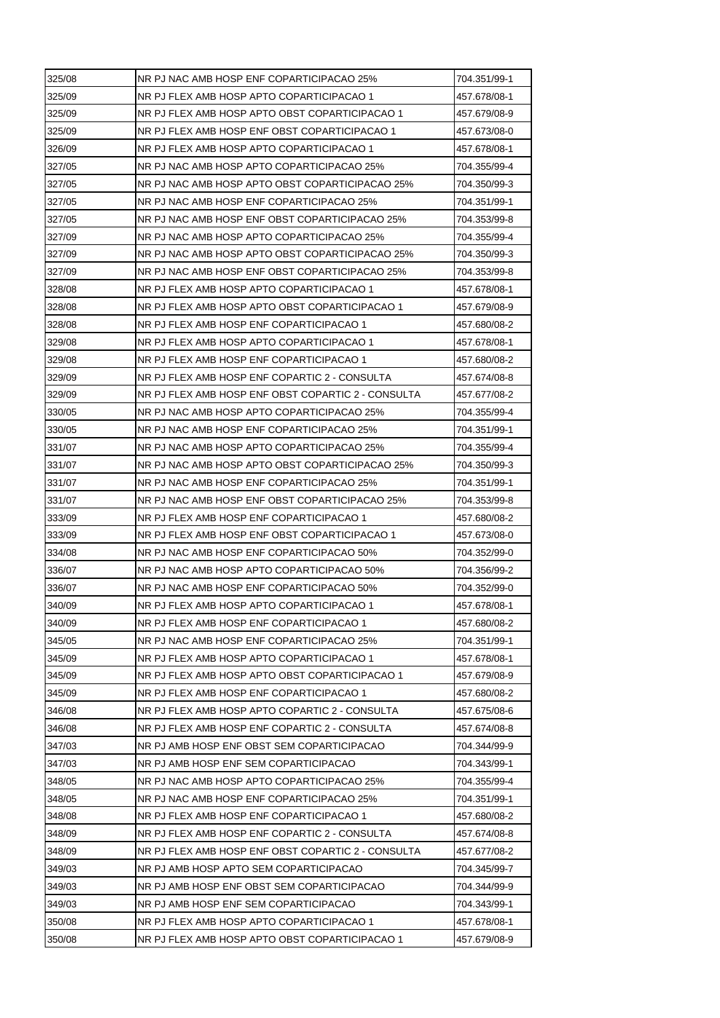| 325/08 | NR PJ NAC AMB HOSP ENF COPARTICIPACAO 25%          | 704.351/99-1 |
|--------|----------------------------------------------------|--------------|
| 325/09 | NR PJ FLEX AMB HOSP APTO COPARTICIPACAO 1          | 457.678/08-1 |
| 325/09 | NR PJ FLEX AMB HOSP APTO OBST COPARTICIPACAO 1     | 457.679/08-9 |
| 325/09 | NR PJ FLEX AMB HOSP ENF OBST COPARTICIPACAO 1      | 457.673/08-0 |
| 326/09 | NR PJ FLEX AMB HOSP APTO COPARTICIPACAO 1          | 457.678/08-1 |
| 327/05 | NR PJ NAC AMB HOSP APTO COPARTICIPACAO 25%         | 704.355/99-4 |
| 327/05 | NR PJ NAC AMB HOSP APTO OBST COPARTICIPACAO 25%    | 704.350/99-3 |
| 327/05 | NR PJ NAC AMB HOSP ENF COPARTICIPACAO 25%          | 704.351/99-1 |
| 327/05 | NR PJ NAC AMB HOSP ENF OBST COPARTICIPACAO 25%     | 704.353/99-8 |
| 327/09 | NR PJ NAC AMB HOSP APTO COPARTICIPACAO 25%         | 704.355/99-4 |
| 327/09 | NR PJ NAC AMB HOSP APTO OBST COPARTICIPACAO 25%    | 704.350/99-3 |
| 327/09 | NR PJ NAC AMB HOSP ENF OBST COPARTICIPACAO 25%     | 704.353/99-8 |
| 328/08 | NR PJ FLEX AMB HOSP APTO COPARTICIPACAO 1          | 457.678/08-1 |
| 328/08 | NR PJ FLEX AMB HOSP APTO OBST COPARTICIPACAO 1     | 457.679/08-9 |
| 328/08 | NR PJ FLEX AMB HOSP ENF COPARTICIPACAO 1           | 457.680/08-2 |
| 329/08 | NR PJ FLEX AMB HOSP APTO COPARTICIPACAO 1          | 457.678/08-1 |
| 329/08 | NR PJ FLEX AMB HOSP ENF COPARTICIPACAO 1           | 457.680/08-2 |
| 329/09 | NR PJ FLEX AMB HOSP ENF COPARTIC 2 - CONSULTA      | 457.674/08-8 |
| 329/09 | NR PJ FLEX AMB HOSP ENF OBST COPARTIC 2 - CONSULTA | 457.677/08-2 |
| 330/05 | NR PJ NAC AMB HOSP APTO COPARTICIPACAO 25%         | 704.355/99-4 |
| 330/05 | NR PJ NAC AMB HOSP ENF COPARTICIPACAO 25%          | 704.351/99-1 |
| 331/07 | NR PJ NAC AMB HOSP APTO COPARTICIPACAO 25%         | 704.355/99-4 |
| 331/07 | NR PJ NAC AMB HOSP APTO OBST COPARTICIPACAO 25%    | 704.350/99-3 |
| 331/07 | NR PJ NAC AMB HOSP ENF COPARTICIPACAO 25%          | 704.351/99-1 |
| 331/07 | NR PJ NAC AMB HOSP ENF OBST COPARTICIPACAO 25%     | 704.353/99-8 |
| 333/09 | NR PJ FLEX AMB HOSP ENF COPARTICIPACAO 1           | 457.680/08-2 |
| 333/09 | NR PJ FLEX AMB HOSP ENF OBST COPARTICIPACAO 1      | 457.673/08-0 |
| 334/08 | NR PJ NAC AMB HOSP ENF COPARTICIPACAO 50%          | 704.352/99-0 |
| 336/07 | NR PJ NAC AMB HOSP APTO COPARTICIPACAO 50%         | 704.356/99-2 |
| 336/07 | NR PJ NAC AMB HOSP ENF COPARTICIPACAO 50%          | 704.352/99-0 |
| 340/09 | NR PJ FLEX AMB HOSP APTO COPARTICIPACAO 1          | 457.678/08-1 |
| 340/09 | NR PJ FLEX AMB HOSP ENF COPARTICIPACAO 1           | 457.680/08-2 |
| 345/05 | NR PJ NAC AMB HOSP ENF COPARTICIPACAO 25%          | 704.351/99-1 |
| 345/09 | NR PJ FLEX AMB HOSP APTO COPARTICIPACAO 1          | 457.678/08-1 |
| 345/09 | NR PJ FLEX AMB HOSP APTO OBST COPARTICIPACAO 1     | 457.679/08-9 |
| 345/09 | NR PJ FLEX AMB HOSP ENF COPARTICIPACAO 1           | 457.680/08-2 |
| 346/08 | NR PJ FLEX AMB HOSP APTO COPARTIC 2 - CONSULTA     | 457.675/08-6 |
| 346/08 | NR PJ FLEX AMB HOSP ENF COPARTIC 2 - CONSULTA      | 457.674/08-8 |
| 347/03 | NR PJ AMB HOSP ENF OBST SEM COPARTICIPACAO         | 704.344/99-9 |
| 347/03 | NR PJ AMB HOSP ENF SEM COPARTICIPACAO              | 704.343/99-1 |
| 348/05 | NR PJ NAC AMB HOSP APTO COPARTICIPACAO 25%         | 704.355/99-4 |
| 348/05 | NR PJ NAC AMB HOSP ENF COPARTICIPACAO 25%          | 704.351/99-1 |
| 348/08 | NR PJ FLEX AMB HOSP ENF COPARTICIPACAO 1           | 457.680/08-2 |
| 348/09 | NR PJ FLEX AMB HOSP ENF COPARTIC 2 - CONSULTA      | 457.674/08-8 |
| 348/09 | NR PJ FLEX AMB HOSP ENF OBST COPARTIC 2 - CONSULTA | 457.677/08-2 |
| 349/03 | NR PJ AMB HOSP APTO SEM COPARTICIPACAO             | 704.345/99-7 |
| 349/03 | NR PJ AMB HOSP ENF OBST SEM COPARTICIPACAO         | 704.344/99-9 |
| 349/03 | NR PJ AMB HOSP ENF SEM COPARTICIPACAO              | 704.343/99-1 |
| 350/08 | NR PJ FLEX AMB HOSP APTO COPARTICIPACAO 1          | 457.678/08-1 |
| 350/08 | NR PJ FLEX AMB HOSP APTO OBST COPARTICIPACAO 1     | 457.679/08-9 |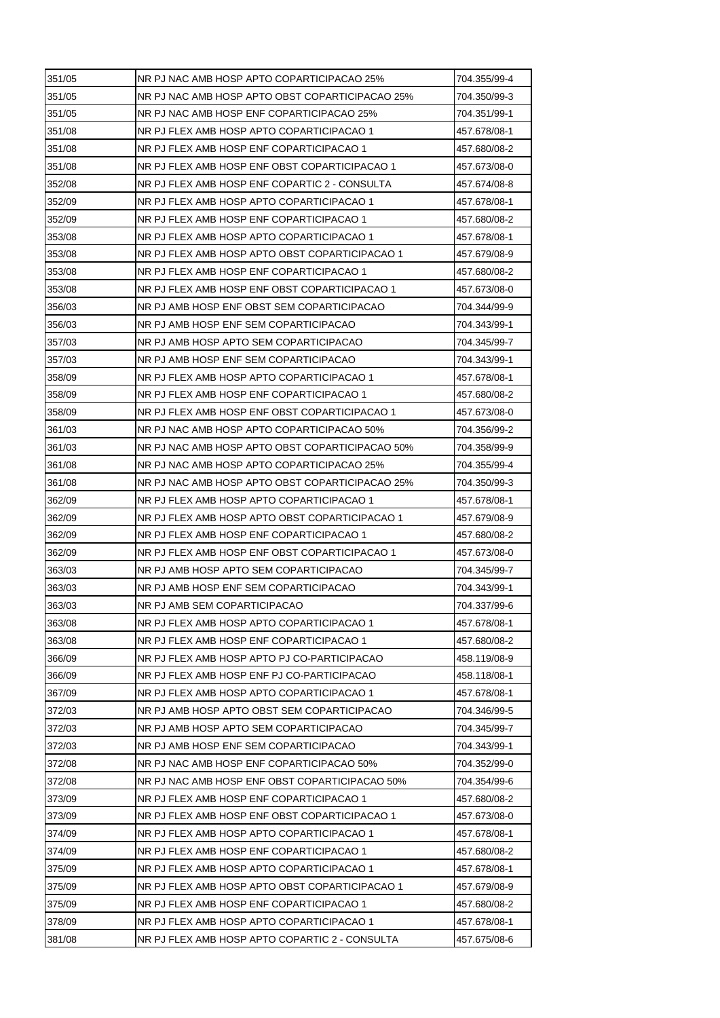| 351/05 | NR PJ NAC AMB HOSP APTO COPARTICIPACAO 25%      | 704.355/99-4 |
|--------|-------------------------------------------------|--------------|
| 351/05 | NR PJ NAC AMB HOSP APTO OBST COPARTICIPACAO 25% | 704.350/99-3 |
| 351/05 | NR PJ NAC AMB HOSP ENF COPARTICIPACAO 25%       | 704.351/99-1 |
| 351/08 | NR PJ FLEX AMB HOSP APTO COPARTICIPACAO 1       | 457.678/08-1 |
| 351/08 | NR PJ FLEX AMB HOSP ENF COPARTICIPACAO 1        | 457.680/08-2 |
| 351/08 | NR PJ FLEX AMB HOSP ENF OBST COPARTICIPACAO 1   | 457.673/08-0 |
| 352/08 | NR PJ FLEX AMB HOSP ENF COPARTIC 2 - CONSULTA   | 457.674/08-8 |
| 352/09 | NR PJ FLEX AMB HOSP APTO COPARTICIPACAO 1       | 457.678/08-1 |
| 352/09 | NR PJ FLEX AMB HOSP ENF COPARTICIPACAO 1        | 457.680/08-2 |
| 353/08 | NR PJ FLEX AMB HOSP APTO COPARTICIPACAO 1       | 457.678/08-1 |
| 353/08 | NR PJ FLEX AMB HOSP APTO OBST COPARTICIPACAO 1  | 457.679/08-9 |
| 353/08 | NR PJ FLEX AMB HOSP ENF COPARTICIPACAO 1        | 457.680/08-2 |
| 353/08 | NR PJ FLEX AMB HOSP ENF OBST COPARTICIPACAO 1   | 457.673/08-0 |
| 356/03 | NR PJ AMB HOSP ENF OBST SEM COPARTICIPACAO      | 704.344/99-9 |
| 356/03 | NR PJ AMB HOSP ENF SEM COPARTICIPACAO           | 704.343/99-1 |
| 357/03 | NR PJ AMB HOSP APTO SEM COPARTICIPACAO          | 704.345/99-7 |
| 357/03 | NR PJ AMB HOSP ENF SEM COPARTICIPACAO           | 704.343/99-1 |
| 358/09 | NR PJ FLEX AMB HOSP APTO COPARTICIPACAO 1       | 457.678/08-1 |
| 358/09 | NR PJ FLEX AMB HOSP ENF COPARTICIPACAO 1        | 457.680/08-2 |
| 358/09 | NR PJ FLEX AMB HOSP ENF OBST COPARTICIPACAO 1   | 457.673/08-0 |
| 361/03 | NR PJ NAC AMB HOSP APTO COPARTICIPACAO 50%      | 704.356/99-2 |
| 361/03 | NR PJ NAC AMB HOSP APTO OBST COPARTICIPACAO 50% | 704.358/99-9 |
| 361/08 | NR PJ NAC AMB HOSP APTO COPARTICIPACAO 25%      | 704.355/99-4 |
| 361/08 | NR PJ NAC AMB HOSP APTO OBST COPARTICIPACAO 25% | 704.350/99-3 |
| 362/09 | NR PJ FLEX AMB HOSP APTO COPARTICIPACAO 1       | 457.678/08-1 |
| 362/09 | NR PJ FLEX AMB HOSP APTO OBST COPARTICIPACAO 1  | 457.679/08-9 |
| 362/09 | NR PJ FLEX AMB HOSP ENF COPARTICIPACAO 1        | 457.680/08-2 |
| 362/09 | NR PJ FLEX AMB HOSP ENF OBST COPARTICIPACAO 1   | 457.673/08-0 |
| 363/03 | NR PJ AMB HOSP APTO SEM COPARTICIPACAO          | 704.345/99-7 |
| 363/03 | NR PJ AMB HOSP ENF SEM COPARTICIPACAO           | 704.343/99-1 |
| 363/03 | NR PJ AMB SEM COPARTICIPACAO                    | 704.337/99-6 |
| 363/08 | NR PJ FLEX AMB HOSP APTO COPARTICIPACAO 1       | 457.678/08-1 |
| 363/08 | NR PJ FLEX AMB HOSP ENF COPARTICIPACAO 1        | 457.680/08-2 |
| 366/09 | NR PJ FLEX AMB HOSP APTO PJ CO-PARTICIPACAO     | 458.119/08-9 |
| 366/09 | NR PJ FLEX AMB HOSP ENF PJ CO-PARTICIPACAO      | 458.118/08-1 |
| 367/09 | NR PJ FLEX AMB HOSP APTO COPARTICIPACAO 1       | 457.678/08-1 |
| 372/03 | NR PJ AMB HOSP APTO OBST SEM COPARTICIPACAO     | 704.346/99-5 |
| 372/03 | NR PJ AMB HOSP APTO SEM COPARTICIPACAO          | 704.345/99-7 |
| 372/03 | NR PJ AMB HOSP ENF SEM COPARTICIPACAO           | 704.343/99-1 |
| 372/08 | NR PJ NAC AMB HOSP ENF COPARTICIPACAO 50%       | 704.352/99-0 |
| 372/08 | NR PJ NAC AMB HOSP ENF OBST COPARTICIPACAO 50%  | 704.354/99-6 |
| 373/09 | NR PJ FLEX AMB HOSP ENF COPARTICIPACAO 1        | 457.680/08-2 |
| 373/09 | NR PJ FLEX AMB HOSP ENF OBST COPARTICIPACAO 1   | 457.673/08-0 |
| 374/09 | NR PJ FLEX AMB HOSP APTO COPARTICIPACAO 1       | 457.678/08-1 |
| 374/09 | NR PJ FLEX AMB HOSP ENF COPARTICIPACAO 1        | 457.680/08-2 |
| 375/09 | NR PJ FLEX AMB HOSP APTO COPARTICIPACAO 1       | 457.678/08-1 |
| 375/09 | NR PJ FLEX AMB HOSP APTO OBST COPARTICIPACAO 1  | 457.679/08-9 |
| 375/09 | NR PJ FLEX AMB HOSP ENF COPARTICIPACAO 1        | 457.680/08-2 |
| 378/09 | NR PJ FLEX AMB HOSP APTO COPARTICIPACAO 1       | 457.678/08-1 |
| 381/08 | NR PJ FLEX AMB HOSP APTO COPARTIC 2 - CONSULTA  | 457.675/08-6 |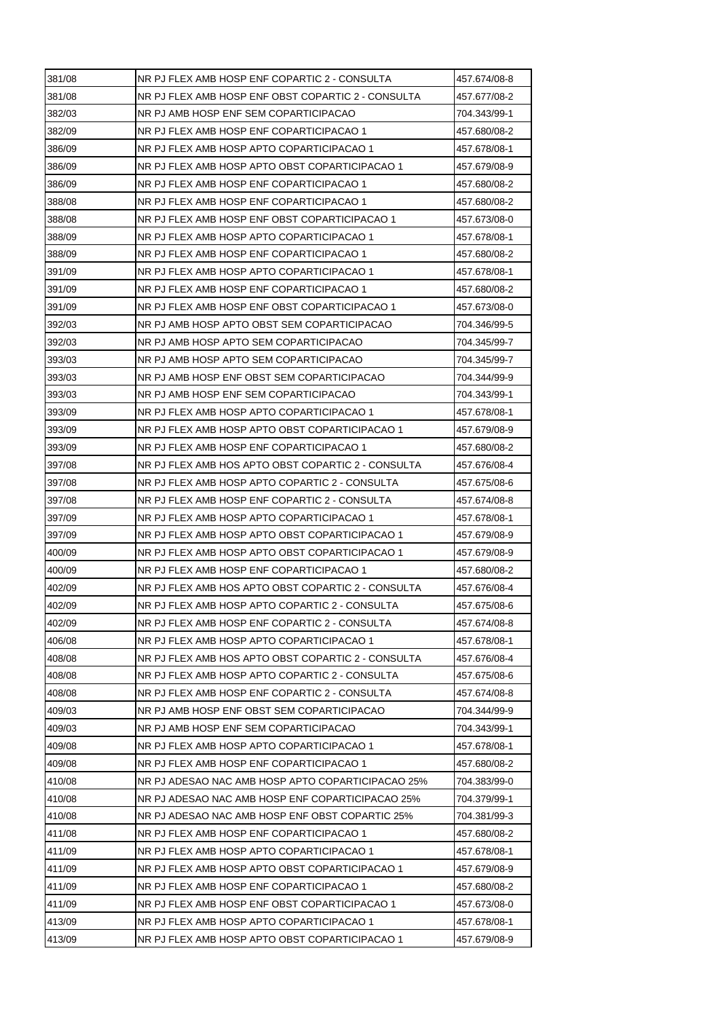| 381/08 | NR PJ FLEX AMB HOSP ENF COPARTIC 2 - CONSULTA      | 457.674/08-8 |
|--------|----------------------------------------------------|--------------|
| 381/08 | NR PJ FLEX AMB HOSP ENF OBST COPARTIC 2 - CONSULTA | 457.677/08-2 |
| 382/03 | NR PJ AMB HOSP ENF SEM COPARTICIPACAO              | 704.343/99-1 |
| 382/09 | NR PJ FLEX AMB HOSP ENF COPARTICIPACAO 1           | 457.680/08-2 |
| 386/09 | NR PJ FLEX AMB HOSP APTO COPARTICIPACAO 1          | 457.678/08-1 |
| 386/09 | NR PJ FLEX AMB HOSP APTO OBST COPARTICIPACAO 1     | 457.679/08-9 |
| 386/09 | NR PJ FLEX AMB HOSP ENF COPARTICIPACAO 1           | 457.680/08-2 |
| 388/08 | NR PJ FLEX AMB HOSP ENF COPARTICIPACAO 1           | 457.680/08-2 |
| 388/08 | NR PJ FLEX AMB HOSP ENF OBST COPARTICIPACAO 1      | 457.673/08-0 |
| 388/09 | NR PJ FLEX AMB HOSP APTO COPARTICIPACAO 1          | 457.678/08-1 |
| 388/09 | NR PJ FLEX AMB HOSP ENF COPARTICIPACAO 1           | 457.680/08-2 |
| 391/09 | NR PJ FLEX AMB HOSP APTO COPARTICIPACAO 1          | 457.678/08-1 |
| 391/09 | NR PJ FLEX AMB HOSP ENF COPARTICIPACAO 1           | 457.680/08-2 |
| 391/09 | NR PJ FLEX AMB HOSP ENF OBST COPARTICIPACAO 1      | 457.673/08-0 |
| 392/03 | NR PJ AMB HOSP APTO OBST SEM COPARTICIPACAO        | 704.346/99-5 |
| 392/03 | NR PJ AMB HOSP APTO SEM COPARTICIPACAO             | 704.345/99-7 |
| 393/03 | NR PJ AMB HOSP APTO SEM COPARTICIPACAO             | 704.345/99-7 |
| 393/03 | NR PJ AMB HOSP ENF OBST SEM COPARTICIPACAO         | 704.344/99-9 |
| 393/03 | NR PJ AMB HOSP ENF SEM COPARTICIPACAO              | 704.343/99-1 |
| 393/09 | NR PJ FLEX AMB HOSP APTO COPARTICIPACAO 1          | 457.678/08-1 |
| 393/09 | NR PJ FLEX AMB HOSP APTO OBST COPARTICIPACAO 1     | 457.679/08-9 |
| 393/09 | NR PJ FLEX AMB HOSP ENF COPARTICIPACAO 1           | 457.680/08-2 |
| 397/08 | NR PJ FLEX AMB HOS APTO OBST COPARTIC 2 - CONSULTA | 457.676/08-4 |
| 397/08 | NR PJ FLEX AMB HOSP APTO COPARTIC 2 - CONSULTA     | 457.675/08-6 |
| 397/08 | NR PJ FLEX AMB HOSP ENF COPARTIC 2 - CONSULTA      | 457.674/08-8 |
| 397/09 | NR PJ FLEX AMB HOSP APTO COPARTICIPACAO 1          | 457.678/08-1 |
| 397/09 | NR PJ FLEX AMB HOSP APTO OBST COPARTICIPACAO 1     | 457.679/08-9 |
| 400/09 | NR PJ FLEX AMB HOSP APTO OBST COPARTICIPACAO 1     | 457.679/08-9 |
| 400/09 | NR PJ FLEX AMB HOSP ENF COPARTICIPACAO 1           | 457.680/08-2 |
| 402/09 | NR PJ FLEX AMB HOS APTO OBST COPARTIC 2 - CONSULTA | 457.676/08-4 |
| 402/09 | NR PJ FLEX AMB HOSP APTO COPARTIC 2 - CONSULTA     | 457.675/08-6 |
| 402/09 | NR PJ FLEX AMB HOSP ENF COPARTIC 2 - CONSULTA      | 457.674/08-8 |
| 406/08 | NR PJ FLEX AMB HOSP APTO COPARTICIPACAO 1          | 457.678/08-1 |
| 408/08 | NR PJ FLEX AMB HOS APTO OBST COPARTIC 2 - CONSULTA | 457.676/08-4 |
| 408/08 | NR PJ FLEX AMB HOSP APTO COPARTIC 2 - CONSULTA     | 457.675/08-6 |
| 408/08 | NR PJ FLEX AMB HOSP ENF COPARTIC 2 - CONSULTA      | 457.674/08-8 |
| 409/03 | NR PJ AMB HOSP ENF OBST SEM COPARTICIPACAO         | 704.344/99-9 |
| 409/03 | NR PJ AMB HOSP ENF SEM COPARTICIPACAO              | 704.343/99-1 |
| 409/08 | NR PJ FLEX AMB HOSP APTO COPARTICIPACAO 1          | 457.678/08-1 |
| 409/08 | NR PJ FLEX AMB HOSP ENF COPARTICIPACAO 1           | 457.680/08-2 |
| 410/08 | NR PJ ADESAO NAC AMB HOSP APTO COPARTICIPACAO 25%  | 704.383/99-0 |
| 410/08 | NR PJ ADESAO NAC AMB HOSP ENF COPARTICIPACAO 25%   | 704.379/99-1 |
| 410/08 | NR PJ ADESAO NAC AMB HOSP ENF OBST COPARTIC 25%    | 704.381/99-3 |
| 411/08 | NR PJ FLEX AMB HOSP ENF COPARTICIPACAO 1           | 457.680/08-2 |
| 411/09 | NR PJ FLEX AMB HOSP APTO COPARTICIPACAO 1          | 457.678/08-1 |
| 411/09 | NR PJ FLEX AMB HOSP APTO OBST COPARTICIPACAO 1     | 457.679/08-9 |
| 411/09 | NR PJ FLEX AMB HOSP ENF COPARTICIPACAO 1           | 457.680/08-2 |
| 411/09 | NR PJ FLEX AMB HOSP ENF OBST COPARTICIPACAO 1      | 457.673/08-0 |
| 413/09 | NR PJ FLEX AMB HOSP APTO COPARTICIPACAO 1          | 457.678/08-1 |
| 413/09 | NR PJ FLEX AMB HOSP APTO OBST COPARTICIPACAO 1     | 457.679/08-9 |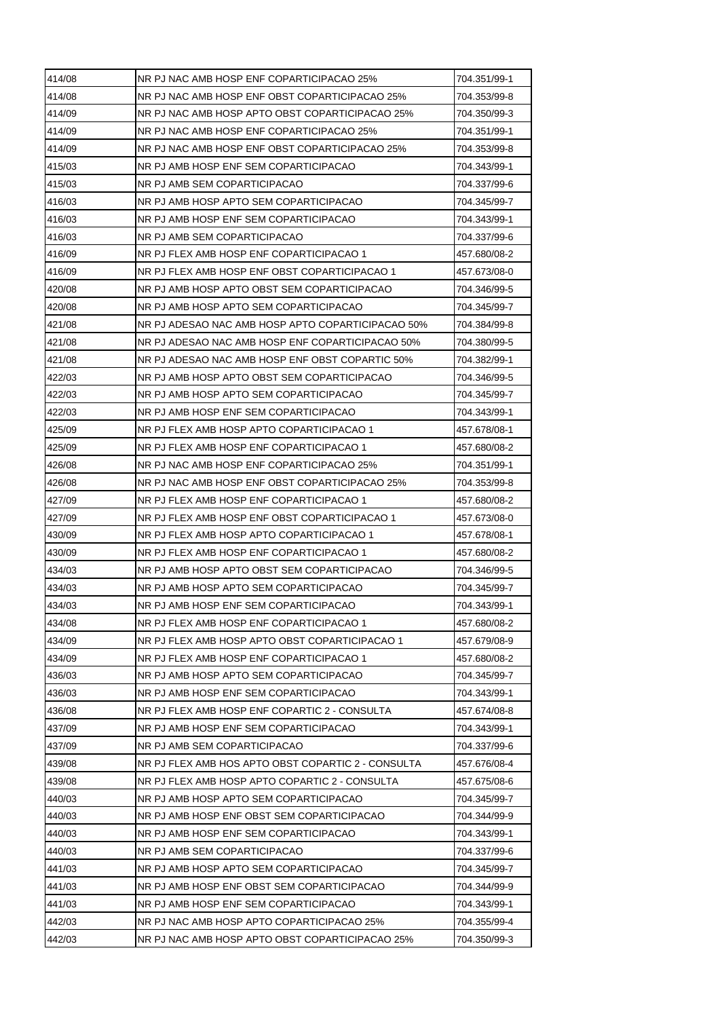| 414/08 | NR PJ NAC AMB HOSP ENF COPARTICIPACAO 25%          | 704.351/99-1 |
|--------|----------------------------------------------------|--------------|
| 414/08 | NR PJ NAC AMB HOSP ENF OBST COPARTICIPACAO 25%     | 704.353/99-8 |
| 414/09 | NR PJ NAC AMB HOSP APTO OBST COPARTICIPACAO 25%    | 704.350/99-3 |
| 414/09 | NR PJ NAC AMB HOSP ENF COPARTICIPACAO 25%          | 704.351/99-1 |
| 414/09 | NR PJ NAC AMB HOSP ENF OBST COPARTICIPACAO 25%     | 704.353/99-8 |
| 415/03 | NR PJ AMB HOSP ENF SEM COPARTICIPACAO              | 704.343/99-1 |
| 415/03 | NR PJ AMB SEM COPARTICIPACAO                       | 704.337/99-6 |
| 416/03 | NR PJ AMB HOSP APTO SEM COPARTICIPACAO             | 704.345/99-7 |
| 416/03 | NR PJ AMB HOSP ENF SEM COPARTICIPACAO              | 704.343/99-1 |
| 416/03 | NR PJ AMB SEM COPARTICIPACAO                       | 704.337/99-6 |
| 416/09 | NR PJ FLEX AMB HOSP ENF COPARTICIPACAO 1           | 457.680/08-2 |
| 416/09 | NR PJ FLEX AMB HOSP ENF OBST COPARTICIPACAO 1      | 457.673/08-0 |
| 420/08 | NR PJ AMB HOSP APTO OBST SEM COPARTICIPACAO        | 704.346/99-5 |
| 420/08 | NR PJ AMB HOSP APTO SEM COPARTICIPACAO             | 704.345/99-7 |
| 421/08 | NR PJ ADESAO NAC AMB HOSP APTO COPARTICIPACAO 50%  | 704.384/99-8 |
| 421/08 | NR PJ ADESAO NAC AMB HOSP ENF COPARTICIPACAO 50%   | 704.380/99-5 |
| 421/08 | NR PJ ADESAO NAC AMB HOSP ENF OBST COPARTIC 50%    | 704.382/99-1 |
| 422/03 | NR PJ AMB HOSP APTO OBST SEM COPARTICIPACAO        | 704.346/99-5 |
| 422/03 | NR PJ AMB HOSP APTO SEM COPARTICIPACAO             | 704.345/99-7 |
| 422/03 | NR PJ AMB HOSP ENF SEM COPARTICIPACAO              | 704.343/99-1 |
| 425/09 | NR PJ FLEX AMB HOSP APTO COPARTICIPACAO 1          | 457.678/08-1 |
| 425/09 | NR PJ FLEX AMB HOSP ENF COPARTICIPACAO 1           | 457.680/08-2 |
| 426/08 | NR PJ NAC AMB HOSP ENF COPARTICIPACAO 25%          | 704.351/99-1 |
| 426/08 | NR PJ NAC AMB HOSP ENF OBST COPARTICIPACAO 25%     | 704.353/99-8 |
| 427/09 | NR PJ FLEX AMB HOSP ENF COPARTICIPACAO 1           | 457.680/08-2 |
| 427/09 | NR PJ FLEX AMB HOSP ENF OBST COPARTICIPACAO 1      | 457.673/08-0 |
| 430/09 | NR PJ FLEX AMB HOSP APTO COPARTICIPACAO 1          | 457.678/08-1 |
| 430/09 | NR PJ FLEX AMB HOSP ENF COPARTICIPACAO 1           | 457.680/08-2 |
| 434/03 | NR PJ AMB HOSP APTO OBST SEM COPARTICIPACAO        | 704.346/99-5 |
| 434/03 | NR PJ AMB HOSP APTO SEM COPARTICIPACAO             | 704.345/99-7 |
| 434/03 | NR PJ AMB HOSP ENF SEM COPARTICIPACAO              | 704.343/99-1 |
| 434/08 | NR PJ FLEX AMB HOSP ENF COPARTICIPACAO 1           | 457.680/08-2 |
| 434/09 | NR PJ FLEX AMB HOSP APTO OBST COPARTICIPACAO 1     | 457.679/08-9 |
| 434/09 | NR PJ FLEX AMB HOSP ENF COPARTICIPACAO 1           | 457.680/08-2 |
| 436/03 | NR PJ AMB HOSP APTO SEM COPARTICIPACAO             | 704.345/99-7 |
| 436/03 | NR PJ AMB HOSP ENF SEM COPARTICIPACAO              | 704.343/99-1 |
| 436/08 | NR PJ FLEX AMB HOSP ENF COPARTIC 2 - CONSULTA      | 457.674/08-8 |
| 437/09 | NR PJ AMB HOSP ENF SEM COPARTICIPACAO              | 704.343/99-1 |
| 437/09 | NR PJ AMB SEM COPARTICIPACAO                       | 704.337/99-6 |
| 439/08 | NR PJ FLEX AMB HOS APTO OBST COPARTIC 2 - CONSULTA | 457.676/08-4 |
| 439/08 | NR PJ FLEX AMB HOSP APTO COPARTIC 2 - CONSULTA     | 457.675/08-6 |
| 440/03 | NR PJ AMB HOSP APTO SEM COPARTICIPACAO             | 704.345/99-7 |
| 440/03 | NR PJ AMB HOSP ENF OBST SEM COPARTICIPACAO         | 704.344/99-9 |
| 440/03 | NR PJ AMB HOSP ENF SEM COPARTICIPACAO              | 704.343/99-1 |
| 440/03 | NR PJ AMB SEM COPARTICIPACAO                       | 704.337/99-6 |
| 441/03 | NR PJ AMB HOSP APTO SEM COPARTICIPACAO             | 704.345/99-7 |
|        | NR PJ AMB HOSP ENF OBST SEM COPARTICIPACAO         |              |
| 441/03 |                                                    | 704.344/99-9 |
| 441/03 | NR PJ AMB HOSP ENF SEM COPARTICIPACAO              | 704.343/99-1 |
| 442/03 | NR PJ NAC AMB HOSP APTO COPARTICIPACAO 25%         | 704.355/99-4 |
| 442/03 | NR PJ NAC AMB HOSP APTO OBST COPARTICIPACAO 25%    | 704.350/99-3 |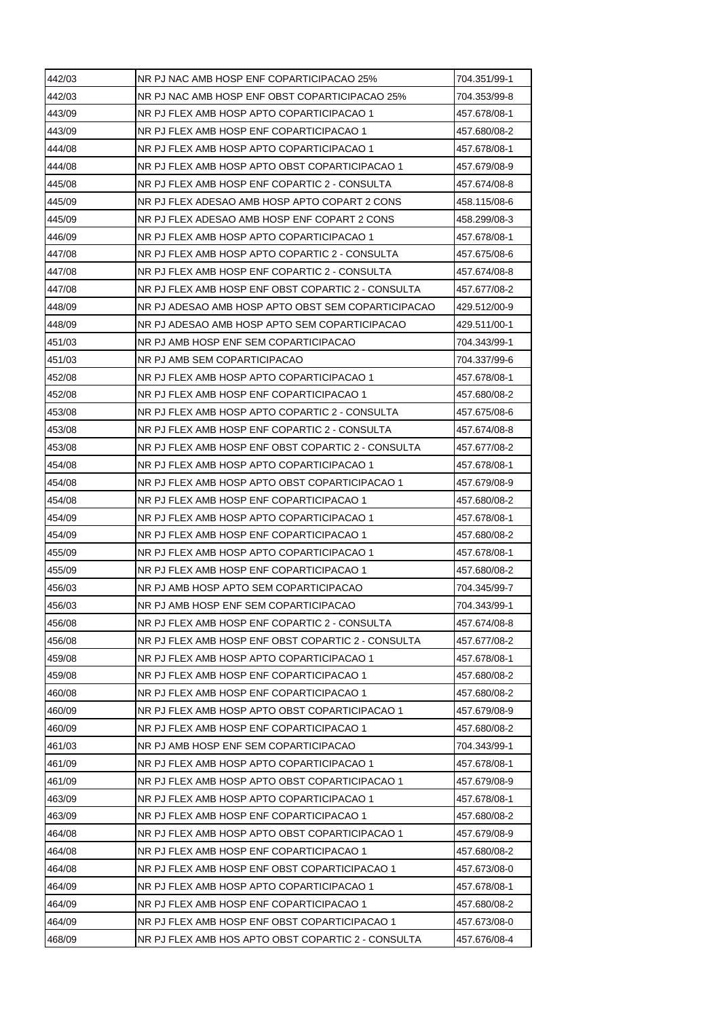| 442/03 | NR PJ NAC AMB HOSP ENF COPARTICIPACAO 25%          | 704.351/99-1 |
|--------|----------------------------------------------------|--------------|
| 442/03 | NR PJ NAC AMB HOSP ENF OBST COPARTICIPACAO 25%     | 704.353/99-8 |
| 443/09 | NR PJ FLEX AMB HOSP APTO COPARTICIPACAO 1          | 457.678/08-1 |
| 443/09 | NR PJ FLEX AMB HOSP ENF COPARTICIPACAO 1           | 457.680/08-2 |
| 444/08 | NR PJ FLEX AMB HOSP APTO COPARTICIPACAO 1          | 457.678/08-1 |
| 444/08 | NR PJ FLEX AMB HOSP APTO OBST COPARTICIPACAO 1     | 457.679/08-9 |
| 445/08 | NR PJ FLEX AMB HOSP ENF COPARTIC 2 - CONSULTA      | 457.674/08-8 |
| 445/09 | NR PJ FLEX ADESAO AMB HOSP APTO COPART 2 CONS      | 458.115/08-6 |
| 445/09 | NR PJ FLEX ADESAO AMB HOSP ENF COPART 2 CONS       | 458.299/08-3 |
| 446/09 | NR PJ FLEX AMB HOSP APTO COPARTICIPACAO 1          | 457.678/08-1 |
| 447/08 | NR PJ FLEX AMB HOSP APTO COPARTIC 2 - CONSULTA     | 457.675/08-6 |
| 447/08 | NR PJ FLEX AMB HOSP ENF COPARTIC 2 - CONSULTA      | 457.674/08-8 |
| 447/08 | NR PJ FLEX AMB HOSP ENF OBST COPARTIC 2 - CONSULTA | 457.677/08-2 |
| 448/09 | NR PJ ADESAO AMB HOSP APTO OBST SEM COPARTICIPACAO | 429.512/00-9 |
| 448/09 | NR PJ ADESAO AMB HOSP APTO SEM COPARTICIPACAO      | 429.511/00-1 |
| 451/03 | NR PJ AMB HOSP ENF SEM COPARTICIPACAO              | 704.343/99-1 |
| 451/03 | NR PJ AMB SEM COPARTICIPACAO                       | 704.337/99-6 |
| 452/08 | NR PJ FLEX AMB HOSP APTO COPARTICIPACAO 1          | 457.678/08-1 |
| 452/08 | NR PJ FLEX AMB HOSP ENF COPARTICIPACAO 1           | 457.680/08-2 |
| 453/08 | NR PJ FLEX AMB HOSP APTO COPARTIC 2 - CONSULTA     | 457.675/08-6 |
| 453/08 | NR PJ FLEX AMB HOSP ENF COPARTIC 2 - CONSULTA      | 457.674/08-8 |
| 453/08 | NR PJ FLEX AMB HOSP ENF OBST COPARTIC 2 - CONSULTA | 457.677/08-2 |
| 454/08 | NR PJ FLEX AMB HOSP APTO COPARTICIPACAO 1          | 457.678/08-1 |
| 454/08 | NR PJ FLEX AMB HOSP APTO OBST COPARTICIPACAO 1     | 457.679/08-9 |
| 454/08 | NR PJ FLEX AMB HOSP ENF COPARTICIPACAO 1           | 457.680/08-2 |
| 454/09 | NR PJ FLEX AMB HOSP APTO COPARTICIPACAO 1          | 457.678/08-1 |
| 454/09 | NR PJ FLEX AMB HOSP ENF COPARTICIPACAO 1           | 457.680/08-2 |
| 455/09 | NR PJ FLEX AMB HOSP APTO COPARTICIPACAO 1          | 457.678/08-1 |
| 455/09 | NR PJ FLEX AMB HOSP ENF COPARTICIPACAO 1           | 457.680/08-2 |
| 456/03 | NR PJ AMB HOSP APTO SEM COPARTICIPACAO             | 704.345/99-7 |
| 456/03 | NR PJ AMB HOSP ENF SEM COPARTICIPACAO              | 704.343/99-1 |
| 456/08 | NR PJ FLEX AMB HOSP ENF COPARTIC 2 - CONSULTA      | 457.674/08-8 |
| 456/08 | NR PJ FLEX AMB HOSP ENF OBST COPARTIC 2 - CONSULTA | 457.677/08-2 |
| 459/08 | NR PJ FLEX AMB HOSP APTO COPARTICIPACAO 1          | 457.678/08-1 |
| 459/08 | NR PJ FLEX AMB HOSP ENF COPARTICIPACAO 1           | 457.680/08-2 |
| 460/08 | NR PJ FLEX AMB HOSP ENF COPARTICIPACAO 1           | 457.680/08-2 |
| 460/09 | NR PJ FLEX AMB HOSP APTO OBST COPARTICIPACAO 1     | 457.679/08-9 |
| 460/09 | NR PJ FLEX AMB HOSP ENF COPARTICIPACAO 1           | 457.680/08-2 |
| 461/03 | NR PJ AMB HOSP ENF SEM COPARTICIPACAO              | 704.343/99-1 |
| 461/09 | NR PJ FLEX AMB HOSP APTO COPARTICIPACAO 1          | 457.678/08-1 |
| 461/09 | NR PJ FLEX AMB HOSP APTO OBST COPARTICIPACAO 1     | 457.679/08-9 |
| 463/09 | NR PJ FLEX AMB HOSP APTO COPARTICIPACAO 1          | 457.678/08-1 |
| 463/09 | NR PJ FLEX AMB HOSP ENF COPARTICIPACAO 1           | 457.680/08-2 |
| 464/08 | NR PJ FLEX AMB HOSP APTO OBST COPARTICIPACAO 1     | 457.679/08-9 |
| 464/08 | NR PJ FLEX AMB HOSP ENF COPARTICIPACAO 1           | 457.680/08-2 |
| 464/08 | NR PJ FLEX AMB HOSP ENF OBST COPARTICIPACAO 1      | 457.673/08-0 |
| 464/09 | NR PJ FLEX AMB HOSP APTO COPARTICIPACAO 1          | 457.678/08-1 |
| 464/09 | NR PJ FLEX AMB HOSP ENF COPARTICIPACAO 1           | 457.680/08-2 |
| 464/09 | NR PJ FLEX AMB HOSP ENF OBST COPARTICIPACAO 1      | 457.673/08-0 |
| 468/09 | NR PJ FLEX AMB HOS APTO OBST COPARTIC 2 - CONSULTA | 457.676/08-4 |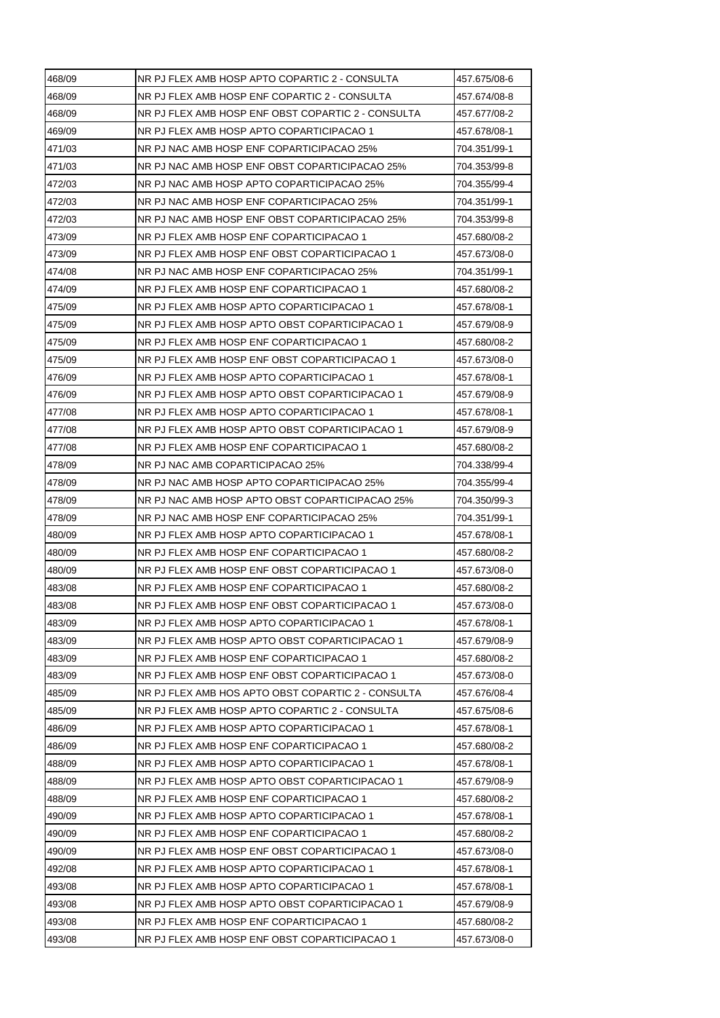| 468/09 | NR PJ FLEX AMB HOSP APTO COPARTIC 2 - CONSULTA     | 457.675/08-6 |
|--------|----------------------------------------------------|--------------|
| 468/09 | NR PJ FLEX AMB HOSP ENF COPARTIC 2 - CONSULTA      | 457.674/08-8 |
| 468/09 | NR PJ FLEX AMB HOSP ENF OBST COPARTIC 2 - CONSULTA | 457.677/08-2 |
| 469/09 | NR PJ FLEX AMB HOSP APTO COPARTICIPACAO 1          | 457.678/08-1 |
| 471/03 | NR PJ NAC AMB HOSP ENF COPARTICIPACAO 25%          | 704.351/99-1 |
| 471/03 | NR PJ NAC AMB HOSP ENF OBST COPARTICIPACAO 25%     | 704.353/99-8 |
| 472/03 | NR PJ NAC AMB HOSP APTO COPARTICIPACAO 25%         | 704.355/99-4 |
| 472/03 | NR PJ NAC AMB HOSP ENF COPARTICIPACAO 25%          | 704.351/99-1 |
| 472/03 | NR PJ NAC AMB HOSP ENF OBST COPARTICIPACAO 25%     | 704.353/99-8 |
| 473/09 | NR PJ FLEX AMB HOSP ENF COPARTICIPACAO 1           | 457.680/08-2 |
| 473/09 | NR PJ FLEX AMB HOSP ENF OBST COPARTICIPACAO 1      | 457.673/08-0 |
| 474/08 | NR PJ NAC AMB HOSP ENF COPARTICIPACAO 25%          | 704.351/99-1 |
| 474/09 | NR PJ FLEX AMB HOSP ENF COPARTICIPACAO 1           | 457.680/08-2 |
| 475/09 | NR PJ FLEX AMB HOSP APTO COPARTICIPACAO 1          | 457.678/08-1 |
| 475/09 | NR PJ FLEX AMB HOSP APTO OBST COPARTICIPACAO 1     | 457.679/08-9 |
| 475/09 | NR PJ FLEX AMB HOSP ENF COPARTICIPACAO 1           | 457.680/08-2 |
| 475/09 | NR PJ FLEX AMB HOSP ENF OBST COPARTICIPACAO 1      | 457.673/08-0 |
| 476/09 | NR PJ FLEX AMB HOSP APTO COPARTICIPACAO 1          | 457.678/08-1 |
| 476/09 | NR PJ FLEX AMB HOSP APTO OBST COPARTICIPACAO 1     | 457.679/08-9 |
| 477/08 | NR PJ FLEX AMB HOSP APTO COPARTICIPACAO 1          | 457.678/08-1 |
| 477/08 | NR PJ FLEX AMB HOSP APTO OBST COPARTICIPACAO 1     | 457.679/08-9 |
| 477/08 | NR PJ FLEX AMB HOSP ENF COPARTICIPACAO 1           | 457.680/08-2 |
| 478/09 | NR PJ NAC AMB COPARTICIPACAO 25%                   | 704.338/99-4 |
| 478/09 | NR PJ NAC AMB HOSP APTO COPARTICIPACAO 25%         | 704.355/99-4 |
| 478/09 | NR PJ NAC AMB HOSP APTO OBST COPARTICIPACAO 25%    | 704.350/99-3 |
| 478/09 | NR PJ NAC AMB HOSP ENF COPARTICIPACAO 25%          | 704.351/99-1 |
| 480/09 | NR PJ FLEX AMB HOSP APTO COPARTICIPACAO 1          | 457.678/08-1 |
| 480/09 | NR PJ FLEX AMB HOSP ENF COPARTICIPACAO 1           | 457.680/08-2 |
| 480/09 | NR PJ FLEX AMB HOSP ENF OBST COPARTICIPACAO 1      | 457.673/08-0 |
| 483/08 | NR PJ FLEX AMB HOSP ENF COPARTICIPACAO 1           | 457.680/08-2 |
| 483/08 | NR PJ FLEX AMB HOSP ENF OBST COPARTICIPACAO 1      | 457.673/08-0 |
| 483/09 | NR PJ FLEX AMB HOSP APTO COPARTICIPACAO 1          | 457.678/08-1 |
| 483/09 | NR PJ FLEX AMB HOSP APTO OBST COPARTICIPACAO 1     | 457.679/08-9 |
| 483/09 | NR PJ FLEX AMB HOSP ENF COPARTICIPACAO 1           | 457.680/08-2 |
| 483/09 | NR PJ FLEX AMB HOSP ENF OBST COPARTICIPACAO 1      | 457.673/08-0 |
| 485/09 | NR PJ FLEX AMB HOS APTO OBST COPARTIC 2 - CONSULTA | 457.676/08-4 |
| 485/09 | NR PJ FLEX AMB HOSP APTO COPARTIC 2 - CONSULTA     | 457.675/08-6 |
| 486/09 | NR PJ FLEX AMB HOSP APTO COPARTICIPACAO 1          | 457.678/08-1 |
| 486/09 | NR PJ FLEX AMB HOSP ENF COPARTICIPACAO 1           | 457.680/08-2 |
| 488/09 | NR PJ FLEX AMB HOSP APTO COPARTICIPACAO 1          | 457.678/08-1 |
| 488/09 | NR PJ FLEX AMB HOSP APTO OBST COPARTICIPACAO 1     | 457.679/08-9 |
| 488/09 | NR PJ FLEX AMB HOSP ENF COPARTICIPACAO 1           | 457.680/08-2 |
| 490/09 | NR PJ FLEX AMB HOSP APTO COPARTICIPACAO 1          | 457.678/08-1 |
| 490/09 | NR PJ FLEX AMB HOSP ENF COPARTICIPACAO 1           | 457.680/08-2 |
| 490/09 | NR PJ FLEX AMB HOSP ENF OBST COPARTICIPACAO 1      | 457.673/08-0 |
| 492/08 | NR PJ FLEX AMB HOSP APTO COPARTICIPACAO 1          | 457.678/08-1 |
| 493/08 | NR PJ FLEX AMB HOSP APTO COPARTICIPACAO 1          | 457.678/08-1 |
| 493/08 | NR PJ FLEX AMB HOSP APTO OBST COPARTICIPACAO 1     | 457.679/08-9 |
| 493/08 | NR PJ FLEX AMB HOSP ENF COPARTICIPACAO 1           | 457.680/08-2 |
| 493/08 | NR PJ FLEX AMB HOSP ENF OBST COPARTICIPACAO 1      | 457.673/08-0 |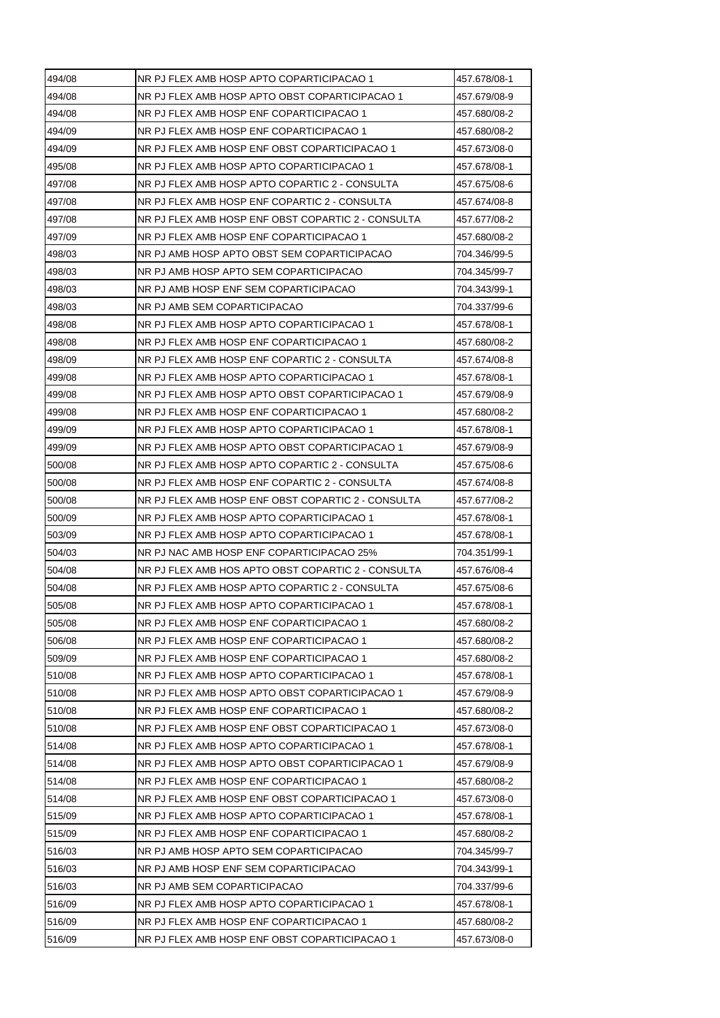| 494/08           | NR PJ FLEX AMB HOSP APTO COPARTICIPACAO 1          | 457.678/08-1 |
|------------------|----------------------------------------------------|--------------|
| 494/08           | NR PJ FLEX AMB HOSP APTO OBST COPARTICIPACAO 1     | 457.679/08-9 |
| 494/08           | NR PJ FLEX AMB HOSP ENF COPARTICIPACAO 1           | 457.680/08-2 |
| 494/09           | NR PJ FLEX AMB HOSP ENF COPARTICIPACAO 1           | 457.680/08-2 |
| 494/09           | NR PJ FLEX AMB HOSP ENF OBST COPARTICIPACAO 1      | 457.673/08-0 |
| 495/08           | NR PJ FLEX AMB HOSP APTO COPARTICIPACAO 1          | 457.678/08-1 |
| 497/08           | NR PJ FLEX AMB HOSP APTO COPARTIC 2 - CONSULTA     | 457.675/08-6 |
| 497/08           | NR PJ FLEX AMB HOSP ENF COPARTIC 2 - CONSULTA      | 457.674/08-8 |
| 497/08           | NR PJ FLEX AMB HOSP ENF OBST COPARTIC 2 - CONSULTA | 457.677/08-2 |
| 497/09           | NR PJ FLEX AMB HOSP ENF COPARTICIPACAO 1           | 457.680/08-2 |
| 498/03           | NR PJ AMB HOSP APTO OBST SEM COPARTICIPACAO        | 704.346/99-5 |
| 498/03           | NR PJ AMB HOSP APTO SEM COPARTICIPACAO             | 704.345/99-7 |
| 498/03           | NR PJ AMB HOSP ENF SEM COPARTICIPACAO              | 704.343/99-1 |
| 498/03           | NR PJ AMB SEM COPARTICIPACAO                       | 704.337/99-6 |
| 498/08           | NR PJ FLEX AMB HOSP APTO COPARTICIPACAO 1          | 457.678/08-1 |
| 498/08           | NR PJ FLEX AMB HOSP ENF COPARTICIPACAO 1           | 457.680/08-2 |
| 498/09           | NR PJ FLEX AMB HOSP ENF COPARTIC 2 - CONSULTA      | 457.674/08-8 |
| 499/08           | NR PJ FLEX AMB HOSP APTO COPARTICIPACAO 1          | 457.678/08-1 |
| 499/08           | NR PJ FLEX AMB HOSP APTO OBST COPARTICIPACAO 1     | 457.679/08-9 |
| 499/08           | NR PJ FLEX AMB HOSP ENF COPARTICIPACAO 1           | 457.680/08-2 |
| 499/09           | NR PJ FLEX AMB HOSP APTO COPARTICIPACAO 1          | 457.678/08-1 |
| 499/09           | NR PJ FLEX AMB HOSP APTO OBST COPARTICIPACAO 1     | 457.679/08-9 |
| 500/08           | NR PJ FLEX AMB HOSP APTO COPARTIC 2 - CONSULTA     | 457.675/08-6 |
| 500/08           | NR PJ FLEX AMB HOSP ENF COPARTIC 2 - CONSULTA      | 457.674/08-8 |
| 500/08           | NR PJ FLEX AMB HOSP ENF OBST COPARTIC 2 - CONSULTA | 457.677/08-2 |
| 500/09           | NR PJ FLEX AMB HOSP APTO COPARTICIPACAO 1          | 457.678/08-1 |
| 503/09           | NR PJ FLEX AMB HOSP APTO COPARTICIPACAO 1          | 457.678/08-1 |
| 504/03           | NR PJ NAC AMB HOSP ENF COPARTICIPACAO 25%          | 704.351/99-1 |
| 504/08           | NR PJ FLEX AMB HOS APTO OBST COPARTIC 2 - CONSULTA | 457.676/08-4 |
| 504/08           | NR PJ FLEX AMB HOSP APTO COPARTIC 2 - CONSULTA     | 457.675/08-6 |
| 505/08           | NR PJ FLEX AMB HOSP APTO COPARTICIPACAO 1          | 457.678/08-1 |
| 505/08           | NR PJ FLEX AMB HOSP ENF COPARTICIPACAO 1           | 457.680/08-2 |
| 506/08           | NR PJ FLEX AMB HOSP ENF COPARTICIPACAO 1           | 457.680/08-2 |
| 509/09           | NR PJ FLEX AMB HOSP ENF COPARTICIPACAO 1           | 457.680/08-2 |
| 510/08           | NR PJ FLEX AMB HOSP APTO COPARTICIPACAO 1          | 457.678/08-1 |
| 510/08           | NR PJ FLEX AMB HOSP APTO OBST COPARTICIPACAO 1     | 457.679/08-9 |
| 510/08           | NR PJ FLEX AMB HOSP ENF COPARTICIPACAO 1           | 457.680/08-2 |
| 510/08           | NR PJ FLEX AMB HOSP ENF OBST COPARTICIPACAO 1      | 457.673/08-0 |
| 514/08           | NR PJ FLEX AMB HOSP APTO COPARTICIPACAO 1          | 457.678/08-1 |
| 514/08           | NR PJ FLEX AMB HOSP APTO OBST COPARTICIPACAO 1     | 457.679/08-9 |
| 514/08           | NR PJ FLEX AMB HOSP ENF COPARTICIPACAO 1           | 457.680/08-2 |
| 514/08           | NR PJ FLEX AMB HOSP ENF OBST COPARTICIPACAO 1      | 457.673/08-0 |
| 515/09           | NR PJ FLEX AMB HOSP APTO COPARTICIPACAO 1          | 457.678/08-1 |
| 515/09           | NR PJ FLEX AMB HOSP ENF COPARTICIPACAO 1           | 457.680/08-2 |
| 516/03           | NR PJ AMB HOSP APTO SEM COPARTICIPACAO             | 704.345/99-7 |
| 516/03           |                                                    |              |
|                  | NR PJ AMB HOSP ENF SEM COPARTICIPACAO              | 704.343/99-1 |
|                  | NR PJ AMB SEM COPARTICIPACAO                       | 704.337/99-6 |
| 516/03<br>516/09 | NR PJ FLEX AMB HOSP APTO COPARTICIPACAO 1          | 457.678/08-1 |
| 516/09           | NR PJ FLEX AMB HOSP ENF COPARTICIPACAO 1           | 457.680/08-2 |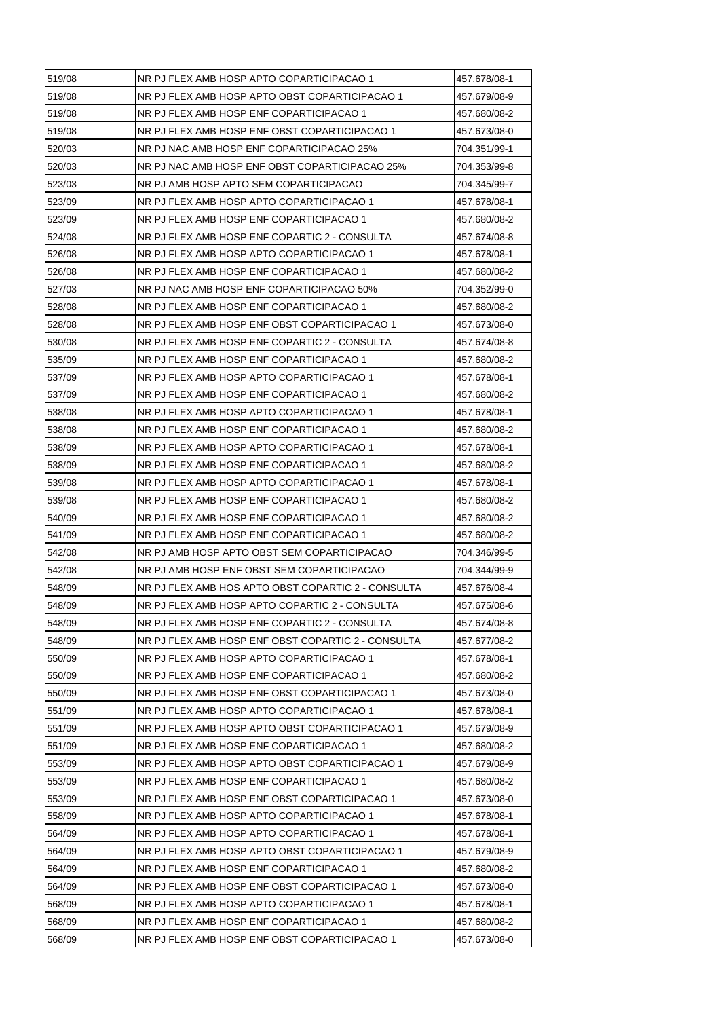| 519/08 | NR PJ FLEX AMB HOSP APTO COPARTICIPACAO 1          | 457.678/08-1 |
|--------|----------------------------------------------------|--------------|
| 519/08 | NR PJ FLEX AMB HOSP APTO OBST COPARTICIPACAO 1     | 457.679/08-9 |
| 519/08 | NR PJ FLEX AMB HOSP ENF COPARTICIPACAO 1           | 457.680/08-2 |
| 519/08 | NR PJ FLEX AMB HOSP ENF OBST COPARTICIPACAO 1      | 457.673/08-0 |
| 520/03 | NR PJ NAC AMB HOSP ENF COPARTICIPACAO 25%          | 704.351/99-1 |
| 520/03 | NR PJ NAC AMB HOSP ENF OBST COPARTICIPACAO 25%     | 704.353/99-8 |
| 523/03 | NR PJ AMB HOSP APTO SEM COPARTICIPACAO             | 704.345/99-7 |
| 523/09 | NR PJ FLEX AMB HOSP APTO COPARTICIPACAO 1          | 457.678/08-1 |
| 523/09 | NR PJ FLEX AMB HOSP ENF COPARTICIPACAO 1           | 457.680/08-2 |
| 524/08 | NR PJ FLEX AMB HOSP ENF COPARTIC 2 - CONSULTA      | 457.674/08-8 |
| 526/08 | NR PJ FLEX AMB HOSP APTO COPARTICIPACAO 1          | 457.678/08-1 |
| 526/08 | NR PJ FLEX AMB HOSP ENF COPARTICIPACAO 1           | 457.680/08-2 |
| 527/03 | NR PJ NAC AMB HOSP ENF COPARTICIPACAO 50%          | 704.352/99-0 |
| 528/08 | NR PJ FLEX AMB HOSP ENF COPARTICIPACAO 1           | 457.680/08-2 |
| 528/08 | NR PJ FLEX AMB HOSP ENF OBST COPARTICIPACAO 1      | 457.673/08-0 |
| 530/08 | NR PJ FLEX AMB HOSP ENF COPARTIC 2 - CONSULTA      | 457.674/08-8 |
| 535/09 | NR PJ FLEX AMB HOSP ENF COPARTICIPACAO 1           | 457.680/08-2 |
| 537/09 | NR PJ FLEX AMB HOSP APTO COPARTICIPACAO 1          | 457.678/08-1 |
| 537/09 | NR PJ FLEX AMB HOSP ENF COPARTICIPACAO 1           | 457.680/08-2 |
| 538/08 | NR PJ FLEX AMB HOSP APTO COPARTICIPACAO 1          | 457.678/08-1 |
| 538/08 | NR PJ FLEX AMB HOSP ENF COPARTICIPACAO 1           | 457.680/08-2 |
| 538/09 | NR PJ FLEX AMB HOSP APTO COPARTICIPACAO 1          | 457.678/08-1 |
| 538/09 | NR PJ FLEX AMB HOSP ENF COPARTICIPACAO 1           | 457.680/08-2 |
| 539/08 | NR PJ FLEX AMB HOSP APTO COPARTICIPACAO 1          | 457.678/08-1 |
| 539/08 | NR PJ FLEX AMB HOSP ENF COPARTICIPACAO 1           | 457.680/08-2 |
| 540/09 | NR PJ FLEX AMB HOSP ENF COPARTICIPACAO 1           | 457.680/08-2 |
| 541/09 | NR PJ FLEX AMB HOSP ENF COPARTICIPACAO 1           | 457.680/08-2 |
| 542/08 | NR PJ AMB HOSP APTO OBST SEM COPARTICIPACAO        | 704.346/99-5 |
| 542/08 | NR PJ AMB HOSP ENF OBST SEM COPARTICIPACAO         | 704.344/99-9 |
| 548/09 | NR PJ FLEX AMB HOS APTO OBST COPARTIC 2 - CONSULTA | 457.676/08-4 |
| 548/09 | NR PJ FLEX AMB HOSP APTO COPARTIC 2 - CONSULTA     | 457.675/08-6 |
| 548/09 | NR PJ FLEX AMB HOSP ENF COPARTIC 2 - CONSULTA      | 457.674/08-8 |
| 548/09 | NR PJ FLEX AMB HOSP ENF OBST COPARTIC 2 - CONSULTA | 457.677/08-2 |
| 550/09 | NR PJ FLEX AMB HOSP APTO COPARTICIPACAO 1          | 457.678/08-1 |
| 550/09 | NR PJ FLEX AMB HOSP ENF COPARTICIPACAO 1           | 457.680/08-2 |
| 550/09 | NR PJ FLEX AMB HOSP ENF OBST COPARTICIPACAO 1      | 457.673/08-0 |
| 551/09 | NR PJ FLEX AMB HOSP APTO COPARTICIPACAO 1          | 457.678/08-1 |
| 551/09 | NR PJ FLEX AMB HOSP APTO OBST COPARTICIPACAO 1     | 457.679/08-9 |
| 551/09 | NR PJ FLEX AMB HOSP ENF COPARTICIPACAO 1           | 457.680/08-2 |
| 553/09 | NR PJ FLEX AMB HOSP APTO OBST COPARTICIPACAO 1     | 457.679/08-9 |
| 553/09 | NR PJ FLEX AMB HOSP ENF COPARTICIPACAO 1           | 457.680/08-2 |
| 553/09 | NR PJ FLEX AMB HOSP ENF OBST COPARTICIPACAO 1      | 457.673/08-0 |
| 558/09 | NR PJ FLEX AMB HOSP APTO COPARTICIPACAO 1          | 457.678/08-1 |
| 564/09 | NR PJ FLEX AMB HOSP APTO COPARTICIPACAO 1          | 457.678/08-1 |
| 564/09 | NR PJ FLEX AMB HOSP APTO OBST COPARTICIPACAO 1     | 457.679/08-9 |
| 564/09 | NR PJ FLEX AMB HOSP ENF COPARTICIPACAO 1           | 457.680/08-2 |
| 564/09 | NR PJ FLEX AMB HOSP ENF OBST COPARTICIPACAO 1      | 457.673/08-0 |
| 568/09 | NR PJ FLEX AMB HOSP APTO COPARTICIPACAO 1          | 457.678/08-1 |
|        |                                                    |              |
| 568/09 | NR PJ FLEX AMB HOSP ENF COPARTICIPACAO 1           | 457.680/08-2 |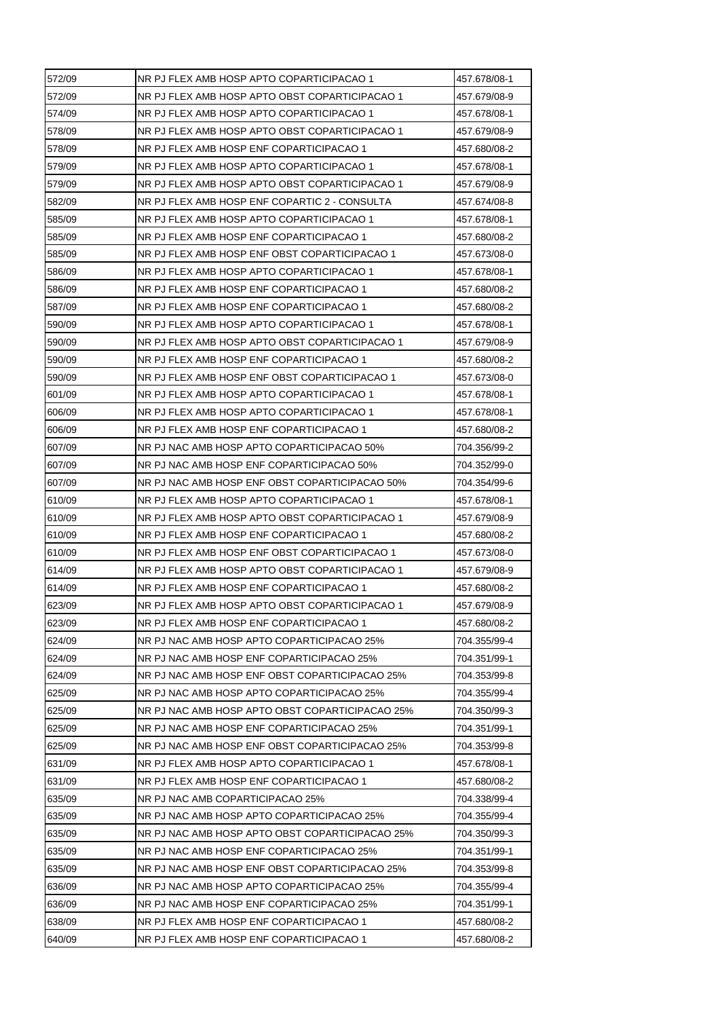| 572/09 | NR PJ FLEX AMB HOSP APTO COPARTICIPACAO 1       | 457.678/08-1 |
|--------|-------------------------------------------------|--------------|
| 572/09 | NR PJ FLEX AMB HOSP APTO OBST COPARTICIPACAO 1  | 457.679/08-9 |
| 574/09 | NR PJ FLEX AMB HOSP APTO COPARTICIPACAO 1       | 457.678/08-1 |
| 578/09 | NR PJ FLEX AMB HOSP APTO OBST COPARTICIPACAO 1  | 457.679/08-9 |
| 578/09 | NR PJ FLEX AMB HOSP ENF COPARTICIPACAO 1        | 457.680/08-2 |
| 579/09 | NR PJ FLEX AMB HOSP APTO COPARTICIPACAO 1       | 457.678/08-1 |
| 579/09 | NR PJ FLEX AMB HOSP APTO OBST COPARTICIPACAO 1  | 457.679/08-9 |
| 582/09 | NR PJ FLEX AMB HOSP ENF COPARTIC 2 - CONSULTA   | 457.674/08-8 |
| 585/09 | NR PJ FLEX AMB HOSP APTO COPARTICIPACAO 1       | 457.678/08-1 |
| 585/09 | NR PJ FLEX AMB HOSP ENF COPARTICIPACAO 1        | 457.680/08-2 |
| 585/09 | NR PJ FLEX AMB HOSP ENF OBST COPARTICIPACAO 1   | 457.673/08-0 |
| 586/09 | NR PJ FLEX AMB HOSP APTO COPARTICIPACAO 1       | 457.678/08-1 |
| 586/09 | NR PJ FLEX AMB HOSP ENF COPARTICIPACAO 1        | 457.680/08-2 |
| 587/09 | NR PJ FLEX AMB HOSP ENF COPARTICIPACAO 1        | 457.680/08-2 |
| 590/09 | NR PJ FLEX AMB HOSP APTO COPARTICIPACAO 1       | 457.678/08-1 |
| 590/09 | NR PJ FLEX AMB HOSP APTO OBST COPARTICIPACAO 1  | 457.679/08-9 |
| 590/09 | NR PJ FLEX AMB HOSP ENF COPARTICIPACAO 1        | 457.680/08-2 |
| 590/09 | NR PJ FLEX AMB HOSP ENF OBST COPARTICIPACAO 1   | 457.673/08-0 |
| 601/09 | NR PJ FLEX AMB HOSP APTO COPARTICIPACAO 1       | 457.678/08-1 |
| 606/09 | NR PJ FLEX AMB HOSP APTO COPARTICIPACAO 1       | 457.678/08-1 |
| 606/09 | NR PJ FLEX AMB HOSP ENF COPARTICIPACAO 1        | 457.680/08-2 |
| 607/09 | NR PJ NAC AMB HOSP APTO COPARTICIPACAO 50%      | 704.356/99-2 |
| 607/09 | NR PJ NAC AMB HOSP ENF COPARTICIPACAO 50%       | 704.352/99-0 |
| 607/09 | NR PJ NAC AMB HOSP ENF OBST COPARTICIPACAO 50%  | 704.354/99-6 |
| 610/09 | NR PJ FLEX AMB HOSP APTO COPARTICIPACAO 1       | 457.678/08-1 |
| 610/09 | NR PJ FLEX AMB HOSP APTO OBST COPARTICIPACAO 1  | 457.679/08-9 |
| 610/09 | NR PJ FLEX AMB HOSP ENF COPARTICIPACAO 1        | 457.680/08-2 |
| 610/09 | NR PJ FLEX AMB HOSP ENF OBST COPARTICIPACAO 1   | 457.673/08-0 |
| 614/09 | NR PJ FLEX AMB HOSP APTO OBST COPARTICIPACAO 1  | 457.679/08-9 |
| 614/09 | NR PJ FLEX AMB HOSP ENF COPARTICIPACAO 1        | 457.680/08-2 |
| 623/09 | NR PJ FLEX AMB HOSP APTO OBST COPARTICIPACAO 1  | 457.679/08-9 |
| 623/09 | NR PJ FLEX AMB HOSP ENF COPARTICIPACAO 1        | 457.680/08-2 |
| 624/09 | NR PJ NAC AMB HOSP APTO COPARTICIPACAO 25%      | 704.355/99-4 |
| 624/09 | NR PJ NAC AMB HOSP ENF COPARTICIPACAO 25%       | 704.351/99-1 |
| 624/09 | NR PJ NAC AMB HOSP ENF OBST COPARTICIPACAO 25%  | 704.353/99-8 |
| 625/09 | NR PJ NAC AMB HOSP APTO COPARTICIPACAO 25%      | 704.355/99-4 |
| 625/09 | NR PJ NAC AMB HOSP APTO OBST COPARTICIPACAO 25% | 704.350/99-3 |
| 625/09 | NR PJ NAC AMB HOSP ENF COPARTICIPACAO 25%       | 704.351/99-1 |
| 625/09 | NR PJ NAC AMB HOSP ENF OBST COPARTICIPACAO 25%  | 704.353/99-8 |
| 631/09 | NR PJ FLEX AMB HOSP APTO COPARTICIPACAO 1       | 457.678/08-1 |
| 631/09 | NR PJ FLEX AMB HOSP ENF COPARTICIPACAO 1        | 457.680/08-2 |
| 635/09 | NR PJ NAC AMB COPARTICIPACAO 25%                | 704.338/99-4 |
| 635/09 | NR PJ NAC AMB HOSP APTO COPARTICIPACAO 25%      | 704.355/99-4 |
| 635/09 | NR PJ NAC AMB HOSP APTO OBST COPARTICIPACAO 25% | 704.350/99-3 |
| 635/09 | NR PJ NAC AMB HOSP ENF COPARTICIPACAO 25%       | 704.351/99-1 |
| 635/09 | NR PJ NAC AMB HOSP ENF OBST COPARTICIPACAO 25%  | 704.353/99-8 |
| 636/09 | NR PJ NAC AMB HOSP APTO COPARTICIPACAO 25%      | 704.355/99-4 |
| 636/09 | NR PJ NAC AMB HOSP ENF COPARTICIPACAO 25%       | 704.351/99-1 |
| 638/09 | NR PJ FLEX AMB HOSP ENF COPARTICIPACAO 1        | 457.680/08-2 |
| 640/09 | NR PJ FLEX AMB HOSP ENF COPARTICIPACAO 1        | 457.680/08-2 |
|        |                                                 |              |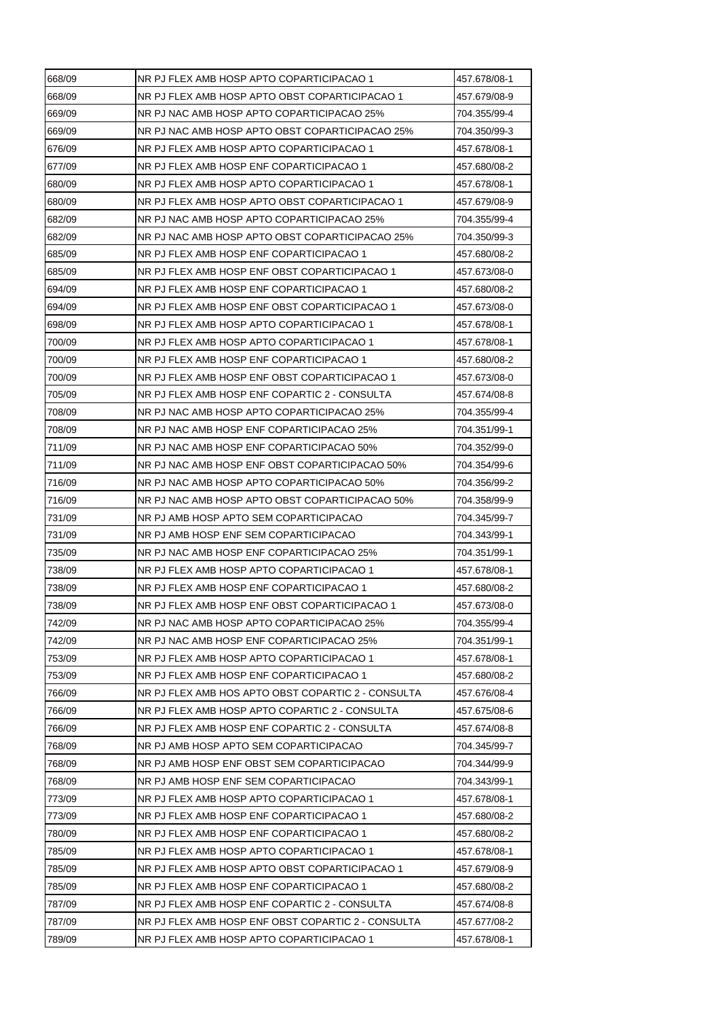| 668/09 | NR PJ FLEX AMB HOSP APTO COPARTICIPACAO 1          | 457.678/08-1 |
|--------|----------------------------------------------------|--------------|
| 668/09 | NR PJ FLEX AMB HOSP APTO OBST COPARTICIPACAO 1     | 457.679/08-9 |
| 669/09 | NR PJ NAC AMB HOSP APTO COPARTICIPACAO 25%         | 704.355/99-4 |
| 669/09 | NR PJ NAC AMB HOSP APTO OBST COPARTICIPACAO 25%    | 704.350/99-3 |
| 676/09 | NR PJ FLEX AMB HOSP APTO COPARTICIPACAO 1          | 457.678/08-1 |
| 677/09 | NR PJ FLEX AMB HOSP ENF COPARTICIPACAO 1           | 457.680/08-2 |
| 680/09 | NR PJ FLEX AMB HOSP APTO COPARTICIPACAO 1          | 457.678/08-1 |
| 680/09 | NR PJ FLEX AMB HOSP APTO OBST COPARTICIPACAO 1     | 457.679/08-9 |
| 682/09 | NR PJ NAC AMB HOSP APTO COPARTICIPACAO 25%         | 704.355/99-4 |
| 682/09 | NR PJ NAC AMB HOSP APTO OBST COPARTICIPACAO 25%    | 704.350/99-3 |
| 685/09 | NR PJ FLEX AMB HOSP ENF COPARTICIPACAO 1           | 457.680/08-2 |
| 685/09 | NR PJ FLEX AMB HOSP ENF OBST COPARTICIPACAO 1      | 457.673/08-0 |
| 694/09 | NR PJ FLEX AMB HOSP ENF COPARTICIPACAO 1           | 457.680/08-2 |
| 694/09 | NR PJ FLEX AMB HOSP ENF OBST COPARTICIPACAO 1      | 457.673/08-0 |
| 698/09 | NR PJ FLEX AMB HOSP APTO COPARTICIPACAO 1          | 457.678/08-1 |
| 700/09 | NR PJ FLEX AMB HOSP APTO COPARTICIPACAO 1          | 457.678/08-1 |
| 700/09 | NR PJ FLEX AMB HOSP ENF COPARTICIPACAO 1           | 457.680/08-2 |
| 700/09 | NR PJ FLEX AMB HOSP ENF OBST COPARTICIPACAO 1      | 457.673/08-0 |
| 705/09 | NR PJ FLEX AMB HOSP ENF COPARTIC 2 - CONSULTA      | 457.674/08-8 |
| 708/09 | NR PJ NAC AMB HOSP APTO COPARTICIPACAO 25%         | 704.355/99-4 |
| 708/09 | NR PJ NAC AMB HOSP ENF COPARTICIPACAO 25%          | 704.351/99-1 |
| 711/09 | NR PJ NAC AMB HOSP ENF COPARTICIPACAO 50%          | 704.352/99-0 |
| 711/09 | NR PJ NAC AMB HOSP ENF OBST COPARTICIPACAO 50%     | 704.354/99-6 |
| 716/09 | NR PJ NAC AMB HOSP APTO COPARTICIPACAO 50%         | 704.356/99-2 |
| 716/09 | NR PJ NAC AMB HOSP APTO OBST COPARTICIPACAO 50%    | 704.358/99-9 |
| 731/09 | NR PJ AMB HOSP APTO SEM COPARTICIPACAO             | 704.345/99-7 |
| 731/09 | NR PJ AMB HOSP ENF SEM COPARTICIPACAO              | 704.343/99-1 |
| 735/09 | NR PJ NAC AMB HOSP ENF COPARTICIPACAO 25%          | 704.351/99-1 |
| 738/09 | NR PJ FLEX AMB HOSP APTO COPARTICIPACAO 1          | 457.678/08-1 |
| 738/09 | NR PJ FLEX AMB HOSP ENF COPARTICIPACAO 1           | 457.680/08-2 |
| 738/09 | NR PJ FLEX AMB HOSP ENF OBST COPARTICIPACAO 1      | 457.673/08-0 |
| 742/09 | NR PJ NAC AMB HOSP APTO COPARTICIPACAO 25%         | 704.355/99-4 |
| 742/09 | NR PJ NAC AMB HOSP ENF COPARTICIPACAO 25%          | 704.351/99-1 |
| 753/09 | NR PJ FLEX AMB HOSP APTO COPARTICIPACAO 1          | 457.678/08-1 |
| 753/09 | NR PJ FLEX AMB HOSP ENF COPARTICIPACAO 1           | 457.680/08-2 |
| 766/09 | NR PJ FLEX AMB HOS APTO OBST COPARTIC 2 - CONSULTA | 457.676/08-4 |
| 766/09 | NR PJ FLEX AMB HOSP APTO COPARTIC 2 - CONSULTA     | 457.675/08-6 |
| 766/09 | NR PJ FLEX AMB HOSP ENF COPARTIC 2 - CONSULTA      | 457.674/08-8 |
| 768/09 | NR PJ AMB HOSP APTO SEM COPARTICIPACAO             | 704.345/99-7 |
| 768/09 | NR PJ AMB HOSP ENF OBST SEM COPARTICIPACAO         | 704.344/99-9 |
| 768/09 | NR PJ AMB HOSP ENF SEM COPARTICIPACAO              | 704.343/99-1 |
| 773/09 | NR PJ FLEX AMB HOSP APTO COPARTICIPACAO 1          | 457.678/08-1 |
| 773/09 | NR PJ FLEX AMB HOSP ENF COPARTICIPACAO 1           | 457.680/08-2 |
| 780/09 | NR PJ FLEX AMB HOSP ENF COPARTICIPACAO 1           | 457.680/08-2 |
| 785/09 | NR PJ FLEX AMB HOSP APTO COPARTICIPACAO 1          | 457.678/08-1 |
| 785/09 | NR PJ FLEX AMB HOSP APTO OBST COPARTICIPACAO 1     | 457.679/08-9 |
| 785/09 | NR PJ FLEX AMB HOSP ENF COPARTICIPACAO 1           | 457.680/08-2 |
| 787/09 | NR PJ FLEX AMB HOSP ENF COPARTIC 2 - CONSULTA      | 457.674/08-8 |
| 787/09 | NR PJ FLEX AMB HOSP ENF OBST COPARTIC 2 - CONSULTA | 457.677/08-2 |
| 789/09 | NR PJ FLEX AMB HOSP APTO COPARTICIPACAO 1          | 457.678/08-1 |
|        |                                                    |              |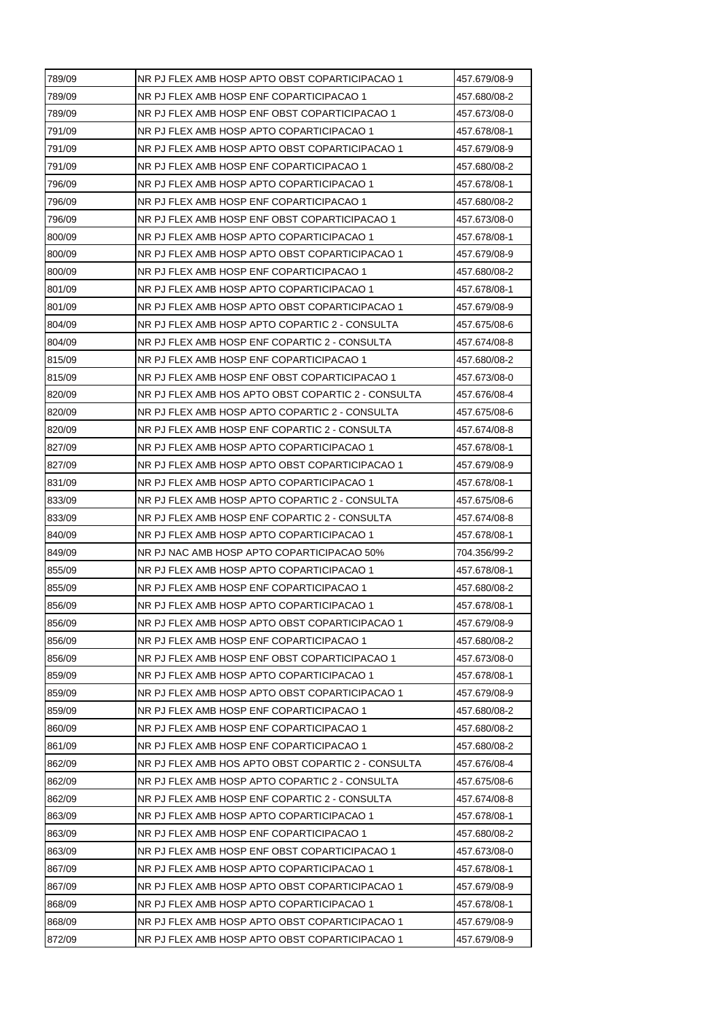| 789/09 | NR PJ FLEX AMB HOSP APTO OBST COPARTICIPACAO 1     | 457.679/08-9 |
|--------|----------------------------------------------------|--------------|
| 789/09 | NR PJ FLEX AMB HOSP ENF COPARTICIPACAO 1           | 457.680/08-2 |
| 789/09 | NR PJ FLEX AMB HOSP ENF OBST COPARTICIPACAO 1      | 457.673/08-0 |
| 791/09 | NR PJ FLEX AMB HOSP APTO COPARTICIPACAO 1          | 457.678/08-1 |
| 791/09 | NR PJ FLEX AMB HOSP APTO OBST COPARTICIPACAO 1     | 457.679/08-9 |
| 791/09 | NR PJ FLEX AMB HOSP ENF COPARTICIPACAO 1           | 457.680/08-2 |
| 796/09 | NR PJ FLEX AMB HOSP APTO COPARTICIPACAO 1          | 457.678/08-1 |
| 796/09 | NR PJ FLEX AMB HOSP ENF COPARTICIPACAO 1           | 457.680/08-2 |
| 796/09 | NR PJ FLEX AMB HOSP ENF OBST COPARTICIPACAO 1      | 457.673/08-0 |
| 800/09 | NR PJ FLEX AMB HOSP APTO COPARTICIPACAO 1          | 457.678/08-1 |
| 800/09 | NR PJ FLEX AMB HOSP APTO OBST COPARTICIPACAO 1     | 457.679/08-9 |
| 800/09 | NR PJ FLEX AMB HOSP ENF COPARTICIPACAO 1           | 457.680/08-2 |
| 801/09 | NR PJ FLEX AMB HOSP APTO COPARTICIPACAO 1          | 457.678/08-1 |
| 801/09 | NR PJ FLEX AMB HOSP APTO OBST COPARTICIPACAO 1     | 457.679/08-9 |
| 804/09 | NR PJ FLEX AMB HOSP APTO COPARTIC 2 - CONSULTA     | 457.675/08-6 |
| 804/09 | NR PJ FLEX AMB HOSP ENF COPARTIC 2 - CONSULTA      | 457.674/08-8 |
| 815/09 | NR PJ FLEX AMB HOSP ENF COPARTICIPACAO 1           | 457.680/08-2 |
| 815/09 | NR PJ FLEX AMB HOSP ENF OBST COPARTICIPACAO 1      | 457.673/08-0 |
| 820/09 | NR PJ FLEX AMB HOS APTO OBST COPARTIC 2 - CONSULTA | 457.676/08-4 |
| 820/09 | NR PJ FLEX AMB HOSP APTO COPARTIC 2 - CONSULTA     | 457.675/08-6 |
| 820/09 | NR PJ FLEX AMB HOSP ENF COPARTIC 2 - CONSULTA      | 457.674/08-8 |
| 827/09 | NR PJ FLEX AMB HOSP APTO COPARTICIPACAO 1          | 457.678/08-1 |
| 827/09 | NR PJ FLEX AMB HOSP APTO OBST COPARTICIPACAO 1     | 457.679/08-9 |
| 831/09 | NR PJ FLEX AMB HOSP APTO COPARTICIPACAO 1          | 457.678/08-1 |
| 833/09 | NR PJ FLEX AMB HOSP APTO COPARTIC 2 - CONSULTA     | 457.675/08-6 |
| 833/09 | NR PJ FLEX AMB HOSP ENF COPARTIC 2 - CONSULTA      | 457.674/08-8 |
| 840/09 | NR PJ FLEX AMB HOSP APTO COPARTICIPACAO 1          | 457.678/08-1 |
| 849/09 | NR PJ NAC AMB HOSP APTO COPARTICIPACAO 50%         | 704.356/99-2 |
| 855/09 | NR PJ FLEX AMB HOSP APTO COPARTICIPACAO 1          | 457.678/08-1 |
| 855/09 | NR PJ FLEX AMB HOSP ENF COPARTICIPACAO 1           | 457.680/08-2 |
| 856/09 | NR PJ FLEX AMB HOSP APTO COPARTICIPACAO 1          | 457.678/08-1 |
| 856/09 | NR PJ FLEX AMB HOSP APTO OBST COPARTICIPACAO 1     | 457.679/08-9 |
| 856/09 | NR PJ FLEX AMB HOSP ENF COPARTICIPACAO 1           | 457.680/08-2 |
| 856/09 | NR PJ FLEX AMB HOSP ENF OBST COPARTICIPACAO 1      | 457.673/08-0 |
| 859/09 | NR PJ FLEX AMB HOSP APTO COPARTICIPACAO 1          | 457.678/08-1 |
| 859/09 | NR PJ FLEX AMB HOSP APTO OBST COPARTICIPACAO 1     | 457.679/08-9 |
| 859/09 | NR PJ FLEX AMB HOSP ENF COPARTICIPACAO 1           | 457.680/08-2 |
| 860/09 | NR PJ FLEX AMB HOSP ENF COPARTICIPACAO 1           | 457.680/08-2 |
| 861/09 | NR PJ FLEX AMB HOSP ENF COPARTICIPACAO 1           | 457.680/08-2 |
| 862/09 | NR PJ FLEX AMB HOS APTO OBST COPARTIC 2 - CONSULTA | 457.676/08-4 |
| 862/09 | NR PJ FLEX AMB HOSP APTO COPARTIC 2 - CONSULTA     | 457.675/08-6 |
| 862/09 | NR PJ FLEX AMB HOSP ENF COPARTIC 2 - CONSULTA      | 457.674/08-8 |
| 863/09 | NR PJ FLEX AMB HOSP APTO COPARTICIPACAO 1          | 457.678/08-1 |
| 863/09 | NR PJ FLEX AMB HOSP ENF COPARTICIPACAO 1           | 457.680/08-2 |
| 863/09 | NR PJ FLEX AMB HOSP ENF OBST COPARTICIPACAO 1      | 457.673/08-0 |
| 867/09 | NR PJ FLEX AMB HOSP APTO COPARTICIPACAO 1          | 457.678/08-1 |
| 867/09 | NR PJ FLEX AMB HOSP APTO OBST COPARTICIPACAO 1     | 457.679/08-9 |
| 868/09 | NR PJ FLEX AMB HOSP APTO COPARTICIPACAO 1          | 457.678/08-1 |
| 868/09 | NR PJ FLEX AMB HOSP APTO OBST COPARTICIPACAO 1     | 457.679/08-9 |
| 872/09 | NR PJ FLEX AMB HOSP APTO OBST COPARTICIPACAO 1     | 457.679/08-9 |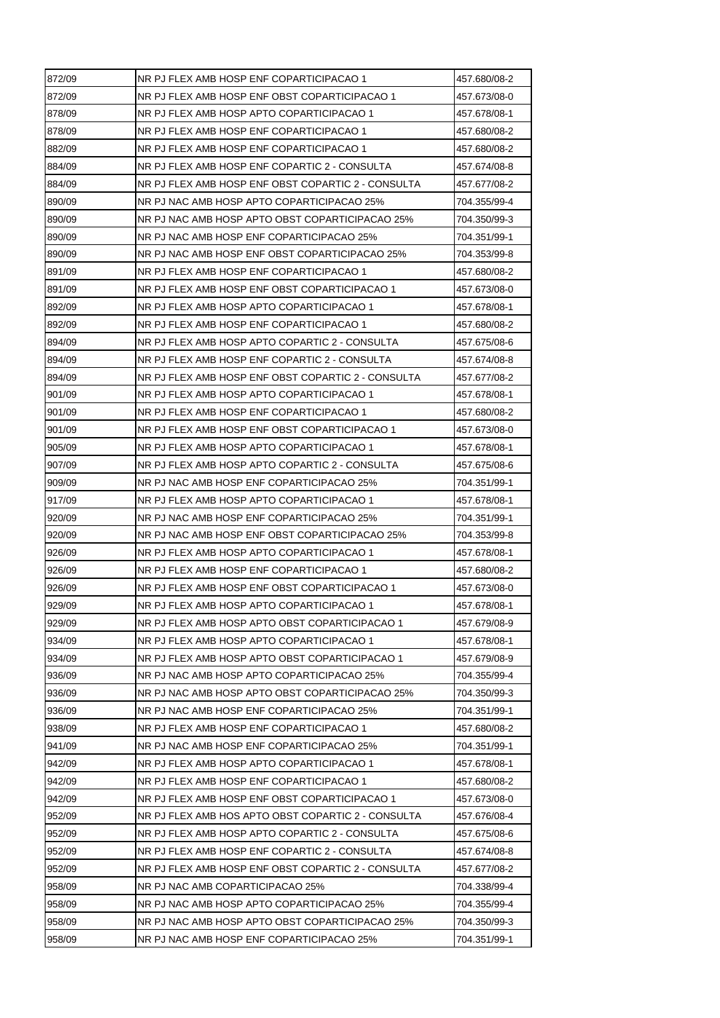| 872/09 | NR PJ FLEX AMB HOSP ENF COPARTICIPACAO 1           | 457.680/08-2 |
|--------|----------------------------------------------------|--------------|
| 872/09 | NR PJ FLEX AMB HOSP ENF OBST COPARTICIPACAO 1      | 457.673/08-0 |
| 878/09 | NR PJ FLEX AMB HOSP APTO COPARTICIPACAO 1          | 457.678/08-1 |
| 878/09 | NR PJ FLEX AMB HOSP ENF COPARTICIPACAO 1           | 457.680/08-2 |
| 882/09 | NR PJ FLEX AMB HOSP ENF COPARTICIPACAO 1           | 457.680/08-2 |
| 884/09 | NR PJ FLEX AMB HOSP ENF COPARTIC 2 - CONSULTA      | 457.674/08-8 |
| 884/09 | NR PJ FLEX AMB HOSP ENF OBST COPARTIC 2 - CONSULTA | 457.677/08-2 |
| 890/09 | NR PJ NAC AMB HOSP APTO COPARTICIPACAO 25%         | 704.355/99-4 |
| 890/09 | NR PJ NAC AMB HOSP APTO OBST COPARTICIPACAO 25%    | 704.350/99-3 |
| 890/09 | NR PJ NAC AMB HOSP ENF COPARTICIPACAO 25%          | 704.351/99-1 |
| 890/09 | NR PJ NAC AMB HOSP ENF OBST COPARTICIPACAO 25%     | 704.353/99-8 |
| 891/09 | NR PJ FLEX AMB HOSP ENF COPARTICIPACAO 1           | 457.680/08-2 |
| 891/09 | NR PJ FLEX AMB HOSP ENF OBST COPARTICIPACAO 1      | 457.673/08-0 |
| 892/09 | NR PJ FLEX AMB HOSP APTO COPARTICIPACAO 1          | 457.678/08-1 |
| 892/09 | NR PJ FLEX AMB HOSP ENF COPARTICIPACAO 1           | 457.680/08-2 |
| 894/09 | NR PJ FLEX AMB HOSP APTO COPARTIC 2 - CONSULTA     | 457.675/08-6 |
| 894/09 | NR PJ FLEX AMB HOSP ENF COPARTIC 2 - CONSULTA      | 457.674/08-8 |
| 894/09 | NR PJ FLEX AMB HOSP ENF OBST COPARTIC 2 - CONSULTA | 457.677/08-2 |
| 901/09 | NR PJ FLEX AMB HOSP APTO COPARTICIPACAO 1          | 457.678/08-1 |
| 901/09 | NR PJ FLEX AMB HOSP ENF COPARTICIPACAO 1           | 457.680/08-2 |
| 901/09 | NR PJ FLEX AMB HOSP ENF OBST COPARTICIPACAO 1      | 457.673/08-0 |
| 905/09 | NR PJ FLEX AMB HOSP APTO COPARTICIPACAO 1          | 457.678/08-1 |
| 907/09 | NR PJ FLEX AMB HOSP APTO COPARTIC 2 - CONSULTA     | 457.675/08-6 |
| 909/09 | NR PJ NAC AMB HOSP ENF COPARTICIPACAO 25%          | 704.351/99-1 |
| 917/09 | NR PJ FLEX AMB HOSP APTO COPARTICIPACAO 1          | 457.678/08-1 |
| 920/09 | NR PJ NAC AMB HOSP ENF COPARTICIPACAO 25%          | 704.351/99-1 |
| 920/09 | NR PJ NAC AMB HOSP ENF OBST COPARTICIPACAO 25%     | 704.353/99-8 |
| 926/09 | NR PJ FLEX AMB HOSP APTO COPARTICIPACAO 1          | 457.678/08-1 |
| 926/09 | NR PJ FLEX AMB HOSP ENF COPARTICIPACAO 1           | 457.680/08-2 |
| 926/09 | NR PJ FLEX AMB HOSP ENF OBST COPARTICIPACAO 1      | 457.673/08-0 |
| 929/09 | NR PJ FLEX AMB HOSP APTO COPARTICIPACAO 1          | 457.678/08-1 |
| 929/09 | NR PJ FLEX AMB HOSP APTO OBST COPARTICIPACAO 1     | 457.679/08-9 |
| 934/09 | NR PJ FLEX AMB HOSP APTO COPARTICIPACAO 1          | 457.678/08-1 |
| 934/09 | NR PJ FLEX AMB HOSP APTO OBST COPARTICIPACAO 1     | 457.679/08-9 |
| 936/09 | NR PJ NAC AMB HOSP APTO COPARTICIPACAO 25%         | 704.355/99-4 |
| 936/09 | NR PJ NAC AMB HOSP APTO OBST COPARTICIPACAO 25%    | 704.350/99-3 |
| 936/09 | NR PJ NAC AMB HOSP ENF COPARTICIPACAO 25%          | 704.351/99-1 |
| 938/09 | NR PJ FLEX AMB HOSP ENF COPARTICIPACAO 1           | 457.680/08-2 |
| 941/09 | NR PJ NAC AMB HOSP ENF COPARTICIPACAO 25%          | 704.351/99-1 |
| 942/09 | NR PJ FLEX AMB HOSP APTO COPARTICIPACAO 1          | 457.678/08-1 |
| 942/09 | NR PJ FLEX AMB HOSP ENF COPARTICIPACAO 1           | 457.680/08-2 |
| 942/09 | NR PJ FLEX AMB HOSP ENF OBST COPARTICIPACAO 1      | 457.673/08-0 |
| 952/09 | NR PJ FLEX AMB HOS APTO OBST COPARTIC 2 - CONSULTA | 457.676/08-4 |
| 952/09 | NR PJ FLEX AMB HOSP APTO COPARTIC 2 - CONSULTA     | 457.675/08-6 |
| 952/09 | NR PJ FLEX AMB HOSP ENF COPARTIC 2 - CONSULTA      | 457.674/08-8 |
| 952/09 | NR PJ FLEX AMB HOSP ENF OBST COPARTIC 2 - CONSULTA | 457.677/08-2 |
| 958/09 | NR PJ NAC AMB COPARTICIPACAO 25%                   | 704.338/99-4 |
| 958/09 | NR PJ NAC AMB HOSP APTO COPARTICIPACAO 25%         | 704.355/99-4 |
| 958/09 | NR PJ NAC AMB HOSP APTO OBST COPARTICIPACAO 25%    | 704.350/99-3 |
| 958/09 | NR PJ NAC AMB HOSP ENF COPARTICIPACAO 25%          | 704.351/99-1 |
|        |                                                    |              |